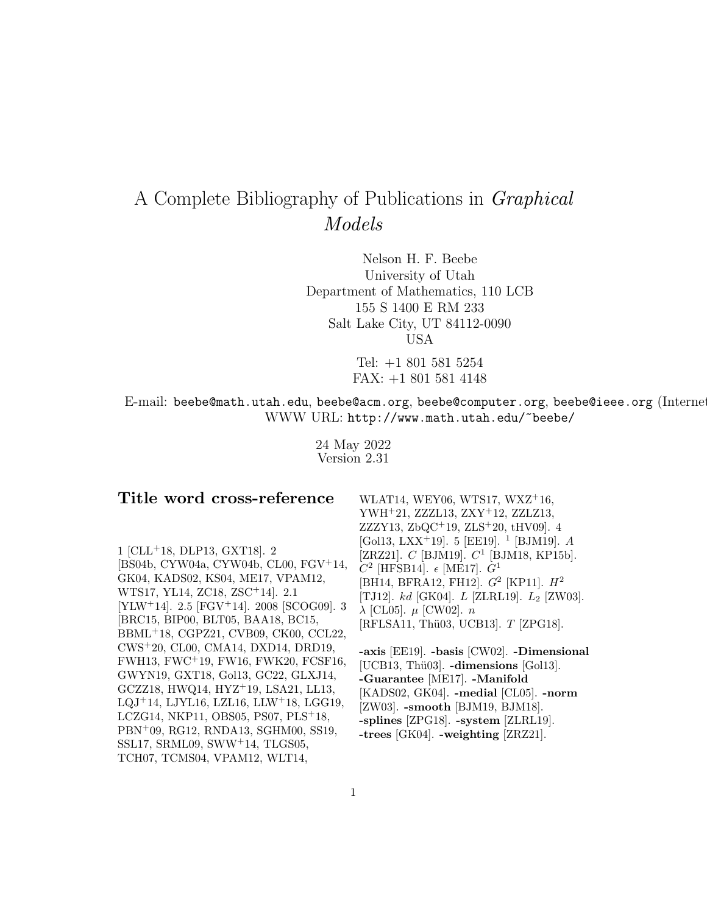# A Complete Bibliography of Publications in Graphical Models

Nelson H. F. Beebe University of Utah Department of Mathematics, 110 LCB 155 S 1400 E RM 233 Salt Lake City, UT 84112-0090 USA

> Tel: +1 801 581 5254 FAX: +1 801 581 4148

E-mail: beebe@math.utah.edu, beebe@acm.org, beebe@computer.org, beebe@ieee.org (Internet WWW URL: http://www.math.utah.edu/~beebe/

> 24 May 2022 Version 2.31

| Title word cross-reference                                         | WLAT14, WEY06, WTS17, WXZ+16,                                   |
|--------------------------------------------------------------------|-----------------------------------------------------------------|
|                                                                    | YWH <sup>+</sup> 21, ZZZL13, ZXY <sup>+</sup> 12, ZZLZ13,       |
|                                                                    | ZZZY13, ZbQC <sup>+</sup> 19, ZLS <sup>+</sup> 20, tHV09. 4     |
|                                                                    | [Gol13, LXX <sup>+</sup> 19]. 5 [EE19]. <sup>1</sup> [BJM19]. A |
| $1$ [CLL <sup>+</sup> 18, DLP13, GXT18]. 2                         | [ZRZ21]. $C$ [BJM19]. $C^1$ [BJM18, KP15b].                     |
| [BS04b, CYW04a, CYW04b, CL00, FGV+14,                              | $C^2$ [HFSB14]. $\epsilon$ [ME17]. $G^1$                        |
| GK04, KADS02, KS04, ME17, VPAM12,                                  | [BH14, BFRA12, FH12]. $G^2$ [KP11]. $H^2$                       |
| WTS17, YL14, ZC18, ZSC <sup>+</sup> 14]. 2.1                       | [TJ12]. $kd$ [GK04]. $L$ [ZLRL19]. $L_2$ [ZW03].                |
| [YLW <sup>+</sup> 14]. 2.5 [FGV <sup>+</sup> 14]. 2008 [SCOG09]. 3 | $\lambda$ [CL05]. $\mu$ [CW02]. $n$                             |
| [BRC15, BIP00, BLT05, BAA18, BC15,                                 | [RFLSA11, Thü03, UCB13]. T [ZPG18].                             |
| BBML <sup>+</sup> 18, CGPZ21, CVB09, CK00, CCL22,                  |                                                                 |
| CWS+20, CL00, CMA14, DXD14, DRD19,                                 | -axis [EE19]. -basis [CW02]. -Dimensional                       |
| FWH13, FWC+19, FW16, FWK20, FCSF16,                                | [UCB13, Thü03]. -dimensions [Gol13].                            |
| GWYN19, GXT18, Gol13, GC22, GLXJ14,                                | -Guarantee [ME17]. -Manifold                                    |
| GCZZ18, HWQ14, HYZ <sup>+</sup> 19, LSA21, LL13,                   | [KADS02, GK04]. -medial [CL05]. -norm                           |
| $LQJ+14$ , LJYL16, LZL16, LLW <sup>+</sup> 18, LGG19,              | [ZW03]. -smooth [BJM19, BJM18].                                 |
| LCZG14, NKP11, OBS05, PS07, $PLS+18$ ,                             | -splines [ZPG18]. -system [ZLRL19].                             |
| PBN+09, RG12, RNDA13, SGHM00, SS19,                                | -trees $[GK04]$ . -weighting $[ZRZ21]$ .                        |
| SSL17, SRML09, SWW $+14$ , TLGS05,                                 |                                                                 |
| TCH07, TCMS04, VPAM12, WLT14,                                      |                                                                 |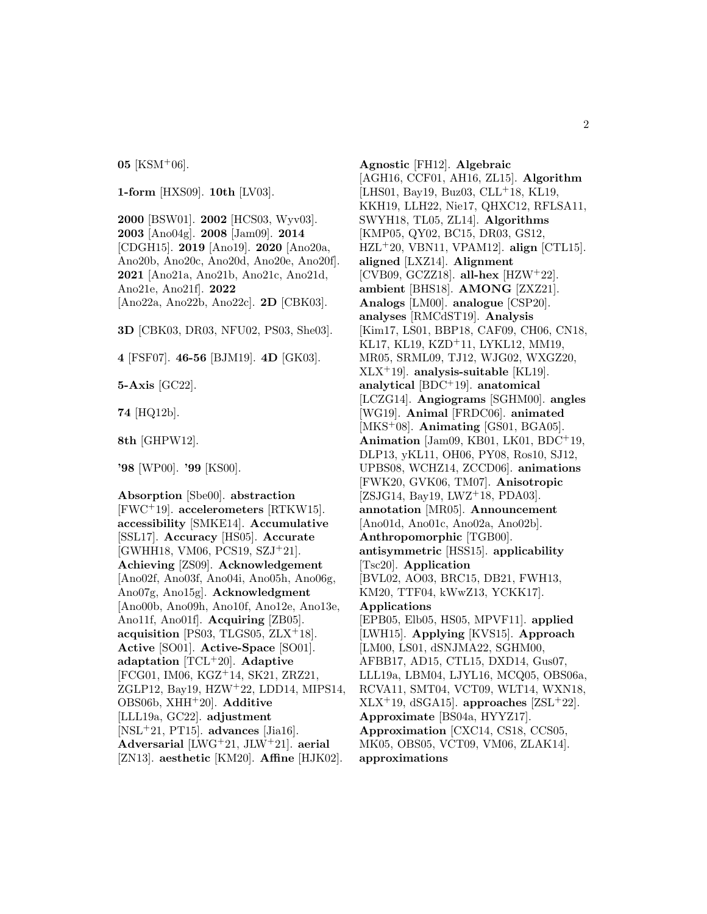**05** [KSM<sup>+</sup>06].

**1-form** [HXS09]. **10th** [LV03].

**2000** [BSW01]. **2002** [HCS03, Wyv03]. **2003** [Ano04g]. **2008** [Jam09]. **2014** [CDGH15]. **2019** [Ano19]. **2020** [Ano20a, Ano20b, Ano20c, Ano20d, Ano20e, Ano20f]. **2021** [Ano21a, Ano21b, Ano21c, Ano21d, Ano21e, Ano21f]. **2022** [Ano22a, Ano22b, Ano22c]. **2D** [CBK03].

**3D** [CBK03, DR03, NFU02, PS03, She03].

**4** [FSF07]. **46-56** [BJM19]. **4D** [GK03].

**5-Axis** [GC22].

**74** [HQ12b].

**8th** [GHPW12].

**'98** [WP00]. **'99** [KS00].

**Absorption** [Sbe00]. **abstraction** [FWC<sup>+</sup>19]. **accelerometers** [RTKW15]. **accessibility** [SMKE14]. **Accumulative** [SSL17]. **Accuracy** [HS05]. **Accurate** [GWHH18, VM06, PCS19, SZJ<sup>+</sup>21]. **Achieving** [ZS09]. **Acknowledgement** [Ano02f, Ano03f, Ano04i, Ano05h, Ano06g, Ano07g, Ano15g]. **Acknowledgment** [Ano00b, Ano09h, Ano10f, Ano12e, Ano13e, Ano11f, Ano01f]. **Acquiring** [ZB05]. **acquisition** [PS03, TLGS05, ZLX<sup>+</sup>18]. **Active** [SO01]. **Active-Space** [SO01]. **adaptation** [TCL<sup>+</sup>20]. **Adaptive** [FCG01, IM06, KGZ<sup>+</sup>14, SK21, ZRZ21, ZGLP12, Bay19, HZW<sup>+</sup>22, LDD14, MIPS14, OBS06b, XHH<sup>+</sup>20]. **Additive** [LLL19a, GC22]. **adjustment** [NSL<sup>+</sup>21, PT15]. **advances** [Jia16]. **Adversarial** [LWG<sup>+</sup>21, JLW<sup>+</sup>21]. **aerial** [ZN13]. **aesthetic** [KM20]. **Affine** [HJK02].

**Agnostic** [FH12]. **Algebraic** [AGH16, CCF01, AH16, ZL15]. **Algorithm** [LHS01, Bay19, Buz03, CLL<sup>+</sup>18, KL19, KKH19, LLH22, Nie17, QHXC12, RFLSA11, SWYH18, TL05, ZL14]. **Algorithms** [KMP05, QY02, BC15, DR03, GS12, HZL<sup>+</sup>20, VBN11, VPAM12]. **align** [CTL15]. **aligned** [LXZ14]. **Alignment** [CVB09, GCZZ18]. **all-hex** [HZW<sup>+</sup>22]. **ambient** [BHS18]. **AMONG** [ZXZ21]. **Analogs** [LM00]. **analogue** [CSP20]. **analyses** [RMCdST19]. **Analysis** [Kim17, LS01, BBP18, CAF09, CH06, CN18, KL17, KL19, KZD<sup>+</sup>11, LYKL12, MM19, MR05, SRML09, TJ12, WJG02, WXGZ20, XLX<sup>+</sup>19]. **analysis-suitable** [KL19]. **analytical** [BDC<sup>+</sup>19]. **anatomical** [LCZG14]. **Angiograms** [SGHM00]. **angles** [WG19]. **Animal** [FRDC06]. **animated** [MKS<sup>+</sup>08]. **Animating** [GS01, BGA05]. **Animation** [Jam09, KB01, LK01, BDC<sup>+</sup>19, DLP13, yKL11, OH06, PY08, Ros10, SJ12, UPBS08, WCHZ14, ZCCD06]. **animations** [FWK20, GVK06, TM07]. **Anisotropic** [ZSJG14, Bay19, LWZ<sup>+</sup>18, PDA03]. **annotation** [MR05]. **Announcement** [Ano01d, Ano01c, Ano02a, Ano02b]. **Anthropomorphic** [TGB00]. **antisymmetric** [HSS15]. **applicability** [Tsc20]. **Application** [BVL02, AO03, BRC15, DB21, FWH13, KM20, TTF04, kWwZ13, YCKK17]. **Applications** [EPB05, Elb05, HS05, MPVF11]. **applied** [LWH15]. **Applying** [KVS15]. **Approach** [LM00, LS01, dSNJMA22, SGHM00, AFBB17, AD15, CTL15, DXD14, Gus07, LLL19a, LBM04, LJYL16, MCQ05, OBS06a, RCVA11, SMT04, VCT09, WLT14, WXN18, XLX<sup>+</sup>19, dSGA15]. **approaches** [ZSL<sup>+</sup>22]. **Approximate** [BS04a, HYYZ17]. **Approximation** [CXC14, CS18, CCS05, MK05, OBS05, VCT09, VM06, ZLAK14]. **approximations**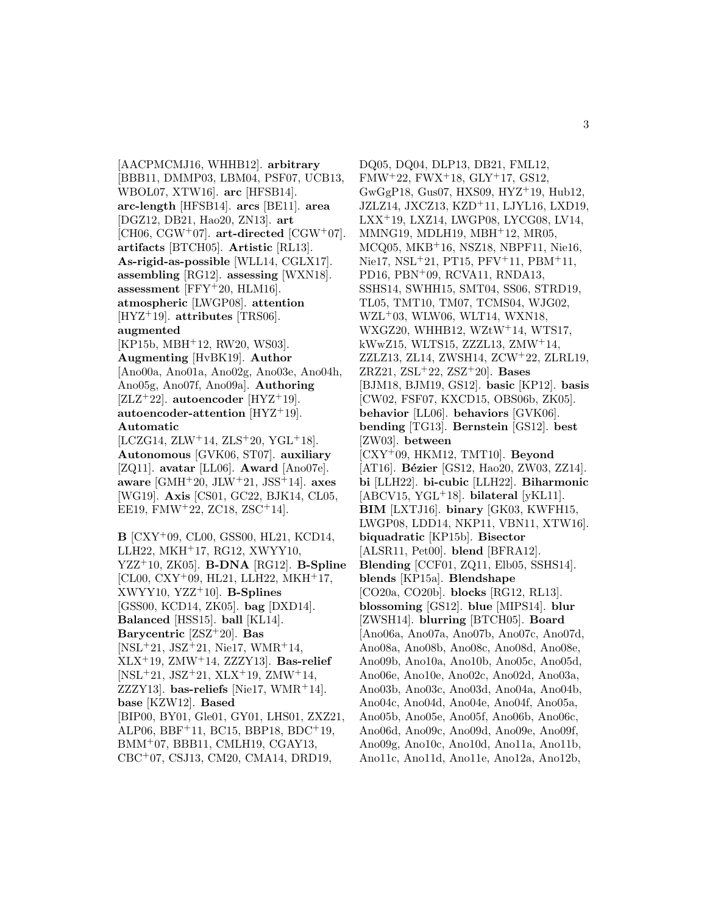[AACPMCMJ16, WHHB12]. **arbitrary** [BBB11, DMMP03, LBM04, PSF07, UCB13, WBOL07, XTW16]. **arc** [HFSB14]. **arc-length** [HFSB14]. **arcs** [BE11]. **area** [DGZ12, DB21, Hao20, ZN13]. **art**  $[CH06, CGW^+07]$ . art-directed  $[CGW^+07]$ . **artifacts** [BTCH05]. **Artistic** [RL13]. **As-rigid-as-possible** [WLL14, CGLX17]. **assembling** [RG12]. **assessing** [WXN18]. **assessment** [FFY<sup>+</sup>20, HLM16]. **atmospheric** [LWGP08]. **attention** [HYZ<sup>+</sup>19]. **attributes** [TRS06]. **augmented** [KP15b, MBH<sup>+</sup>12, RW20, WS03]. **Augmenting** [HvBK19]. **Author** [Ano00a, Ano01a, Ano02g, Ano03e, Ano04h, Ano05g, Ano07f, Ano09a]. **Authoring** [ZLZ<sup>+</sup>22]. **autoencoder** [HYZ<sup>+</sup>19]. **autoencoder-attention** [HYZ<sup>+</sup>19]. **Automatic**  $[LCZG14, ZLW+14, ZLS+20, YGL+18].$ 

**Autonomous** [GVK06, ST07]. **auxiliary** [ZQ11]. **avatar** [LL06]. **Award** [Ano07e]. **aware** [GMH<sup>+</sup>20, JLW<sup>+</sup>21, JSS<sup>+</sup>14]. **axes** [WG19]. **Axis** [CS01, GC22, BJK14, CL05, EE19, FMW<sup>+</sup>22, ZC18, ZSC<sup>+</sup>14].

**B** [CXY<sup>+</sup>09, CL00, GSS00, HL21, KCD14, LLH22, MKH<sup>+</sup>17, RG12, XWYY10, YZZ<sup>+</sup>10, ZK05]. **B-DNA** [RG12]. **B-Spline** [CL00, CXY<sup>+</sup>09, HL21, LLH22, MKH<sup>+</sup>17, XWYY10, YZZ<sup>+</sup>10]. **B-Splines** [GSS00, KCD14, ZK05]. **bag** [DXD14]. **Balanced** [HSS15]. **ball** [KL14]. **Barycentric** [ZSZ<sup>+</sup>20]. **Bas** [NSL<sup>+</sup>21, JSZ<sup>+</sup>21, Nie17, WMR<sup>+</sup>14, XLX<sup>+</sup>19, ZMW<sup>+</sup>14, ZZZY13]. **Bas-relief** [NSL<sup>+</sup>21, JSZ<sup>+</sup>21, XLX<sup>+</sup>19, ZMW<sup>+</sup>14, ZZZY13]. **bas-reliefs** [Nie17, WMR<sup>+</sup>14]. **base** [KZW12]. **Based** [BIP00, BY01, Gle01, GY01, LHS01, ZXZ21, ALP06, BBF<sup>+</sup>11, BC15, BBP18, BDC<sup>+</sup>19, BMM<sup>+</sup>07, BBB11, CMLH19, CGAY13, CBC<sup>+</sup>07, CSJ13, CM20, CMA14, DRD19,

DQ05, DQ04, DLP13, DB21, FML12,  $FMW+22, FWX+18, GLY+17, GS12,$ GwGgP18, Gus07, HXS09, HYZ<sup>+</sup>19, Hub12, JZLZ14, JXCZ13, KZD<sup>+</sup>11, LJYL16, LXD19, LXX<sup>+</sup>19, LXZ14, LWGP08, LYCG08, LV14, MMNG19, MDLH19, MBH<sup>+</sup>12, MR05, MCQ05, MKB<sup>+</sup>16, NSZ18, NBPF11, Nie16, Nie17, NSL<sup>+</sup>21, PT15, PFV<sup>+</sup>11, PBM<sup>+</sup>11, PD16, PBN<sup>+</sup>09, RCVA11, RNDA13, SSHS14, SWHH15, SMT04, SS06, STRD19, TL05, TMT10, TM07, TCMS04, WJG02, WZL<sup>+</sup>03, WLW06, WLT14, WXN18, WXGZ20, WHHB12, WZtW<sup>+</sup>14, WTS17, kWwZ15, WLTS15, ZZZL13, ZMW<sup>+</sup>14, ZZLZ13, ZL14, ZWSH14, ZCW<sup>+</sup>22, ZLRL19, ZRZ21, ZSL<sup>+</sup>22, ZSZ<sup>+</sup>20]. **Bases** [BJM18, BJM19, GS12]. **basic** [KP12]. **basis** [CW02, FSF07, KXCD15, OBS06b, ZK05]. **behavior** [LL06]. **behaviors** [GVK06]. **bending** [TG13]. **Bernstein** [GS12]. **best** [ZW03]. **between** [CXY<sup>+</sup>09, HKM12, TMT10]. **Beyond** [AT16]. **Bézier** [GS12, Hao20, ZW03, ZZ14]. **bi** [LLH22]. **bi-cubic** [LLH22]. **Biharmonic** [ABCV15, YGL<sup>+</sup>18]. **bilateral** [yKL11]. **BIM** [LXTJ16]. **binary** [GK03, KWFH15, LWGP08, LDD14, NKP11, VBN11, XTW16]. **biquadratic** [KP15b]. **Bisector** [ALSR11, Pet00]. **blend** [BFRA12]. **Blending** [CCF01, ZQ11, Elb05, SSHS14]. **blends** [KP15a]. **Blendshape** [CO20a, CO20b]. **blocks** [RG12, RL13]. **blossoming** [GS12]. **blue** [MIPS14]. **blur** [ZWSH14]. **blurring** [BTCH05]. **Board** [Ano06a, Ano07a, Ano07b, Ano07c, Ano07d, Ano08a, Ano08b, Ano08c, Ano08d, Ano08e, Ano09b, Ano10a, Ano10b, Ano05c, Ano05d, Ano06e, Ano10e, Ano02c, Ano02d, Ano03a, Ano03b, Ano03c, Ano03d, Ano04a, Ano04b, Ano04c, Ano04d, Ano04e, Ano04f, Ano05a, Ano05b, Ano05e, Ano05f, Ano06b, Ano06c, Ano06d, Ano09c, Ano09d, Ano09e, Ano09f, Ano09g, Ano10c, Ano10d, Ano11a, Ano11b, Ano11c, Ano11d, Ano11e, Ano12a, Ano12b,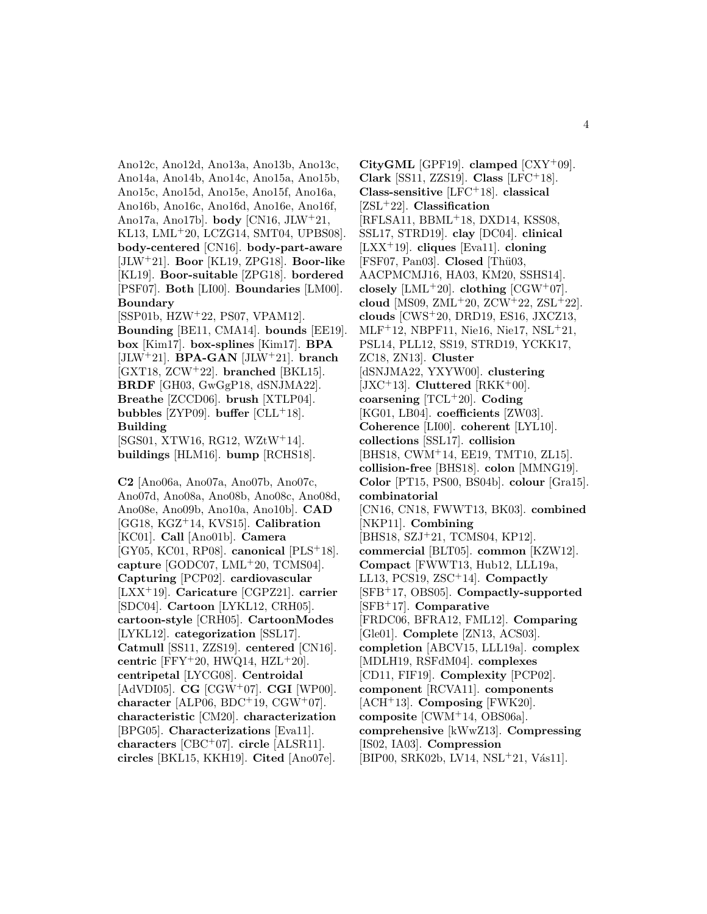Ano12c, Ano12d, Ano13a, Ano13b, Ano13c, Ano14a, Ano14b, Ano14c, Ano15a, Ano15b, Ano15c, Ano15d, Ano15e, Ano15f, Ano16a, Ano16b, Ano16c, Ano16d, Ano16e, Ano16f, Ano17a, Ano17b]. **body** [CN16, JLW<sup>+</sup>21, KL13, LML<sup>+</sup>20, LCZG14, SMT04, UPBS08]. **body-centered** [CN16]. **body-part-aware** [JLW<sup>+</sup>21]. **Boor** [KL19, ZPG18]. **Boor-like** [KL19]. **Boor-suitable** [ZPG18]. **bordered** [PSF07]. **Both** [LI00]. **Boundaries** [LM00]. **Boundary** [SSP01b, HZW<sup>+</sup>22, PS07, VPAM12]. **Bounding** [BE11, CMA14]. **bounds** [EE19]. **box** [Kim17]. **box-splines** [Kim17]. **BPA** [JLW<sup>+</sup>21]. **BPA-GAN** [JLW<sup>+</sup>21]. **branch** [GXT18, ZCW<sup>+</sup>22]. **branched** [BKL15]. **BRDF** [GH03, GwGgP18, dSNJMA22]. **Breathe** [ZCCD06]. **brush** [XTLP04]. **bubbles** [ZYP09]. **buffer**  $[CLL+18]$ . **Building** [SGS01, XTW16, RG12, WZtW<sup>+</sup>14]. **buildings** [HLM16]. **bump** [RCHS18].

**C2** [Ano06a, Ano07a, Ano07b, Ano07c, Ano07d, Ano08a, Ano08b, Ano08c, Ano08d, Ano08e, Ano09b, Ano10a, Ano10b]. **CAD** [GG18, KGZ<sup>+</sup>14, KVS15]. **Calibration** [KC01]. **Call** [Ano01b]. **Camera** [GY05, KC01, RP08]. **canonical** [PLS<sup>+</sup>18]. **capture** [GODC07, LML<sup>+</sup>20, TCMS04]. **Capturing** [PCP02]. **cardiovascular** [LXX<sup>+</sup>19]. **Caricature** [CGPZ21]. **carrier** [SDC04]. **Cartoon** [LYKL12, CRH05]. **cartoon-style** [CRH05]. **CartoonModes** [LYKL12]. **categorization** [SSL17]. **Catmull** [SS11, ZZS19]. **centered** [CN16]. **centric** [FFY<sup>+</sup>20, HWQ14, HZL<sup>+</sup>20]. **centripetal** [LYCG08]. **Centroidal** [AdVDI05]. **CG** [CGW<sup>+</sup>07]. **CGI** [WP00]. **character** [ALP06, BDC<sup>+</sup>19, CGW<sup>+</sup>07]. **characteristic** [CM20]. **characterization** [BPG05]. **Characterizations** [Eva11]. **characters** [CBC<sup>+</sup>07]. **circle** [ALSR11]. **circles** [BKL15, KKH19]. **Cited** [Ano07e].

**CityGML** [GPF19]. **clamped** [CXY<sup>+</sup>09]. **Clark** [SS11, ZZS19]. **Class** [LFC<sup>+</sup>18]. **Class-sensitive** [LFC<sup>+</sup>18]. **classical** [ZSL<sup>+</sup>22]. **Classification** [RFLSA11, BBML<sup>+</sup>18, DXD14, KSS08, SSL17, STRD19]. **clay** [DC04]. **clinical** [LXX<sup>+</sup>19]. **cliques** [Eva11]. **cloning** [FSF07, Pan03]. **Closed** [Thü03, AACPMCMJ16, HA03, KM20, SSHS14]. **closely** [LML<sup>+</sup>20]. **clothing** [CGW<sup>+</sup>07]. **cloud** [MS09, ZML<sup>+</sup>20, ZCW<sup>+</sup>22, ZSL<sup>+</sup>22]. **clouds** [CWS<sup>+</sup>20, DRD19, ES16, JXCZ13, MLF<sup>+</sup>12, NBPF11, Nie16, Nie17, NSL<sup>+</sup>21, PSL14, PLL12, SS19, STRD19, YCKK17, ZC18, ZN13]. **Cluster** [dSNJMA22, YXYW00]. **clustering** [JXC<sup>+</sup>13]. **Cluttered** [RKK<sup>+</sup>00]. **coarsening** [TCL<sup>+</sup>20]. **Coding** [KG01, LB04]. **coefficients** [ZW03]. **Coherence** [LI00]. **coherent** [LYL10]. **collections** [SSL17]. **collision** [BHS18, CWM<sup>+</sup>14, EE19, TMT10, ZL15]. **collision-free** [BHS18]. **colon** [MMNG19]. **Color** [PT15, PS00, BS04b]. **colour** [Gra15]. **combinatorial** [CN16, CN18, FWWT13, BK03]. **combined** [NKP11]. **Combining** [BHS18, SZJ<sup>+</sup>21, TCMS04, KP12]. **commercial** [BLT05]. **common** [KZW12]. **Compact** [FWWT13, Hub12, LLL19a, LL13, PCS19, ZSC<sup>+</sup>14]. **Compactly** [SFB<sup>+</sup>17, OBS05]. **Compactly-supported** [SFB<sup>+</sup>17]. **Comparative** [FRDC06, BFRA12, FML12]. **Comparing** [Gle01]. **Complete** [ZN13, ACS03]. **completion** [ABCV15, LLL19a]. **complex** [MDLH19, RSFdM04]. **complexes** [CD11, FIF19]. **Complexity** [PCP02]. **component** [RCVA11]. **components** [ACH<sup>+</sup>13]. **Composing** [FWK20]. **composite** [CWM<sup>+</sup>14, OBS06a]. **comprehensive** [kWwZ13]. **Compressing** [IS02, IA03]. **Compression** [BIP00, SRK02b, LV14, NSL<sup>+</sup>21, Vás11].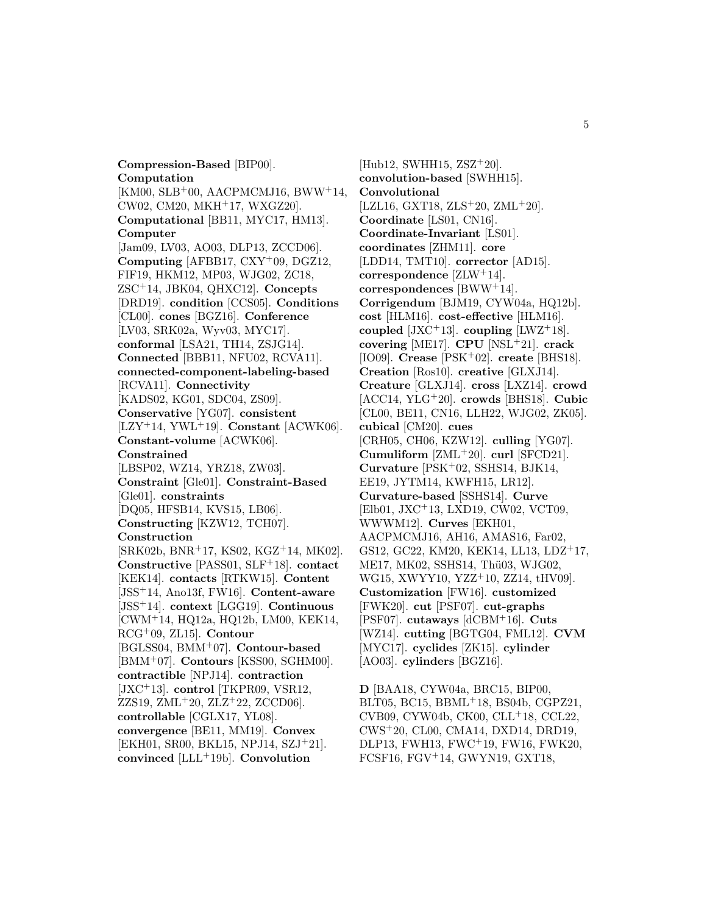**Compression-Based** [BIP00]. **Computation**  $[KM00, SLB<sup>+</sup>00, AACPMCMJ16, BWW<sup>+</sup>14,$ CW02, CM20, MKH<sup>+</sup>17, WXGZ20]. **Computational** [BB11, MYC17, HM13]. **Computer** [Jam09, LV03, AO03, DLP13, ZCCD06]. **Computing** [AFBB17, CXY<sup>+</sup>09, DGZ12, FIF19, HKM12, MP03, WJG02, ZC18, ZSC<sup>+</sup>14, JBK04, QHXC12]. **Concepts** [DRD19]. **condition** [CCS05]. **Conditions** [CL00]. **cones** [BGZ16]. **Conference** [LV03, SRK02a, Wyv03, MYC17]. **conformal** [LSA21, TH14, ZSJG14]. **Connected** [BBB11, NFU02, RCVA11]. **connected-component-labeling-based** [RCVA11]. **Connectivity** [KADS02, KG01, SDC04, ZS09]. **Conservative** [YG07]. **consistent** [LZY<sup>+</sup>14, YWL<sup>+</sup>19]. **Constant** [ACWK06]. **Constant-volume** [ACWK06]. **Constrained** [LBSP02, WZ14, YRZ18, ZW03]. **Constraint** [Gle01]. **Constraint-Based** [Gle01]. **constraints** [DQ05, HFSB14, KVS15, LB06]. **Constructing** [KZW12, TCH07]. **Construction** [SRK02b, BNR<sup>+</sup>17, KS02, KGZ<sup>+</sup>14, MK02]. **Constructive** [PASS01, SLF<sup>+</sup>18]. **contact** [KEK14]. **contacts** [RTKW15]. **Content** [JSS<sup>+</sup>14, Ano13f, FW16]. **Content-aware** [JSS<sup>+</sup>14]. **context** [LGG19]. **Continuous** [CWM<sup>+</sup>14, HQ12a, HQ12b, LM00, KEK14, RCG<sup>+</sup>09, ZL15]. **Contour** [BGLSS04, BMM<sup>+</sup>07]. **Contour-based** [BMM<sup>+</sup>07]. **Contours** [KSS00, SGHM00]. **contractible** [NPJ14]. **contraction** [JXC<sup>+</sup>13]. **control** [TKPR09, VSR12,  $ZZS19, ZML+20, ZLZ+22, ZCCD06$ . **controllable** [CGLX17, YL08]. **convergence** [BE11, MM19]. **Convex** [EKH01, SR00, BKL15, NPJ14, SZJ<sup>+</sup>21]. **convinced** [LLL<sup>+</sup>19b]. **Convolution**

 $[Hub12, SWHH15, ZSZ<sup>+</sup>20].$ **convolution-based** [SWHH15]. **Convolutional** [LZL16, GXT18,  $ZLS+20$ ,  $ZML+20$ ]. **Coordinate** [LS01, CN16]. **Coordinate-Invariant** [LS01]. **coordinates** [ZHM11]. **core** [LDD14, TMT10]. **corrector** [AD15]. **correspondence** [ZLW<sup>+</sup>14]. **correspondences** [BWW<sup>+</sup>14]. **Corrigendum** [BJM19, CYW04a, HQ12b]. **cost** [HLM16]. **cost-effective** [HLM16]. **coupled** [JXC<sup>+</sup>13]. **coupling** [LWZ<sup>+</sup>18]. **covering** [ME17]. **CPU** [NSL<sup>+</sup>21]. **crack** [IO09]. **Crease** [PSK<sup>+</sup>02]. **create** [BHS18]. **Creation** [Ros10]. **creative** [GLXJ14]. **Creature** [GLXJ14]. **cross** [LXZ14]. **crowd** [ACC14, YLG<sup>+</sup>20]. **crowds** [BHS18]. **Cubic** [CL00, BE11, CN16, LLH22, WJG02, ZK05]. **cubical** [CM20]. **cues** [CRH05, CH06, KZW12]. **culling** [YG07]. **Cumuliform** [ZML<sup>+</sup>20]. **curl** [SFCD21]. **Curvature** [PSK<sup>+</sup>02, SSHS14, BJK14, EE19, JYTM14, KWFH15, LR12]. **Curvature-based** [SSHS14]. **Curve** [Elb01, JXC<sup>+</sup>13, LXD19, CW02, VCT09, WWWM12]. **Curves** [EKH01, AACPMCMJ16, AH16, AMAS16, Far02, GS12, GC22, KM20, KEK14, LL13, LDZ<sup>+</sup>17, ME17, MK02, SSHS14, Thü03, WJG02, WG15, XWYY10, YZZ<sup>+</sup>10, ZZ14, tHV09. **Customization** [FW16]. **customized** [FWK20]. **cut** [PSF07]. **cut-graphs** [PSF07]. **cutaways** [dCBM<sup>+</sup>16]. **Cuts** [WZ14]. **cutting** [BGTG04, FML12]. **CVM** [MYC17]. **cyclides** [ZK15]. **cylinder** [AO03]. **cylinders** [BGZ16].

**D** [BAA18, CYW04a, BRC15, BIP00, BLT05, BC15, BBML<sup>+</sup>18, BS04b, CGPZ21, CVB09, CYW04b, CK00, CLL<sup>+</sup>18, CCL22, CWS<sup>+</sup>20, CL00, CMA14, DXD14, DRD19, DLP13, FWH13, FWC<sup>+</sup>19, FW16, FWK20, FCSF16, FGV<sup>+</sup>14, GWYN19, GXT18,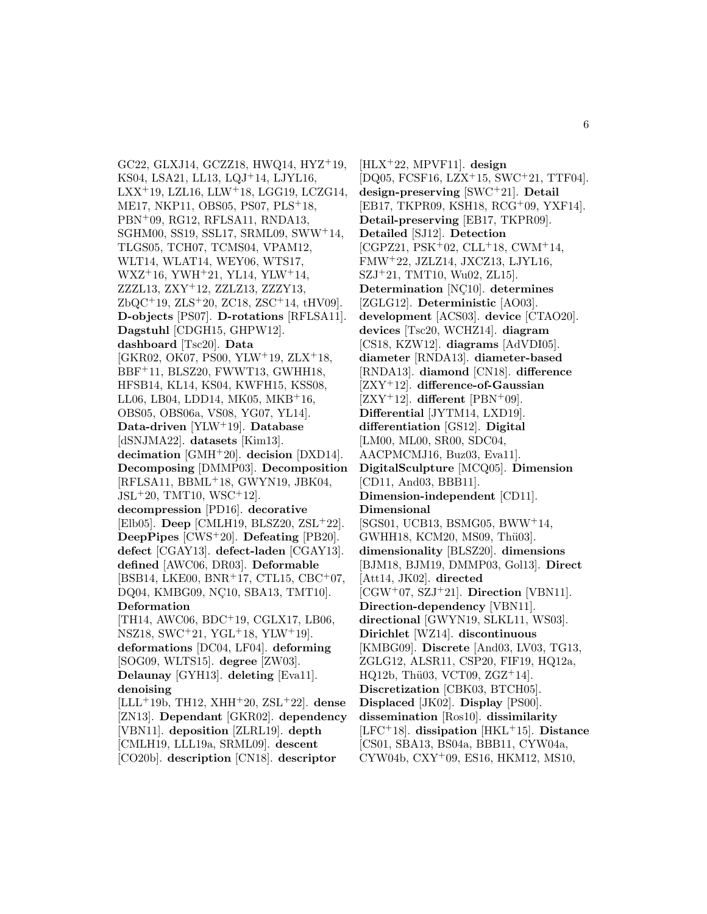GC22, GLXJ14, GCZZ18, HWQ14, HYZ<sup>+</sup>19, KS04, LSA21, LL13, LQJ<sup>+</sup>14, LJYL16,  $LXX$ <sup>+</sup>19, LZL16, LLW<sup>+</sup>18, LGG19, LCZG14, ME17, NKP11, OBS05, PS07, PLS<sup>+</sup>18, PBN<sup>+</sup>09, RG12, RFLSA11, RNDA13, SGHM00, SS19, SSL17, SRML09, SWW<sup>+</sup>14, TLGS05, TCH07, TCMS04, VPAM12, WLT14, WLAT14, WEY06, WTS17, WXZ<sup>+</sup>16, YWH<sup>+</sup>21, YL14, YLW<sup>+</sup>14, ZZZL13, ZXY<sup>+</sup>12, ZZLZ13, ZZZY13, ZbQC<sup>+</sup>19, ZLS<sup>+</sup>20, ZC18, ZSC<sup>+</sup>14, tHV09]. **D-objects** [PS07]. **D-rotations** [RFLSA11]. **Dagstuhl** [CDGH15, GHPW12]. **dashboard** [Tsc20]. **Data** [GKR02, OK07, PS00, YLW<sup>+</sup>19, ZLX<sup>+</sup>18, BBF<sup>+</sup>11, BLSZ20, FWWT13, GWHH18, HFSB14, KL14, KS04, KWFH15, KSS08, LL06, LB04, LDD14, MK05, MKB<sup>+</sup>16, OBS05, OBS06a, VS08, YG07, YL14]. **Data-driven** [YLW<sup>+</sup>19]. **Database** [dSNJMA22]. **datasets** [Kim13]. **decimation** [GMH<sup>+</sup>20]. **decision** [DXD14]. **Decomposing** [DMMP03]. **Decomposition** [RFLSA11, BBML<sup>+</sup>18, GWYN19, JBK04,  $JSL+20$ , TMT10, WSC<sup>+</sup>12. **decompression** [PD16]. **decorative** [Elb05]. **Deep** [CMLH19, BLSZ20, ZSL<sup>+</sup>22]. **DeepPipes** [CWS<sup>+</sup>20]. **Defeating** [PB20]. **defect** [CGAY13]. **defect-laden** [CGAY13]. **defined** [AWC06, DR03]. **Deformable** [BSB14, LKE00, BNR<sup>+</sup>17, CTL15, CBC<sup>+</sup>07, DQ04, KMBG09, NÇ10, SBA13, TMT10]. **Deformation** [TH14, AWC06, BDC<sup>+</sup>19, CGLX17, LB06, NSZ18, SWC<sup>+</sup>21, YGL<sup>+</sup>18, YLW<sup>+</sup>19]. **deformations** [DC04, LF04]. **deforming** [SOG09, WLTS15]. **degree** [ZW03]. **Delaunay** [GYH13]. **deleting** [Eva11]. **denoising** [LLL<sup>+</sup>19b, TH12, XHH<sup>+</sup>20, ZSL<sup>+</sup>22]. **dense** [ZN13]. **Dependant** [GKR02]. **dependency** [VBN11]. **deposition** [ZLRL19]. **depth** [CMLH19, LLL19a, SRML09]. **descent**

[CO20b]. **description** [CN18]. **descriptor**

[HLX<sup>+</sup>22, MPVF11]. **design** [DQ05, FCSF16, LZX<sup>+</sup>15, SWC<sup>+</sup>21, TTF04]. **design-preserving** [SWC<sup>+</sup>21]. **Detail** [EB17, TKPR09, KSH18, RCG<sup>+</sup>09, YXF14]. **Detail-preserving** [EB17, TKPR09]. **Detailed** [SJ12]. **Detection**  $[CGPZ21, PSK<sup>+</sup>02, CLL<sup>+</sup>18, CWM<sup>+</sup>14,$ FMW<sup>+</sup>22, JZLZ14, JXCZ13, LJYL16, SZJ<sup>+</sup>21, TMT10, Wu02, ZL15]. **Determination** [NC10]. determines [ZGLG12]. **Deterministic** [AO03]. **development** [ACS03]. **device** [CTAO20]. **devices** [Tsc20, WCHZ14]. **diagram** [CS18, KZW12]. **diagrams** [AdVDI05]. **diameter** [RNDA13]. **diameter-based** [RNDA13]. **diamond** [CN18]. **difference** [ZXY<sup>+</sup>12]. **difference-of-Gaussian**  $[ZXY^+12]$ . **different**  $[PBN^+09]$ . **Differential** [JYTM14, LXD19]. **differentiation** [GS12]. **Digital** [LM00, ML00, SR00, SDC04, AACPMCMJ16, Buz03, Eva11]. **DigitalSculpture** [MCQ05]. **Dimension** [CD11, And03, BBB11]. **Dimension-independent** [CD11]. **Dimensional** [SGS01, UCB13, BSMG05, BWW<sup>+</sup>14, GWHH18, KCM20, MS09, Thü03]. **dimensionality** [BLSZ20]. **dimensions** [BJM18, BJM19, DMMP03, Gol13]. **Direct** [Att14, JK02]. **directed** [CGW<sup>+</sup>07, SZJ<sup>+</sup>21]. **Direction** [VBN11]. **Direction-dependency** [VBN11]. **directional** [GWYN19, SLKL11, WS03]. **Dirichlet** [WZ14]. **discontinuous** [KMBG09]. **Discrete** [And03, LV03, TG13, ZGLG12, ALSR11, CSP20, FIF19, HQ12a,  $HQ12b, Thü03, VCT09, ZGZ<sup>+</sup>14$ . **Discretization** [CBK03, BTCH05]. **Displaced** [JK02]. **Display** [PS00]. **dissemination** [Ros10]. **dissimilarity** [LFC<sup>+</sup>18]. **dissipation** [HKL<sup>+</sup>15]. **Distance** [CS01, SBA13, BS04a, BBB11, CYW04a, CYW04b, CXY<sup>+</sup>09, ES16, HKM12, MS10,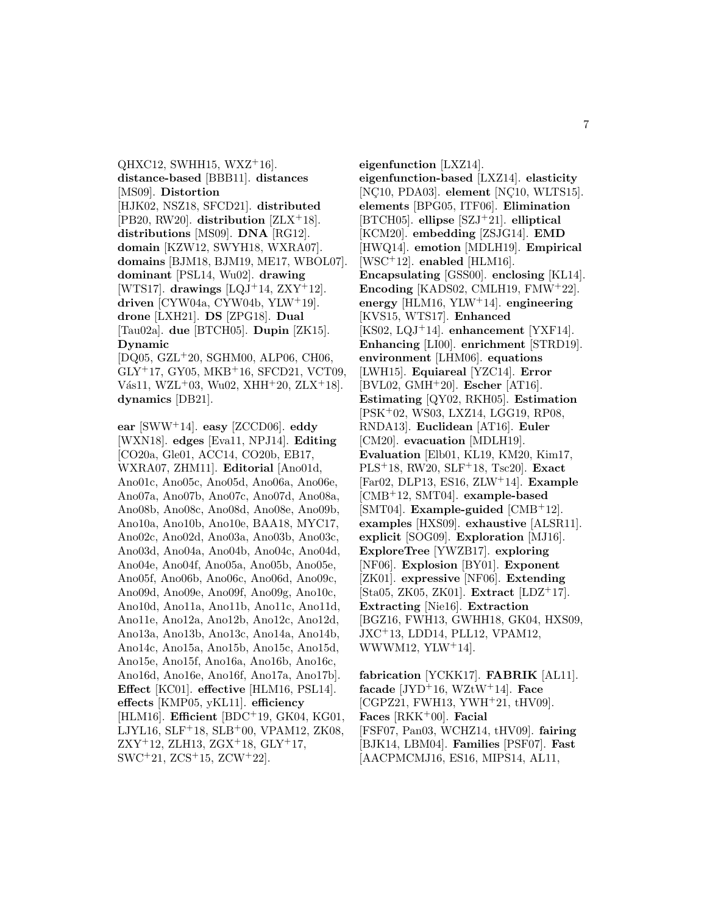$QHXC12$ , SWHH15, WXZ<sup>+</sup>16]. **distance-based** [BBB11]. **distances** [MS09]. **Distortion** [HJK02, NSZ18, SFCD21]. **distributed** [PB20, RW20]. **distribution** [ZLX<sup>+</sup>18]. **distributions** [MS09]. **DNA** [RG12]. **domain** [KZW12, SWYH18, WXRA07]. **domains** [BJM18, BJM19, ME17, WBOL07]. **dominant** [PSL14, Wu02]. **drawing** [WTS17]. **drawings** [LQJ<sup>+</sup>14, ZXY<sup>+</sup>12]. **driven** [CYW04a, CYW04b, YLW<sup>+</sup>19]. **drone** [LXH21]. **DS** [ZPG18]. **Dual** [Tau02a]. **due** [BTCH05]. **Dupin** [ZK15]. **Dynamic** [DQ05, GZL<sup>+</sup>20, SGHM00, ALP06, CH06,

GLY<sup>+</sup>17, GY05, MKB<sup>+</sup>16, SFCD21, VCT09, Vás11, WZL<sup>+</sup>03, Wu02, XHH<sup>+</sup>20, ZLX<sup>+</sup>18]. **dynamics** [DB21].

**ear** [SWW<sup>+</sup>14]. **easy** [ZCCD06]. **eddy** [WXN18]. **edges** [Eva11, NPJ14]. **Editing** [CO20a, Gle01, ACC14, CO20b, EB17, WXRA07, ZHM11]. **Editorial** [Ano01d, Ano01c, Ano05c, Ano05d, Ano06a, Ano06e, Ano07a, Ano07b, Ano07c, Ano07d, Ano08a, Ano08b, Ano08c, Ano08d, Ano08e, Ano09b, Ano10a, Ano10b, Ano10e, BAA18, MYC17, Ano02c, Ano02d, Ano03a, Ano03b, Ano03c, Ano03d, Ano04a, Ano04b, Ano04c, Ano04d, Ano04e, Ano04f, Ano05a, Ano05b, Ano05e, Ano05f, Ano06b, Ano06c, Ano06d, Ano09c, Ano09d, Ano09e, Ano09f, Ano09g, Ano10c, Ano10d, Ano11a, Ano11b, Ano11c, Ano11d, Ano11e, Ano12a, Ano12b, Ano12c, Ano12d, Ano13a, Ano13b, Ano13c, Ano14a, Ano14b, Ano14c, Ano15a, Ano15b, Ano15c, Ano15d, Ano15e, Ano15f, Ano16a, Ano16b, Ano16c, Ano16d, Ano16e, Ano16f, Ano17a, Ano17b]. **Effect** [KC01]. **effective** [HLM16, PSL14]. **effects** [KMP05, yKL11]. **efficiency** [HLM16]. **Efficient** [BDC<sup>+</sup>19, GK04, KG01, LJYL16, SLF<sup>+</sup>18, SLB<sup>+</sup>00, VPAM12, ZK08,  $ZXY^+12$ , ZLH13,  $ZGX^+18$ ,  $GLY^+17$ , SWC<sup>+</sup>21, ZCS<sup>+</sup>15, ZCW<sup>+</sup>22].

**eigenfunction** [LXZ14]. **eigenfunction-based** [LXZ14]. **elasticity** [NC10, PDA03]. **element** [NC10, WLTS15]. **elements** [BPG05, ITF06]. **Elimination** [BTCH05]. **ellipse** [SZJ<sup>+</sup>21]. **elliptical** [KCM20]. **embedding** [ZSJG14]. **EMD** [HWQ14]. **emotion** [MDLH19]. **Empirical** [WSC<sup>+</sup>12]. **enabled** [HLM16]. **Encapsulating** [GSS00]. **enclosing** [KL14]. **Encoding** [KADS02, CMLH19, FMW<sup>+</sup>22]. **energy** [HLM16, YLW<sup>+</sup>14]. **engineering** [KVS15, WTS17]. **Enhanced** [KS02, LQJ<sup>+</sup>14]. **enhancement** [YXF14]. **Enhancing** [LI00]. **enrichment** [STRD19]. **environment** [LHM06]. **equations** [LWH15]. **Equiareal** [YZC14]. **Error** [BVL02, GMH<sup>+</sup>20]. **Escher** [AT16]. **Estimating** [QY02, RKH05]. **Estimation** [PSK<sup>+</sup>02, WS03, LXZ14, LGG19, RP08, RNDA13]. **Euclidean** [AT16]. **Euler** [CM20]. **evacuation** [MDLH19]. **Evaluation** [Elb01, KL19, KM20, Kim17, PLS<sup>+</sup>18, RW20, SLF<sup>+</sup>18, Tsc20]. **Exact** [Far02, DLP13, ES16, ZLW<sup>+</sup>14]. **Example** [CMB<sup>+</sup>12, SMT04]. **example-based** [SMT04]. **Example-guided** [CMB<sup>+</sup>12]. **examples** [HXS09]. **exhaustive** [ALSR11]. **explicit** [SOG09]. **Exploration** [MJ16]. **ExploreTree** [YWZB17]. **exploring** [NF06]. **Explosion** [BY01]. **Exponent** [ZK01]. **expressive** [NF06]. **Extending** [Sta05, ZK05, ZK01]. **Extract** [LDZ<sup>+</sup>17]. **Extracting** [Nie16]. **Extraction** [BGZ16, FWH13, GWHH18, GK04, HXS09, JXC<sup>+</sup>13, LDD14, PLL12, VPAM12, WWWM12, YLW<sup>+</sup>14].

**fabrication** [YCKK17]. **FABRIK** [AL11].  $facade$  [JYD<sup>+</sup>16, WZtW<sup>+</sup>14]. **Face** [CGPZ21, FWH13, YWH<sup>+</sup>21, tHV09]. **Faces** [RKK<sup>+</sup>00]. **Facial** [FSF07, Pan03, WCHZ14, tHV09]. **fairing** [BJK14, LBM04]. **Families** [PSF07]. **Fast** [AACPMCMJ16, ES16, MIPS14, AL11,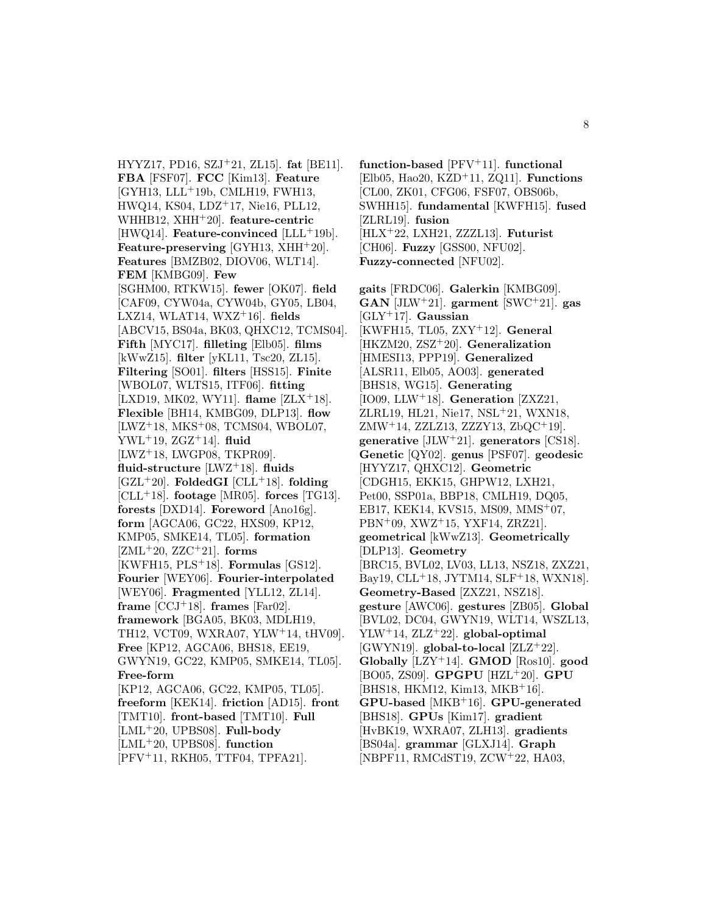HYYZ17, PD16, SZJ<sup>+</sup>21, ZL15]. **fat** [BE11]. **FBA** [FSF07]. **FCC** [Kim13]. **Feature**  $[GYH13, LLL<sup>+</sup>19b, CMLH19, FWH13,$ HWQ14, KS04, LDZ<sup>+</sup>17, Nie16, PLL12, WHHB12, XHH<sup>+</sup>20]. **feature-centric** [HWQ14]. **Feature-convinced** [LLL<sup>+</sup>19b]. **Feature-preserving** [GYH13, XHH<sup>+</sup>20]. **Features** [BMZB02, DIOV06, WLT14]. **FEM** [KMBG09]. **Few** [SGHM00, RTKW15]. **fewer** [OK07]. **field** [CAF09, CYW04a, CYW04b, GY05, LB04, LXZ14, WLAT14, WXZ<sup>+</sup>16]. **fields** [ABCV15, BS04a, BK03, QHXC12, TCMS04]. **Fifth** [MYC17]. **filleting** [Elb05]. **films** [kWwZ15]. **filter** [yKL11, Tsc20, ZL15]. **Filtering** [SO01]. **filters** [HSS15]. **Finite** [WBOL07, WLTS15, ITF06]. **fitting** [LXD19, MK02, WY11]. **flame** [ZLX<sup>+</sup>18]. **Flexible** [BH14, KMBG09, DLP13]. **flow** [LWZ<sup>+</sup>18, MKS<sup>+</sup>08, TCMS04, WBOL07, YWL<sup>+</sup>19, ZGZ<sup>+</sup>14]. **fluid** [LWZ<sup>+</sup>18, LWGP08, TKPR09]. **fluid-structure** [LWZ<sup>+</sup>18]. **fluids** [GZL<sup>+</sup>20]. **FoldedGI** [CLL<sup>+</sup>18]. **folding** [CLL<sup>+</sup>18]. **footage** [MR05]. **forces** [TG13]. **forests** [DXD14]. **Foreword** [Ano16g]. **form** [AGCA06, GC22, HXS09, KP12, KMP05, SMKE14, TL05]. **formation** [ZML<sup>+</sup>20, ZZC<sup>+</sup>21]. **forms** [KWFH15, PLS<sup>+</sup>18]. **Formulas** [GS12]. **Fourier** [WEY06]. **Fourier-interpolated** [WEY06]. **Fragmented** [YLL12, ZL14]. **frame**  $[CCJ+18]$ . **frames**  $[Far02]$ . **framework** [BGA05, BK03, MDLH19, TH12, VCT09, WXRA07, YLW<sup>+</sup>14, tHV09]. **Free** [KP12, AGCA06, BHS18, EE19, GWYN19, GC22, KMP05, SMKE14, TL05]. **Free-form** [KP12, AGCA06, GC22, KMP05, TL05]. **freeform** [KEK14]. **friction** [AD15]. **front** [TMT10]. **front-based** [TMT10]. **Full** [LML<sup>+</sup>20, UPBS08]. **Full-body** [LML<sup>+</sup>20, UPBS08]. **function** [PFV<sup>+</sup>11, RKH05, TTF04, TPFA21].

**function-based** [PFV<sup>+</sup>11]. **functional** [Elb05, Hao20, KZD<sup>+</sup>11, ZQ11]. **Functions** [CL00, ZK01, CFG06, FSF07, OBS06b, SWHH15]. **fundamental** [KWFH15]. **fused** [ZLRL19]. **fusion** [HLX<sup>+</sup>22, LXH21, ZZZL13]. **Futurist** [CH06]. **Fuzzy** [GSS00, NFU02]. **Fuzzy-connected** [NFU02].

**gaits** [FRDC06]. **Galerkin** [KMBG09]. **GAN** [JLW<sup>+</sup>21]. **garment** [SWC<sup>+</sup>21]. **gas** [GLY<sup>+</sup>17]. **Gaussian** [KWFH15, TL05, ZXY<sup>+</sup>12]. **General** [HKZM20, ZSZ<sup>+</sup>20]. **Generalization** [HMESI13, PPP19]. **Generalized** [ALSR11, Elb05, AO03]. **generated** [BHS18, WG15]. **Generating** [IO09, LLW<sup>+</sup>18]. **Generation** [ZXZ21, ZLRL19, HL21, Nie17, NSL<sup>+</sup>21, WXN18, ZMW<sup>+</sup>14, ZZLZ13, ZZZY13, ZbQC<sup>+</sup>19]. **generative** [JLW<sup>+</sup>21]. **generators** [CS18]. **Genetic** [QY02]. **genus** [PSF07]. **geodesic** [HYYZ17, QHXC12]. **Geometric** [CDGH15, EKK15, GHPW12, LXH21, Pet00, SSP01a, BBP18, CMLH19, DQ05, EB17, KEK14, KVS15, MS09, MMS<sup>+</sup>07, PBN<sup>+</sup>09, XWZ<sup>+</sup>15, YXF14, ZRZ21]. **geometrical** [kWwZ13]. **Geometrically** [DLP13]. **Geometry** [BRC15, BVL02, LV03, LL13, NSZ18, ZXZ21, Bay19, CLL<sup>+</sup>18, JYTM14, SLF<sup>+</sup>18, WXN18]. **Geometry-Based** [ZXZ21, NSZ18]. **gesture** [AWC06]. **gestures** [ZB05]. **Global** [BVL02, DC04, GWYN19, WLT14, WSZL13, YLW<sup>+</sup>14, ZLZ<sup>+</sup>22]. **global-optimal** [GWYN19]. **global-to-local** [ZLZ<sup>+</sup>22]. **Globally** [LZY<sup>+</sup>14]. **GMOD** [Ros10]. **good** [BO05, ZS09]. **GPGPU** [HZL<sup>+</sup>20]. **GPU** [BHS18, HKM12, Kim13, MKB<sup>+</sup>16]. **GPU-based** [MKB<sup>+</sup>16]. **GPU-generated** [BHS18]. **GPUs** [Kim17]. **gradient** [HvBK19, WXRA07, ZLH13]. **gradients** [BS04a]. **grammar** [GLXJ14]. **Graph** [NBPF11, RMCdST19, ZCW<sup>+</sup>22, HA03,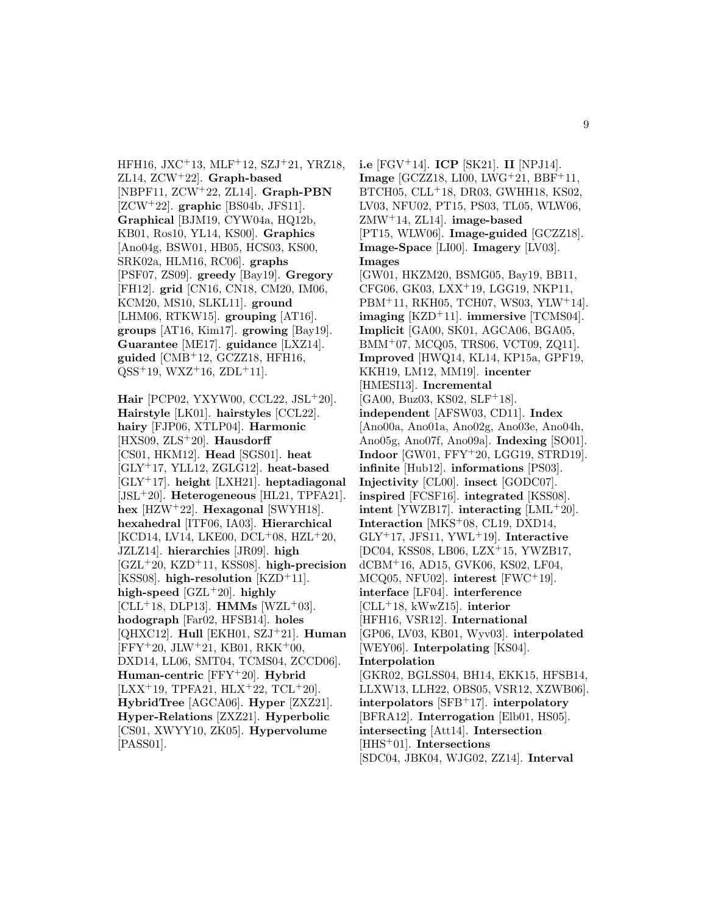HFH16, JXC<sup>+</sup>13, MLF<sup>+</sup>12, SZJ<sup>+</sup>21, YRZ18, ZL14, ZCW<sup>+</sup>22]. **Graph-based** [NBPF11, ZCW<sup>+</sup>22, ZL14]. **Graph-PBN** [ZCW<sup>+</sup>22]. **graphic** [BS04b, JFS11]. **Graphical** [BJM19, CYW04a, HQ12b, KB01, Ros10, YL14, KS00]. **Graphics** [Ano04g, BSW01, HB05, HCS03, KS00, SRK02a, HLM16, RC06]. **graphs** [PSF07, ZS09]. **greedy** [Bay19]. **Gregory** [FH12]. **grid** [CN16, CN18, CM20, IM06, KCM20, MS10, SLKL11]. **ground** [LHM06, RTKW15]. **grouping** [AT16]. **groups** [AT16, Kim17]. **growing** [Bay19]. **Guarantee** [ME17]. **guidance** [LXZ14]. **guided** [CMB<sup>+</sup>12, GCZZ18, HFH16,  $QSS^+19$ ,  $WXZ^+16$ ,  $ZDL^+11$ .

**Hair** [PCP02, YXYW00, CCL22, JSL<sup>+</sup>20]. **Hairstyle** [LK01]. **hairstyles** [CCL22]. **hairy** [FJP06, XTLP04]. **Harmonic** [HXS09, ZLS<sup>+</sup>20]. **Hausdorff** [CS01, HKM12]. **Head** [SGS01]. **heat** [GLY<sup>+</sup>17, YLL12, ZGLG12]. **heat-based** [GLY<sup>+</sup>17]. **height** [LXH21]. **heptadiagonal** [JSL<sup>+</sup>20]. **Heterogeneous** [HL21, TPFA21]. **hex** [HZW<sup>+</sup>22]. **Hexagonal** [SWYH18]. **hexahedral** [ITF06, IA03]. **Hierarchical** [KCD14, LV14, LKE00, DCL<sup>+</sup>08, HZL<sup>+</sup>20, JZLZ14]. **hierarchies** [JR09]. **high** [GZL<sup>+</sup>20, KZD<sup>+</sup>11, KSS08]. **high-precision** [KSS08]. **high-resolution** [KZD<sup>+</sup>11]. **high-speed** [GZL<sup>+</sup>20]. **highly**  $[CLL+18, DLP13]$ . **HMMs**  $[WZL+03]$ . **hodograph** [Far02, HFSB14]. **holes** [QHXC12]. **Hull** [EKH01, SZJ<sup>+</sup>21]. **Human** [FFY<sup>+</sup>20, JLW<sup>+</sup>21, KB01, RKK<sup>+</sup>00, DXD14, LL06, SMT04, TCMS04, ZCCD06]. **Human-centric** [FFY<sup>+</sup>20]. **Hybrid**  $[LXX<sup>+</sup>19, TPFA21, HLX<sup>+</sup>22, TCL<sup>+</sup>20].$ **HybridTree** [AGCA06]. **Hyper** [ZXZ21]. **Hyper-Relations** [ZXZ21]. **Hyperbolic** [CS01, XWYY10, ZK05]. **Hypervolume** [PASS01].

**i.e** [FGV<sup>+</sup>14]. **ICP** [SK21]. **II** [NPJ14]. **Image** [GCZZ18, LI00, LWG<sup>+</sup>21, BBF<sup>+</sup>11, BTCH05, CLL<sup>+</sup>18, DR03, GWHH18, KS02, LV03, NFU02, PT15, PS03, TL05, WLW06, ZMW<sup>+</sup>14, ZL14]. **image-based** [PT15, WLW06]. **Image-guided** [GCZZ18]. **Image-Space** [LI00]. **Imagery** [LV03]. **Images** [GW01, HKZM20, BSMG05, Bay19, BB11, CFG06, GK03, LXX<sup>+</sup>19, LGG19, NKP11, PBM<sup>+</sup>11, RKH05, TCH07, WS03, YLW<sup>+</sup>14]. **imaging** [KZD<sup>+</sup>11]. **immersive** [TCMS04]. **Implicit** [GA00, SK01, AGCA06, BGA05, BMM<sup>+</sup>07, MCQ05, TRS06, VCT09, ZQ11]. **Improved** [HWQ14, KL14, KP15a, GPF19, KKH19, LM12, MM19]. **incenter** [HMESI13]. **Incremental** [GA00, Buz03, KS02, SLF<sup>+</sup>18]. **independent** [AFSW03, CD11]. **Index** [Ano00a, Ano01a, Ano02g, Ano03e, Ano04h, Ano05g, Ano07f, Ano09a]. **Indexing** [SO01]. **Indoor** [GW01, FFY<sup>+</sup>20, LGG19, STRD19]. **infinite** [Hub12]. **informations** [PS03]. **Injectivity** [CL00]. **insect** [GODC07]. **inspired** [FCSF16]. **integrated** [KSS08]. **intent** [YWZB17]. **interacting** [LML<sup>+</sup>20]. **Interaction** [MKS<sup>+</sup>08, CL19, DXD14, GLY<sup>+</sup>17, JFS11, YWL<sup>+</sup>19]. **Interactive** [DC04, KSS08, LB06, LZX<sup>+</sup>15, YWZB17, dCBM<sup>+</sup>16, AD15, GVK06, KS02, LF04, MCQ05, NFU02]. **interest** [FWC<sup>+</sup>19]. **interface** [LF04]. **interference** [CLL<sup>+</sup>18, kWwZ15]. **interior** [HFH16, VSR12]. **International** [GP06, LV03, KB01, Wyv03]. **interpolated** [WEY06]. **Interpolating** [KS04]. **Interpolation** [GKR02, BGLSS04, BH14, EKK15, HFSB14, LLXW13, LLH22, OBS05, VSR12, XZWB06]. **interpolators** [SFB<sup>+</sup>17]. **interpolatory** [BFRA12]. **Interrogation** [Elb01, HS05]. **intersecting** [Att14]. **Intersection** [HHS<sup>+</sup>01]. **Intersections** [SDC04, JBK04, WJG02, ZZ14]. **Interval**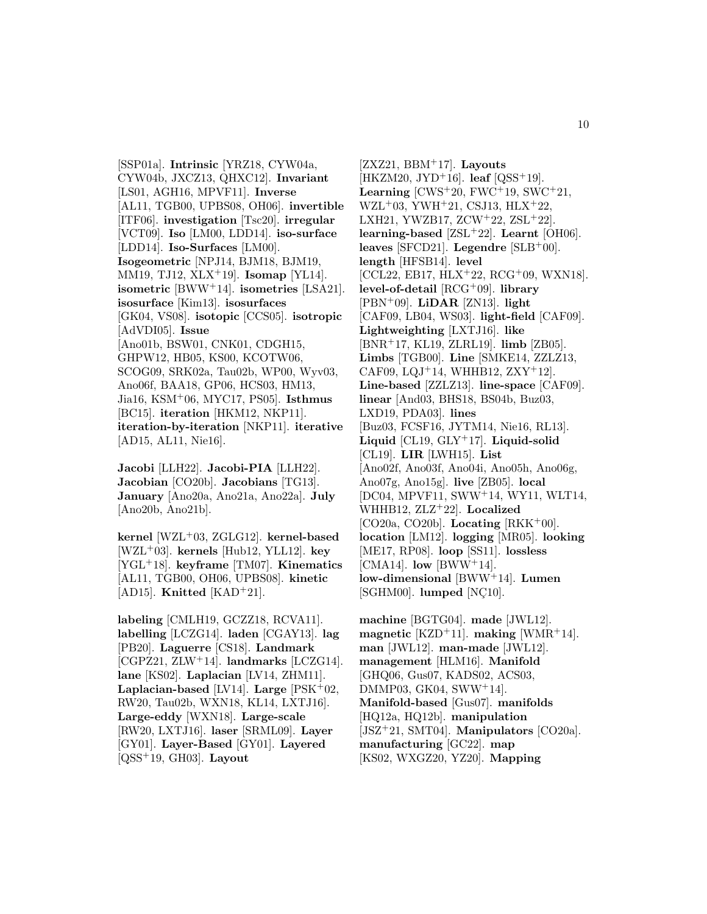[SSP01a]. **Intrinsic** [YRZ18, CYW04a, CYW04b, JXCZ13, QHXC12]. **Invariant** [LS01, AGH16, MPVF11]. **Inverse** [AL11, TGB00, UPBS08, OH06]. **invertible** [ITF06]. **investigation** [Tsc20]. **irregular** [VCT09]. **Iso** [LM00, LDD14]. **iso-surface** [LDD14]. **Iso-Surfaces** [LM00]. **Isogeometric** [NPJ14, BJM18, BJM19, MM19, TJ12, XLX<sup>+</sup>19]. **Isomap** [YL14]. **isometric** [BWW<sup>+</sup>14]. **isometries** [LSA21]. **isosurface** [Kim13]. **isosurfaces** [GK04, VS08]. **isotopic** [CCS05]. **isotropic** [AdVDI05]. **Issue** [Ano01b, BSW01, CNK01, CDGH15, GHPW12, HB05, KS00, KCOTW06, SCOG09, SRK02a, Tau02b, WP00, Wyv03, Ano06f, BAA18, GP06, HCS03, HM13, Jia16, KSM<sup>+</sup>06, MYC17, PS05]. **Isthmus** [BC15]. **iteration** [HKM12, NKP11]. **iteration-by-iteration** [NKP11]. **iterative** [AD15, AL11, Nie16].

**Jacobi** [LLH22]. **Jacobi-PIA** [LLH22]. **Jacobian** [CO20b]. **Jacobians** [TG13]. **January** [Ano20a, Ano21a, Ano22a]. **July** [Ano20b, Ano21b].

**kernel** [WZL<sup>+</sup>03, ZGLG12]. **kernel-based** [WZL<sup>+</sup>03]. **kernels** [Hub12, YLL12]. **key** [YGL<sup>+</sup>18]. **keyframe** [TM07]. **Kinematics** [AL11, TGB00, OH06, UPBS08]. **kinetic** [AD15]. **Knitted** [KAD<sup>+</sup>21].

**labeling** [CMLH19, GCZZ18, RCVA11]. **labelling** [LCZG14]. **laden** [CGAY13]. **lag** [PB20]. **Laguerre** [CS18]. **Landmark** [CGPZ21, ZLW<sup>+</sup>14]. **landmarks** [LCZG14]. **lane** [KS02]. **Laplacian** [LV14, ZHM11]. **Laplacian-based** [LV14]. **Large** [PSK<sup>+</sup>02, RW20, Tau02b, WXN18, KL14, LXTJ16]. **Large-eddy** [WXN18]. **Large-scale** [RW20, LXTJ16]. **laser** [SRML09]. **Layer** [GY01]. **Layer-Based** [GY01]. **Layered** [QSS<sup>+</sup>19, GH03]. **Layout**

[ZXZ21, BBM<sup>+</sup>17]. **Layouts** [HKZM20, JYD<sup>+</sup>16]. **leaf** [QSS<sup>+</sup>19]. **Learning**  $[CWS^+20, FWC^+19, SWC^+21,$ WZL<sup>+</sup>03, YWH<sup>+</sup>21, CSJ13, HLX<sup>+</sup>22, LXH21, YWZB17,  $ZCW^+22$ ,  $ZSL^+22$ ]. **learning-based** [ZSL<sup>+</sup>22]. **Learnt** [OH06]. **leaves** [SFCD21]. **Legendre** [SLB<sup>+</sup>00]. **length** [HFSB14]. **level** [CCL22, EB17, HLX<sup>+</sup>22, RCG<sup>+</sup>09, WXN18]. **level-of-detail** [RCG<sup>+</sup>09]. **library** [PBN<sup>+</sup>09]. **LiDAR** [ZN13]. **light** [CAF09, LB04, WS03]. **light-field** [CAF09]. **Lightweighting** [LXTJ16]. **like** [BNR<sup>+</sup>17, KL19, ZLRL19]. **limb** [ZB05]. **Limbs** [TGB00]. **Line** [SMKE14, ZZLZ13, CAF09, LQJ<sup>+</sup>14, WHHB12, ZXY<sup>+</sup>12. **Line-based** [ZZLZ13]. **line-space** [CAF09]. **linear** [And03, BHS18, BS04b, Buz03, LXD19, PDA03]. **lines** [Buz03, FCSF16, JYTM14, Nie16, RL13]. **Liquid** [CL19, GLY<sup>+</sup>17]. **Liquid-solid** [CL19]. **LIR** [LWH15]. **List** [Ano02f, Ano03f, Ano04i, Ano05h, Ano06g, Ano07g, Ano15g]. **live** [ZB05]. **local** [DC04, MPVF11, SWW<sup>+</sup>14, WY11, WLT14, WHHB12, ZLZ<sup>+</sup>22]. **Localized**  $[CO20a, CO20b]$ . **Locating**  $[RKK^+00]$ . **location** [LM12]. **logging** [MR05]. **looking** [ME17, RP08]. **loop** [SS11]. **lossless** [CMA14]. **low** [BWW<sup>+</sup>14]. **low-dimensional** [BWW<sup>+</sup>14]. **Lumen**  $[SGHM00]$ .  $lumped$   $[NC10]$ .

**machine** [BGTG04]. **made** [JWL12]. **magnetic** [KZD<sup>+</sup>11]. **making** [WMR<sup>+</sup>14]. **man** [JWL12]. **man-made** [JWL12]. **management** [HLM16]. **Manifold** [GHQ06, Gus07, KADS02, ACS03, DMMP03, GK04, SWW<sup>+</sup>14]. **Manifold-based** [Gus07]. **manifolds** [HQ12a, HQ12b]. **manipulation** [JSZ<sup>+</sup>21, SMT04]. **Manipulators** [CO20a]. **manufacturing** [GC22]. **map** [KS02, WXGZ20, YZ20]. **Mapping**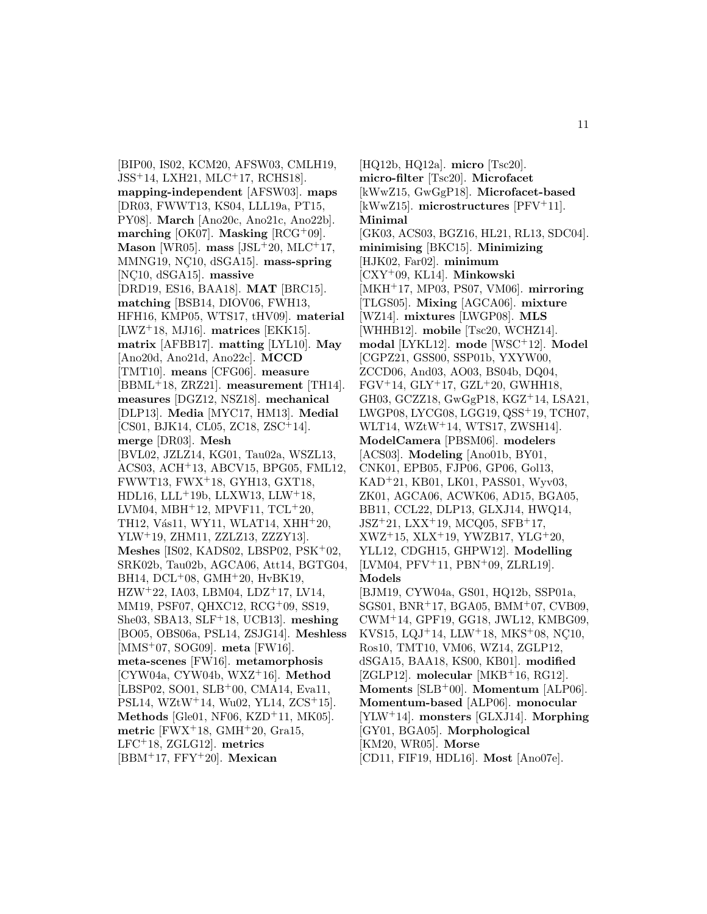[BIP00, IS02, KCM20, AFSW03, CMLH19, JSS<sup>+</sup>14, LXH21, MLC<sup>+</sup>17, RCHS18]. **mapping-independent** [AFSW03]. **maps** [DR03, FWWT13, KS04, LLL19a, PT15, PY08]. **March** [Ano20c, Ano21c, Ano22b]. **marching** [OK07]. **Masking**  $[RCG^+09]$ . **Mason** [WR05]. **mass** [JSL<sup>+</sup>20, MLC<sup>+</sup>17, MMNG19, NC10, dSGA15<sup>]</sup>. mass-spring [NC10, dSGA15]. massive [DRD19, ES16, BAA18]. **MAT** [BRC15]. **matching** [BSB14, DIOV06, FWH13, HFH16, KMP05, WTS17, tHV09]. **material** [LWZ<sup>+</sup>18, MJ16]. **matrices** [EKK15]. **matrix** [AFBB17]. **matting** [LYL10]. **May** [Ano20d, Ano21d, Ano22c]. **MCCD** [TMT10]. **means** [CFG06]. **measure** [BBML<sup>+</sup>18, ZRZ21]. **measurement** [TH14]. **measures** [DGZ12, NSZ18]. **mechanical** [DLP13]. **Media** [MYC17, HM13]. **Medial** [CS01, BJK14, CL05, ZC18, ZSC<sup>+</sup>14]. **merge** [DR03]. **Mesh** [BVL02, JZLZ14, KG01, Tau02a, WSZL13, ACS03, ACH<sup>+</sup>13, ABCV15, BPG05, FML12, FWWT13, FWX<sup>+</sup>18, GYH13, GXT18, HDL16, LLL<sup>+</sup>19b, LLXW13, LLW<sup>+</sup>18, LVM04, MBH<sup>+</sup>12, MPVF11, TCL<sup>+</sup>20, TH12, Vás11, WY11, WLAT14, XHH<sup>+</sup>20, YLW<sup>+</sup>19, ZHM11, ZZLZ13, ZZZY13]. **Meshes** [IS02, KADS02, LBSP02, PSK<sup>+</sup>02, SRK02b, Tau02b, AGCA06, Att14, BGTG04, BH14, DCL<sup>+</sup>08, GMH<sup>+</sup>20, HvBK19,  $HZW^+22$ , IA03, LBM04, LDZ<sup>+</sup>17, LV14, MM19, PSF07, QHXC12, RCG<sup>+</sup>09, SS19, She03, SBA13, SLF<sup>+</sup>18, UCB13]. **meshing** [BO05, OBS06a, PSL14, ZSJG14]. **Meshless** [MMS<sup>+</sup>07, SOG09]. **meta** [FW16]. **meta-scenes** [FW16]. **metamorphosis** [CYW04a, CYW04b, WXZ<sup>+</sup>16]. **Method** [LBSP02, SO01, SLB<sup>+</sup>00, CMA14, Eva11, PSL14, WZtW<sup>+</sup>14, Wu02, YL14, ZCS<sup>+</sup>15. **Methods** [Gle01, NF06, KZD<sup>+</sup>11, MK05]. **metric** [FWX<sup>+</sup>18, GMH<sup>+</sup>20, Gra15, LFC<sup>+</sup>18, ZGLG12]. **metrics** [BBM<sup>+</sup>17, FFY<sup>+</sup>20]. **Mexican**

[HQ12b, HQ12a]. **micro** [Tsc20]. **micro-filter** [Tsc20]. **Microfacet** [kWwZ15, GwGgP18]. **Microfacet-based** [kWwZ15]. **microstructures** [PFV<sup>+</sup>11]. **Minimal** [GK03, ACS03, BGZ16, HL21, RL13, SDC04]. **minimising** [BKC15]. **Minimizing** [HJK02, Far02]. **minimum** [CXY<sup>+</sup>09, KL14]. **Minkowski** [MKH<sup>+</sup>17, MP03, PS07, VM06]. **mirroring** [TLGS05]. **Mixing** [AGCA06]. **mixture** [WZ14]. **mixtures** [LWGP08]. **MLS** [WHHB12]. **mobile** [Tsc20, WCHZ14]. **modal** [LYKL12]. **mode** [WSC<sup>+</sup>12]. **Model** [CGPZ21, GSS00, SSP01b, YXYW00, ZCCD06, And03, AO03, BS04b, DQ04,  $FGV<sup>+</sup>14, GLY<sup>+</sup>17, GZL<sup>+</sup>20, GWHH18,$ GH03, GCZZ18, GwGgP18, KGZ<sup>+</sup>14, LSA21, LWGP08, LYCG08, LGG19, QSS<sup>+</sup>19, TCH07, WLT14, WZtW<sup>+</sup>14, WTS17, ZWSH14]. **ModelCamera** [PBSM06]. **modelers** [ACS03]. **Modeling** [Ano01b, BY01, CNK01, EPB05, FJP06, GP06, Gol13, KAD<sup>+</sup>21, KB01, LK01, PASS01, Wyv03, ZK01, AGCA06, ACWK06, AD15, BGA05, BB11, CCL22, DLP13, GLXJ14, HWQ14, JSZ<sup>+</sup>21, LXX<sup>+</sup>19, MCQ05, SFB<sup>+</sup>17, XWZ<sup>+</sup>15, XLX<sup>+</sup>19, YWZB17, YLG<sup>+</sup>20, YLL12, CDGH15, GHPW12]. **Modelling** [LVM04, PFV<sup>+</sup>11, PBN<sup>+</sup>09, ZLRL19]. **Models** [BJM19, CYW04a, GS01, HQ12b, SSP01a, SGS01, BNR<sup>+</sup>17, BGA05, BMM<sup>+</sup>07, CVB09, CWM<sup>+</sup>14, GPF19, GG18, JWL12, KMBG09, KVS15, LQJ+14, LLW+18, MKS+08, NC10, Ros10, TMT10, VM06, WZ14, ZGLP12, dSGA15, BAA18, KS00, KB01]. **modified** [ZGLP12]. **molecular** [MKB<sup>+</sup>16, RG12]. **Moments** [SLB<sup>+</sup>00]. **Momentum** [ALP06]. **Momentum-based** [ALP06]. **monocular** [YLW<sup>+</sup>14]. **monsters** [GLXJ14]. **Morphing** [GY01, BGA05]. **Morphological** [KM20, WR05]. **Morse** [CD11, FIF19, HDL16]. **Most** [Ano07e].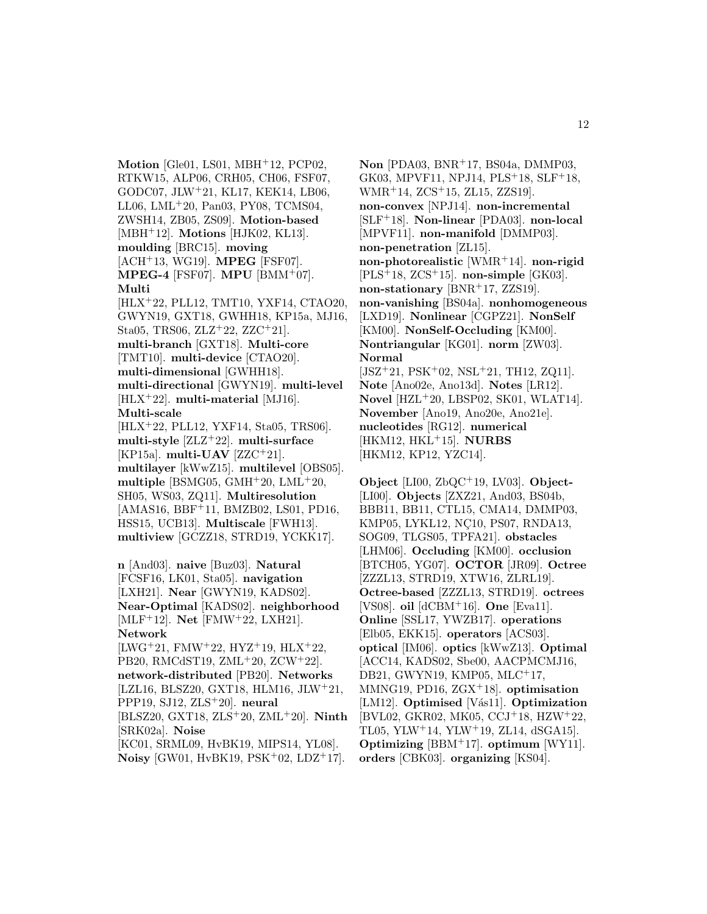**Motion** [Gle01, LS01, MBH<sup>+</sup>12, PCP02, RTKW15, ALP06, CRH05, CH06, FSF07, GODC07, JLW<sup>+</sup>21, KL17, KEK14, LB06, LL06, LML<sup>+</sup>20, Pan03, PY08, TCMS04, ZWSH14, ZB05, ZS09]. **Motion-based** [MBH<sup>+</sup>12]. **Motions** [HJK02, KL13]. **moulding** [BRC15]. **moving** [ACH<sup>+</sup>13, WG19]. **MPEG** [FSF07]. **MPEG-4** [FSF07]. **MPU** [BMM<sup>+</sup>07]. **Multi**

[HLX<sup>+</sup>22, PLL12, TMT10, YXF14, CTAO20, GWYN19, GXT18, GWHH18, KP15a, MJ16, Sta05, TRS06, ZLZ<sup>+</sup>22, ZZC<sup>+</sup>21]. **multi-branch** [GXT18]. **Multi-core** [TMT10]. **multi-device** [CTAO20]. **multi-dimensional** [GWHH18]. **multi-directional** [GWYN19]. **multi-level** [HLX<sup>+</sup>22]. **multi-material** [MJ16]. **Multi-scale** [HLX<sup>+</sup>22, PLL12, YXF14, Sta05, TRS06]. **multi-style** [ZLZ<sup>+</sup>22]. **multi-surface**

[KP15a]. **multi-UAV** [ZZC<sup>+</sup>21]. **multilayer** [kWwZ15]. **multilevel** [OBS05]. **multiple** [BSMG05, GMH<sup>+</sup>20, LML<sup>+</sup>20, SH05, WS03, ZQ11]. **Multiresolution** [AMAS16, BBF<sup>+</sup>11, BMZB02, LS01, PD16, HSS15, UCB13]. **Multiscale** [FWH13]. **multiview** [GCZZ18, STRD19, YCKK17].

**n** [And03]. **naive** [Buz03]. **Natural** [FCSF16, LK01, Sta05]. **navigation** [LXH21]. **Near** [GWYN19, KADS02]. **Near-Optimal** [KADS02]. **neighborhood** [MLF<sup>+</sup>12]. **Net** [FMW<sup>+</sup>22, LXH21]. **Network**

[LWG<sup>+</sup>21, FMW<sup>+</sup>22, HYZ<sup>+</sup>19, HLX<sup>+</sup>22, PB20, RMCdST19, ZML<sup>+</sup>20, ZCW<sup>+</sup>22]. **network-distributed** [PB20]. **Networks** [LZL16, BLSZ20, GXT18, HLM16, JLW<sup>+</sup>21, PPP19, SJ12, ZLS<sup>+</sup>20]. **neural** [BLSZ20, GXT18, ZLS<sup>+</sup>20, ZML<sup>+</sup>20]. **Ninth** [SRK02a]. **Noise** [KC01, SRML09, HvBK19, MIPS14, YL08].

**Noisy** [GW01, HvBK19, PSK<sup>+</sup>02, LDZ<sup>+</sup>17].

**Non** [PDA03, BNR<sup>+</sup>17, BS04a, DMMP03, GK03, MPVF11, NPJ14, PLS<sup>+</sup>18, SLF<sup>+</sup>18, WMR<sup>+</sup>14, ZCS<sup>+</sup>15, ZL15, ZZS19]. **non-convex** [NPJ14]. **non-incremental** [SLF<sup>+</sup>18]. **Non-linear** [PDA03]. **non-local** [MPVF11]. **non-manifold** [DMMP03]. **non-penetration** [ZL15]. **non-photorealistic** [WMR<sup>+</sup>14]. **non-rigid** [PLS<sup>+</sup>18, ZCS<sup>+</sup>15]. **non-simple** [GK03]. **non-stationary** [BNR<sup>+</sup>17, ZZS19]. **non-vanishing** [BS04a]. **nonhomogeneous** [LXD19]. **Nonlinear** [CGPZ21]. **NonSelf** [KM00]. **NonSelf-Occluding** [KM00]. **Nontriangular** [KG01]. **norm** [ZW03]. **Normal**  $[JSZ+21, PSK+02, NSL+21, TH12, ZQ11].$ **Note** [Ano02e, Ano13d]. **Notes** [LR12]. **Novel** [HZL<sup>+</sup>20, LBSP02, SK01, WLAT14]. **November** [Ano19, Ano20e, Ano21e].

**nucleotides** [RG12]. **numerical** [HKM12, HKL<sup>+</sup>15]. **NURBS** [HKM12, KP12, YZC14].

**Object** [LI00, ZbQC<sup>+</sup>19, LV03]. **Object-** [LI00]. **Objects** [ZXZ21, And03, BS04b, BBB11, BB11, CTL15, CMA14, DMMP03, KMP05, LYKL12, NC10, PS07, RNDA13, SOG09, TLGS05, TPFA21]. **obstacles** [LHM06]. **Occluding** [KM00]. **occlusion** [BTCH05, YG07]. **OCTOR** [JR09]. **Octree** [ZZZL13, STRD19, XTW16, ZLRL19]. **Octree-based** [ZZZL13, STRD19]. **octrees** [VS08]. **oil** [dCBM<sup>+</sup>16]. **One** [Eva11]. **Online** [SSL17, YWZB17]. **operations** [Elb05, EKK15]. **operators** [ACS03]. **optical** [IM06]. **optics** [kWwZ13]. **Optimal** [ACC14, KADS02, Sbe00, AACPMCMJ16, DB21, GWYN19, KMP05, MLC<sup>+</sup>17, MMNG19, PD16, ZGX<sup>+</sup>18]. **optimisation** [LM12]. **Optimised** [Vás11]. **Optimization** [BVL02, GKR02, MK05, CCJ<sup>+</sup>18, HZW<sup>+</sup>22, TL05, YLW<sup>+</sup>14, YLW<sup>+</sup>19, ZL14, dSGA15]. **Optimizing** [BBM<sup>+</sup>17]. **optimum** [WY11]. **orders** [CBK03]. **organizing** [KS04].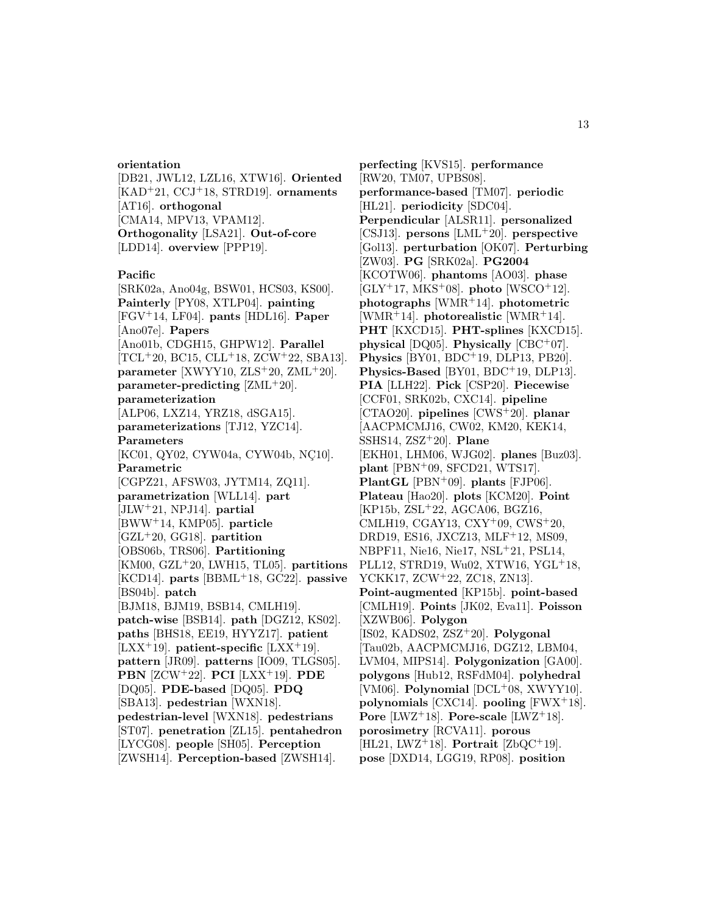#### **orientation**

[DB21, JWL12, LZL16, XTW16]. **Oriented** [KAD<sup>+</sup>21, CCJ<sup>+</sup>18, STRD19]. **ornaments** [AT16]. **orthogonal** [CMA14, MPV13, VPAM12]. **Orthogonality** [LSA21]. **Out-of-core** [LDD14]. **overview** [PPP19].

#### **Pacific**

[SRK02a, Ano04g, BSW01, HCS03, KS00]. **Painterly** [PY08, XTLP04]. **painting** [FGV<sup>+</sup>14, LF04]. **pants** [HDL16]. **Paper** [Ano07e]. **Papers** [Ano01b, CDGH15, GHPW12]. **Parallel**  $[TCL+20, BC15, CLL+18, ZCW+22, SBA13].$ **parameter** [XWYY10, ZLS<sup>+</sup>20, ZML<sup>+</sup>20]. **parameter-predicting** [ZML<sup>+</sup>20]. **parameterization** [ALP06, LXZ14, YRZ18, dSGA15]. **parameterizations** [TJ12, YZC14]. **Parameters** [KC01, QY02, CYW04a, CYW04b, NÇ10]. **Parametric** [CGPZ21, AFSW03, JYTM14, ZQ11]. **parametrization** [WLL14]. **part** [JLW<sup>+</sup>21, NPJ14]. **partial** [BWW<sup>+</sup>14, KMP05]. **particle** [GZL<sup>+</sup>20, GG18]. **partition** [OBS06b, TRS06]. **Partitioning** [KM00, GZL<sup>+</sup>20, LWH15, TL05]. **partitions** [KCD14]. **parts** [BBML<sup>+</sup>18, GC22]. **passive** [BS04b]. **patch** [BJM18, BJM19, BSB14, CMLH19]. **patch-wise** [BSB14]. **path** [DGZ12, KS02]. **paths** [BHS18, EE19, HYYZ17]. **patient** [LXX<sup>+</sup>19]. **patient-specific** [LXX<sup>+</sup>19]. **pattern** [JR09]. **patterns** [IO09, TLGS05]. **PBN** [ZCW<sup>+</sup>22]. **PCI** [LXX<sup>+</sup>19]. **PDE** [DQ05]. **PDE-based** [DQ05]. **PDQ** [SBA13]. **pedestrian** [WXN18]. **pedestrian-level** [WXN18]. **pedestrians** [ST07]. **penetration** [ZL15]. **pentahedron** [LYCG08]. **people** [SH05]. **Perception** [ZWSH14]. **Perception-based** [ZWSH14].

**perfecting** [KVS15]. **performance** [RW20, TM07, UPBS08]. **performance-based** [TM07]. **periodic** [HL21]. **periodicity** [SDC04]. **Perpendicular** [ALSR11]. **personalized** [CSJ13]. **persons** [LML<sup>+</sup>20]. **perspective** [Gol13]. **perturbation** [OK07]. **Perturbing** [ZW03]. **PG** [SRK02a]. **PG2004** [KCOTW06]. **phantoms** [AO03]. **phase** [GLY<sup>+</sup>17, MKS<sup>+</sup>08]. **photo** [WSCO<sup>+</sup>12]. **photographs** [WMR<sup>+</sup>14]. **photometric** [WMR<sup>+</sup>14]. **photorealistic** [WMR<sup>+</sup>14]. **PHT** [KXCD15]. **PHT-splines** [KXCD15]. **physical** [DQ05]. **Physically** [CBC<sup>+</sup>07]. **Physics** [BY01, BDC<sup>+</sup>19, DLP13, PB20]. **Physics-Based** [BY01, BDC<sup>+</sup>19, DLP13]. **PIA** [LLH22]. **Pick** [CSP20]. **Piecewise** [CCF01, SRK02b, CXC14]. **pipeline** [CTAO20]. **pipelines** [CWS<sup>+</sup>20]. **planar** [AACPMCMJ16, CW02, KM20, KEK14, SSHS14, ZSZ<sup>+</sup>20]. **Plane** [EKH01, LHM06, WJG02]. **planes** [Buz03]. **plant** [PBN<sup>+</sup>09, SFCD21, WTS17]. **PlantGL** [PBN<sup>+</sup>09]. **plants** [FJP06]. **Plateau** [Hao20]. **plots** [KCM20]. **Point** [KP15b, ZSL<sup>+</sup>22, AGCA06, BGZ16, CMLH19, CGAY13, CXY<sup>+</sup>09, CWS<sup>+</sup>20, DRD19, ES16, JXCZ13, MLF<sup>+</sup>12, MS09, NBPF11, Nie16, Nie17, NSL<sup>+</sup>21, PSL14, PLL12, STRD19, Wu02, XTW16, YGL<sup>+</sup>18, YCKK17, ZCW<sup>+</sup>22, ZC18, ZN13]. **Point-augmented** [KP15b]. **point-based** [CMLH19]. **Points** [JK02, Eva11]. **Poisson** [XZWB06]. **Polygon** [IS02, KADS02, ZSZ<sup>+</sup>20]. **Polygonal** [Tau02b, AACPMCMJ16, DGZ12, LBM04, LVM04, MIPS14]. **Polygonization** [GA00]. **polygons** [Hub12, RSFdM04]. **polyhedral** [VM06]. **Polynomial** [DCL<sup>+</sup>08, XWYY10]. **polynomials** [CXC14]. **pooling** [FWX<sup>+</sup>18]. **Pore** [LWZ<sup>+</sup>18]. **Pore-scale** [LWZ<sup>+</sup>18]. **porosimetry** [RCVA11]. **porous** [HL21, LWZ<sup>+</sup>18]. **Portrait** [ZbQC<sup>+</sup>19]. **pose** [DXD14, LGG19, RP08]. **position**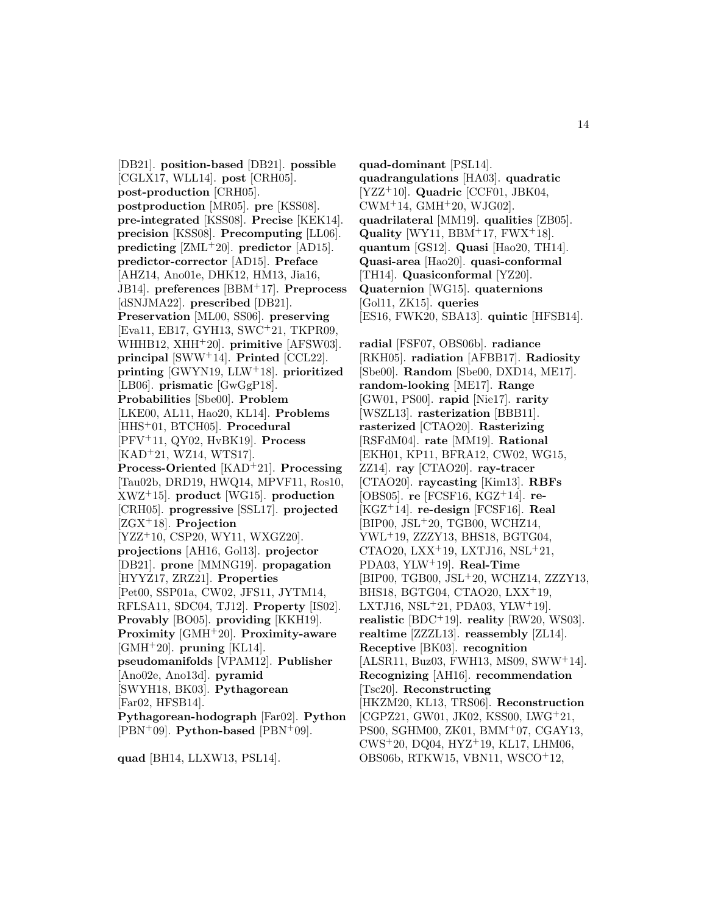[DB21]. **position-based** [DB21]. **possible** [CGLX17, WLL14]. **post** [CRH05]. **post-production** [CRH05]. **postproduction** [MR05]. **pre** [KSS08]. **pre-integrated** [KSS08]. **Precise** [KEK14]. **precision** [KSS08]. **Precomputing** [LL06]. **predicting** [ZML<sup>+</sup>20]. **predictor** [AD15]. **predictor-corrector** [AD15]. **Preface** [AHZ14, Ano01e, DHK12, HM13, Jia16, JB14]. **preferences** [BBM<sup>+</sup>17]. **Preprocess** [dSNJMA22]. **prescribed** [DB21]. **Preservation** [ML00, SS06]. **preserving** [Eva11, EB17, GYH13, SWC<sup>+</sup>21, TKPR09, WHHB12, XHH<sup>+</sup>20]. **primitive** [AFSW03]. **principal** [SWW<sup>+</sup>14]. **Printed** [CCL22]. **printing** [GWYN19, LLW<sup>+</sup>18]. **prioritized** [LB06]. **prismatic** [GwGgP18]. **Probabilities** [Sbe00]. **Problem** [LKE00, AL11, Hao20, KL14]. **Problems** [HHS<sup>+</sup>01, BTCH05]. **Procedural** [PFV<sup>+</sup>11, QY02, HvBK19]. **Process** [KAD<sup>+</sup>21, WZ14, WTS17]. **Process-Oriented** [KAD<sup>+</sup>21]. **Processing** [Tau02b, DRD19, HWQ14, MPVF11, Ros10, XWZ<sup>+</sup>15]. **product** [WG15]. **production** [CRH05]. **progressive** [SSL17]. **projected** [ZGX<sup>+</sup>18]. **Projection** [YZZ<sup>+</sup>10, CSP20, WY11, WXGZ20]. **projections** [AH16, Gol13]. **projector** [DB21]. **prone** [MMNG19]. **propagation** [HYYZ17, ZRZ21]. **Properties** [Pet00, SSP01a, CW02, JFS11, JYTM14, RFLSA11, SDC04, TJ12]. **Property** [IS02]. **Provably** [BO05]. **providing** [KKH19]. **Proximity** [GMH<sup>+</sup>20]. **Proximity-aware** [GMH<sup>+</sup>20]. **pruning** [KL14]. **pseudomanifolds** [VPAM12]. **Publisher** [Ano02e, Ano13d]. **pyramid** [SWYH18, BK03]. **Pythagorean** [Far02, HFSB14]. **Pythagorean-hodograph** [Far02]. **Python** [PBN<sup>+</sup>09]. **Python-based** [PBN<sup>+</sup>09].

**quad** [BH14, LLXW13, PSL14].

**quad-dominant** [PSL14]. **quadrangulations** [HA03]. **quadratic** [YZZ<sup>+</sup>10]. **Quadric** [CCF01, JBK04,  $CWM^{+}14$ ,  $GMH^{+}20$ ,  $WJG02$ ]. **quadrilateral** [MM19]. **qualities** [ZB05]. **Quality** [WY11, BBM<sup>+</sup>17, FWX<sup>+</sup>18]. **quantum** [GS12]. **Quasi** [Hao20, TH14]. **Quasi-area** [Hao20]. **quasi-conformal** [TH14]. **Quasiconformal** [YZ20]. **Quaternion** [WG15]. **quaternions** [Gol11, ZK15]. **queries** [ES16, FWK20, SBA13]. **quintic** [HFSB14].

**radial** [FSF07, OBS06b]. **radiance** [RKH05]. **radiation** [AFBB17]. **Radiosity** [Sbe00]. **Random** [Sbe00, DXD14, ME17]. **random-looking** [ME17]. **Range** [GW01, PS00]. **rapid** [Nie17]. **rarity** [WSZL13]. **rasterization** [BBB11]. **rasterized** [CTAO20]. **Rasterizing** [RSFdM04]. **rate** [MM19]. **Rational** [EKH01, KP11, BFRA12, CW02, WG15, ZZ14]. **ray** [CTAO20]. **ray-tracer** [CTAO20]. **raycasting** [Kim13]. **RBFs** [OBS05]. **re** [FCSF16, KGZ<sup>+</sup>14]. **re-** [KGZ<sup>+</sup>14]. **re-design** [FCSF16]. **Real** [BIP00, JSL<sup>+</sup>20, TGB00, WCHZ14, YWL<sup>+</sup>19, ZZZY13, BHS18, BGTG04, CTAO20, LXX<sup>+</sup>19, LXTJ16, NSL<sup>+</sup>21, PDA03, YLW<sup>+</sup>19]. **Real-Time** [BIP00, TGB00, JSL<sup>+</sup>20, WCHZ14, ZZZY13, BHS18, BGTG04, CTAO20, LXX<sup>+</sup>19, LXTJ16,  $NSL+21$ , PDA03, YLW<sup>+</sup>19. **realistic** [BDC<sup>+</sup>19]. **reality** [RW20, WS03]. **realtime** [ZZZL13]. **reassembly** [ZL14]. **Receptive** [BK03]. **recognition** [ALSR11, Buz03, FWH13, MS09, SWW<sup>+</sup>14]. **Recognizing** [AH16]. **recommendation** [Tsc20]. **Reconstructing** [HKZM20, KL13, TRS06]. **Reconstruction** [CGPZ21, GW01, JK02, KSS00, LWG<sup>+</sup>21, PS00, SGHM00, ZK01, BMM<sup>+</sup>07, CGAY13, CWS<sup>+</sup>20, DQ04, HYZ<sup>+</sup>19, KL17, LHM06, OBS06b, RTKW15, VBN11, WSCO<sup>+</sup>12,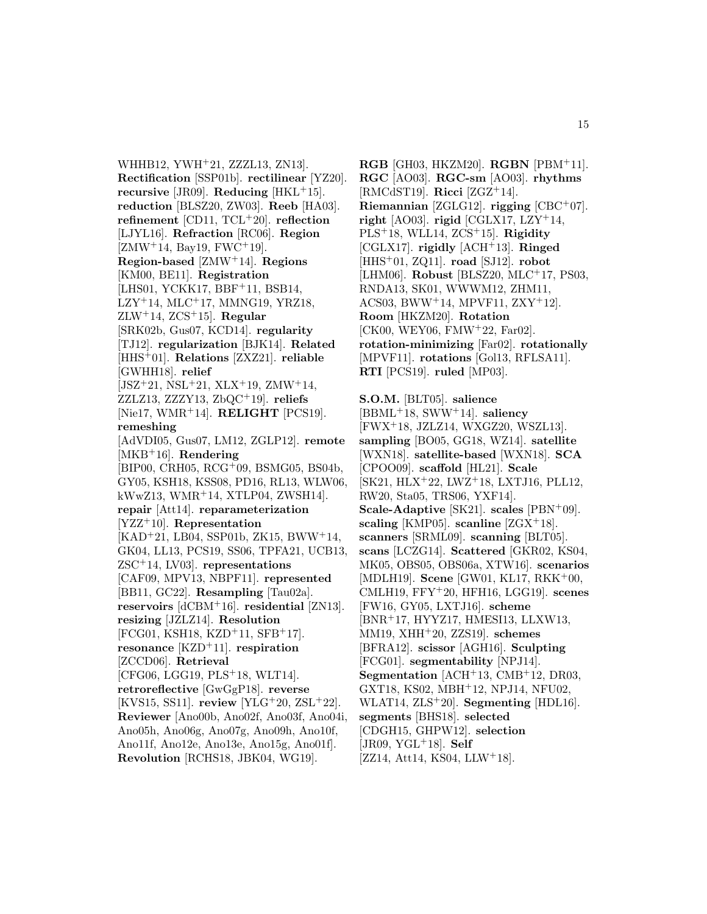WHHB12, YWH<sup>+</sup>21, ZZZL13, ZN13]. **Rectification** [SSP01b]. **rectilinear** [YZ20]. **recursive** [JR09]. **Reducing** [HKL<sup>+</sup>15]. **reduction** [BLSZ20, ZW03]. **Reeb** [HA03]. **refinement** [CD11, TCL<sup>+</sup>20]. **reflection** [LJYL16]. **Refraction** [RC06]. **Region**  $[ZMW^+14, Bay19, FWC^+19].$ **Region-based** [ZMW<sup>+</sup>14]. **Regions** [KM00, BE11]. **Registration** [LHS01, YCKK17, BBF+11, BSB14, LZY<sup>+</sup>14, MLC<sup>+</sup>17, MMNG19, YRZ18, ZLW<sup>+</sup>14, ZCS<sup>+</sup>15]. **Regular** [SRK02b, Gus07, KCD14]. **regularity** [TJ12]. **regularization** [BJK14]. **Related** [HHS<sup>+</sup>01]. **Relations** [ZXZ21]. **reliable** [GWHH18]. **relief**  $[JSZ+21, NSL+21, XLX+19, ZMW+14,$ ZZLZ13, ZZZY13, ZbQC<sup>+</sup>19]. **reliefs** [Nie17, WMR<sup>+</sup>14]. **RELIGHT** [PCS19]. **remeshing** [AdVDI05, Gus07, LM12, ZGLP12]. **remote** [MKB<sup>+</sup>16]. **Rendering** [BIP00, CRH05, RCG<sup>+</sup>09, BSMG05, BS04b, GY05, KSH18, KSS08, PD16, RL13, WLW06, kWwZ13, WMR<sup>+</sup>14, XTLP04, ZWSH14]. **repair** [Att14]. **reparameterization** [YZZ<sup>+</sup>10]. **Representation** [KAD<sup>+</sup>21, LB04, SSP01b, ZK15, BWW<sup>+</sup>14, GK04, LL13, PCS19, SS06, TPFA21, UCB13, ZSC<sup>+</sup>14, LV03]. **representations** [CAF09, MPV13, NBPF11]. **represented** [BB11, GC22]. **Resampling** [Tau02a]. **reservoirs** [dCBM<sup>+</sup>16]. **residential** [ZN13]. **resizing** [JZLZ14]. **Resolution** [FCG01, KSH18, KZD<sup>+</sup>11, SFB<sup>+</sup>17]. **resonance** [KZD<sup>+</sup>11]. **respiration** [ZCCD06]. **Retrieval** [CFG06, LGG19, PLS<sup>+</sup>18, WLT14]. **retroreflective** [GwGgP18]. **reverse** [KVS15, SS11]. **review** [YLG<sup>+</sup>20, ZSL<sup>+</sup>22]. **Reviewer** [Ano00b, Ano02f, Ano03f, Ano04i, Ano05h, Ano06g, Ano07g, Ano09h, Ano10f, Ano11f, Ano12e, Ano13e, Ano15g, Ano01f].

**Revolution** [RCHS18, JBK04, WG19].

**RGB** [GH03, HKZM20]. **RGBN** [PBM<sup>+</sup>11]. **RGC** [AO03]. **RGC-sm** [AO03]. **rhythms** [RMCdST19]. **Ricci** [ZGZ<sup>+</sup>14]. **Riemannian** [ZGLG12]. **rigging** [CBC<sup>+</sup>07]. **right** [AO03]. **rigid** [CGLX17, LZY<sup>+</sup>14, PLS<sup>+</sup>18, WLL14, ZCS<sup>+</sup>15]. **Rigidity** [CGLX17]. **rigidly** [ACH<sup>+</sup>13]. **Ringed** [HHS<sup>+</sup>01, ZQ11]. **road** [SJ12]. **robot** [LHM06]. **Robust** [BLSZ20, MLC<sup>+</sup>17, PS03, RNDA13, SK01, WWWM12, ZHM11, ACS03, BWW<sup>+14</sup>, MPVF11, ZXY<sup>+12</sup>. **Room** [HKZM20]. **Rotation** [CK00, WEY06, FMW<sup>+</sup>22, Far02]. **rotation-minimizing** [Far02]. **rotationally** [MPVF11]. **rotations** [Gol13, RFLSA11]. **RTI** [PCS19]. **ruled** [MP03].

**S.O.M.** [BLT05]. **salience** [BBML<sup>+</sup>18, SWW<sup>+</sup>14]. **saliency** [FWX<sup>+</sup>18, JZLZ14, WXGZ20, WSZL13]. **sampling** [BO05, GG18, WZ14]. **satellite** [WXN18]. **satellite-based** [WXN18]. **SCA** [CPOO09]. **scaffold** [HL21]. **Scale** [SK21, HLX<sup>+</sup>22, LWZ<sup>+</sup>18, LXTJ16, PLL12, RW20, Sta05, TRS06, YXF14]. **Scale-Adaptive** [SK21]. **scales** [PBN<sup>+</sup>09]. **scaling** [KMP05]. **scanline** [ZGX<sup>+</sup>18]. **scanners** [SRML09]. **scanning** [BLT05]. **scans** [LCZG14]. **Scattered** [GKR02, KS04, MK05, OBS05, OBS06a, XTW16]. **scenarios** [MDLH19]. **Scene** [GW01, KL17, RKK<sup>+</sup>00, CMLH19, FFY<sup>+</sup>20, HFH16, LGG19]. **scenes** [FW16, GY05, LXTJ16]. **scheme** [BNR<sup>+</sup>17, HYYZ17, HMESI13, LLXW13, MM19, XHH<sup>+</sup>20, ZZS19]. **schemes** [BFRA12]. **scissor** [AGH16]. **Sculpting** [FCG01]. **segmentability** [NPJ14]. **Segmentation** [ACH<sup>+</sup>13, CMB<sup>+</sup>12, DR03, GXT18, KS02, MBH<sup>+</sup>12, NPJ14, NFU02, WLAT14, ZLS<sup>+</sup>20]. **Segmenting** [HDL16]. **segments** [BHS18]. **selected** [CDGH15, GHPW12]. **selection** [JR09, YGL<sup>+</sup>18]. **Self** [ZZ14, Att14, KS04, LLW<sup>+</sup>18].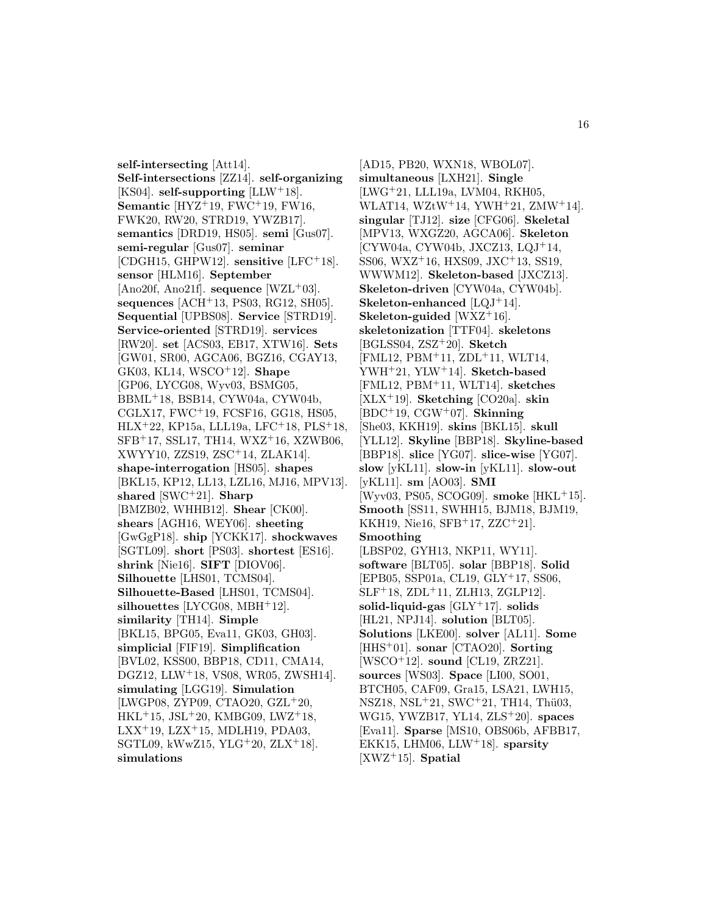**self-intersecting** [Att14]. **Self-intersections** [ZZ14]. **self-organizing** [KS04]. **self-supporting** [LLW<sup>+</sup>18]. **Semantic** [HYZ<sup>+</sup>19, FWC<sup>+</sup>19, FW16, FWK20, RW20, STRD19, YWZB17]. **semantics** [DRD19, HS05]. **semi** [Gus07]. **semi-regular** [Gus07]. **seminar** [CDGH15, GHPW12]. **sensitive** [LFC<sup>+</sup>18]. **sensor** [HLM16]. **September** [Ano20f, Ano21f]. **sequence** [WZL<sup>+</sup>03]. **sequences** [ACH<sup>+</sup>13, PS03, RG12, SH05]. **Sequential** [UPBS08]. **Service** [STRD19]. **Service-oriented** [STRD19]. **services** [RW20]. **set** [ACS03, EB17, XTW16]. **Sets** [GW01, SR00, AGCA06, BGZ16, CGAY13, GK03, KL14, WSCO<sup>+</sup>12]. **Shape** [GP06, LYCG08, Wyv03, BSMG05, BBML<sup>+</sup>18, BSB14, CYW04a, CYW04b, CGLX17, FWC<sup>+</sup>19, FCSF16, GG18, HS05, HLX<sup>+</sup>22, KP15a, LLL19a, LFC<sup>+</sup>18, PLS<sup>+</sup>18, SFB<sup>+</sup>17, SSL17, TH14, WXZ<sup>+</sup>16, XZWB06, XWYY10, ZZS19, ZSC<sup>+</sup>14, ZLAK14]. **shape-interrogation** [HS05]. **shapes** [BKL15, KP12, LL13, LZL16, MJ16, MPV13]. **shared** [SWC<sup>+</sup>21]. **Sharp** [BMZB02, WHHB12]. **Shear** [CK00]. **shears** [AGH16, WEY06]. **sheeting** [GwGgP18]. **ship** [YCKK17]. **shockwaves** [SGTL09]. **short** [PS03]. **shortest** [ES16]. **shrink** [Nie16]. **SIFT** [DIOV06]. **Silhouette** [LHS01, TCMS04]. **Silhouette-Based** [LHS01, TCMS04]. **silhouettes** [LYCG08, MBH<sup>+</sup>12]. **similarity** [TH14]. **Simple** [BKL15, BPG05, Eva11, GK03, GH03]. **simplicial** [FIF19]. **Simplification** [BVL02, KSS00, BBP18, CD11, CMA14, DGZ12, LLW<sup>+</sup>18, VS08, WR05, ZWSH14]. **simulating** [LGG19]. **Simulation** [LWGP08, ZYP09, CTAO20, GZL<sup>+</sup>20,  $HKL+15$ , JSL $+20$ , KMBG09, LWZ $+18$ ,  $LXX$ <sup>+</sup>19,  $LZX$ <sup>+</sup>15, MDLH19, PDA03, SGTL09, kWwZ15, YLG<sup>+</sup>20, ZLX<sup>+</sup>18. **simulations**

[AD15, PB20, WXN18, WBOL07]. **simultaneous** [LXH21]. **Single** [LWG<sup>+</sup>21, LLL19a, LVM04, RKH05, WLAT14, WZtW<sup>+</sup>14, YWH<sup>+</sup>21, ZMW<sup>+</sup>14]. **singular** [TJ12]. **size** [CFG06]. **Skeletal** [MPV13, WXGZ20, AGCA06]. **Skeleton** [CYW04a, CYW04b, JXCZ13, LQJ<sup>+</sup>14, SS06, WXZ<sup>+</sup>16, HXS09, JXC<sup>+</sup>13, SS19, WWWM12]. **Skeleton-based** [JXCZ13]. **Skeleton-driven** [CYW04a, CYW04b]. **Skeleton-enhanced** [LQJ<sup>+</sup>14]. **Skeleton-guided** [WXZ<sup>+</sup>16]. **skeletonization** [TTF04]. **skeletons** [BGLSS04, ZSZ<sup>+</sup>20]. **Sketch** [FML12, PBM<sup>+</sup>11, ZDL<sup>+</sup>11, WLT14, YWH<sup>+</sup>21, YLW<sup>+</sup>14]. **Sketch-based** [FML12, PBM<sup>+</sup>11, WLT14]. **sketches** [XLX<sup>+</sup>19]. **Sketching** [CO20a]. **skin** [BDC<sup>+</sup>19, CGW<sup>+</sup>07]. **Skinning** [She03, KKH19]. **skins** [BKL15]. **skull** [YLL12]. **Skyline** [BBP18]. **Skyline-based** [BBP18]. **slice** [YG07]. **slice-wise** [YG07]. **slow** [yKL11]. **slow-in** [yKL11]. **slow-out** [yKL11]. **sm** [AO03]. **SMI** [Wyv03, PS05, SCOG09]. **smoke** [HKL<sup>+</sup>15]. **Smooth** [SS11, SWHH15, BJM18, BJM19, KKH19, Nie16, SFB<sup>+</sup>17, ZZC<sup>+</sup>21]. **Smoothing** [LBSP02, GYH13, NKP11, WY11]. **software** [BLT05]. **solar** [BBP18]. **Solid** [EPB05, SSP01a, CL19, GLY<sup>+</sup>17, SS06,  $SLF+18$ ,  $ZDL+11$ ,  $ZLH13$ ,  $ZGLP12$ . **solid-liquid-gas** [GLY<sup>+</sup>17]. **solids** [HL21, NPJ14]. **solution** [BLT05]. **Solutions** [LKE00]. **solver** [AL11]. **Some** [HHS<sup>+</sup>01]. **sonar** [CTAO20]. **Sorting** [WSCO<sup>+</sup>12]. **sound** [CL19, ZRZ21]. **sources** [WS03]. **Space** [LI00, SO01, BTCH05, CAF09, Gra15, LSA21, LWH15, NSZ18, NSL<sup>+</sup>21, SWC<sup>+</sup>21, TH14, Thü03, WG15, YWZB17, YL14, ZLS<sup>+</sup>20]. **spaces** [Eva11]. **Sparse** [MS10, OBS06b, AFBB17, EKK15, LHM06, LLW<sup>+</sup>18]. **sparsity** [XWZ<sup>+</sup>15]. **Spatial**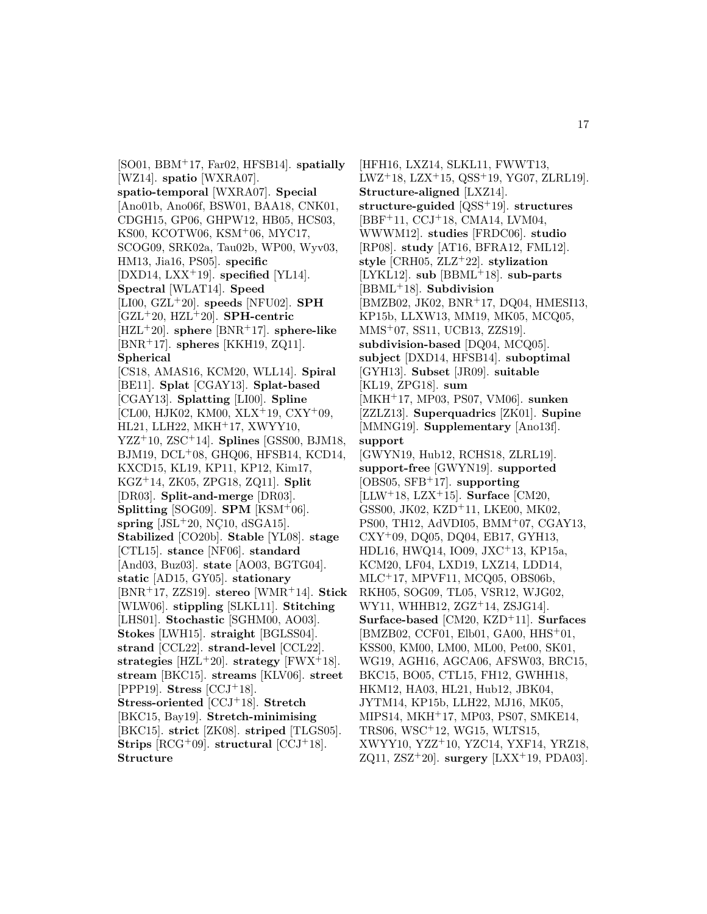[SO01, BBM<sup>+</sup>17, Far02, HFSB14]. **spatially** [WZ14]. **spatio** [WXRA07]. **spatio-temporal** [WXRA07]. **Special** [Ano01b, Ano06f, BSW01, BAA18, CNK01, CDGH15, GP06, GHPW12, HB05, HCS03, KS00, KCOTW06, KSM<sup>+</sup>06, MYC17, SCOG09, SRK02a, Tau02b, WP00, Wyv03, HM13, Jia16, PS05]. **specific** [DXD14, LXX<sup>+</sup>19]. **specified** [YL14]. **Spectral** [WLAT14]. **Speed** [LI00, GZL<sup>+</sup>20]. **speeds** [NFU02]. **SPH** [GZL<sup>+</sup>20, HZL<sup>+</sup>20]. **SPH-centric** [HZL<sup>+</sup>20]. **sphere** [BNR<sup>+</sup>17]. **sphere-like** [BNR<sup>+</sup>17]. **spheres** [KKH19, ZQ11]. **Spherical** [CS18, AMAS16, KCM20, WLL14]. **Spiral** [BE11]. **Splat** [CGAY13]. **Splat-based** [CGAY13]. **Splatting** [LI00]. **Spline** [CL00, HJK02, KM00, XLX<sup>+</sup>19, CXY<sup>+</sup>09, HL21, LLH22, MKH<sup>+</sup>17, XWYY10, YZZ<sup>+</sup>10, ZSC<sup>+</sup>14]. **Splines** [GSS00, BJM18, BJM19, DCL<sup>+</sup>08, GHQ06, HFSB14, KCD14, KXCD15, KL19, KP11, KP12, Kim17, KGZ<sup>+</sup>14, ZK05, ZPG18, ZQ11]. **Split** [DR03]. **Split-and-merge** [DR03]. **Splitting** [SOG09]. **SPM** [KSM<sup>+</sup>06].  $spring$  [JSL<sup>+</sup>20, NC<sub>10</sub>, dSGA<sub>15</sub>]. **Stabilized** [CO20b]. **Stable** [YL08]. **stage** [CTL15]. **stance** [NF06]. **standard** [And03, Buz03]. **state** [AO03, BGTG04]. **static** [AD15, GY05]. **stationary** [BNR<sup>+</sup>17, ZZS19]. **stereo** [WMR<sup>+</sup>14]. **Stick** [WLW06]. **stippling** [SLKL11]. **Stitching** [LHS01]. **Stochastic** [SGHM00, AO03]. **Stokes** [LWH15]. **straight** [BGLSS04]. **strand** [CCL22]. **strand-level** [CCL22]. **strategies** [HZL<sup>+</sup>20]. **strategy** [FWX<sup>+</sup>18]. **stream** [BKC15]. **streams** [KLV06]. **street** [PPP19]. **Stress** [CCJ<sup>+</sup>18]. **Stress-oriented** [CCJ<sup>+</sup>18]. **Stretch** [BKC15, Bay19]. **Stretch-minimising** [BKC15]. **strict** [ZK08]. **striped** [TLGS05]. **Strips** [RCG<sup>+</sup>09]. **structural** [CCJ<sup>+</sup>18]. **Structure**

[HFH16, LXZ14, SLKL11, FWWT13,  $LWZ+18$ ,  $LZX+15$ ,  $QSS+19$ ,  $YG07$ ,  $ZLRL19$ . **Structure-aligned** [LXZ14]. **structure-guided** [QSS<sup>+</sup>19]. **structures** [BBF<sup>+</sup>11, CCJ<sup>+</sup>18, CMA14, LVM04, WWWM12]. **studies** [FRDC06]. **studio** [RP08]. **study** [AT16, BFRA12, FML12]. **style** [CRH05, ZLZ<sup>+</sup>22]. **stylization** [LYKL12]. **sub** [BBML<sup>+</sup>18]. **sub-parts** [BBML<sup>+</sup>18]. **Subdivision** [BMZB02, JK02, BNR<sup>+</sup>17, DQ04, HMESI13, KP15b, LLXW13, MM19, MK05, MCQ05, MMS<sup>+</sup>07, SS11, UCB13, ZZS19]. **subdivision-based** [DQ04, MCQ05]. **subject** [DXD14, HFSB14]. **suboptimal** [GYH13]. **Subset** [JR09]. **suitable** [KL19, ZPG18]. **sum** [MKH<sup>+</sup>17, MP03, PS07, VM06]. **sunken** [ZZLZ13]. **Superquadrics** [ZK01]. **Supine** [MMNG19]. **Supplementary** [Ano13f]. **support** [GWYN19, Hub12, RCHS18, ZLRL19]. **support-free** [GWYN19]. **supported** [OBS05, SFB<sup>+</sup>17]. **supporting** [LLW<sup>+</sup>18, LZX<sup>+</sup>15]. **Surface** [CM20, GSS00, JK02, KZD<sup>+</sup>11, LKE00, MK02, PS00, TH12, AdVDI05, BMM<sup>+</sup>07, CGAY13, CXY<sup>+</sup>09, DQ05, DQ04, EB17, GYH13, HDL16, HWQ14, IO09, JXC<sup>+</sup>13, KP15a, KCM20, LF04, LXD19, LXZ14, LDD14, MLC<sup>+</sup>17, MPVF11, MCQ05, OBS06b, RKH05, SOG09, TL05, VSR12, WJG02, WY11, WHHB12, ZGZ<sup>+</sup>14, ZSJG14]. **Surface-based** [CM20, KZD<sup>+</sup>11]. **Surfaces** [BMZB02, CCF01, Elb01, GA00, HHS<sup>+</sup>01, KSS00, KM00, LM00, ML00, Pet00, SK01, WG19, AGH16, AGCA06, AFSW03, BRC15, BKC15, BO05, CTL15, FH12, GWHH18, HKM12, HA03, HL21, Hub12, JBK04, JYTM14, KP15b, LLH22, MJ16, MK05, MIPS14, MKH<sup>+</sup>17, MP03, PS07, SMKE14, TRS06, WSC<sup>+</sup>12, WG15, WLTS15, XWYY10, YZZ<sup>+</sup>10, YZC14, YXF14, YRZ18, ZQ11, ZSZ<sup>+</sup>20]. **surgery** [LXX<sup>+</sup>19, PDA03].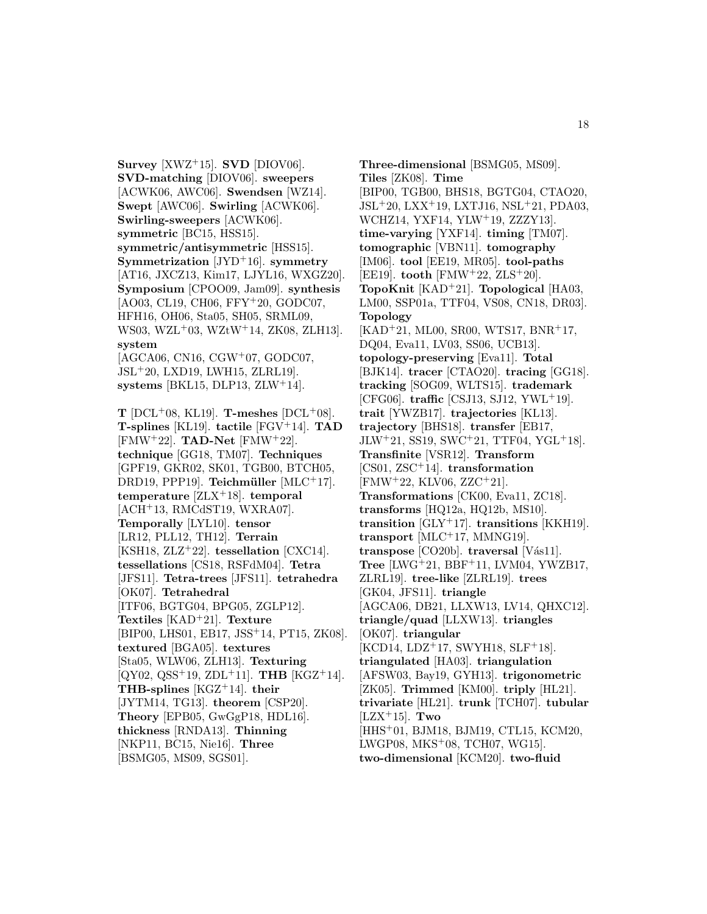**Survey** [XWZ<sup>+</sup>15]. **SVD** [DIOV06]. **SVD-matching** [DIOV06]. **sweepers** [ACWK06, AWC06]. **Swendsen** [WZ14]. **Swept** [AWC06]. **Swirling** [ACWK06]. **Swirling-sweepers** [ACWK06]. **symmetric** [BC15, HSS15]. **symmetric/antisymmetric** [HSS15]. **Symmetrization** [JYD<sup>+</sup>16]. **symmetry** [AT16, JXCZ13, Kim17, LJYL16, WXGZ20]. **Symposium** [CPOO09, Jam09]. **synthesis** [AO03, CL19, CH06, FFY<sup>+</sup>20, GODC07, HFH16, OH06, Sta05, SH05, SRML09, WS03, WZL<sup>+</sup>03, WZtW<sup>+</sup>14, ZK08, ZLH13]. **system** [AGCA06, CN16, CGW<sup>+</sup>07, GODC07, JSL<sup>+</sup>20, LXD19, LWH15, ZLRL19]. **systems** [BKL15, DLP13, ZLW<sup>+</sup>14]. **T** [DCL+08, KL19]. **T-meshes** [DCL+08]. **T-splines** [KL19]. **tactile** [FGV<sup>+</sup>14]. **TAD** [FMW<sup>+</sup>22]. **TAD-Net** [FMW<sup>+</sup>22]. **technique** [GG18, TM07]. **Techniques** [GPF19, GKR02, SK01, TGB00, BTCH05, DRD19, PPP19]. **Teichmüller** [MLC<sup>+</sup>17]. **temperature** [ZLX<sup>+</sup>18]. **temporal**  $[ACH<sup>+</sup>13, RMCGST19, WXRA07]$ . **Temporally** [LYL10]. **tensor** [LR12, PLL12, TH12]. **Terrain** [KSH18, ZLZ<sup>+</sup>22]. **tessellation** [CXC14]. **tessellations** [CS18, RSFdM04]. **Tetra** [JFS11]. **Tetra-trees** [JFS11]. **tetrahedra** [OK07]. **Tetrahedral** [ITF06, BGTG04, BPG05, ZGLP12]. **Textiles** [KAD<sup>+</sup>21]. **Texture** [BIP00, LHS01, EB17, JSS<sup>+</sup>14, PT15, ZK08]. **textured** [BGA05]. **textures** [Sta05, WLW06, ZLH13]. **Texturing** [QY02, QSS<sup>+</sup>19, ZDL<sup>+</sup>11]. **THB** [KGZ<sup>+</sup>14]. **THB-splines** [KGZ<sup>+</sup>14]. **their** [JYTM14, TG13]. **theorem** [CSP20]. **Theory** [EPB05, GwGgP18, HDL16]. **thickness** [RNDA13]. **Thinning** [NKP11, BC15, Nie16]. **Three**

[BSMG05, MS09, SGS01].

**Three-dimensional** [BSMG05, MS09]. **Tiles** [ZK08]. **Time** [BIP00, TGB00, BHS18, BGTG04, CTAO20, JSL<sup>+</sup>20, LXX<sup>+</sup>19, LXTJ16, NSL<sup>+</sup>21, PDA03, WCHZ14, YXF14, YLW<sup>+</sup>19, ZZZY13]. **time-varying** [YXF14]. **timing** [TM07]. **tomographic** [VBN11]. **tomography** [IM06]. **tool** [EE19, MR05]. **tool-paths** [EE19]. **tooth** [FMW<sup>+</sup>22, ZLS<sup>+</sup>20]. **TopoKnit** [KAD<sup>+</sup>21]. **Topological** [HA03, LM00, SSP01a, TTF04, VS08, CN18, DR03]. **Topology** [KAD<sup>+</sup>21, ML00, SR00, WTS17, BNR<sup>+</sup>17, DQ04, Eva11, LV03, SS06, UCB13]. **topology-preserving** [Eva11]. **Total** [BJK14]. **tracer** [CTAO20]. **tracing** [GG18]. **tracking** [SOG09, WLTS15]. **trademark** [CFG06]. **traffic** [CSJ13, SJ12, YWL<sup>+</sup>19]. **trait** [YWZB17]. **trajectories** [KL13]. **trajectory** [BHS18]. **transfer** [EB17,  $JLW+21$ , SS19, SWC+21, TTF04, YGL+18. **Transfinite** [VSR12]. **Transform** [CS01, ZSC<sup>+</sup>14]. **transformation**  $[FMW<sup>+</sup>22, KLV06, ZZC<sup>+</sup>21].$ **Transformations** [CK00, Eva11, ZC18]. **transforms** [HQ12a, HQ12b, MS10]. **transition** [GLY<sup>+</sup>17]. **transitions** [KKH19]. **transport** [MLC<sup>+</sup>17, MMNG19]. **transpose** [CO20b]. **traversal** [Vas11]. **Tree** [LWG<sup>+</sup>21, BBF<sup>+</sup>11, LVM04, YWZB17, ZLRL19]. **tree-like** [ZLRL19]. **trees** [GK04, JFS11]. **triangle** [AGCA06, DB21, LLXW13, LV14, QHXC12]. **triangle/quad** [LLXW13]. **triangles** [OK07]. **triangular** [KCD14, LDZ<sup>+</sup>17, SWYH18, SLF<sup>+</sup>18]. **triangulated** [HA03]. **triangulation** [AFSW03, Bay19, GYH13]. **trigonometric** [ZK05]. **Trimmed** [KM00]. **triply** [HL21]. **trivariate** [HL21]. **trunk** [TCH07]. **tubular** [LZX<sup>+</sup>15]. **Two** [HHS<sup>+</sup>01, BJM18, BJM19, CTL15, KCM20, LWGP08, MKS<sup>+</sup>08, TCH07, WG15]. **two-dimensional** [KCM20]. **two-fluid**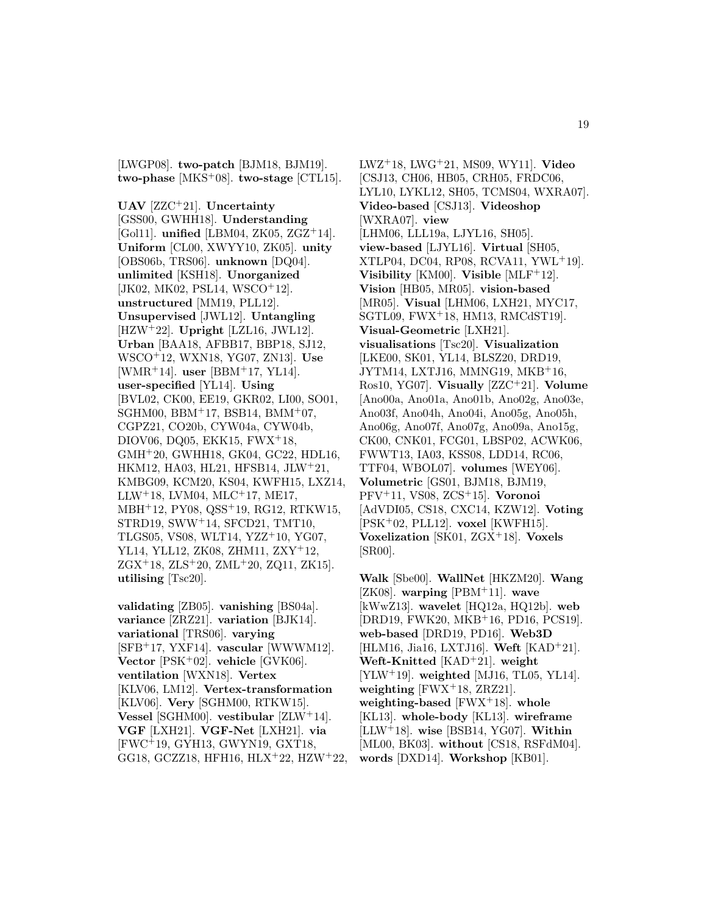[LWGP08]. **two-patch** [BJM18, BJM19]. **two-phase** [MKS<sup>+</sup>08]. **two-stage** [CTL15].

**UAV** [ZZC<sup>+</sup>21]. **Uncertainty** [GSS00, GWHH18]. **Understanding** [Gol11]. **unified** [LBM04, ZK05, ZGZ<sup>+</sup>14]. **Uniform** [CL00, XWYY10, ZK05]. **unity** [OBS06b, TRS06]. **unknown** [DQ04]. **unlimited** [KSH18]. **Unorganized** [JK02, MK02, PSL14, WSCO<sup>+</sup>12]. **unstructured** [MM19, PLL12]. **Unsupervised** [JWL12]. **Untangling** [HZW<sup>+</sup>22]. **Upright** [LZL16, JWL12]. **Urban** [BAA18, AFBB17, BBP18, SJ12, WSCO<sup>+</sup>12, WXN18, YG07, ZN13]. **Use** [WMR<sup>+</sup>14]. **user** [BBM<sup>+</sup>17, YL14]. **user-specified** [YL14]. **Using** [BVL02, CK00, EE19, GKR02, LI00, SO01, SGHM00, BBM<sup>+</sup>17, BSB14, BMM<sup>+</sup>07, CGPZ21, CO20b, CYW04a, CYW04b, DIOV06, DQ05, EKK15, FWX<sup>+</sup>18, GMH<sup>+</sup>20, GWHH18, GK04, GC22, HDL16, HKM12, HA03, HL21, HFSB14, JLW<sup>+</sup>21, KMBG09, KCM20, KS04, KWFH15, LXZ14,  $LLW+18$ , LVM04, MLC<sup>+</sup>17, ME17, MBH<sup>+</sup>12, PY08, QSS<sup>+</sup>19, RG12, RTKW15, STRD19, SWW<sup>+</sup>14, SFCD21, TMT10, TLGS05, VS08, WLT14, YZZ<sup>+</sup>10, YG07, YL14, YLL12, ZK08, ZHM11, ZXY<sup>+</sup>12,  $ZGX+18$ ,  $ZLS+20$ ,  $ZML+20$ ,  $ZQ11$ ,  $ZK15$ . **utilising** [Tsc20].

**validating** [ZB05]. **vanishing** [BS04a]. **variance** [ZRZ21]. **variation** [BJK14]. **variational** [TRS06]. **varying** [SFB<sup>+</sup>17, YXF14]. **vascular** [WWWM12]. **Vector** [PSK<sup>+</sup>02]. **vehicle** [GVK06]. **ventilation** [WXN18]. **Vertex** [KLV06, LM12]. **Vertex-transformation** [KLV06]. **Very** [SGHM00, RTKW15]. **Vessel** [SGHM00]. **vestibular** [ZLW<sup>+</sup>14]. **VGF** [LXH21]. **VGF-Net** [LXH21]. **via** [FWC<sup>+</sup>19, GYH13, GWYN19, GXT18, GG18, GCZZ18, HFH16, HLX<sup>+</sup>22, HZW<sup>+</sup>22,

LWZ<sup>+</sup>18, LWG<sup>+</sup>21, MS09, WY11]. **Video** [CSJ13, CH06, HB05, CRH05, FRDC06, LYL10, LYKL12, SH05, TCMS04, WXRA07]. **Video-based** [CSJ13]. **Videoshop** [WXRA07]. **view** [LHM06, LLL19a, LJYL16, SH05]. **view-based** [LJYL16]. **Virtual** [SH05, XTLP04, DC04, RP08, RCVA11, YWL<sup>+</sup>19]. **Visibility** [KM00]. **Visible** [MLF<sup>+</sup>12]. **Vision** [HB05, MR05]. **vision-based** [MR05]. **Visual** [LHM06, LXH21, MYC17, SGTL09, FWX<sup>+</sup>18, HM13, RMCdST19]. **Visual-Geometric** [LXH21]. **visualisations** [Tsc20]. **Visualization** [LKE00, SK01, YL14, BLSZ20, DRD19, JYTM14, LXTJ16, MMNG19, MKB<sup>+</sup>16, Ros10, YG07]. **Visually** [ZZC<sup>+</sup>21]. **Volume** [Ano00a, Ano01a, Ano01b, Ano02g, Ano03e, Ano03f, Ano04h, Ano04i, Ano05g, Ano05h, Ano06g, Ano07f, Ano07g, Ano09a, Ano15g, CK00, CNK01, FCG01, LBSP02, ACWK06, FWWT13, IA03, KSS08, LDD14, RC06, TTF04, WBOL07]. **volumes** [WEY06]. **Volumetric** [GS01, BJM18, BJM19, PFV<sup>+</sup>11, VS08, ZCS<sup>+</sup>15]. **Voronoi** [AdVDI05, CS18, CXC14, KZW12]. **Voting** [PSK<sup>+</sup>02, PLL12]. **voxel** [KWFH15]. **Voxelization** [SK01, ZGX<sup>+</sup>18]. **Voxels** [SR00].

**Walk** [Sbe00]. **WallNet** [HKZM20]. **Wang** [ZK08]. **warping** [PBM<sup>+</sup>11]. **wave** [kWwZ13]. **wavelet** [HQ12a, HQ12b]. **web** [DRD19, FWK20, MKB<sup>+</sup>16, PD16, PCS19]. **web-based** [DRD19, PD16]. **Web3D** [HLM16, Jia16, LXTJ16]. **Weft** [KAD<sup>+</sup>21]. **Weft-Knitted** [KAD<sup>+</sup>21]. **weight** [YLW<sup>+</sup>19]. **weighted** [MJ16, TL05, YL14]. **weighting** [FWX<sup>+</sup>18, ZRZ21]. **weighting-based** [FWX<sup>+</sup>18]. **whole** [KL13]. **whole-body** [KL13]. **wireframe** [LLW<sup>+</sup>18]. **wise** [BSB14, YG07]. **Within** [ML00, BK03]. **without** [CS18, RSFdM04]. **words** [DXD14]. **Workshop** [KB01].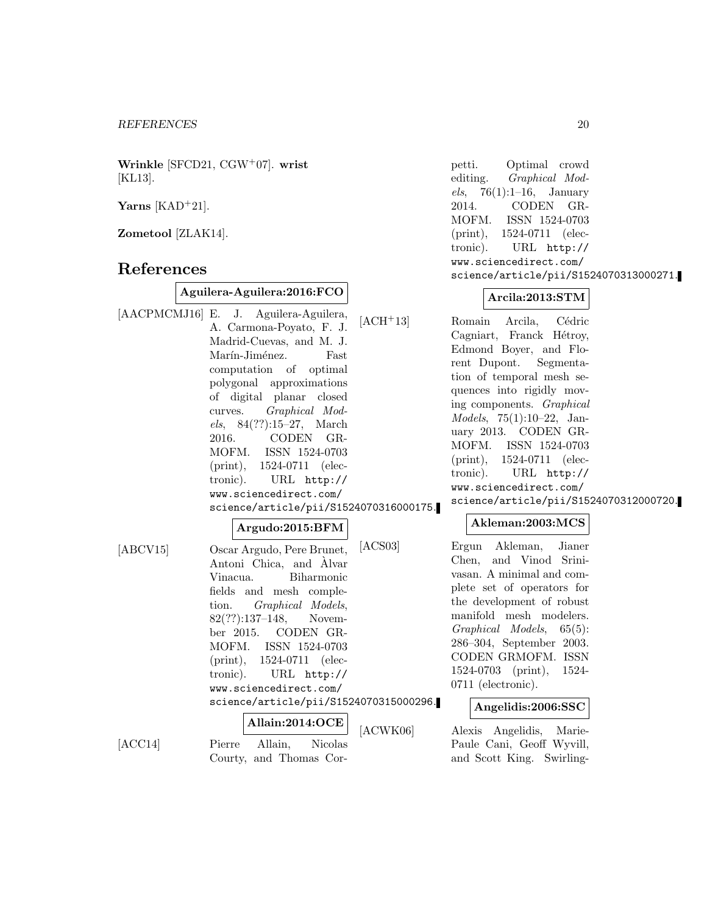**Wrinkle** [SFCD21, CGW<sup>+</sup>07]. **wrist** [KL13].

**Yarns** [KAD<sup>+</sup>21].

**Zometool** [ZLAK14].

# **References**

 $[ACC14]$ 

#### **Aguilera-Aguilera:2016:FCO**

[AACPMCMJ16] E. J. Aguilera-Aguilera, A. Carmona-Poyato, F. J. Madrid-Cuevas, and M. J. Marín-Jiménez. Fast computation of optimal polygonal approximations of digital planar closed curves. Graphical Models, 84(??):15–27, March 2016. CODEN GR-MOFM. ISSN 1524-0703 (print), 1524-0711 (electronic). URL http:// www.sciencedirect.com/ science/article/pii/S1524070316000175.

#### **Argudo:2015:BFM**

[ABCV15] Oscar Argudo, Pere Brunet, Antoni Chica, and Alvar ` Vinacua. Biharmonic fields and mesh completion. Graphical Models, 82(??):137–148, November 2015. CODEN GR-MOFM. ISSN 1524-0703 (print), 1524-0711 (electronic). URL http:// www.sciencedirect.com/ science/article/pii/S1524070315000296.

**Allain:2014:OCE** Courty, and Thomas Cor-

petti. Optimal crowd editing. Graphical Models, 76(1):1–16, January 2014. CODEN GR-MOFM. ISSN 1524-0703 (print), 1524-0711 (electronic). URL http:// www.sciencedirect.com/ science/article/pii/S1524070313000271.

#### **Arcila:2013:STM**

[ACH<sup>+</sup>13] Romain Arcila, Cédric Cagniart, Franck Hétroy, Edmond Boyer, and Florent Dupont. Segmentation of temporal mesh sequences into rigidly moving components. Graphical Models, 75(1):10–22, January 2013. CODEN GR-MOFM. ISSN 1524-0703 (print), 1524-0711 (electronic). URL http:// www.sciencedirect.com/ science/article/pii/S1524070312000720.

## **Akleman:2003:MCS**

[ACS03] Ergun Akleman, Jianer Chen, and Vinod Srinivasan. A minimal and complete set of operators for the development of robust manifold mesh modelers. Graphical Models, 65(5): 286–304, September 2003. CODEN GRMOFM. ISSN 1524-0703 (print), 1524- 0711 (electronic).

#### **Angelidis:2006:SSC**

K06] Alexis Angelidis, Marie-Paule Cani, Geoff Wyvill, and Scott King. Swirling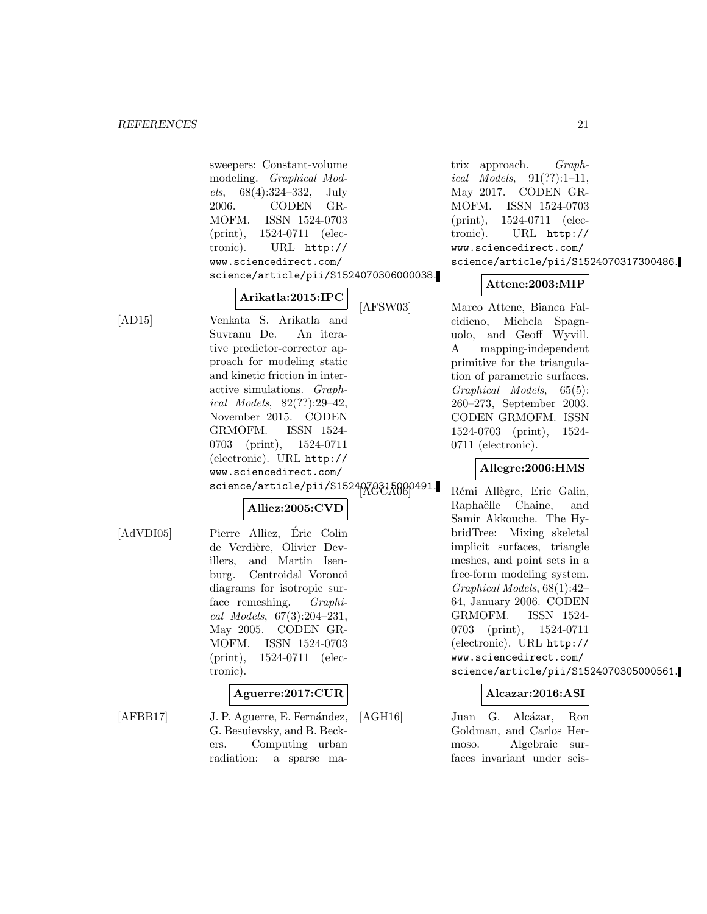sweepers: Constant-volume modeling. Graphical Models, 68(4):324–332, July 2006. CODEN GR-MOFM. ISSN 1524-0703 (print), 1524-0711 (electronic). URL http:// www.sciencedirect.com/ science/article/pii/S1524070306000038.

**Arikatla:2015:IPC**

[AD15] Venkata S. Arikatla and Suvranu De. An iterative predictor-corrector approach for modeling static and kinetic friction in interactive simulations. Graphical Models, 82(??):29–42, November 2015. CODEN GRMOFM. ISSN 1524- 0703 (print), 1524-0711 (electronic). URL http:// www.sciencedirect.com/ science/article/pii/S1524070315000491.

# **Alliez:2005:CVD**

[AdVDI05] Pierre Alliez, Éric Colin de Verdière, Olivier Devillers, and Martin Isenburg. Centroidal Voronoi diagrams for isotropic surface remeshing. Graphical Models, 67(3):204–231, May 2005. CODEN GR-MOFM. ISSN 1524-0703 (print), 1524-0711 (electronic).

#### **Aguerre:2017:CUR**

[AFBB17] J. P. Aguerre, E. Fernández, G. Besuievsky, and B. Beckers. Computing urban radiation: a sparse matrix approach. Graphical Models,  $91(??):1-11$ , May 2017. CODEN GR-MOFM. ISSN 1524-0703 (print), 1524-0711 (electronic). URL http:// www.sciencedirect.com/ science/article/pii/S1524070317300486.

## **Attene:2003:MIP**

[AFSW03] Marco Attene, Bianca Falcidieno, Michela Spagnuolo, and Geoff Wyvill. A mapping-independent primitive for the triangulation of parametric surfaces. Graphical Models, 65(5): 260–273, September 2003. CODEN GRMOFM. ISSN 1524-0703 (print), 1524- 0711 (electronic).

# **Allegre:2006:HMS**

Rémi Allègre, Eric Galin, Raphaëlle Chaine, and Samir Akkouche. The HybridTree: Mixing skeletal implicit surfaces, triangle meshes, and point sets in a free-form modeling system. Graphical Models, 68(1):42– 64, January 2006. CODEN GRMOFM. ISSN 1524- 0703 (print), 1524-0711 (electronic). URL http:// www.sciencedirect.com/ science/article/pii/S1524070305000561.

# **Alcazar:2016:ASI**

[AGH16] Juan G. Alcázar, Ron Goldman, and Carlos Hermoso. Algebraic surfaces invariant under scis-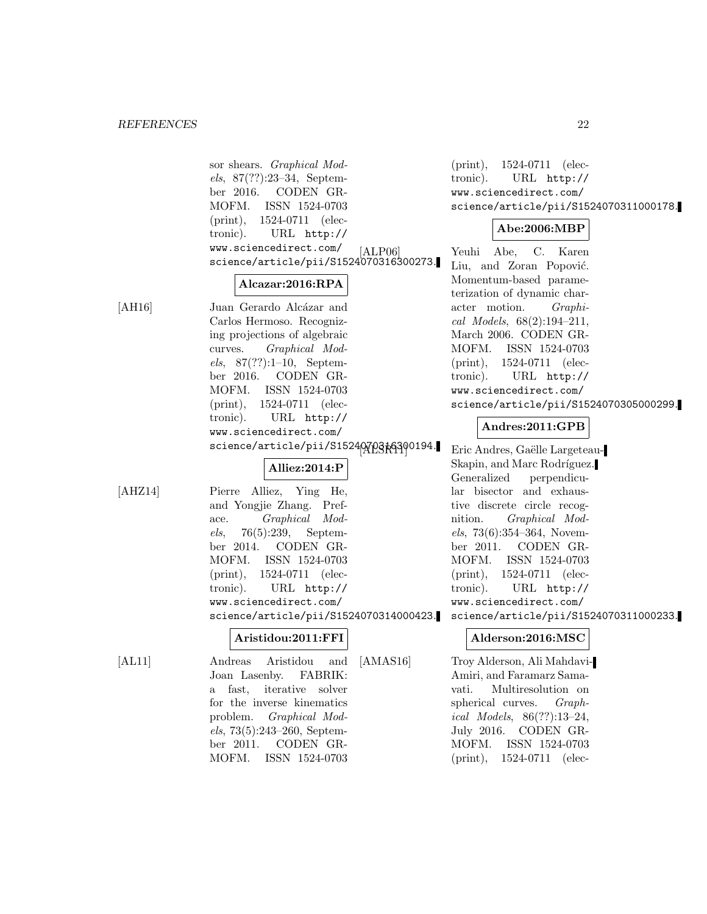sor shears. Graphical Models, 87(??):23–34, September 2016. CODEN GR-MOFM. ISSN 1524-0703 (print), 1524-0711 (electronic). URL http:// www.sciencedirect.com/ science/article/pii/S1524070316300273.

## **Alcazar:2016:RPA**

[AH16] Juan Gerardo Alcázar and Carlos Hermoso. Recognizing projections of algebraic curves. Graphical Models,  $87(??):1-10$ , September 2016. CODEN GR-MOFM. ISSN 1524-0703 (print), 1524-0711 (electronic). URL http:// www.sciencedirect.com/ science/article/pii/S1524070316300194.

# **Alliez:2014:P**

[AHZ14] Pierre Alliez, Ying He, and Yongjie Zhang. Preface. Graphical Models, 76(5):239, September 2014. CODEN GR-MOFM. ISSN 1524-0703 (print), 1524-0711 (electronic). URL http:// www.sciencedirect.com/ science/article/pii/S1524070314000423.

# **Aristidou:2011:FFI**

[AL11] Andreas Aristidou and Joan Lasenby. FABRIK: a fast, iterative solver for the inverse kinematics problem. Graphical Models, 73(5):243–260, September 2011. CODEN GR-MOFM. ISSN 1524-0703

(print), 1524-0711 (electronic). URL http:// www.sciencedirect.com/ science/article/pii/S1524070311000178.

# **Abe:2006:MBP**

Yeuhi Abe, C. Karen Liu, and Zoran Popović. Momentum-based parameterization of dynamic character motion. Graphical Models, 68(2):194–211, March 2006. CODEN GR-MOFM. ISSN 1524-0703 (print), 1524-0711 (electronic). URL http:// www.sciencedirect.com/ science/article/pii/S1524070305000299.

# **Andres:2011:GPB**

Eric Andres, Gaëlle Largeteau-Skapin, and Marc Rodríguez. Generalized perpendicular bisector and exhaustive discrete circle recognition. Graphical Models, 73(6):354–364, November 2011. CODEN GR-MOFM. ISSN 1524-0703 (print), 1524-0711 (electronic). URL http:// www.sciencedirect.com/

science/article/pii/S1524070311000233.

# **Alderson:2016:MSC**

[AMAS16] Troy Alderson, Ali Mahdavi-Amiri, and Faramarz Samavati. Multiresolution on spherical curves. Graphical Models, 86(??):13–24, July 2016. CODEN GR-MOFM. ISSN 1524-0703 (print), 1524-0711 (elec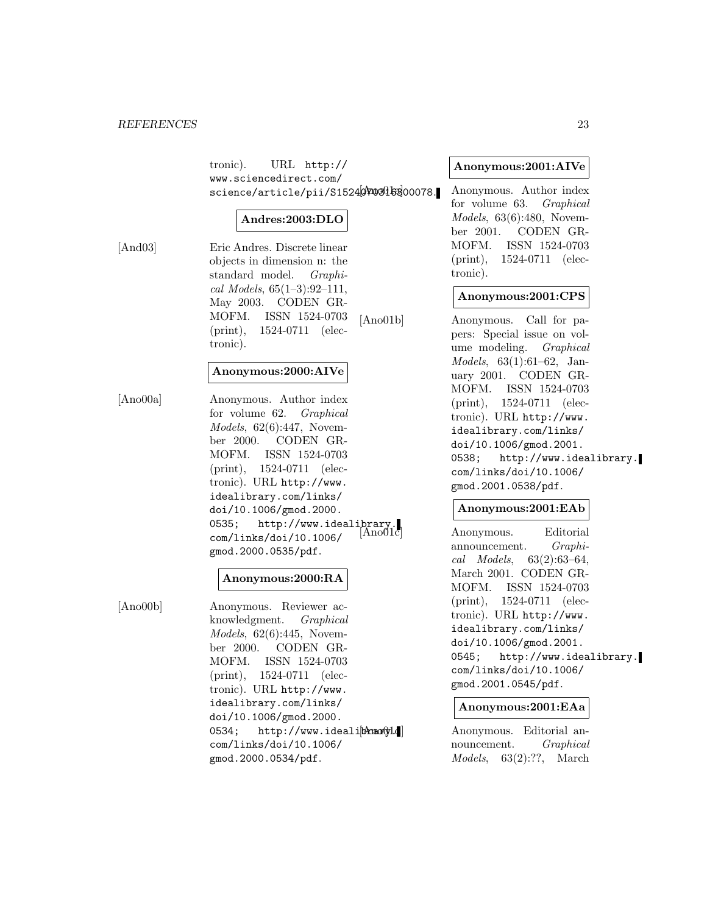tronic). URL http:// www.sciencedirect.com/ science/article/pii/S1524070306300078.

## **Andres:2003:DLO**

[And03] Eric Andres. Discrete linear objects in dimension n: the standard model. Graphical Models,  $65(1-3):92-111$ , May 2003. CODEN GR-MOFM. ISSN 1524-0703 (print), 1524-0711 (electronic).

## **Anonymous:2000:AIVe**

[Ano00a] Anonymous. Author index for volume 62. Graphical Models, 62(6):447, November 2000. CODEN GR-MOFM. ISSN 1524-0703 (print), 1524-0711 (electronic). URL http://www. idealibrary.com/links/ doi/10.1006/gmod.2000. 0535; http://www.idealibrary.<br>com/links/doi/10\_1006/ AnoUlc com/links/doi/10.1006/ gmod.2000.0535/pdf.

## **Anonymous:2000:RA**

[Ano00b] Anonymous. Reviewer acknowledgment. Graphical Models, 62(6):445, November 2000. CODEN GR-MOFM. ISSN 1524-0703 (print), 1524-0711 (electronic). URL http://www. idealibrary.com/links/ doi/10.1006/gmod.2000. 0534; http://www.idealibrang.d com/links/doi/10.1006/ gmod.2000.0534/pdf.

## **Anonymous:2001:AIVe**

Anonymous. Author index for volume 63. Graphical Models, 63(6):480, November 2001. CODEN GR-MOFM. ISSN 1524-0703 (print), 1524-0711 (electronic).

## **Anonymous:2001:CPS**

[Ano01b] Anonymous. Call for papers: Special issue on volume modeling. Graphical Models, 63(1):61–62, January 2001. CODEN GR-MOFM. ISSN 1524-0703 (print), 1524-0711 (electronic). URL http://www. idealibrary.com/links/ doi/10.1006/gmod.2001. 0538; http://www.idealibrary. com/links/doi/10.1006/ gmod.2001.0538/pdf.

## **Anonymous:2001:EAb**

Anonymous. Editorial announcement. Graphical Models, 63(2):63–64, March 2001. CODEN GR-MOFM. ISSN 1524-0703 (print), 1524-0711 (electronic). URL http://www. idealibrary.com/links/ doi/10.1006/gmod.2001. 0545; http://www.idealibrary. com/links/doi/10.1006/ gmod.2001.0545/pdf.

## **Anonymous:2001:EAa**

Anonymous. Editorial announcement. Graphical Models, 63(2):??, March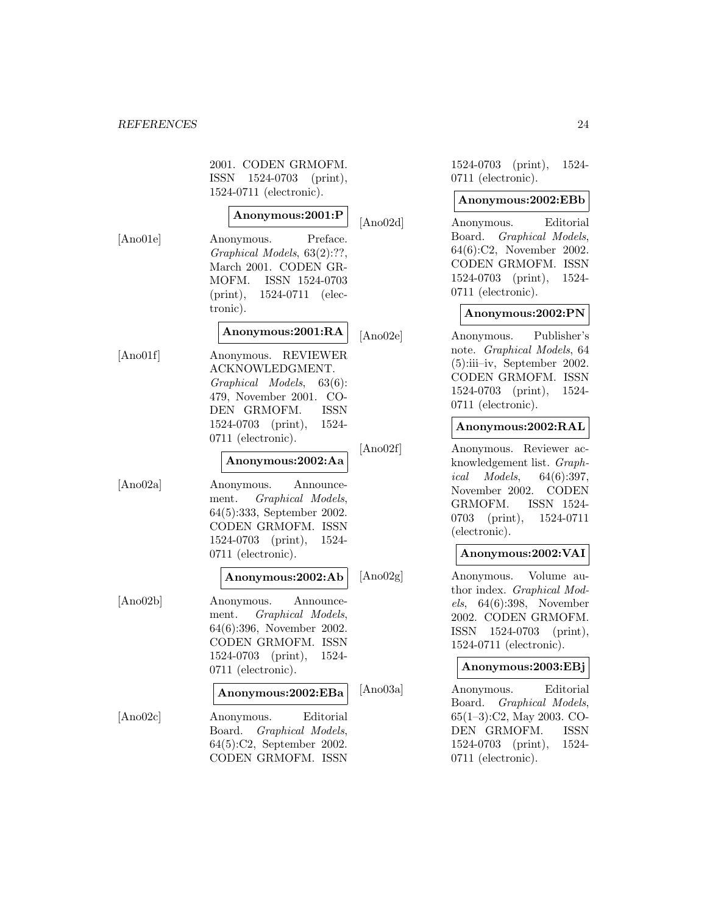2001. CODEN GRMOFM. ISSN 1524-0703 (print), 1524-0711 (electronic).

# **Anonymous:2001:P**

[Ano01e] Anonymous. Preface. Graphical Models, 63(2):??, March 2001. CODEN GR-MOFM. ISSN 1524-0703 (print), 1524-0711 (electronic).

**Anonymous:2001:RA**

[Ano01f] Anonymous. REVIEWER ACKNOWLEDGMENT. Graphical Models, 63(6): 479, November 2001. CO-DEN GRMOFM. ISSN 1524-0703 (print), 1524- 0711 (electronic).

# **Anonymous:2002:Aa**

[Ano02a] Anonymous. Announcement. Graphical Models, 64(5):333, September 2002. CODEN GRMOFM. ISSN 1524-0703 (print), 1524- 0711 (electronic).

## **Anonymous:2002:Ab**

[Ano02b] Anonymous. Announcement. Graphical Models, 64(6):396, November 2002. CODEN GRMOFM. ISSN 1524-0703 (print), 1524- 0711 (electronic).

## **Anonymous:2002:EBa**

[Ano02c] Anonymous. Editorial Board. Graphical Models, 64(5):C2, September 2002. CODEN GRMOFM. ISSN 1524-0703 (print), 1524- 0711 (electronic).

## **Anonymous:2002:EBb**

[Ano02d] Anonymous. Editorial Board. Graphical Models, 64(6):C2, November 2002. CODEN GRMOFM. ISSN 1524-0703 (print), 1524- 0711 (electronic).

## **Anonymous:2002:PN**

[Ano02e] Anonymous. Publisher's note. Graphical Models, 64 (5):iii–iv, September 2002. CODEN GRMOFM. ISSN 1524-0703 (print), 1524- 0711 (electronic).

## **Anonymous:2002:RAL**

[Ano02f] Anonymous. Reviewer acknowledgement list. Graphical Models, 64(6):397, November 2002. CODEN GRMOFM. ISSN 1524- 0703 (print), 1524-0711 (electronic).

## **Anonymous:2002:VAI**

[Ano02g] Anonymous. Volume author index. Graphical Models, 64(6):398, November 2002. CODEN GRMOFM. ISSN 1524-0703 (print), 1524-0711 (electronic).

## **Anonymous:2003:EBj**

[Ano03a] Anonymous. Editorial Board. Graphical Models, 65(1–3):C2, May 2003. CO-DEN GRMOFM. ISSN 1524-0703 (print), 1524- 0711 (electronic).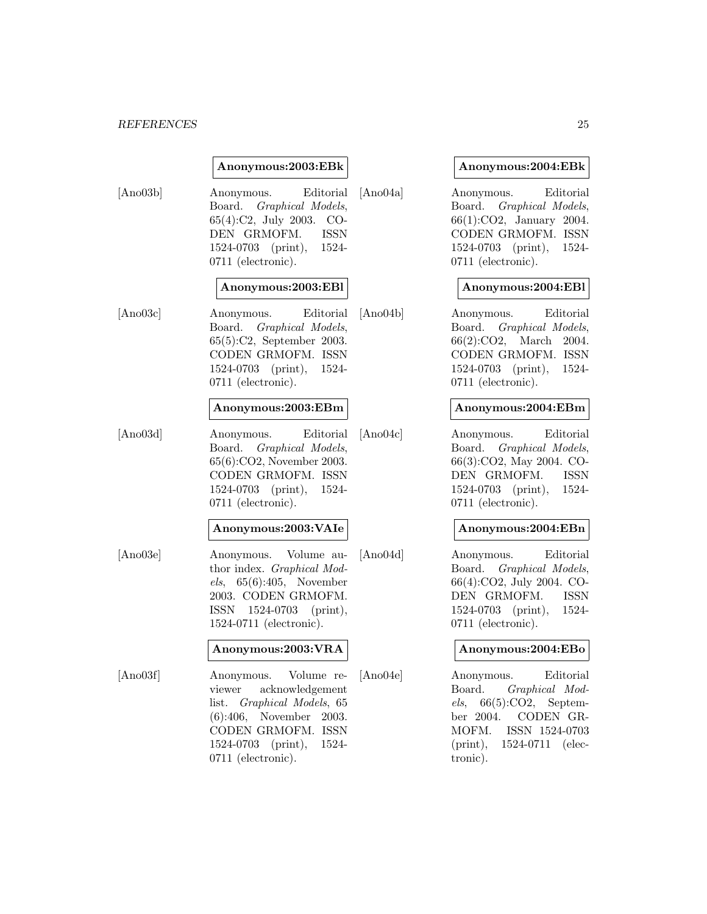#### *REFERENCES* 25

#### **Anonymous:2003:EBk**

[Ano03b] Anonymous. Editorial Board. Graphical Models, 65(4):C2, July 2003. CO-DEN GRMOFM. ISSN 1524-0703 (print), 1524- 0711 (electronic).

## **Anonymous:2003:EBl**

[Ano03c] Anonymous. Editorial Board. Graphical Models, 65(5):C2, September 2003. CODEN GRMOFM. ISSN 1524-0703 (print), 1524- 0711 (electronic).

#### **Anonymous:2003:EBm**

[Ano03d] Anonymous. Editorial Board. Graphical Models, 65(6):CO2, November 2003. CODEN GRMOFM. ISSN 1524-0703 (print), 1524- 0711 (electronic).

#### **Anonymous:2003:VAIe**

[Ano03e] Anonymous. Volume author index. Graphical Models, 65(6):405, November 2003. CODEN GRMOFM. ISSN 1524-0703 (print), 1524-0711 (electronic).

## **Anonymous:2003:VRA**

[Ano03f] Anonymous. Volume reviewer acknowledgement list. Graphical Models, 65 (6):406, November 2003. CODEN GRMOFM. ISSN 1524-0703 (print), 1524- 0711 (electronic).

#### **Anonymous:2004:EBk**

[Ano04a] Anonymous. Editorial Board. Graphical Models, 66(1):CO2, January 2004. CODEN GRMOFM. ISSN 1524-0703 (print), 1524- 0711 (electronic).

## **Anonymous:2004:EBl**

[Ano04b] Anonymous. Editorial Board. Graphical Models, 66(2):CO2, March 2004. CODEN GRMOFM. ISSN 1524-0703 (print), 1524- 0711 (electronic).

## **Anonymous:2004:EBm**

[Ano04c] Anonymous. Editorial Board. Graphical Models, 66(3):CO2, May 2004. CO-DEN GRMOFM. ISSN 1524-0703 (print), 1524- 0711 (electronic).

## **Anonymous:2004:EBn**

[Ano04d] Anonymous. Editorial Board. Graphical Models, 66(4):CO2, July 2004. CO-DEN GRMOFM. ISSN 1524-0703 (print), 1524- 0711 (electronic).

## **Anonymous:2004:EBo**

[Ano04e] Anonymous. Editorial Board. Graphical Mod $els, 66(5):CO2, September$ ber 2004. CODEN GR-MOFM. ISSN 1524-0703 (print), 1524-0711 (electronic).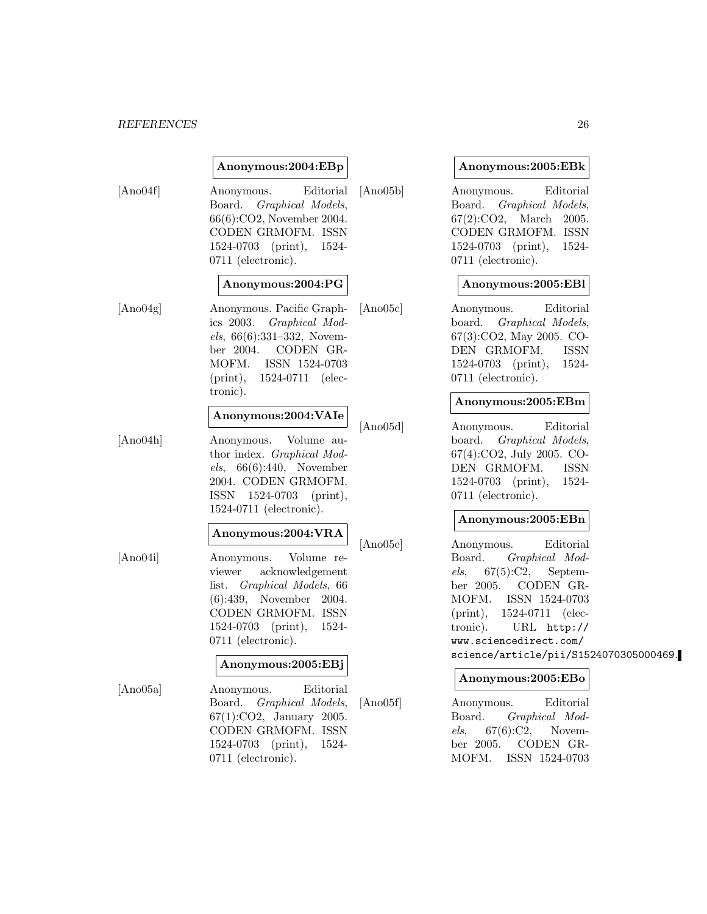#### *REFERENCES* 26

## **Anonymous:2004:EBp**

[Ano04f] Anonymous. Editorial Board. Graphical Models, 66(6):CO2, November 2004. CODEN GRMOFM. ISSN 1524-0703 (print), 1524- 0711 (electronic).

## **Anonymous:2004:PG**

[Ano04g] Anonymous. Pacific Graphics 2003. Graphical Models, 66(6):331–332, November 2004. CODEN GR-MOFM. ISSN 1524-0703 (print), 1524-0711 (electronic).

#### **Anonymous:2004:VAIe**

[Ano04h] Anonymous. Volume author index. Graphical Models, 66(6):440, November 2004. CODEN GRMOFM. ISSN 1524-0703 (print), 1524-0711 (electronic).

## **Anonymous:2004:VRA**

[Ano04i] Anonymous. Volume reviewer acknowledgement list. Graphical Models, 66 (6):439, November 2004. CODEN GRMOFM. ISSN 1524-0703 (print), 1524- 0711 (electronic).

# **Anonymous:2005:EBj**

[Ano05a] Anonymous. Editorial Board. Graphical Models, 67(1):CO2, January 2005. CODEN GRMOFM. ISSN 1524-0703 (print), 1524- 0711 (electronic).

#### **Anonymous:2005:EBk**

[Ano05b] Anonymous. Editorial Board. Graphical Models, 67(2):CO2, March 2005. CODEN GRMOFM. ISSN 1524-0703 (print), 1524- 0711 (electronic).

## **Anonymous:2005:EBl**

[Ano05c] Anonymous. Editorial board. Graphical Models, 67(3):CO2, May 2005. CO-DEN GRMOFM. ISSN 1524-0703 (print), 1524- 0711 (electronic).

## **Anonymous:2005:EBm**

[Ano05d] Anonymous. Editorial board. Graphical Models, 67(4):CO2, July 2005. CO-DEN GRMOFM. ISSN 1524-0703 (print), 1524- 0711 (electronic).

## **Anonymous:2005:EBn**

[Ano05e] Anonymous. Editorial Board. Graphical Mod $els, 67(5):C2, September$ ber 2005. CODEN GR-MOFM. ISSN 1524-0703 (print), 1524-0711 (electronic). URL http:// www.sciencedirect.com/ science/article/pii/S1524070305000469.

#### **Anonymous:2005:EBo**

[Ano05f] Anonymous. Editorial Board. Graphical Models, 67(6):C2, November 2005. CODEN GR-MOFM. ISSN 1524-0703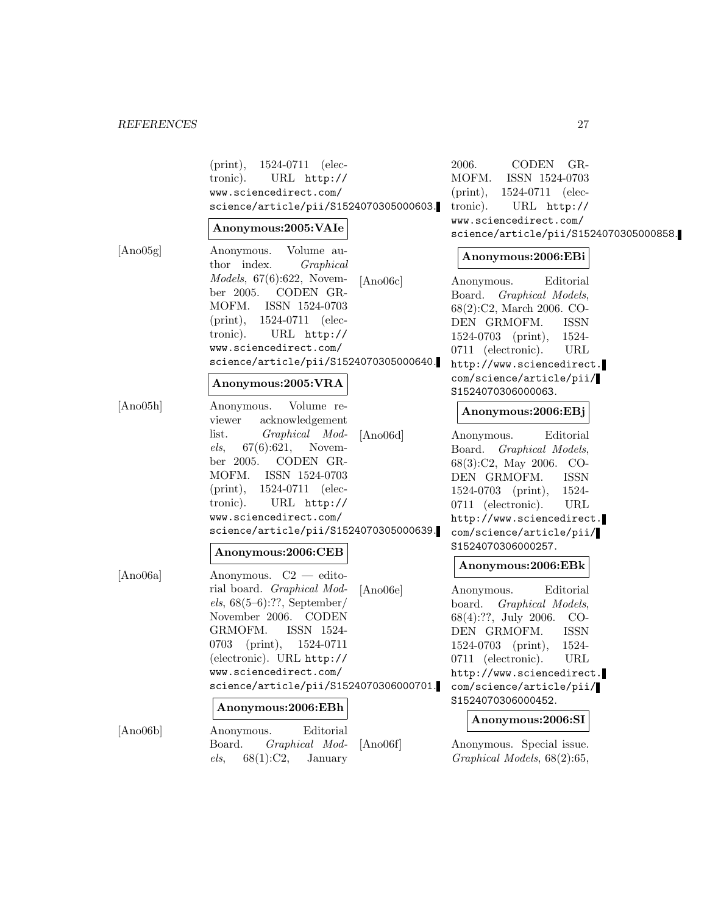|          | $(print), 1524-0711$ (elec-<br>tronic).<br>URL http://<br>www.sciencedirect.com/<br>science/article/pii/S1524070305000603.<br>Anonymous:2005:VAIe                                                                                               | 2006.<br>CODEN GR-<br>MOFM.<br>ISSN 1524-0703<br>1524-0711 (elec-<br>$(\text{print}),$<br>URL http://<br>tronic).<br>www.sciencedirect.com/<br>science/article/pii/S1524070305000858.                                               |  |
|----------|-------------------------------------------------------------------------------------------------------------------------------------------------------------------------------------------------------------------------------------------------|-------------------------------------------------------------------------------------------------------------------------------------------------------------------------------------------------------------------------------------|--|
| [Ano05g] | Volume au-<br>Anonymous.                                                                                                                                                                                                                        | Anonymous:2006:EBi                                                                                                                                                                                                                  |  |
|          | thor index.<br>Graphical<br><i>Models</i> , $67(6):622$ , Novem-<br>[Ano06c]<br>CODEN GR-<br>ber 2005.<br>MOFM.<br>ISSN 1524-0703<br>$(print), 1524-0711$ (elec-<br>tronic).<br>URL http://                                                     | Editorial<br>Anonymous.<br>Board. Graphical Models,<br>68(2):C2, March 2006. CO-<br>DEN GRMOFM.<br><b>ISSN</b><br>1524-<br>$1524-0703$ (print),                                                                                     |  |
|          | www.sciencedirect.com/<br>science/article/pii/S1524070305000640.                                                                                                                                                                                | 0711 (electronic).<br>URL                                                                                                                                                                                                           |  |
|          | Anonymous:2005:VRA                                                                                                                                                                                                                              | http://www.sciencedirect.<br>com/science/article/pii/<br>S1524070306000063.                                                                                                                                                         |  |
| [Ano05h] | Volume re-<br>Anonymous.<br>acknowledgement<br>viewer                                                                                                                                                                                           | Anonymous:2006:EBj                                                                                                                                                                                                                  |  |
|          | list.<br>Graphical Mod-<br>[Ano06d]<br>$67(6):621,$ Novem-<br>els,<br>ber 2005. CODEN GR-<br>MOFM. ISSN 1524-0703<br>$(print), 1524-0711$ (elec-<br>tronic).<br>URL http://<br>www.sciencedirect.com/<br>science/article/pii/S1524070305000639. | Editorial<br>Anonymous.<br>Board. Graphical Models,<br>68(3):C2, May 2006. CO-<br><b>ISSN</b><br>DEN GRMOFM.<br>$1524-0703$ (print),<br>1524-<br>0711 (electronic).<br>URL<br>http://www.sciencedirect.<br>com/science/article/pii/ |  |
|          | Anonymous:2006:CEB                                                                                                                                                                                                                              | S1524070306000257.                                                                                                                                                                                                                  |  |
| [Ano06a] | Anonymous. C2 - edito-                                                                                                                                                                                                                          | Anonymous:2006:EBk                                                                                                                                                                                                                  |  |
|          | rial board. Graphical Mod-<br>[Ano06e]<br>$els, 68(5-6):??, September/$<br>November 2006. CODEN<br>GRMOFM.<br>ISSN 1524-                                                                                                                        | Editorial<br>Anonymous.<br>board. Graphical Models,<br>68(4):??, July 2006. CO-<br>DEN GRMOFM.<br><b>ISSN</b>                                                                                                                       |  |
|          | 0703 (print), 1524-0711<br>(electronic). URL http://<br>www.sciencedirect.com/<br>science/article/pii/S1524070306000701.                                                                                                                        | $1524-0703$ (print),<br>1524-<br>0711 (electronic).<br>URL<br>http://www.sciencedirect.<br>com/science/article/pii/                                                                                                                 |  |
|          | Anonymous:2006:EBh                                                                                                                                                                                                                              | S1524070306000452.                                                                                                                                                                                                                  |  |
| [Ano06b] | Editorial<br>Anonymous.<br>Graphical Mod-<br>[Ano06f]<br>Board.<br>68(1):C2,<br>els,<br>January                                                                                                                                                 | Anonymous:2006:SI<br>Anonymous. Special issue.<br>Graphical Models, 68(2):65,                                                                                                                                                       |  |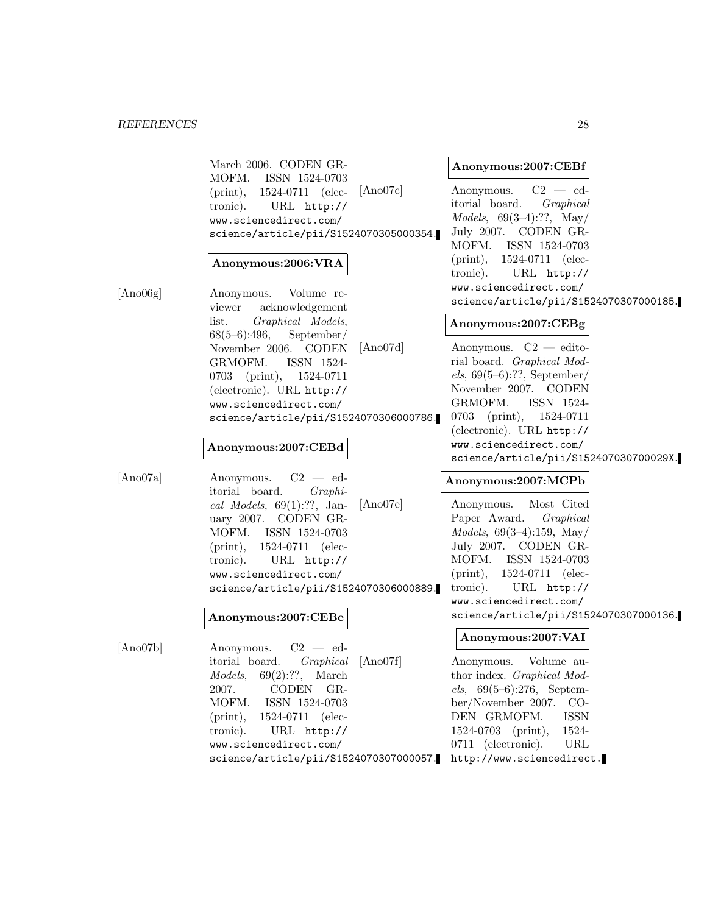March 2006. CODEN GR-MOFM. ISSN 1524-0703 (print), 1524-0711 (electronic). URL http:// www.sciencedirect.com/ science/article/pii/S1524070305000354.

## **Anonymous:2006:VRA**

[Ano06g] Anonymous. Volume reviewer acknowledgement list. Graphical Models, 68(5–6):496, September/ November 2006. CODEN GRMOFM. ISSN 1524- 0703 (print), 1524-0711 (electronic). URL http:// www.sciencedirect.com/ science/article/pii/S1524070306000786.

#### **Anonymous:2007:CEBd**

[Ano07a] Anonymous. C2 — editorial board. Graphical Models,  $69(1):??$ , January 2007. CODEN GR-MOFM. ISSN 1524-0703 (print), 1524-0711 (electronic). URL http:// www.sciencedirect.com/ science/article/pii/S1524070306000889.

#### **Anonymous:2007:CEBe**

[Ano07b] Anonymous. C2 — editorial board. Graphical Models, 69(2):??, March 2007. CODEN GR-MOFM. ISSN 1524-0703 (print), 1524-0711 (electronic). URL http:// www.sciencedirect.com/ science/article/pii/S1524070307000057. http://www.sciencedirect.

#### **Anonymous:2007:CEBf**

[Ano07c] Anonymous. C2 — editorial board. Graphical Models, 69(3–4):??, May/ July 2007. CODEN GR-MOFM. ISSN 1524-0703 (print), 1524-0711 (electronic). URL http:// www.sciencedirect.com/ science/article/pii/S1524070307000185.

## **Anonymous:2007:CEBg**

[Ano07d] Anonymous. C2 — editorial board. Graphical Mod $els, 69(5–6):??$ , September November 2007. CODEN GRMOFM. ISSN 1524- 0703 (print), 1524-0711 (electronic). URL http:// www.sciencedirect.com/ science/article/pii/S152407030700029X.

## **Anonymous:2007:MCPb**

[Ano07e] Anonymous. Most Cited Paper Award. Graphical Models, 69(3–4):159, May/ July 2007. CODEN GR-MOFM. ISSN 1524-0703 (print), 1524-0711 (electronic). URL http:// www.sciencedirect.com/ science/article/pii/S1524070307000136.

## **Anonymous:2007:VAI**

[Ano07f] Anonymous. Volume author index. Graphical Models, 69(5–6):276, September/November 2007. CO-DEN GRMOFM. ISSN 1524-0703 (print), 1524- 0711 (electronic). URL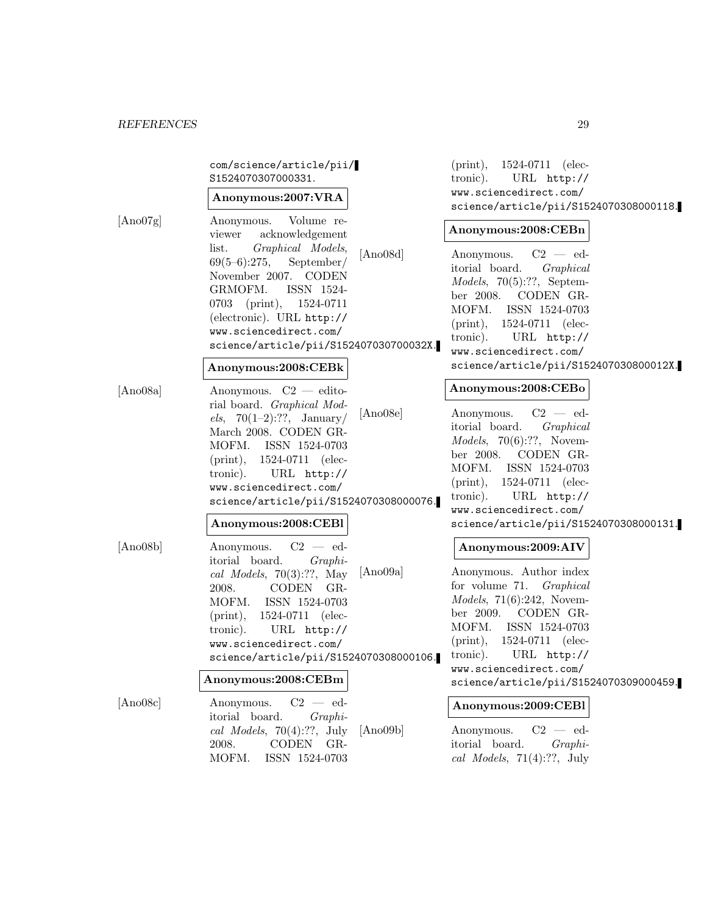|          | com/science/article/pii/<br>S1524070307000331.<br>Anonymous:2007:VRA                                                                                                                                                                                                                             |                             | 1524-0711 (elec-<br>$(\text{print}),$<br>tronic).<br>URL http://<br>www.sciencedirect.com/<br>science/article/pii/S1524070308000118.                                                                                                               |
|----------|--------------------------------------------------------------------------------------------------------------------------------------------------------------------------------------------------------------------------------------------------------------------------------------------------|-----------------------------|----------------------------------------------------------------------------------------------------------------------------------------------------------------------------------------------------------------------------------------------------|
| [Ano07g] | Volume re-<br>Anonymous.<br>acknowledgement<br>viewer<br>Graphical Models,<br>list.<br>$69(5-6):275,$<br>September/<br>November 2007. CODEN<br>GRMOFM.<br>ISSN 1524-<br>0703 (print), 1524-0711<br>(electronic). URL http://<br>www.sciencedirect.com/<br>science/article/pii/S152407030700032X. | [Ano08d]                    | Anonymous:2008:CEBn<br>$C2 - ed$<br>Anonymous.<br>itorial board.<br>Graphical<br>Models, 70(5):??, September<br>CODEN GR-<br>ber 2008.<br>MOFM. ISSN 1524-0703<br>$(print), 1524-0711$ (elec-<br>tronic).<br>URL http://<br>www.sciencedirect.com/ |
|          | Anonymous:2008:CEBk                                                                                                                                                                                                                                                                              |                             | science/article/pii/S152407030800012X.                                                                                                                                                                                                             |
| [Ano08a] | Anonymous. $C2$ — edito-<br>rial board. Graphical Mod-<br><i>els</i> , 70(1-2):??, January/<br>March 2008. CODEN GR-<br>MOFM. ISSN 1524-0703<br>$(print), 1524-0711$ (elec-<br>tronic).<br>URL http://<br>www.sciencedirect.com/<br>science/article/pii/S1524070308000076.                       | [Ano08e]                    | Anonymous:2008:CEBo<br>$C2 - ed$<br>Anonymous.<br>itorial board.<br>Graphical<br>$Models, 70(6):??, Novem-$<br>CODEN GR-<br>ber 2008.<br>MOFM. ISSN 1524-0703<br>$(print), 1524-0711$ (elec-<br>URL http://<br>tronic).<br>www.sciencedirect.com/  |
|          | Anonymous:2008:CEBl                                                                                                                                                                                                                                                                              |                             | science/article/pii/S1524070308000131.                                                                                                                                                                                                             |
| [Ano08b] | $C2 - ed$<br>Anonymous.<br>itorial board.<br>$Graphi-$<br>cal Models, $70(3):??$ , May<br>CODEN GR-<br>2008.<br>MOFM. ISSN 1524-0703<br>$(print), 1524-0711$ (elec-<br>tronic). URL http://<br>www.sciencedirect.com/                                                                            | [Ano09a]                    | Anonymous:2009:AIV<br>Anonymous. Author index<br>for volume 71. <i>Graphical</i><br><i>Models</i> , $71(6):242$ , Novem-<br>CODEN GR-<br>ber 2009.<br>MOFM. ISSN 1524-0703<br>$(\text{print}),$<br>1524-0711 (elec-                                |
|          | science/article/pii/S1524070308000106.                                                                                                                                                                                                                                                           | tronic).<br>$URL$ $http://$ |                                                                                                                                                                                                                                                    |
|          | Anonymous:2008:CEBm                                                                                                                                                                                                                                                                              |                             | www.sciencedirect.com/<br>science/article/pii/S1524070309000459.                                                                                                                                                                                   |
| [Ano08c] | $C2 - ed$<br>Anonymous.<br>itorial board.<br>$Graphi-$<br>cal Models, $70(4):??$ , July<br>CODEN GR-<br>2008.<br>MOFM.<br>ISSN 1524-0703                                                                                                                                                         | [Ano09b]                    | Anonymous:2009:CEBl<br>$C2 - ed$<br>Anonymous.<br>itorial board.<br>$Graphi-$<br>cal Models, $71(4):??$ , July                                                                                                                                     |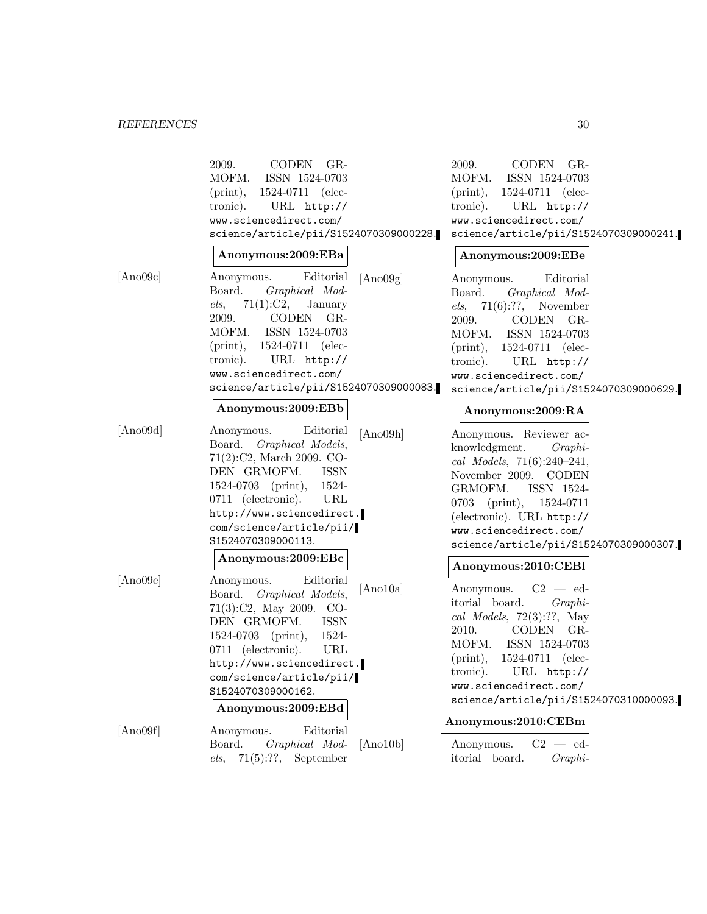# *REFERENCES* 30

|          | 2009.<br>CODEN GR-<br>MOFM.<br>ISSN 1524-0703<br>$(print), 1524-0711$ (elec-<br>URL http://<br>tronic).<br>www.sciencedirect.com/<br>science/article/pii/S1524070309000228.<br>Anonymous:2009:EBa                                                                               |          | 2009.<br>CODEN GR-<br>MOFM.<br>ISSN 1524-0703<br>$(print), 1524-0711$ (elec-<br>tronic).<br>$URL$ $http://$<br>www.sciencedirect.com/<br>science/article/pii/S1524070309000241.<br>Anonymous:2009:EBe                                                                                           |  |
|----------|---------------------------------------------------------------------------------------------------------------------------------------------------------------------------------------------------------------------------------------------------------------------------------|----------|-------------------------------------------------------------------------------------------------------------------------------------------------------------------------------------------------------------------------------------------------------------------------------------------------|--|
| [Ano09c] | Editorial<br>Anonymous.<br>Board.<br>Graphical Mod-<br>$71(1):C2$ , January<br>els,<br>2009.<br>CODEN GR-<br>MOFM. ISSN 1524-0703<br>$(print), 1524-0711$ (elec-<br>tronic). URL http://<br>www.sciencedirect.com/<br>science/article/pii/S1524070309000083.                    | [Ano09g] | Editorial<br>Anonymous.<br>Board.<br>Graphical Mod-<br>els, 71(6):??, Novenber<br>2009.<br>CODEN GR-<br>MOFM. ISSN 1524-0703<br>$(print), 1524-0711$ (elec-<br>URL http://<br>tronic).<br>www.sciencedirect.com/<br>science/article/pii/S1524070309000629.                                      |  |
|          | Anonymous:2009:EBb                                                                                                                                                                                                                                                              |          | Anonymous:2009:RA                                                                                                                                                                                                                                                                               |  |
| [Ano09d] | Editorial<br>Anonymous.<br>Board. Graphical Models,<br>$71(2):C2$ , March 2009. CO-<br>DEN GRMOFM.<br><b>ISSN</b><br>1524-0703 (print), 1524-<br>0711 (electronic).<br>URL<br>http://www.sciencedirect.<br>com/science/article/pii/<br>S1524070309000113.<br>Anonymous:2009:EBc | [Ano09h] | Anonymous. Reviewer ac-<br>knowledgment.<br>$Graphi-$<br>cal Models, $71(6):240-241$ ,<br>November 2009. CODEN<br>GRMOFM.<br>ISSN 1524-<br>$0703$ (print),<br>1524-0711<br>(electronic). URL http://<br>www.sciencedirect.com/<br>science/article/pii/S1524070309000307.<br>Anonymous:2010:CEBl |  |
| [Ano09e] | Editorial<br>Anonymous.<br>Board. Graphical Models,<br>$71(3):C2$ , May 2009. CO-<br><b>ISSN</b><br>DEN GRMOFM.<br>1524-0703 (print), 1524-<br>0711 (electronic).<br>URL<br>http://www.sciencedirect.<br>com/science/article/pii/<br>S1524070309000162.<br>Anonymous:2009:EBd   | [Ano10a] | $C2 - ed$<br>Anonymous.<br>itorial board.<br>$Graphi-$<br>cal Models, $72(3):??$ , May<br>2010.<br>CODEN GR-<br>MOFM.<br>ISSN 1524-0703<br>1524-0711 (elec-<br>$(\text{print}),$<br>tronic). URL http://<br>www.sciencedirect.com/<br>science/article/pii/S1524070310000093.                    |  |
| [Ano09f] | Editorial<br>Anonymous.<br>Board.<br>Graphical Mod-<br>71(5):??,<br>September<br>els,                                                                                                                                                                                           | [Ano10b] | Anonymous:2010:CEBm<br>$C2 - ed$<br>Anonymous.<br>itorial board.<br>$Graphi-$                                                                                                                                                                                                                   |  |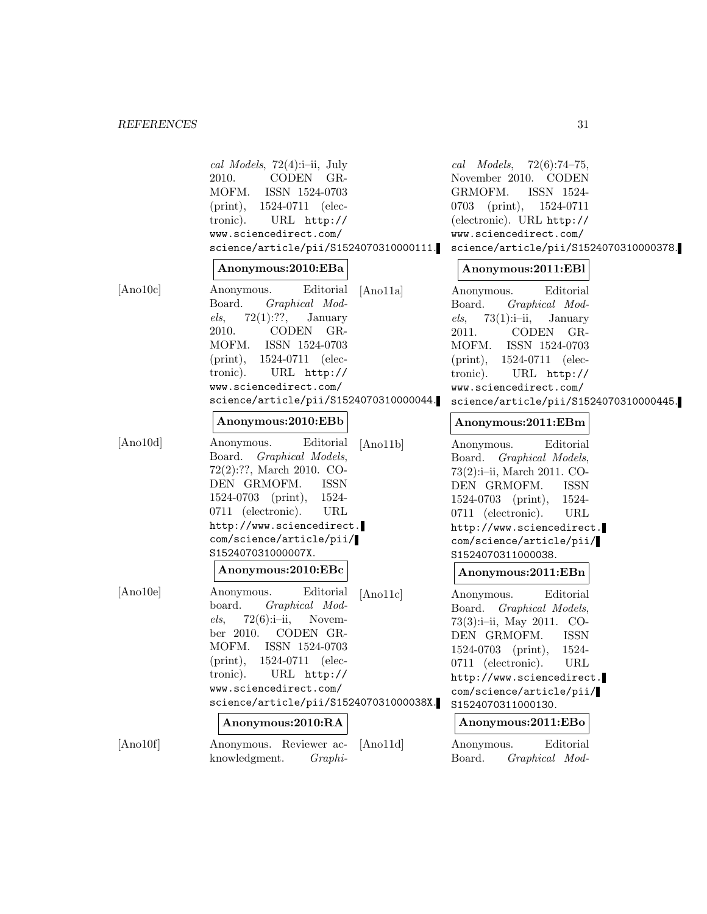|          | cal Models, 72(4):i-ii, July<br>CODEN GR-<br>2010.<br>MOFM.<br>ISSN 1524-0703<br>1524-0711 (elec-<br>$(\text{print}),$<br>tronic).<br>$URL$ $http://$<br>www.sciencedirect.com/<br>science/article/pii/S1524070310000111.                                                                    | cal Models, $72(6):74-75$ ,<br>November 2010. CODEN<br>GRMOFM.<br>ISSN 1524-<br>$0703$ (print),<br>1524-0711<br>(electronic). URL http://<br>www.sciencedirect.com/<br>science/article/pii/S1524070310000378.                                                                     |
|----------|----------------------------------------------------------------------------------------------------------------------------------------------------------------------------------------------------------------------------------------------------------------------------------------------|-----------------------------------------------------------------------------------------------------------------------------------------------------------------------------------------------------------------------------------------------------------------------------------|
|          | Anonymous:2010:EBa                                                                                                                                                                                                                                                                           | Anonymous:2011:EBI                                                                                                                                                                                                                                                                |
| [Ano10c] | Anonymous.<br>Editorial<br>[And1a]<br>Board.<br>Graphical Mod-<br>els,<br>72(1):??,<br>January<br>2010.<br>CODEN GR-<br>MOFM.<br>ISSN 1524-0703<br>$(print), 1524-0711$ (elec-<br>tronic). URL http://<br>www.sciencedirect.com/<br>science/article/pii/S1524070310000044.                   | Editorial<br>Anonymous.<br>Board.<br>Graphical Mod-<br>$73(1):i-ii,$<br>els,<br>January<br>2011.<br>CODEN GR-<br>MOFM. ISSN 1524-0703<br>$(print), 1524-0711$ (elec-<br>tronic). URL http://<br>www.sciencedirect.com/<br>science/article/pii/S1524070310000445.                  |
|          | Anonymous:2010:EBb                                                                                                                                                                                                                                                                           | Anonymous:2011:EBm                                                                                                                                                                                                                                                                |
| [Ano10d] | Editorial<br>Anonymous.<br>[Ano11b]<br>Board. Graphical Models,<br>72(2):??, March 2010. CO-<br>DEN GRMOFM.<br>ISSN<br>1524-0703 (print), 1524-<br>0711 (electronic).<br>URL<br>http://www.sciencedirect.<br>com/science/article/pii/<br>S152407031000007X.                                  | Editorial<br>Anonymous.<br>Board. Graphical Models,<br>73(2):i-ii, March 2011. CO-<br>DEN GRMOFM.<br>ISSN<br>$1524-0703$ (print),<br>1524-<br>0711 (electronic).<br>URL<br>http://www.sciencedirect.<br>com/science/article/pii/<br>S1524070311000038.                            |
|          | Anonymous:2010:EBc                                                                                                                                                                                                                                                                           | Anonymous:2011:EBn                                                                                                                                                                                                                                                                |
| [Ano10e] | Editorial<br>Anonymous.<br>[And1c]<br>board.<br>Graphical Mod-<br>$72(6):i-i,$ Novem-<br>els,<br>ber 2010. CODEN GR-<br>MOFM. ISSN 1524-0703<br>$(print), 1524-0711$ (elec-<br>tronic). URL http://<br>www.sciencedirect.com/<br>science/article/pii/S152407031000038X.<br>Anonymous:2010:RA | Editorial<br>Anonymous.<br>Board. Graphical Models,<br>73(3):i-ii, May 2011. CO-<br>DEN GRMOFM.<br><b>ISSN</b><br>$1524-0703$ (print),<br>1524-<br>0711 (electronic).<br>URL<br>http://www.sciencedirect.<br>com/science/article/pii/<br>S1524070311000130.<br>Anonymous:2011:EBo |
| [Ano10f] | [And1d]<br>Anonymous. Reviewer ac-<br>knowledgment.<br>$Graphi-$                                                                                                                                                                                                                             | Editorial<br>Anonymous.<br>Graphical Mod-<br>Board.                                                                                                                                                                                                                               |
|          |                                                                                                                                                                                                                                                                                              |                                                                                                                                                                                                                                                                                   |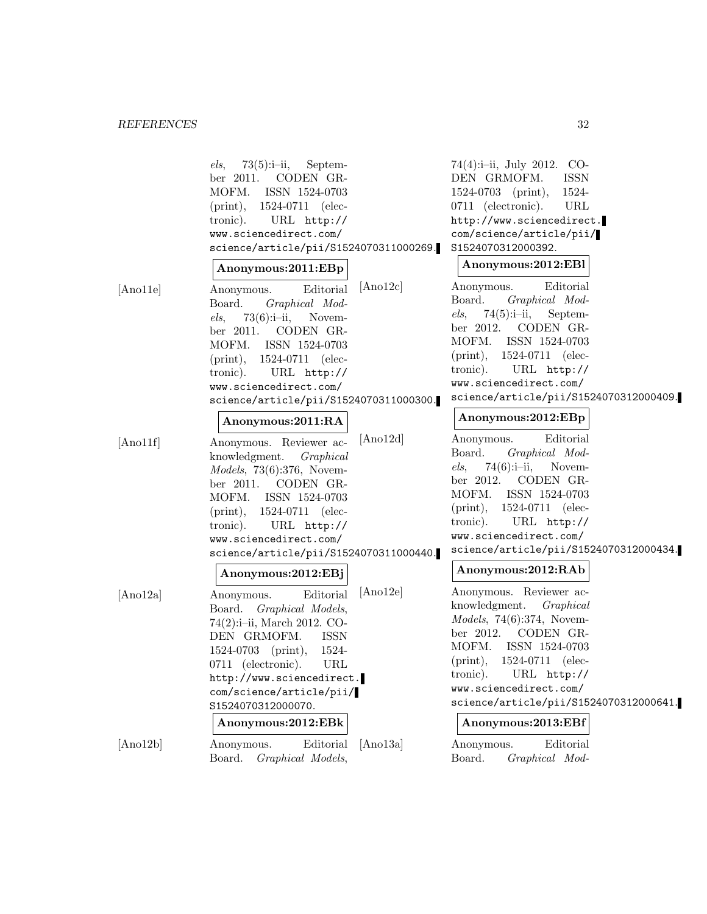|                | $73(5):i-ii,$<br>Septem-<br>els,<br>CODEN GR-<br>ber 2011.<br>MOFM.<br>ISSN 1524-0703<br>$(\text{print}),$<br>1524-0711 (elec-<br>tronic).<br>URL $http://$<br>www.sciencedirect.com/<br>science/article/pii/S1524070311000269.                                                     |          | 74(4):i-ii, July 2012. CO-<br>DEN GRMOFM.<br><b>ISSN</b><br>$1524-0703$ (print),<br>1524-<br>0711 (electronic).<br>URL<br>http://www.sciencedirect.<br>com/science/article/pii/<br>S1524070312000392.<br>Anonymous:2012:EBI                                                                 |
|----------------|-------------------------------------------------------------------------------------------------------------------------------------------------------------------------------------------------------------------------------------------------------------------------------------|----------|---------------------------------------------------------------------------------------------------------------------------------------------------------------------------------------------------------------------------------------------------------------------------------------------|
|                | Anonymous:2011:EBp                                                                                                                                                                                                                                                                  |          |                                                                                                                                                                                                                                                                                             |
| [And1e]        | Editorial<br>Anonymous.<br>Board.<br>Graphical Mod-<br>$73(6):i-ii,$<br>Novem-<br>els,<br>CODEN GR-<br>ber 2011.<br>MOFM.<br>ISSN 1524-0703<br>$(print), 1524-0711$ (elec-<br>tronic).<br>URL $http://$<br>www.sciencedirect.com/<br>science/article/pii/S1524070311000300.         | [And2c]  | Editorial<br>Anonymous.<br>Board.<br>Graphical Mod-<br>$74(5):i-i,$ Septem-<br>els,<br>ber 2012. CODEN GR-<br>MOFM. ISSN 1524-0703<br>$(print), 1524-0711$ (elec-<br>URL http://<br>tronic).<br>www.sciencedirect.com/<br>science/article/pii/S1524070312000409.                            |
|                | Anonymous:2011:RA                                                                                                                                                                                                                                                                   |          | Anonymous:2012:EBp                                                                                                                                                                                                                                                                          |
| $[$ Ano $11f]$ | Anonymous. Reviewer ac-<br>knowledgment.<br>Graphical<br><i>Models</i> , 73 $(6):376$ , Novem-<br>ber 2011. CODEN GR-<br>MOFM. ISSN 1524-0703<br>$(print), 1524-0711$ (elec-<br>tronic).<br>URL http://<br>www.sciencedirect.com/<br>science/article/pii/S1524070311000440.         | [And2d]  | Editorial<br>Anonymous.<br>Board.<br>Graphical Mod-<br>$74(6):i-ii$ , Novem-<br>els,<br>ber 2012. CODEN GR-<br>MOFM. ISSN 1524-0703<br>$(print), 1524-0711$ (elec-<br>URL http://<br>tronic).<br>www.sciencedirect.com/<br>science/article/pii/S1524070312000434.                           |
|                | Anonymous:2012:EBj                                                                                                                                                                                                                                                                  |          | Anonymous:2012:RAb                                                                                                                                                                                                                                                                          |
| [Ano12a]       | Editorial<br>Anonymous.<br>Board. Graphical Models,<br>74(2):i-ii, March 2012. CO-<br>DEN GRMOFM.<br><b>ISSN</b><br>1524-<br>$1524-0703$ (print),<br>0711 (electronic).<br>URL<br>http://www.sciencedirect.<br>com/science/article/pii/<br>S1524070312000070.<br>Anonymous:2012:EBk | [And2e]  | Anonymous. Reviewer ac-<br>knowledgment. Graphical<br><i>Models</i> , 74 $(6)$ :374, Novem-<br>ber 2012. CODEN GR-<br>MOFM. ISSN 1524-0703<br>$(print), 1524-0711$ (elec-<br>tronic). URL http://<br>www.sciencedirect.com/<br>science/article/pii/S1524070312000641.<br>Anonymous:2013:EBf |
| [Ano12b]       | Editorial<br>Anonymous.<br>Board.<br>Graphical Models,                                                                                                                                                                                                                              | [Ano13a] | Editorial<br>Anonymous.<br>Graphical Mod-<br>Board.                                                                                                                                                                                                                                         |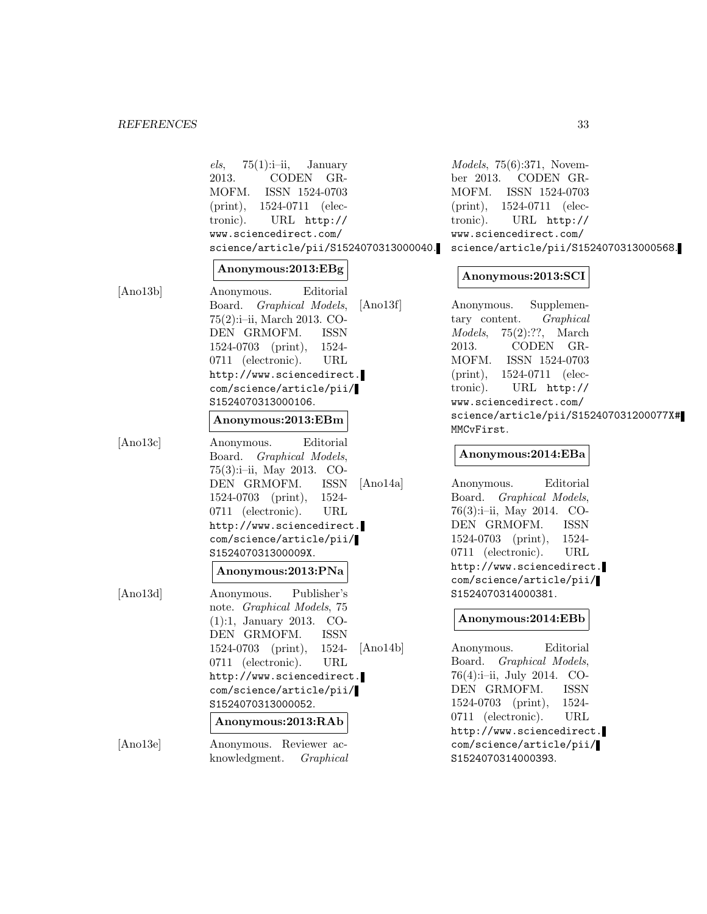|          | $75(1):i-i,$ January<br>els,<br>2013.<br>CODEN<br>$GR-$<br>MOFM.<br>ISSN 1524-0703<br>1524-0711 (elec-<br>$(\text{print}),$<br>tronic).<br>URL http://<br>www.sciencedirect.com/<br>science/article/pii/S1524070313000040.<br>Anonymous:2013:EBg                                                                       | Models, 75(6):371, November<br>ber 2013. CODEN GR-<br>ISSN 1524-0703<br>MOFM.<br>$(print), 1524-0711$ (elec-<br>tronic). URL http://<br>www.sciencedirect.com/<br>science/article/pii/S1524070313000568.                                                                                                            |
|----------|------------------------------------------------------------------------------------------------------------------------------------------------------------------------------------------------------------------------------------------------------------------------------------------------------------------------|---------------------------------------------------------------------------------------------------------------------------------------------------------------------------------------------------------------------------------------------------------------------------------------------------------------------|
| [Ano13b] | Editorial<br>Anonymous.<br>Board. Graphical Models,<br>[Ano13f]<br>75(2):i-ii, March 2013. CO-<br>DEN GRMOFM.<br><b>ISSN</b><br>$1524-0703$ (print),<br>1524-<br>0711 (electronic).<br>URL<br>http://www.sciencedirect.<br>com/science/article/pii/<br>S1524070313000106.                                              | Anonymous:2013:SCI<br>Supplemen-<br>Anonymous.<br>tary content. Graphical<br>$75(2):??$ , March<br><i>Models,</i><br>2013.<br>CODEN GR-<br>MOFM.<br>ISSN 1524-0703<br>$(print), 1524-0711$ (elec-<br>tronic). URL http://<br>www.sciencedirect.com/                                                                 |
| [And3c]  | Anonymous:2013:EBm<br>Editorial<br>Anonymous.<br>Board. Graphical Models,<br>$75(3):i-i$ i, May 2013. CO-<br>[And14a]<br>DEN GRMOFM.<br><b>ISSN</b><br>$1524-0703$ (print),<br>1524-<br>0711 (electronic).<br>URL<br>http://www.sciencedirect.<br>com/science/article/pii/<br>S152407031300009X.<br>Anonymous:2013:PNa | science/article/pii/S152407031200077X#<br>MMCvFirst.<br>Anonymous:2014:EBa<br>Editorial<br>Anonymous.<br>Board. Graphical Models,<br>76(3):i-ii, May 2014. CO-<br>DEN GRMOFM.<br><b>ISSN</b><br>$1524-0703$ (print),<br>1524-<br>0711 (electronic).<br>URL<br>http://www.sciencedirect.<br>com/science/article/pii/ |
| [And3d]  | Publisher's<br>Anonymous.<br>note. Graphical Models, 75<br>$(1):1$ , January 2013. CO-<br>DEN GRMOFM.<br><b>ISSN</b><br>[Ano14b]<br>1524-<br>$1524-0703$ (print),<br>URL<br>0711 (electronic).<br>http://www.sciencedirect.<br>com/science/article/pii/<br>S1524070313000052.<br>Anonymous:2013:RAb                    | S1524070314000381.<br>Anonymous:2014:EBb<br>Editorial<br>Anonymous.<br>Board. Graphical Models,<br>76(4):i-ii, July 2014. CO-<br><b>ISSN</b><br>DEN GRMOFM.<br>1524-0703 (print),<br>1524-<br>0711 (electronic).<br>URL<br>http://www.sciencedirect.                                                                |
| [And3e]  | Anonymous. Reviewer ac-<br>knowledgment.<br>Graphical                                                                                                                                                                                                                                                                  | com/science/article/pii/<br>S1524070314000393.                                                                                                                                                                                                                                                                      |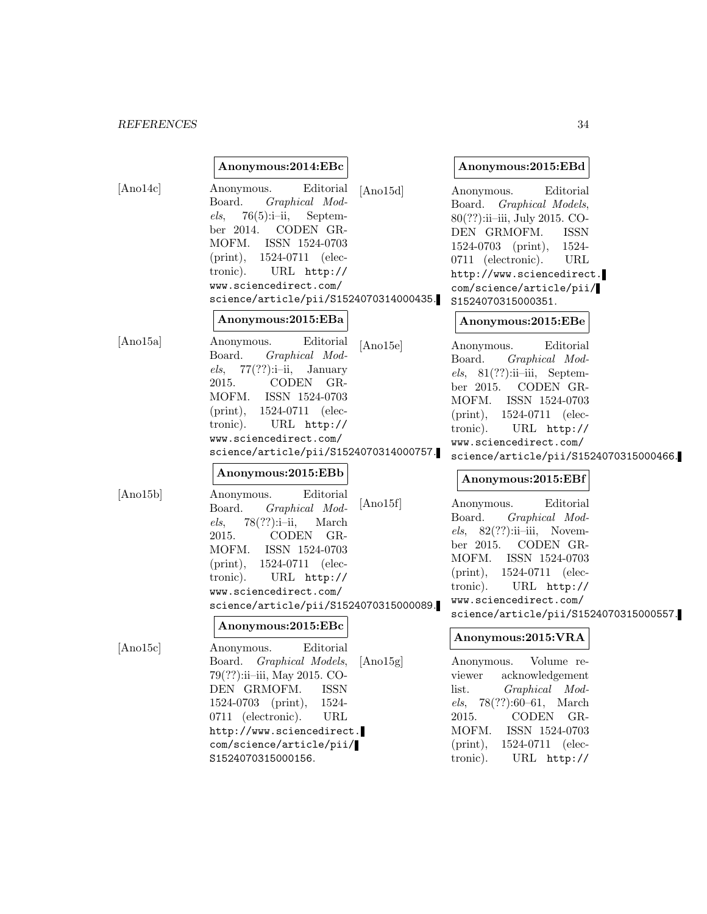# *REFERENCES* 34

|          | Anonymous:2014:EBc                                                                                                                                                                                                                                                                                    |          | Anonymous:2015:EBd                                                                                                                                                                                                                                                                   |  |
|----------|-------------------------------------------------------------------------------------------------------------------------------------------------------------------------------------------------------------------------------------------------------------------------------------------------------|----------|--------------------------------------------------------------------------------------------------------------------------------------------------------------------------------------------------------------------------------------------------------------------------------------|--|
| [And4c]  | Editorial<br>Anonymous.<br>Graphical Mod-<br>Board.<br>$76(5):i-i,$ Septem-<br>els,<br>ber 2014. CODEN GR-<br>MOFM. ISSN 1524-0703<br>$(print), 1524-0711$ (elec-<br>tronic).<br>$URL$ $http://$<br>www.sciencedirect.com/<br>science/article/pii/S1524070314000435.                                  | [And15d] | Editorial<br>Anonymous.<br>Board. Graphical Models,<br>80(??):ii-iii, July 2015. CO-<br>DEN GRMOFM.<br><b>ISSN</b><br>$1524-0703$ (print),<br>1524-<br>$0711$ (electronic).<br>URL<br>http://www.sciencedirect.<br>com/science/article/pii/<br>S1524070315000351.                    |  |
|          | Anonymous:2015:EBa                                                                                                                                                                                                                                                                                    |          | Anonymous:2015:EBe                                                                                                                                                                                                                                                                   |  |
| [And15a] | Editorial<br>Anonymous.<br>Board.<br>Graphical Mod-<br>$els, 77(??):i-ii, January$<br>2015.<br>CODEN GR-<br>MOFM.<br>ISSN 1524-0703<br>$(print), 1524-0711$ (elec-<br>tronic). URL http://<br>www.sciencedirect.com/<br>science/article/pii/S1524070314000757.                                        | [And15e] | Editorial<br>Anonymous.<br>Graphical Mod-<br>Board.<br>$els, 81(??):ii-iii, September$<br>ber 2015. CODEN GR-<br>MOFM.<br>ISSN 1524-0703<br>$(\text{print}),$<br>1524-0711 (elec-<br>tronic).<br>$URL$ $http://$<br>www.sciencedirect.com/<br>science/article/pii/S1524070315000466. |  |
|          | Anonymous:2015:EBb                                                                                                                                                                                                                                                                                    |          | Anonymous:2015:EBf                                                                                                                                                                                                                                                                   |  |
| [Ano15b] | Editorial<br>Anonymous.<br>Graphical Mod-<br>Board.<br>$78(??):i-ii,$<br>els,<br>March<br>2015.<br>CODEN GR-<br>ISSN 1524-0703<br>MOFM.<br>$(\text{print}),$<br>1524-0711 (elec-<br>URL http://<br>tronic).<br>www.sciencedirect.com/<br>science/article/pii/S1524070315000089.<br>Anonymous:2015:EBc | [And15f] | Editorial<br>Anonymous.<br>Graphical Mod-<br>Board.<br>$els, 82(??):ii-iii, Novem-$<br>ber 2015. CODEN GR-<br>MOFM. ISSN 1524-0703<br>$(print), 1524-0711$ (elec-<br>tronic).<br>URL $http://$<br>www.sciencedirect.com/<br>science/article/pii/S1524070315000557.                   |  |
| [And5c]  | Editorial<br>Anonymous.                                                                                                                                                                                                                                                                               |          | Anonymous:2015:VRA                                                                                                                                                                                                                                                                   |  |
|          | Board. Graphical Models,<br>79(??):ii-iii, May 2015. CO-<br>DEN GRMOFM.<br><b>ISSN</b><br>$(\text{print}),$<br>1524-<br>1524-0703<br>0711 (electronic).<br>URL<br>http://www.sciencedirect.<br>com/science/article/pii/<br>S1524070315000156.                                                         | [And15g] | Anonymous. Volume re-<br>viewer acknowledgement<br>Graphical<br>$Mod-$<br>list.<br>$78(??):60-61,$<br>March<br>els,<br><b>CODEN</b><br>$GR-$<br>2015.<br>MOFM.<br>ISSN 1524-0703<br>$(\text{print}),$<br>1524-0711 (elec-<br>URL http://<br>tronic).                                 |  |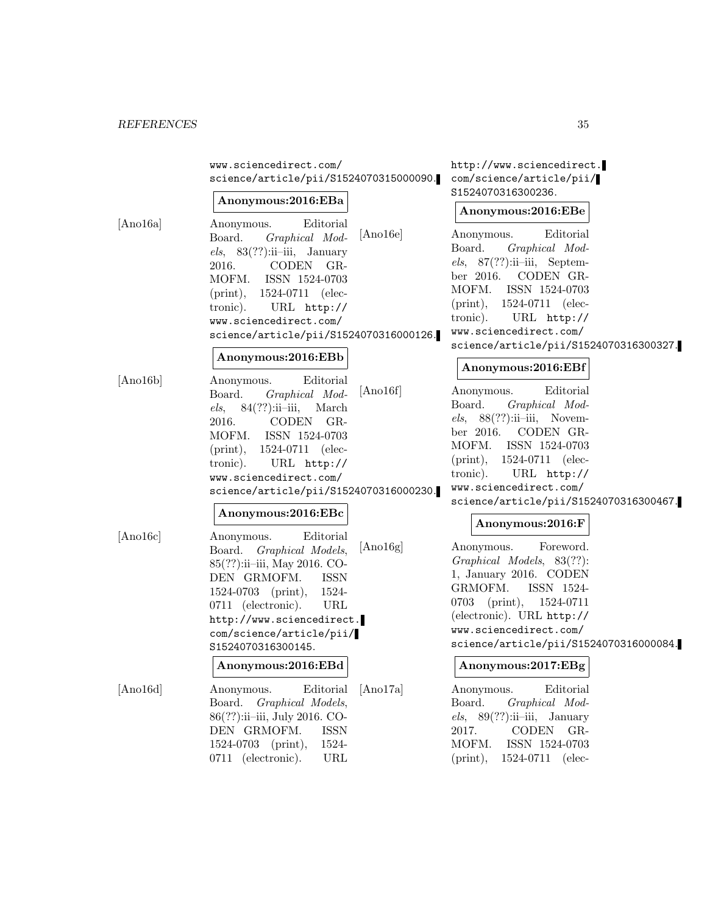www.sciencedirect.com/ science/article/pii/S1524070315000090.

#### **Anonymous:2016:EBa**

[Ano16a] Anonymous. Editorial Board. Graphical Models,  $83(??):ii$ –iii, January 2016. CODEN GR-MOFM. ISSN 1524-0703 (print), 1524-0711 (electronic). URL http:// www.sciencedirect.com/ science/article/pii/S1524070316000126.

# **Anonymous:2016:EBb**

[Ano16b] Anonymous. Editorial Board. Graphical Mod $els, 84(??):ii-iii, March$ 2016. CODEN GR-MOFM. ISSN 1524-0703 (print), 1524-0711 (electronic). URL http:// www.sciencedirect.com/ science/article/pii/S1524070316000230.

## **Anonymous:2016:EBc**

[Ano16c] Anonymous. Editorial Board. Graphical Models, 85(??):ii–iii, May 2016. CO-DEN GRMOFM. ISSN 1524-0703 (print), 1524- 0711 (electronic). URL http://www.sciencedirect. com/science/article/pii/ S1524070316300145. **Anonymous:2016:EBd**

[Ano16d] Anonymous. Editorial Board. Graphical Models, 86(??):ii–iii, July 2016. CO-DEN GRMOFM. ISSN 1524-0703 (print), 1524- 0711 (electronic). URL

http://www.sciencedirect. com/science/article/pii/ S1524070316300236.

#### **Anonymous:2016:EBe**

[Ano16e] Anonymous. Editorial Board. Graphical Models, 87(??):ii–iii, September 2016. CODEN GR-MOFM. ISSN 1524-0703 (print), 1524-0711 (electronic). URL http:// www.sciencedirect.com/ science/article/pii/S1524070316300327.

#### **Anonymous:2016:EBf**

[Ano16f] Anonymous. Editorial Board. Graphical Mod $els, 88(??):ii-iii, Novem$ ber 2016. CODEN GR-MOFM. ISSN 1524-0703 (print), 1524-0711 (electronic). URL http:// www.sciencedirect.com/ science/article/pii/S1524070316300467.

## **Anonymous:2016:F**

[Ano16g] Anonymous. Foreword. Graphical Models, 83(??): 1, January 2016. CODEN GRMOFM. ISSN 1524- 0703 (print), 1524-0711 (electronic). URL http:// www.sciencedirect.com/ science/article/pii/S1524070316000084.

#### **Anonymous:2017:EBg**

[Ano17a] Anonymous. Editorial Board. Graphical Models,  $89(??):ii$ –iii, January 2017. CODEN GR-MOFM. ISSN 1524-0703 (print), 1524-0711 (elec-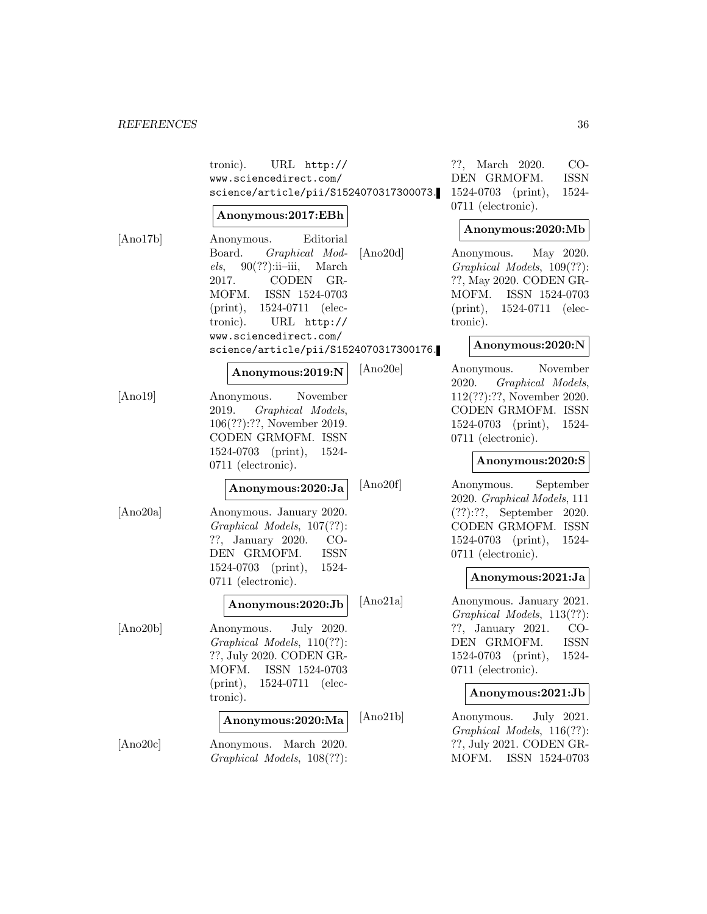|          | tronic). URL http://<br>www.sciencedirect.com/<br>science/article/pii/S1524070317300073.                                                                                                                                                                              |          | $CO-$<br>??, March 2020.<br><b>ISSN</b><br>DEN GRMOFM.<br>1524-0703 (print),<br>1524-<br>0711 (electronic).                                                             |
|----------|-----------------------------------------------------------------------------------------------------------------------------------------------------------------------------------------------------------------------------------------------------------------------|----------|-------------------------------------------------------------------------------------------------------------------------------------------------------------------------|
|          | Anonymous:2017:EBh                                                                                                                                                                                                                                                    |          | Anonymous:2020:Mb                                                                                                                                                       |
| [Ano17b] | Editorial<br>Anonymous.<br>Board. Graphical Mod-<br>$els, 90(??):ii-iii, March$<br>CODEN GR-<br>2017.<br>ISSN 1524-0703<br>MOFM.<br>1524-0711 (elec-<br>$(\text{print}),$<br>tronic). URL http://<br>www.sciencedirect.com/<br>science/article/pii/S1524070317300176. | [Ano20d] | Anonymous. May 2020.<br>Graphical Models, 109(??):<br>??, May 2020. CODEN GR-<br>ISSN 1524-0703<br>MOFM.<br>$(print), 1524-0711$ (elec-<br>tronic).<br>Anonymous:2020:N |
|          | Anonymous:2019:N                                                                                                                                                                                                                                                      | [Ano20e] | November<br>Anonymous.<br>2020. Graphical Models,                                                                                                                       |
| [Ano19]  | November<br>Anonymous.<br>2019. Graphical Models,<br>106(??):??, November 2019.<br>CODEN GRMOFM. ISSN<br>$1524-0703$ (print),<br>1524-<br>$0711$ (electronic).                                                                                                        |          | $112(??):??$ , November 2020.<br>CODEN GRMOFM. ISSN<br>$1524-0703$ (print),<br>1524-<br>0711 (electronic).<br>Anonymous:2020:S                                          |
|          | Anonymous:2020:Ja                                                                                                                                                                                                                                                     | [Ano20f] | Anonymous. September                                                                                                                                                    |
| [Ano20a] | Anonymous. January 2020.<br>Graphical Models, 107(??):<br>??, January 2020.<br>$CO-$<br>DEN GRMOFM.<br>ISSN<br>$1524-0703$ (print),<br>1524-<br>0711 (electronic).                                                                                                    |          | 2020. Graphical Models, 111<br>$(??):??$ , September 2020.<br>CODEN GRMOFM. ISSN<br>$1524-0703$ (print),<br>1524-<br>$0711$ (electronic).<br>Anonymous:2021:Ja          |
|          | Anonymous:2020:Jb                                                                                                                                                                                                                                                     | [Ano21a] | Anonymous. January 2021.<br>Graphical Models, 113(??):                                                                                                                  |
| [Ano20b] | Anonymous. July 2020.<br>Graphical Models, 110(??):<br>??, July 2020. CODEN GR-<br>MOFM. ISSN 1524-0703<br>1524-0711 (elec-<br>$(\text{print}),$<br>tronic).                                                                                                          |          | ??, January 2021.<br>$CO-$<br><b>ISSN</b><br>DEN GRMOFM.<br>$1524-0703$ (print),<br>1524-<br>$0711$ (electronic).<br>Anonymous:2021:Jb                                  |
|          | Anonymous:2020:Ma                                                                                                                                                                                                                                                     | [Ano21b] | Anonymous.<br>July 2021.<br>Graphical Models, 116(??):                                                                                                                  |
| [Ano20c] | Anonymous.<br>March 2020.<br>Graphical Models, 108(??):                                                                                                                                                                                                               |          | ??, July 2021. CODEN GR-<br>MOFM.<br>ISSN 1524-0703                                                                                                                     |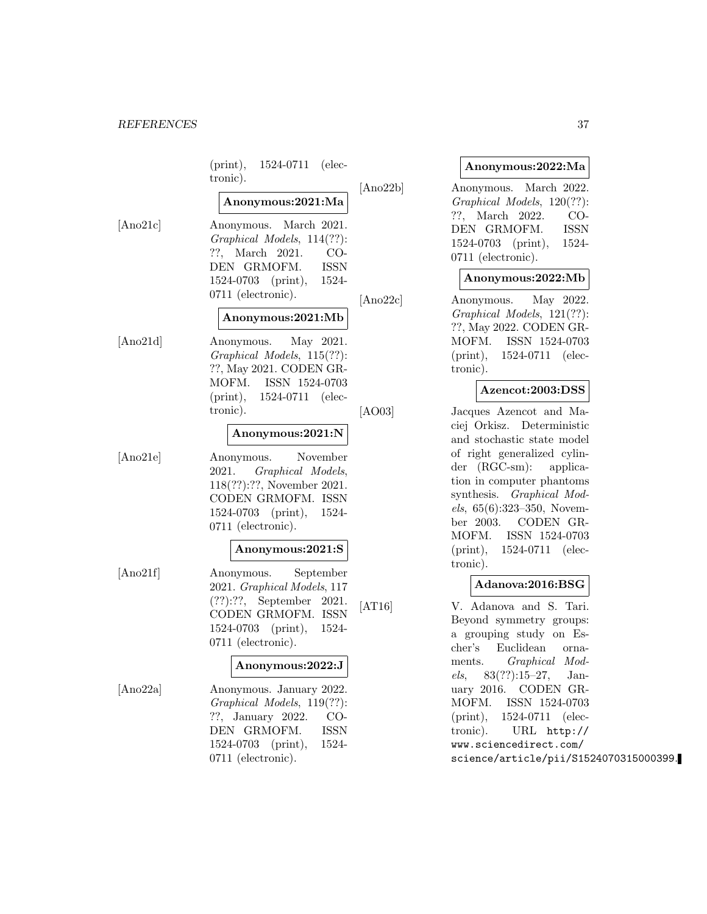|          | $(print), 1524-0711$ (elec-<br>tronic).<br>[Ano22b]                                                                                                                                    |
|----------|----------------------------------------------------------------------------------------------------------------------------------------------------------------------------------------|
|          | Anonymous:2021:Ma                                                                                                                                                                      |
| [Ano21c] | Anonymous. March 2021.<br>Graphical Models, 114(??):<br>??, March 2021.<br>CO-<br>DEN GRMOFM.<br><b>ISSN</b><br>1524-0703 (print), 1524-<br>0711 (electronic).<br>[Ano22c]             |
|          | Anonymous:2021:Mb                                                                                                                                                                      |
| [Ano21d] | May 2021.<br>Anonymous.<br>Graphical Models, 115(??):<br>??, May 2021. CODEN GR-<br>MOFM. ISSN 1524-0703<br>$(print), 1524-0711$ (elec-<br>tronic).<br>[AO03]                          |
|          | Anonymous:2021:N                                                                                                                                                                       |
| [Ano21e] | November<br>Anonymous.<br>Graphical Models,<br>2021.<br>118(??):??, November 2021.<br>CODEN GRMOFM. ISSN<br>1524-0703 (print), 1524-<br>0711 (electronic).                             |
|          | Anonymous:2021:S                                                                                                                                                                       |
| [Ano21f] | Anonymous. September<br>2021. Graphical Models, 117<br>$(??):??$ , September 2021.<br>[AT16]<br>CODEN GRMOFM. ISSN<br>1524-0703 (print), 1524-<br>0711 (electronic).                   |
|          | Anonymous:2022:J                                                                                                                                                                       |
| [Ano22a] | Anonymous. January 2022.<br>Graphical Models, 119(??):<br>??, January 2022.<br>$CO-$<br>GRMOFM.<br><b>ISSN</b><br>DEN<br>1524-0703<br>$(\text{print}),$<br>1524-<br>0711 (electronic). |

#### **Anonymous:2022:Ma**

| [Ano22b] | Anonymous. March 2022.     |       |
|----------|----------------------------|-------|
|          | Graphical Models, 120(??): |       |
|          | ??, March 2022. CO-        |       |
|          | DEN GRMOFM.                | ISSN  |
|          | $1524-0703$ (print),       | 1524- |
|          | $0711$ (electronic).       |       |

### **Anonymous:2022:Mb**

Anonymous. May 2022. Graphical Models, 121(??): ??, May 2022. CODEN GR-MOFM. ISSN 1524-0703 (print), 1524-0711 (electronic).

#### **Azencot:2003:DSS**

Jacques Azencot and Maciej Orkisz. Deterministic and stochastic state model of right generalized cylinder (RGC-sm): application in computer phantoms synthesis. Graphical Models, 65(6):323–350, November 2003. CODEN GR-MOFM. ISSN 1524-0703 (print), 1524-0711 (electronic).

#### **Adanova:2016:BSG**

V. Adanova and S. Tari. Beyond symmetry groups: a grouping study on Escher's Euclidean ornaments. Graphical Models, 83(??):15–27, January 2016. CODEN GR-MOFM. ISSN 1524-0703 (print), 1524-0711 (electronic). URL http:// www.sciencedirect.com/ science/article/pii/S1524070315000399.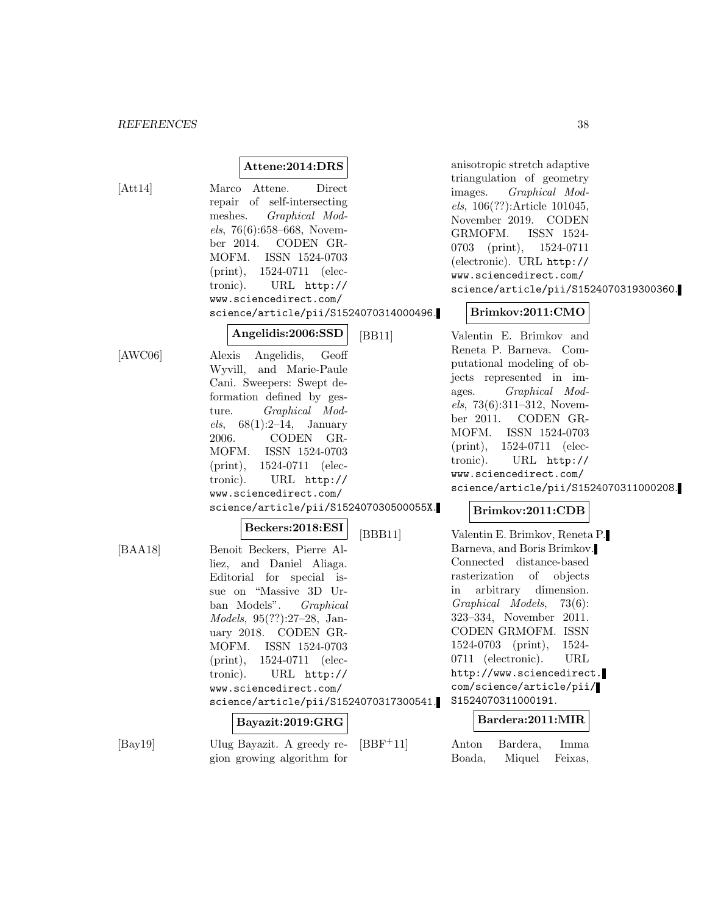# **Attene:2014:DRS**

[Att14] Marco Attene. Direct repair of self-intersecting meshes. Graphical Models, 76(6):658–668, November 2014. CODEN GR-MOFM. ISSN 1524-0703 (print), 1524-0711 (electronic). URL http:// www.sciencedirect.com/ science/article/pii/S1524070314000496.

**Angelidis:2006:SSD**

 $[AWC06]$ 

|                                        | L/LL |
|----------------------------------------|------|
| Alexis Angelidis, Geoff                |      |
| Wyvill, and Marie-Paule                |      |
| Cani. Sweepers: Swept de-              |      |
| formation defined by ges-              |      |
| ture. Graphical Mod-                   |      |
| <i>els</i> , $68(1):2-14$ , January    |      |
| 2006. CODEN GR-                        |      |
| MOFM. ISSN 1524-0703                   |      |
| (print), 1524-0711 (elec-              |      |
| tronic). URL http://                   |      |
| www.sciencedirect.com/                 |      |
| science/article/pii/S152407030500055X. |      |
| $\sim$ $\sim$ $\sim$ $\sim$            |      |

### **Beckers:2018:ESI**

[BAA18] Benoit Beckers, Pierre Alliez, and Daniel Aliaga. Editorial for special issue on "Massive 3D Urban Models". Graphical Models, 95(??):27–28, January 2018. CODEN GR-MOFM. ISSN 1524-0703 (print), 1524-0711 (electronic). URL http:// www.sciencedirect.com/ science/article/pii/S1524070317300541.

#### **Bayazit:2019:GRG**

[Bay19] Ulug Bayazit. A greedy region growing algorithm for  $[BBF+11]$  anisotropic stretch adaptive triangulation of geometry images. Graphical Models, 106(??):Article 101045, November 2019. CODEN GRMOFM. ISSN 1524- 0703 (print), 1524-0711 (electronic). URL http:// www.sciencedirect.com/ science/article/pii/S1524070319300360.

### **Brimkov:2011:CMO**

Valentin E. Brimkov and Reneta P. Barneva. Computational modeling of objects represented in images. Graphical Models, 73(6):311–312, November 2011. CODEN GR-MOFM. ISSN 1524-0703 (print), 1524-0711 (electronic). URL http:// www.sciencedirect.com/ science/article/pii/S1524070311000208.

# **Brimkov:2011:CDB**

[BBB11] Valentin E. Brimkov, Reneta P. Barneva, and Boris Brimkov. Connected distance-based rasterization of objects in arbitrary dimension. Graphical Models, 73(6): 323–334, November 2011. CODEN GRMOFM. ISSN 1524-0703 (print), 1524- 0711 (electronic). URL http://www.sciencedirect. com/science/article/pii/ S1524070311000191.

# **Bardera:2011:MIR**

| $\mathop{\rm Anton}\nolimits$ | Bardera, | Imma    |
|-------------------------------|----------|---------|
| Boada,                        | Miquel   | Feixas, |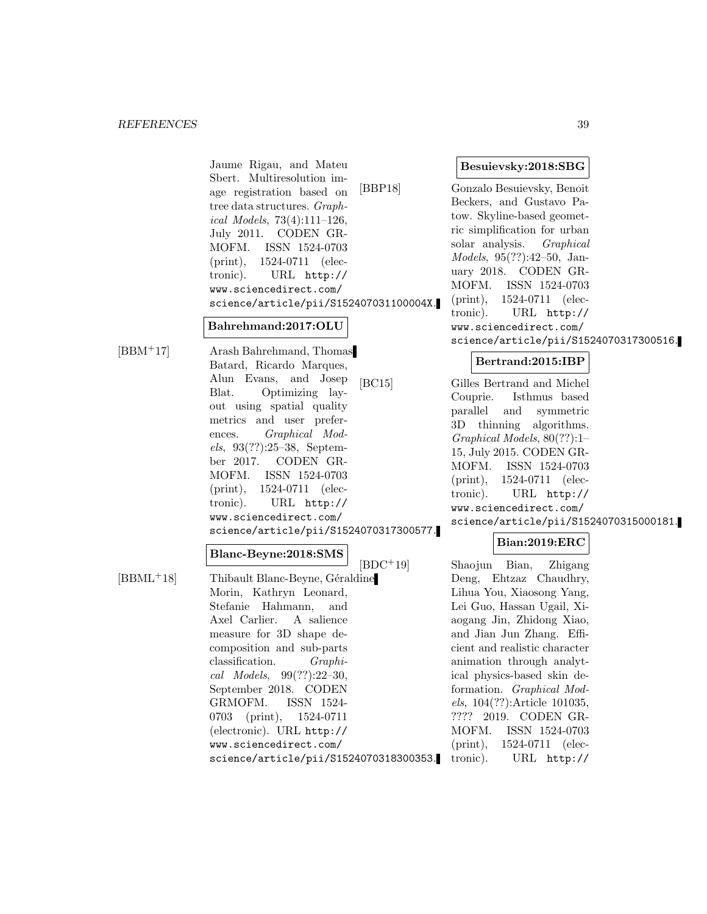Jaume Rigau, and Mateu Sbert. Multiresolution image registration based on tree data structures. Graphical Models, 73(4):111–126, July 2011. CODEN GR-MOFM. ISSN 1524-0703 (print), 1524-0711 (electronic). URL http:// www.sciencedirect.com/ science/article/pii/S152407031100004X.

### **Bahrehmand:2017:OLU**

[BBM<sup>+</sup>17] Arash Bahrehmand, Thomas Batard, Ricardo Marques, Alun Evans, and Josep Blat. Optimizing layout using spatial quality metrics and user preferences. Graphical Models, 93(??):25–38, September 2017. CODEN GR-MOFM. ISSN 1524-0703 (print), 1524-0711 (electronic). URL http:// www.sciencedirect.com/ science/article/pii/S1524070317300577.

#### **Blanc-Beyne:2018:SMS**

 $[BBML<sup>+</sup>18]$  Thibault Blanc-Beyne, Géraldine Morin, Kathryn Leonard, Stefanie Hahmann, and Axel Carlier. A salience measure for 3D shape decomposition and sub-parts classification. Graphical Models, 99(??):22–30, September 2018. CODEN GRMOFM. ISSN 1524- 0703 (print), 1524-0711 (electronic). URL http:// www.sciencedirect.com/ science/article/pii/S1524070318300353.

#### **Besuievsky:2018:SBG**

[BBP18] Gonzalo Besuievsky, Benoit Beckers, and Gustavo Patow. Skyline-based geometric simplification for urban solar analysis. Graphical Models, 95(??):42–50, January 2018. CODEN GR-MOFM. ISSN 1524-0703 (print), 1524-0711 (electronic). URL http:// www.sciencedirect.com/ science/article/pii/S1524070317300516.

#### **Bertrand:2015:IBP**

[BC15] Gilles Bertrand and Michel Couprie. Isthmus based parallel and symmetric 3D thinning algorithms. Graphical Models, 80(??):1– 15, July 2015. CODEN GR-MOFM. ISSN 1524-0703 (print), 1524-0711 (electronic). URL http:// www.sciencedirect.com/ science/article/pii/S1524070315000181.

# **Bian:2019:ERC**

[BDC<sup>+</sup>19] Shaojun Bian, Zhigang Deng, Ehtzaz Chaudhry, Lihua You, Xiaosong Yang, Lei Guo, Hassan Ugail, Xiaogang Jin, Zhidong Xiao, and Jian Jun Zhang. Efficient and realistic character animation through analytical physics-based skin deformation. Graphical Models, 104(??):Article 101035, ???? 2019. CODEN GR-MOFM. ISSN 1524-0703 (print), 1524-0711 (electronic). URL http://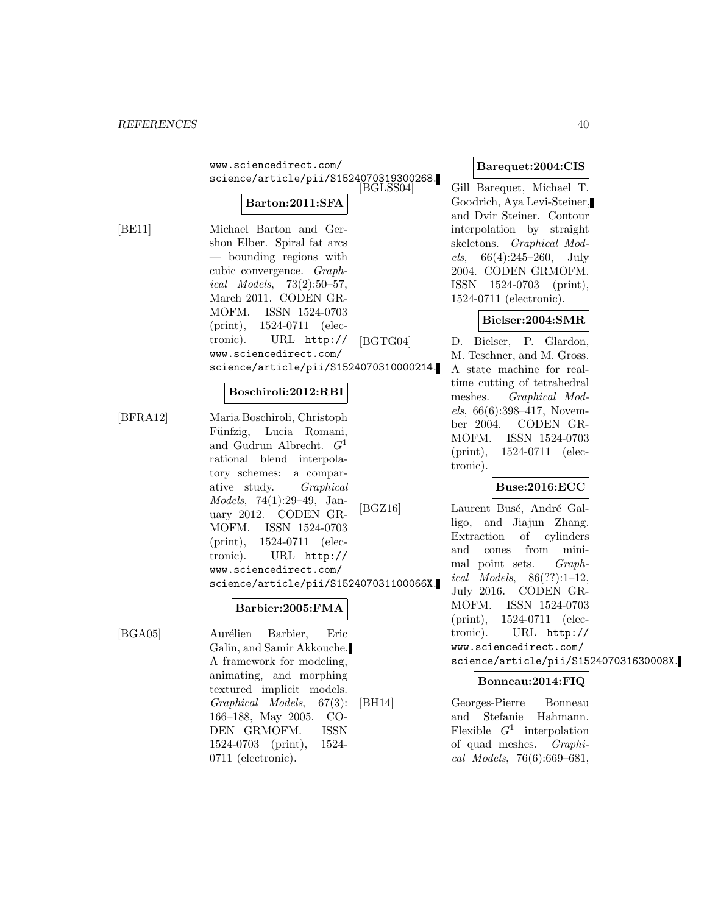www.sciencedirect.com/ science/article/pii/S1524070319300268.

# **Barton:2011:SFA**

[BE11] Michael Barton and Gershon Elber. Spiral fat arcs — bounding regions with cubic convergence. Graphical Models, 73(2):50–57, March 2011. CODEN GR-MOFM. ISSN 1524-0703 (print), 1524-0711 (electronic). URL http:// www.sciencedirect.com/ science/article/pii/S1524070310000214.

#### **Boschiroli:2012:RBI**

[BFRA12] Maria Boschiroli, Christoph Fünfzig, Lucia Romani, and Gudrun Albrecht.  $G<sup>1</sup>$ rational blend interpolatory schemes: a comparative study. Graphical Models, 74(1):29–49, January 2012. CODEN GR-MOFM. ISSN 1524-0703 (print), 1524-0711 (electronic). URL http:// www.sciencedirect.com/ science/article/pii/S152407031100066X.

#### **Barbier:2005:FMA**

[BGA05] Aurélien Barbier, Eric Galin, and Samir Akkouche. A framework for modeling, animating, and morphing textured implicit models. Graphical Models, 67(3): 166–188, May 2005. CO-DEN GRMOFM. ISSN 1524-0703 (print), 1524- 0711 (electronic).

**Barequet:2004:CIS**

Gill Barequet, Michael T. Goodrich, Aya Levi-Steiner, and Dvir Steiner. Contour interpolation by straight skeletons. Graphical Mod*els*,  $66(4):245-260$ , July 2004. CODEN GRMOFM. ISSN 1524-0703 (print), 1524-0711 (electronic).

### **Bielser:2004:SMR**

[BGTG04] D. Bielser, P. Glardon, M. Teschner, and M. Gross. A state machine for realtime cutting of tetrahedral meshes. Graphical Mod $els, 66(6):398-417, Novem$ ber 2004. CODEN GR-MOFM. ISSN 1524-0703 (print), 1524-0711 (electronic).

# **Buse:2016:ECC**

[BGZ16] Laurent Busé, André Galligo, and Jiajun Zhang. Extraction of cylinders and cones from minimal point sets. Graphical Models,  $86(??):1-12$ , July 2016. CODEN GR-MOFM. ISSN 1524-0703 (print), 1524-0711 (electronic). URL http:// www.sciencedirect.com/ science/article/pii/S152407031630008X.

# **Bonneau:2014:FIQ**

[BH14] Georges-Pierre Bonneau and Stefanie Hahmann. Flexible  $G^1$  interpolation of quad meshes. Graphical Models, 76(6):669–681,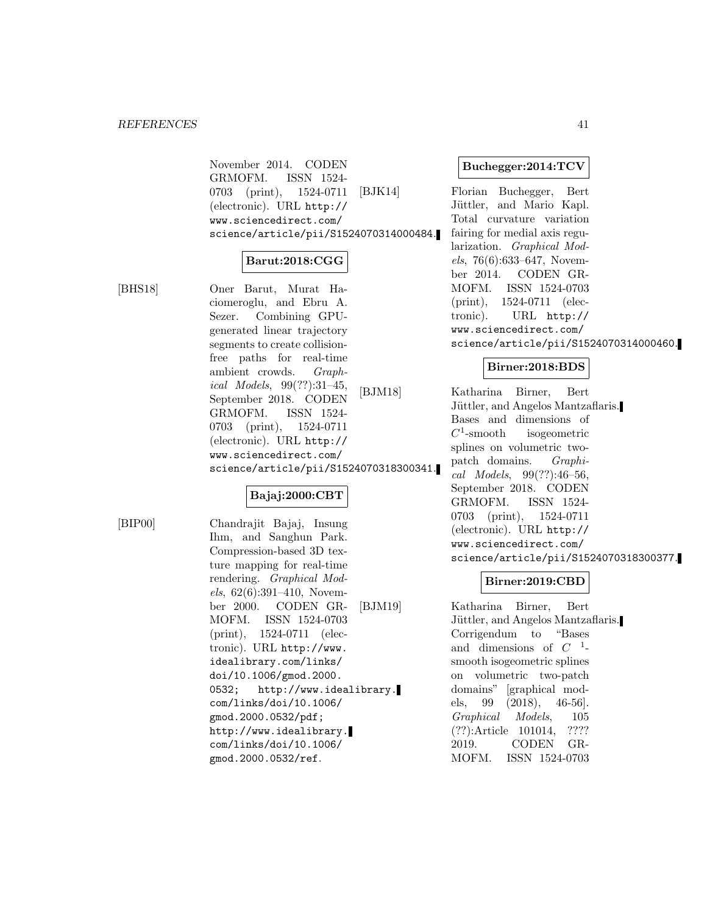November 2014. CODEN GRMOFM. ISSN 1524- 0703 (print), 1524-0711 (electronic). URL http:// www.sciencedirect.com/ science/article/pii/S1524070314000484.

# **Barut:2018:CGG**

[BHS18] Oner Barut, Murat Haciomeroglu, and Ebru A. Sezer. Combining GPUgenerated linear trajectory segments to create collisionfree paths for real-time ambient crowds. Graphical Models, 99(??):31–45, September 2018. CODEN GRMOFM. ISSN 1524- 0703 (print), 1524-0711 (electronic). URL http:// www.sciencedirect.com/ science/article/pii/S1524070318300341.

# **Bajaj:2000:CBT**

[BIP00] Chandrajit Bajaj, Insung Ihm, and Sanghun Park. Compression-based 3D texture mapping for real-time rendering. Graphical Models, 62(6):391–410, November 2000. CODEN GR-MOFM. ISSN 1524-0703 (print), 1524-0711 (electronic). URL http://www. idealibrary.com/links/ doi/10.1006/gmod.2000. 0532; http://www.idealibrary. com/links/doi/10.1006/ gmod.2000.0532/pdf; http://www.idealibrary. com/links/doi/10.1006/ gmod.2000.0532/ref.

#### **Buchegger:2014:TCV**

[BJK14] Florian Buchegger, Bert Jüttler, and Mario Kapl. Total curvature variation fairing for medial axis regularization. Graphical Models, 76(6):633–647, November 2014. CODEN GR-MOFM. ISSN 1524-0703 (print), 1524-0711 (electronic). URL http:// www.sciencedirect.com/ science/article/pii/S1524070314000460.

### **Birner:2018:BDS**

[BJM18] Katharina Birner, Bert Jüttler, and Angelos Mantzaflaris. Bases and dimensions of  $C^1$ -smooth isogeometric splines on volumetric twopatch domains. Graphical Models, 99(??):46–56, September 2018. CODEN GRMOFM. ISSN 1524- 0703 (print), 1524-0711 (electronic). URL http:// www.sciencedirect.com/ science/article/pii/S1524070318300377.

# **Birner:2019:CBD**

[BJM19] Katharina Birner, Bert Jüttler, and Angelos Mantzaflaris. Corrigendum to "Bases and dimensions of  $C^{-1}$ smooth isogeometric splines on volumetric two-patch domains" [graphical models, 99 (2018), 46-56]. Graphical Models, 105 (??):Article 101014, ???? 2019. CODEN GR-MOFM. ISSN 1524-0703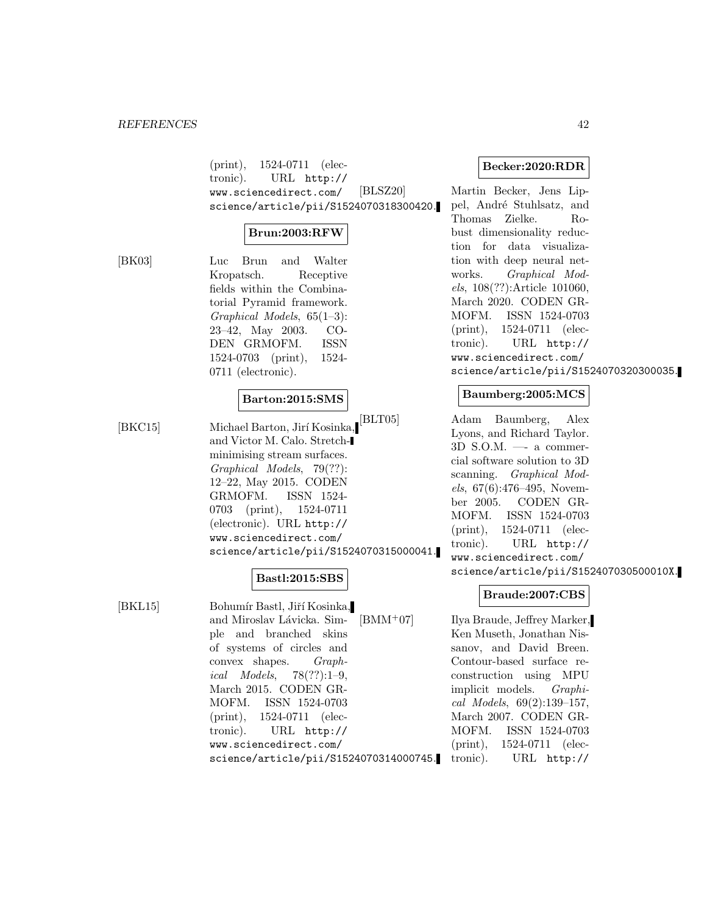(print), 1524-0711 (electronic). URL http:// www.sciencedirect.com/ science/article/pii/S1524070318300420.

# **Brun:2003:RFW**

[BK03] Luc Brun and Walter Kropatsch. Receptive fields within the Combinatorial Pyramid framework. Graphical Models, 65(1–3): 23–42, May 2003. CO-DEN GRMOFM. ISSN 1524-0703 (print), 1524- 0711 (electronic).

### **Barton:2015:SMS**

[BKC15] Michael Barton, Jirí Kosinka, and Victor M. Calo. Stretchminimising stream surfaces. Graphical Models, 79(??): 12–22, May 2015. CODEN GRMOFM. ISSN 1524- 0703 (print), 1524-0711 (electronic). URL http:// www.sciencedirect.com/ science/article/pii/S1524070315000041.

# **Bastl:2015:SBS**

[BKL15] Bohumír Bastl, Jiří Kosinka, and Miroslav Lávicka. Simple and branched skins of systems of circles and convex shapes. Graph*ical Models*,  $78(??):1-9$ , March 2015. CODEN GR-MOFM. ISSN 1524-0703 (print), 1524-0711 (electronic). URL http:// www.sciencedirect.com/ science/article/pii/S1524070314000745.

### **Becker:2020:RDR**

[BLSZ20] Martin Becker, Jens Lippel, Andr´e Stuhlsatz, and Thomas Zielke. Robust dimensionality reduction for data visualization with deep neural networks. Graphical Models, 108(??):Article 101060, March 2020. CODEN GR-MOFM. ISSN 1524-0703 (print), 1524-0711 (electronic). URL http:// www.sciencedirect.com/ science/article/pii/S1524070320300035.

# **Baumberg:2005:MCS**

[BLT05] Adam Baumberg, Alex Lyons, and Richard Taylor. 3D S.O.M. —- a commercial software solution to 3D scanning. Graphical Models, 67(6):476–495, November 2005. CODEN GR-MOFM. ISSN 1524-0703 (print), 1524-0711 (electronic). URL http:// www.sciencedirect.com/ science/article/pii/S152407030500010X.

#### **Braude:2007:CBS**

[BMM<sup>+</sup>07] Ilya Braude, Jeffrey Marker, Ken Museth, Jonathan Nissanov, and David Breen. Contour-based surface reconstruction using MPU implicit models. Graphical Models, 69(2):139–157, March 2007. CODEN GR-MOFM. ISSN 1524-0703 (print), 1524-0711 (electronic). URL http://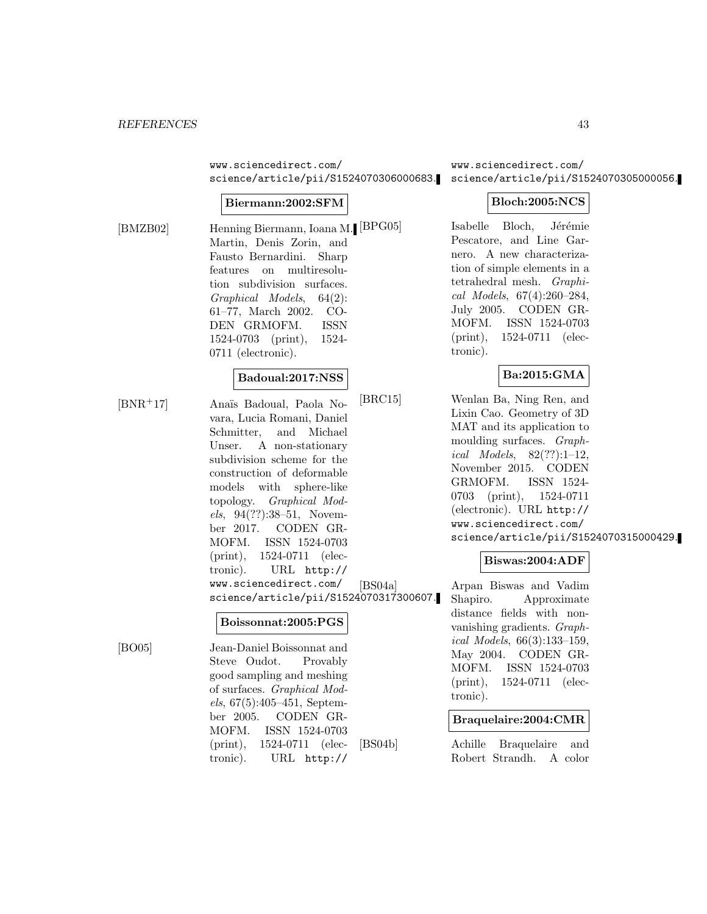www.sciencedirect.com/ science/article/pii/S1524070306000683.

#### **Biermann:2002:SFM**

[BMZB02] Henning Biermann, Ioana M. Martin, Denis Zorin, and Fausto Bernardini. Sharp features on multiresolution subdivision surfaces. Graphical Models, 64(2): 61–77, March 2002. CO-DEN GRMOFM. ISSN 1524-0703 (print), 1524- 0711 (electronic).

#### **Badoual:2017:NSS**

[BNR<sup>+</sup>17] Ana¨ıs Badoual, Paola Novara, Lucia Romani, Daniel Schmitter, and Michael Unser. A non-stationary subdivision scheme for the construction of deformable models with sphere-like topology. Graphical Models, 94(??):38–51, November 2017. CODEN GR-MOFM. ISSN 1524-0703 (print), 1524-0711 (electronic). URL http:// www.sciencedirect.com/ science/article/pii/S1524070317300607.

#### **Boissonnat:2005:PGS**

[BO05] Jean-Daniel Boissonnat and Steve Oudot. Provably good sampling and meshing of surfaces. Graphical Models, 67(5):405–451, September 2005. CODEN GR-MOFM. ISSN 1524-0703 (print), 1524-0711 (electronic). URL http://

www.sciencedirect.com/ science/article/pii/S1524070305000056.

### **Bloch:2005:NCS**

Isabelle Bloch, Jérémie Pescatore, and Line Garnero. A new characterization of simple elements in a tetrahedral mesh. Graphical Models, 67(4):260–284, July 2005. CODEN GR-MOFM. ISSN 1524-0703 (print), 1524-0711 (electronic).

#### **Ba:2015:GMA**

[BRC15] Wenlan Ba, Ning Ren, and Lixin Cao. Geometry of 3D MAT and its application to moulding surfaces. Graphical Models,  $82(??):1-12$ , November 2015. CODEN GRMOFM. ISSN 1524- 0703 (print), 1524-0711 (electronic). URL http:// www.sciencedirect.com/ science/article/pii/S1524070315000429.

#### **Biswas:2004:ADF**

[BS04a] Arpan Biswas and Vadim Shapiro. Approximate distance fields with nonvanishing gradients. Graphical Models, 66(3):133–159, May 2004. CODEN GR-MOFM. ISSN 1524-0703 (print), 1524-0711 (electronic).

#### **Braquelaire:2004:CMR**

[BS04b] Achille Braquelaire and Robert Strandh. A color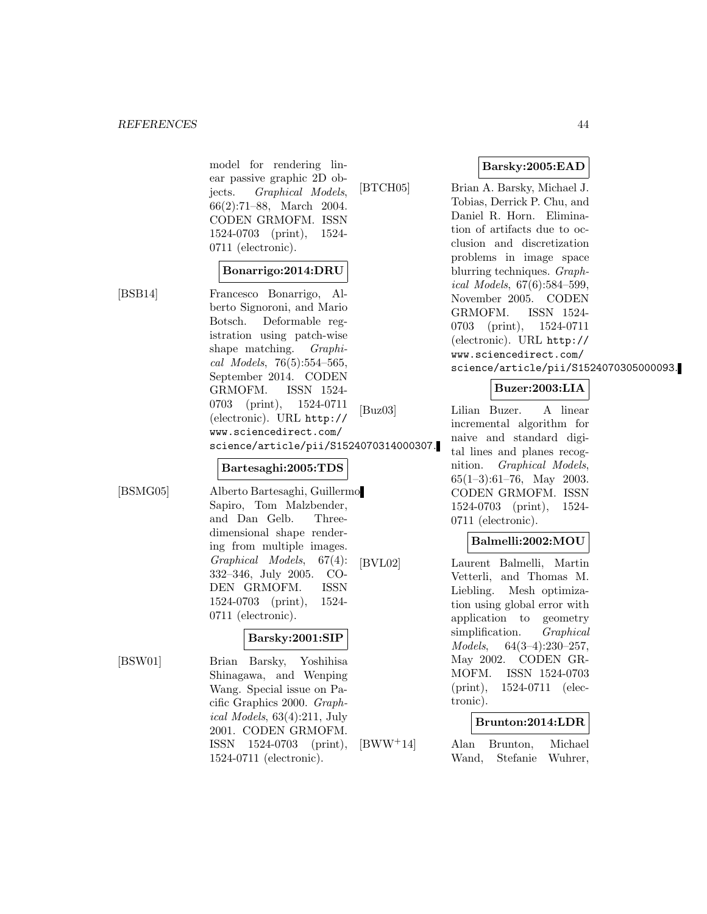model for rendering linear passive graphic 2D objects. Graphical Models, 66(2):71–88, March 2004. CODEN GRMOFM. ISSN 1524-0703 (print), 1524- 0711 (electronic).

#### **Bonarrigo:2014:DRU**

[BSB14] Francesco Bonarrigo, Alberto Signoroni, and Mario Botsch. Deformable registration using patch-wise shape matching. *Graphi*cal Models, 76(5):554–565, September 2014. CODEN GRMOFM. ISSN 1524- 0703 (print), 1524-0711 (electronic). URL http:// www.sciencedirect.com/ science/article/pii/S1524070314000307.

#### **Bartesaghi:2005:TDS**

[BSMG05] Alberto Bartesaghi, Guillermo Sapiro, Tom Malzbender, and Dan Gelb. Threedimensional shape rendering from multiple images. Graphical Models, 67(4): 332–346, July 2005. CO-DEN GRMOFM. ISSN 1524-0703 (print), 1524- 0711 (electronic).

# **Barsky:2001:SIP**

[BSW01] Brian Barsky, Yoshihisa Shinagawa, and Wenping Wang. Special issue on Pacific Graphics 2000. Graphical Models, 63(4):211, July 2001. CODEN GRMOFM. ISSN 1524-0703 (print), 1524-0711 (electronic).

**Barsky:2005:EAD**

[BTCH05] Brian A. Barsky, Michael J. Tobias, Derrick P. Chu, and Daniel R. Horn. Elimination of artifacts due to occlusion and discretization problems in image space blurring techniques. Graphical Models, 67(6):584–599, November 2005. CODEN GRMOFM. ISSN 1524- 0703 (print), 1524-0711 (electronic). URL http:// www.sciencedirect.com/ science/article/pii/S1524070305000093.

# **Buzer:2003:LIA**

[Buz03] Lilian Buzer. A linear incremental algorithm for naive and standard digital lines and planes recognition. Graphical Models, 65(1–3):61–76, May 2003. CODEN GRMOFM. ISSN 1524-0703 (print), 1524- 0711 (electronic).

# **Balmelli:2002:MOU**

[BVL02] Laurent Balmelli, Martin Vetterli, and Thomas M. Liebling. Mesh optimization using global error with application to geometry simplification. *Graphical* Models, 64(3–4):230–257, May 2002. CODEN GR-MOFM. ISSN 1524-0703 (print), 1524-0711 (electronic).

# **Brunton:2014:LDR**

[BWW<sup>+</sup>14] Alan Brunton, Michael Wand, Stefanie Wuhrer,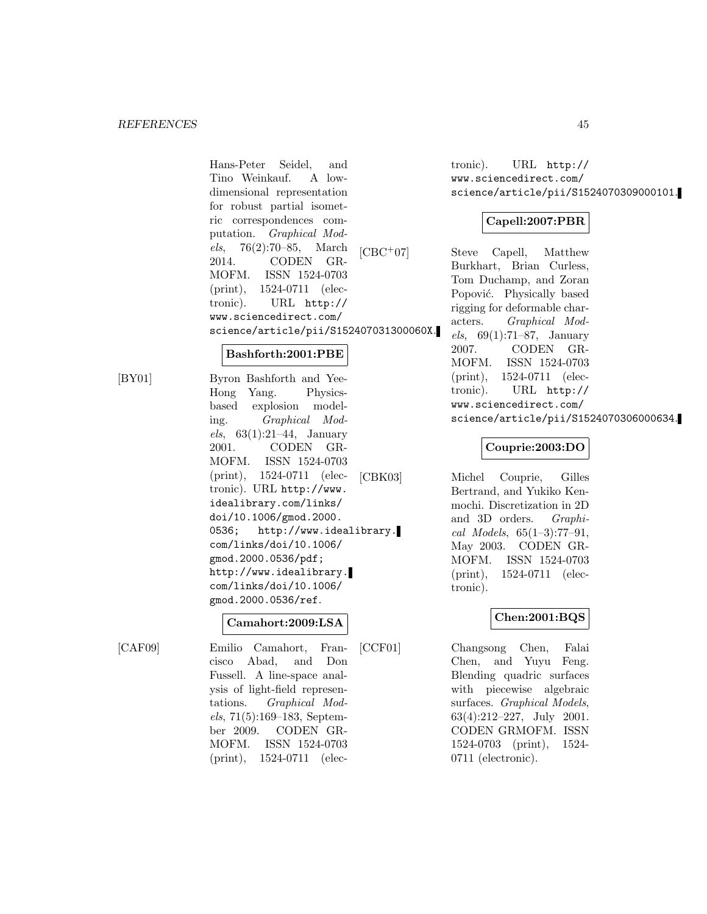Hans-Peter Seidel, and Tino Weinkauf. A lowdimensional representation for robust partial isometric correspondences computation. Graphical Models, 76(2):70–85, March 2014. CODEN GR-MOFM. ISSN 1524-0703 (print), 1524-0711 (electronic). URL http:// www.sciencedirect.com/ science/article/pii/S152407031300060X.

#### **Bashforth:2001:PBE**

[BY01] Byron Bashforth and Yee-Hong Yang. Physicsbased explosion modeling. Graphical Models,  $63(1):21-44$ , January 2001. CODEN GR-MOFM. ISSN 1524-0703 (print), 1524-0711 (electronic). URL http://www. idealibrary.com/links/ doi/10.1006/gmod.2000. 0536; http://www.idealibrary. com/links/doi/10.1006/ gmod.2000.0536/pdf; http://www.idealibrary. com/links/doi/10.1006/ gmod.2000.0536/ref.

#### **Camahort:2009:LSA**

[CAF09] Emilio Camahort, Francisco Abad, and Don Fussell. A line-space analysis of light-field representations. Graphical Models, 71(5):169–183, September 2009. CODEN GR-MOFM. ISSN 1524-0703 (print), 1524-0711 (electronic). URL http:// www.sciencedirect.com/ science/article/pii/S1524070309000101.

# **Capell:2007:PBR**

[CBC<sup>+</sup>07] Steve Capell, Matthew Burkhart, Brian Curless, Tom Duchamp, and Zoran Popović. Physically based rigging for deformable characters. Graphical Models, 69(1):71–87, January 2007. CODEN GR-MOFM. ISSN 1524-0703 (print), 1524-0711 (electronic). URL http:// www.sciencedirect.com/ science/article/pii/S1524070306000634.

### **Couprie:2003:DO**

[CBK03] Michel Couprie, Gilles Bertrand, and Yukiko Kenmochi. Discretization in 2D and 3D orders. Graphical Models,  $65(1-3)$ :77-91, May 2003. CODEN GR-MOFM. ISSN 1524-0703 (print), 1524-0711 (electronic).

# **Chen:2001:BQS**

[CCF01] Changsong Chen, Falai Chen, and Yuyu Feng. Blending quadric surfaces with piecewise algebraic surfaces. Graphical Models, 63(4):212–227, July 2001. CODEN GRMOFM. ISSN 1524-0703 (print), 1524- 0711 (electronic).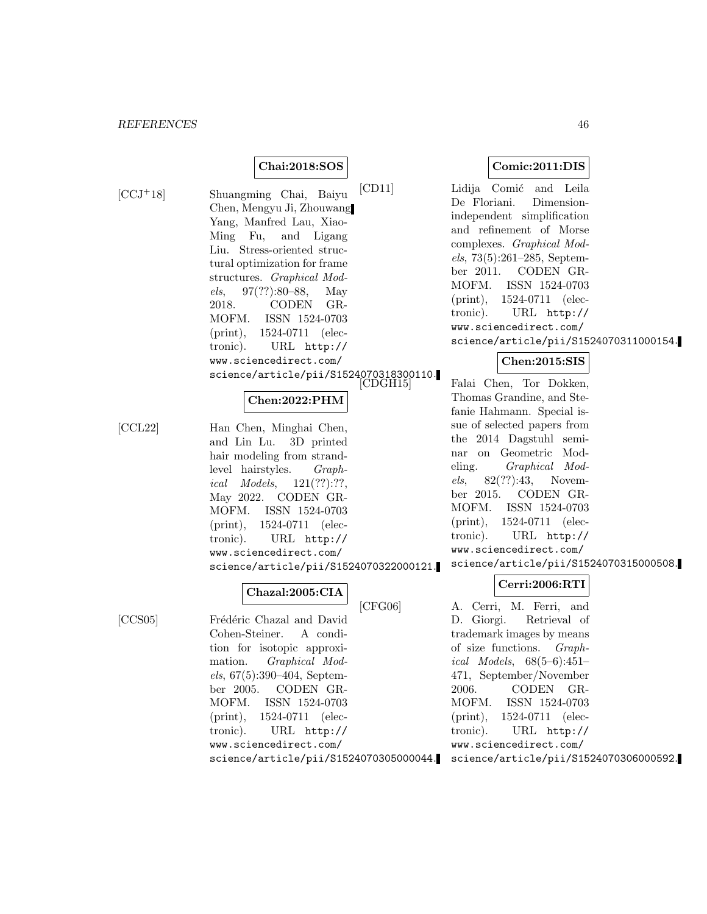#### **Chai:2018:SOS**

[CCJ<sup>+</sup>18] Shuangming Chai, Baiyu Chen, Mengyu Ji, Zhouwang Yang, Manfred Lau, Xiao-Ming Fu, and Ligang Liu. Stress-oriented structural optimization for frame structures. Graphical Models, 97(??):80–88, May 2018. CODEN GR-MOFM. ISSN 1524-0703 (print), 1524-0711 (electronic). URL http:// www.sciencedirect.com/ science/article/pii/S1524070318300110.

### **Chen:2022:PHM**

[CCL22] Han Chen, Minghai Chen, and Lin Lu. 3D printed hair modeling from strandlevel hairstyles. Graphical Models, 121(??):??, May 2022. CODEN GR-MOFM. ISSN 1524-0703 (print), 1524-0711 (electronic). URL http:// www.sciencedirect.com/ science/article/pii/S1524070322000121.

#### **Chazal:2005:CIA**

[CCS05] Frédéric Chazal and David Cohen-Steiner. A condition for isotopic approximation. Graphical Models, 67(5):390–404, September 2005. CODEN GR-MOFM. ISSN 1524-0703 (print), 1524-0711 (electronic). URL http:// www.sciencedirect.com/ science/article/pii/S1524070305000044.

#### **Comic:2011:DIS**

[CD11] Lidija Comić and Leila De Floriani. Dimensionindependent simplification and refinement of Morse complexes. Graphical Models, 73(5):261–285, September 2011. CODEN GR-MOFM. ISSN 1524-0703 (print), 1524-0711 (electronic). URL http:// www.sciencedirect.com/ science/article/pii/S1524070311000154.

#### **Chen:2015:SIS**

Falai Chen, Tor Dokken, Thomas Grandine, and Stefanie Hahmann. Special issue of selected papers from the 2014 Dagstuhl seminar on Geometric Modeling. Graphical Models, 82(??):43, November 2015. CODEN GR-MOFM. ISSN 1524-0703 (print), 1524-0711 (electronic). URL http:// www.sciencedirect.com/ science/article/pii/S1524070315000508.

# **Cerri:2006:RTI**

[CFG06] A. Cerri, M. Ferri, and D. Giorgi. Retrieval of trademark images by means of size functions. Graphical Models, 68(5–6):451– 471, September/November 2006. CODEN GR-MOFM. ISSN 1524-0703 (print), 1524-0711 (electronic). URL http:// www.sciencedirect.com/ science/article/pii/S1524070306000592.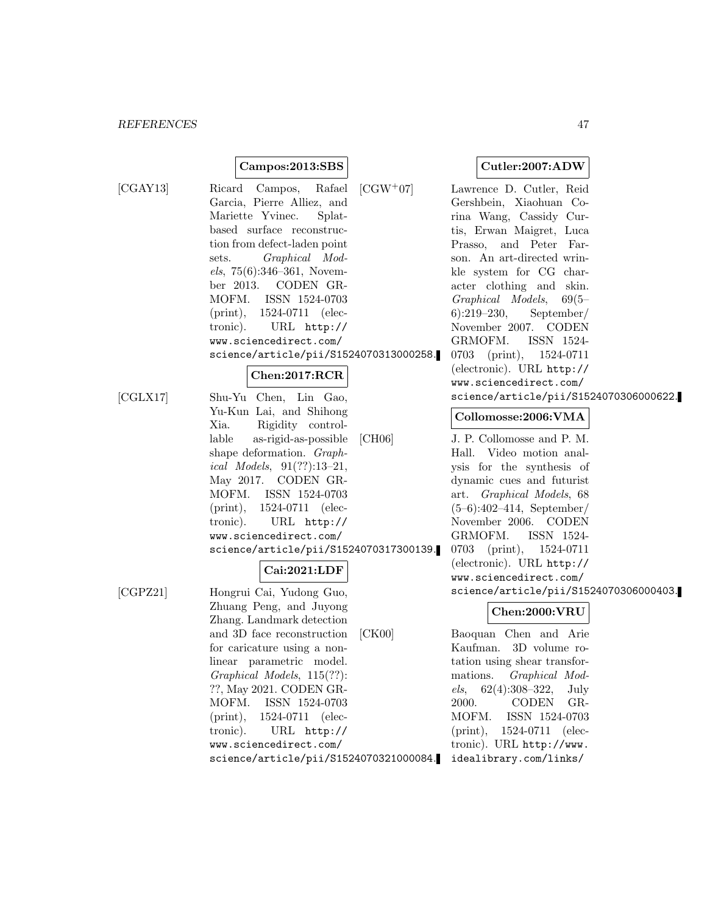#### **Campos:2013:SBS**

- [CGAY13] Ricard Campos, Rafael Garcia, Pierre Alliez, and Mariette Yvinec. Splatbased surface reconstruction from defect-laden point sets. Graphical Models, 75(6):346–361, November 2013. CODEN GR-MOFM. ISSN 1524-0703 (print), 1524-0711 (electronic). URL http:// www.sciencedirect.com/ science/article/pii/S1524070313000258. **Chen:2017:RCR**
- [CGLX17] Shu-Yu Chen, Lin Gao, Yu-Kun Lai, and Shihong Xia. Rigidity controllable as-rigid-as-possible shape deformation. Graphical Models, 91(??):13–21, May 2017. CODEN GR-MOFM. ISSN 1524-0703 (print), 1524-0711 (electronic). URL http:// www.sciencedirect.com/ science/article/pii/S1524070317300139.

# **Cai:2021:LDF**

[CGPZ21] Hongrui Cai, Yudong Guo, Zhuang Peng, and Juyong Zhang. Landmark detection and 3D face reconstruction for caricature using a nonlinear parametric model. Graphical Models, 115(??): ??, May 2021. CODEN GR-MOFM. ISSN 1524-0703 (print), 1524-0711 (electronic). URL http:// www.sciencedirect.com/ science/article/pii/S1524070321000084. **Cutler:2007:ADW**

[CGW<sup>+</sup>07] Lawrence D. Cutler, Reid Gershbein, Xiaohuan Corina Wang, Cassidy Curtis, Erwan Maigret, Luca Prasso, and Peter Farson. An art-directed wrinkle system for CG character clothing and skin. Graphical Models, 69(5– 6):219–230, September/ November 2007. CODEN GRMOFM. ISSN 1524- 0703 (print), 1524-0711 (electronic). URL http:// www.sciencedirect.com/ science/article/pii/S1524070306000622.

# **Collomosse:2006:VMA**

[CH06] J. P. Collomosse and P. M. Hall. Video motion analysis for the synthesis of dynamic cues and futurist art. Graphical Models, 68 (5–6):402–414, September/ November 2006. CODEN GRMOFM. ISSN 1524- 0703 (print), 1524-0711 (electronic). URL http:// www.sciencedirect.com/ science/article/pii/S1524070306000403.

#### **Chen:2000:VRU**

[CK00] Baoquan Chen and Arie Kaufman. 3D volume rotation using shear transformations. Graphical Models,  $62(4):308-322$ , July 2000. CODEN GR-MOFM. ISSN 1524-0703 (print), 1524-0711 (electronic). URL http://www. idealibrary.com/links/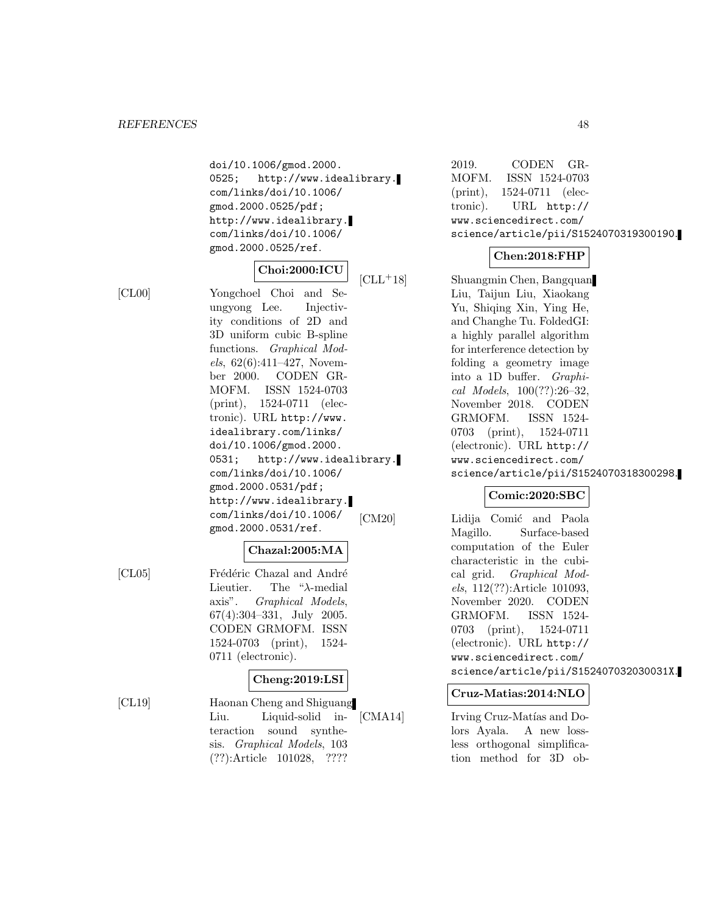doi/10.1006/gmod.2000. 0525; http://www.idealibrary. com/links/doi/10.1006/ gmod.2000.0525/pdf; http://www.idealibrary. com/links/doi/10.1006/ gmod.2000.0525/ref.

# **Choi:2000:ICU**

[CL00] Yongchoel Choi and Seungyong Lee. Injectivity conditions of 2D and 3D uniform cubic B-spline functions. Graphical Mod $els, 62(6):411-427, November$ ber 2000. CODEN GR-MOFM. ISSN 1524-0703 (print), 1524-0711 (electronic). URL http://www. idealibrary.com/links/ doi/10.1006/gmod.2000. 0531; http://www.idealibrary. com/links/doi/10.1006/ gmod.2000.0531/pdf; http://www.idealibrary. com/links/doi/10.1006/ gmod.2000.0531/ref.

# **Chazal:2005:MA**

[CL05] Frédéric Chazal and André Lieutier. The "λ-medial axis". Graphical Models, 67(4):304–331, July 2005. CODEN GRMOFM. ISSN 1524-0703 (print), 1524- 0711 (electronic).

# **Cheng:2019:LSI**

[CL19] Haonan Cheng and Shiguang Liu. Liquid-solid interaction sound synthesis. Graphical Models, 103 (??):Article 101028, ????

2019. CODEN GR-MOFM. ISSN 1524-0703 (print), 1524-0711 (electronic). URL http:// www.sciencedirect.com/ science/article/pii/S1524070319300190.

# **Chen:2018:FHP**

[CLL<sup>+</sup>18] Shuangmin Chen, Bangquan Liu, Taijun Liu, Xiaokang Yu, Shiqing Xin, Ying He, and Changhe Tu. FoldedGI: a highly parallel algorithm for interference detection by folding a geometry image into a 1D buffer. Graphical Models, 100(??):26–32, November 2018. CODEN GRMOFM. ISSN 1524- 0703 (print), 1524-0711 (electronic). URL http:// www.sciencedirect.com/ science/article/pii/S1524070318300298.

# **Comic:2020:SBC**

[CM20] Lidija Comić and Paola Magillo. Surface-based computation of the Euler characteristic in the cubical grid. Graphical Models, 112(??):Article 101093, November 2020. CODEN GRMOFM. ISSN 1524- 0703 (print), 1524-0711 (electronic). URL http:// www.sciencedirect.com/ science/article/pii/S152407032030031X.

# **Cruz-Matias:2014:NLO**

[CMA14] Irving Cruz-Matías and Dolors Ayala. A new lossless orthogonal simplification method for 3D ob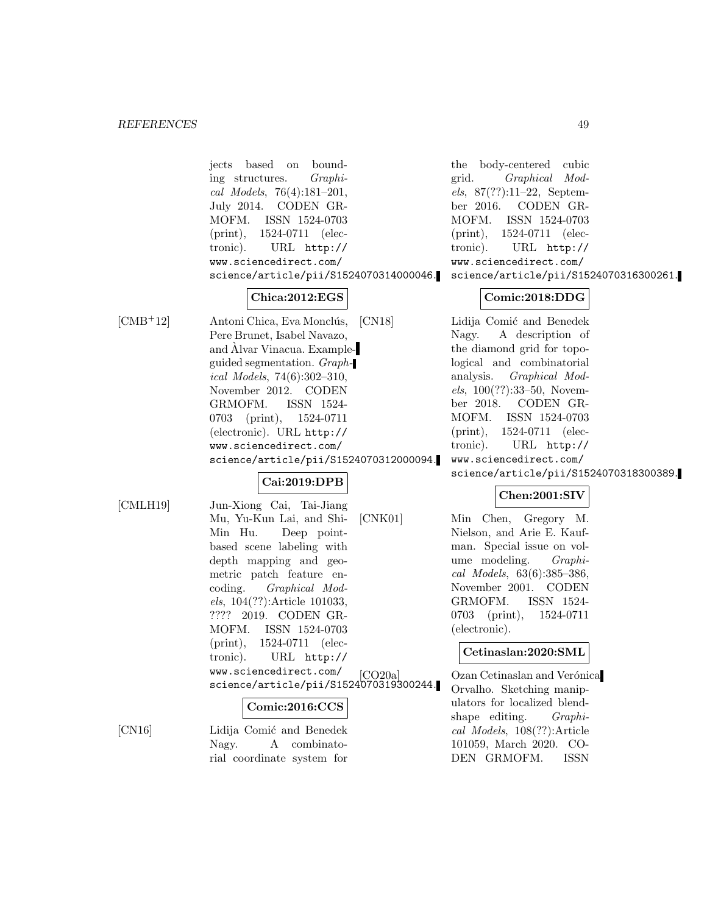jects based on bounding structures. Graphical Models, 76(4):181–201, July 2014. CODEN GR-MOFM. ISSN 1524-0703 (print), 1524-0711 (electronic). URL http:// www.sciencedirect.com/ science/article/pii/S1524070314000046.

# **Chica:2012:EGS**

[CMB<sup>+</sup>12] Antoni Chica, Eva Monclús, Pere Brunet, Isabel Navazo, and Alvar Vinacua. Exampleguided segmentation. Graphical Models, 74(6):302–310, November 2012. CODEN GRMOFM. ISSN 1524- 0703 (print), 1524-0711 (electronic). URL http:// www.sciencedirect.com/ science/article/pii/S1524070312000094.

# **Cai:2019:DPB**

[CMLH19] Jun-Xiong Cai, Tai-Jiang Mu, Yu-Kun Lai, and Shi-Min Hu. Deep pointbased scene labeling with depth mapping and geometric patch feature encoding. Graphical Models, 104(??):Article 101033, ???? 2019. CODEN GR-MOFM. ISSN 1524-0703 (print), 1524-0711 (electronic). URL http:// www.sciencedirect.com/ science/article/pii/S1524070319300244.

# **Comic:2016:CCS**

Nagy. A combinatorial coordinate system for

[CN16] Lidija Comić and Benedek

the body-centered cubic grid. Graphical Models, 87(??):11–22, September 2016. CODEN GR-MOFM. ISSN 1524-0703 (print), 1524-0711 (electronic). URL http:// www.sciencedirect.com/ science/article/pii/S1524070316300261.

### **Comic:2018:DDG**

[CN18] Lidija Comić and Benedek Nagy. A description of the diamond grid for topological and combinatorial analysis. Graphical Models, 100(??):33–50, November 2018. CODEN GR-MOFM. ISSN 1524-0703 (print), 1524-0711 (electronic). URL http:// www.sciencedirect.com/ science/article/pii/S1524070318300389.

# **Chen:2001:SIV**

[CNK01] Min Chen, Gregory M. Nielson, and Arie E. Kaufman. Special issue on volume modeling. Graphical Models, 63(6):385–386, November 2001. CODEN GRMOFM. ISSN 1524- 0703 (print), 1524-0711 (electronic).

#### **Cetinaslan:2020:SML**

[CO20a] Ozan Cetinaslan and Verónica Orvalho. Sketching manipulators for localized blendshape editing. *Graphi*cal Models, 108(??):Article 101059, March 2020. CO-DEN GRMOFM. ISSN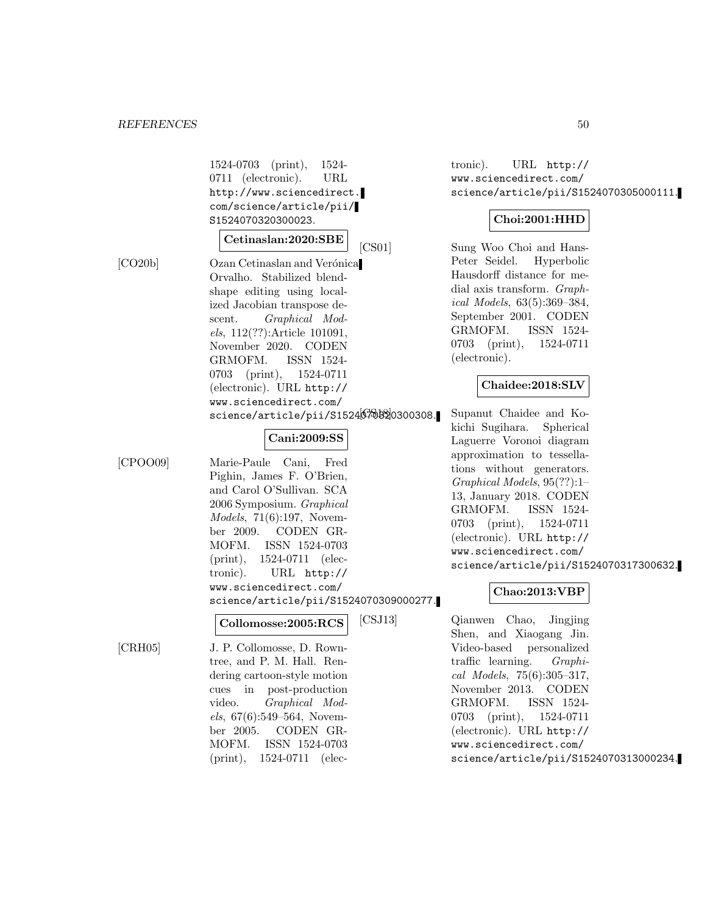1524-0703 (print), 1524- 0711 (electronic). URL http://www.sciencedirect. com/science/article/pii/ S1524070320300023.

#### **Cetinaslan:2020:SBE**

[CO20b] Ozan Cetinaslan and Verónica Orvalho. Stabilized blendshape editing using localized Jacobian transpose descent. Graphical Models, 112(??):Article 101091, November 2020. CODEN GRMOFM. ISSN 1524- 0703 (print), 1524-0711 (electronic). URL http:// www.sciencedirect.com/ science/article/pii/S152467030300308.

#### **Cani:2009:SS**

[CPOO09] Marie-Paule Cani, Fred Pighin, James F. O'Brien, and Carol O'Sullivan. SCA 2006 Symposium. Graphical Models, 71(6):197, November 2009. CODEN GR-MOFM. ISSN 1524-0703 (print), 1524-0711 (electronic). URL http:// www.sciencedirect.com/ science/article/pii/S1524070309000277.

# **Collomosse:2005:RCS**

[CRH05] J. P. Collomosse, D. Rowntree, and P. M. Hall. Rendering cartoon-style motion cues in post-production video. Graphical Models, 67(6):549–564, November 2005. CODEN GR-MOFM. ISSN 1524-0703 (print), 1524-0711 (electronic). URL http:// www.sciencedirect.com/ science/article/pii/S1524070305000111.

# **Choi:2001:HHD**

[CS01] Sung Woo Choi and Hans-Peter Seidel. Hyperbolic Hausdorff distance for medial axis transform. Graphical Models, 63(5):369–384, September 2001. CODEN GRMOFM. ISSN 1524- 0703 (print), 1524-0711 (electronic).

### **Chaidee:2018:SLV**

Supanut Chaidee and Kokichi Sugihara. Spherical Laguerre Voronoi diagram approximation to tessellations without generators. Graphical Models, 95(??):1– 13, January 2018. CODEN GRMOFM. ISSN 1524- 0703 (print), 1524-0711 (electronic). URL http:// www.sciencedirect.com/ science/article/pii/S1524070317300632.

# **Chao:2013:VBP**

[CSJ13] Qianwen Chao, Jingjing Shen, and Xiaogang Jin. Video-based personalized traffic learning. Graphical Models, 75(6):305–317, November 2013. CODEN GRMOFM. ISSN 1524- 0703 (print), 1524-0711 (electronic). URL http:// www.sciencedirect.com/ science/article/pii/S1524070313000234.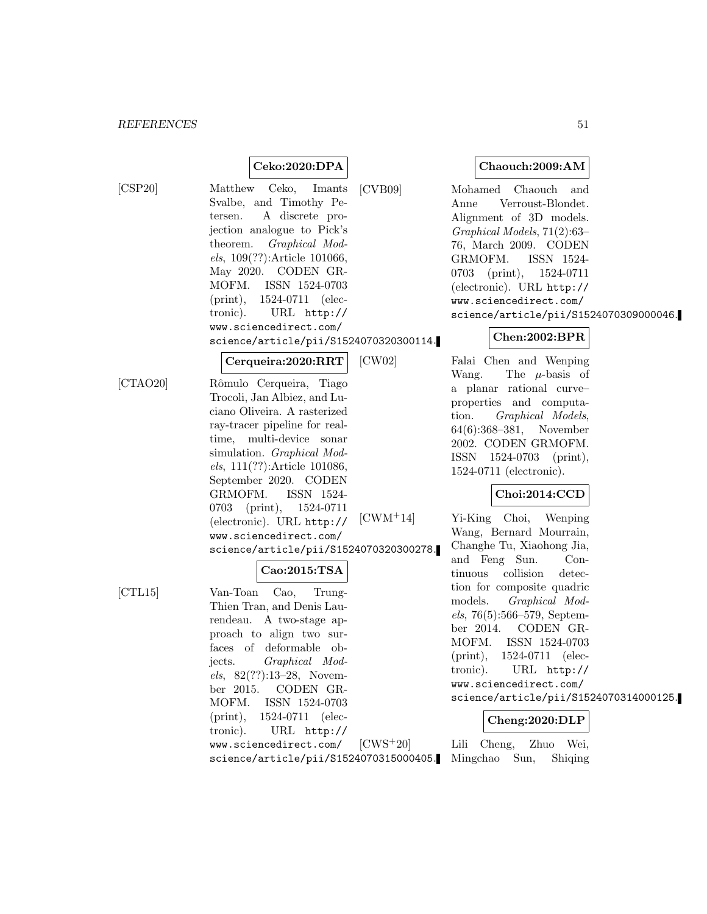# **Ceko:2020:DPA**

[CSP20] Matthew Ceko, Imants Svalbe, and Timothy Petersen. A discrete projection analogue to Pick's theorem. Graphical Models, 109(??):Article 101066, May 2020. CODEN GR-MOFM. ISSN 1524-0703 (print), 1524-0711 (electronic). URL http:// www.sciencedirect.com/ science/article/pii/S1524070320300114.

**Cerqueira:2020:RRT**

[CTAO20] Rˆomulo Cerqueira, Tiago Trocoli, Jan Albiez, and Luciano Oliveira. A rasterized ray-tracer pipeline for realtime, multi-device sonar simulation. Graphical Models, 111(??):Article 101086, September 2020. CODEN GRMOFM. ISSN 1524- 0703 (print), 1524-0711 (electronic). URL http:// www.sciencedirect.com/ science/article/pii/S1524070320300278.

# **Cao:2015:TSA**

[CTL15] Van-Toan Cao, Trung-Thien Tran, and Denis Laurendeau. A two-stage approach to align two surfaces of deformable objects. Graphical Models, 82(??):13–28, November 2015. CODEN GR-MOFM. ISSN 1524-0703 (print), 1524-0711 (electronic). URL http:// www.sciencedirect.com/

**Chaouch:2009:AM**

[CVB09] Mohamed Chaouch and Anne Verroust-Blondet. Alignment of 3D models. Graphical Models, 71(2):63– 76, March 2009. CODEN GRMOFM. ISSN 1524- 0703 (print), 1524-0711 (electronic). URL http:// www.sciencedirect.com/ science/article/pii/S1524070309000046.

### **Chen:2002:BPR**

[CW02] Falai Chen and Wenping Wang. The  $\mu$ -basis of a planar rational curve– properties and computation. Graphical Models, 64(6):368–381, November 2002. CODEN GRMOFM. ISSN 1524-0703 (print), 1524-0711 (electronic).

# **Choi:2014:CCD**

[CWM<sup>+</sup>14] Yi-King Choi, Wenping Wang, Bernard Mourrain, Changhe Tu, Xiaohong Jia, and Feng Sun. Continuous collision detection for composite quadric models. Graphical Models, 76(5):566–579, September 2014. CODEN GR-MOFM. ISSN 1524-0703 (print), 1524-0711 (electronic). URL http:// www.sciencedirect.com/ science/article/pii/S1524070314000125.

#### **Cheng:2020:DLP**

science/article/pii/S1524070315000405. Mingchao Sun, Shiqing[CWS<sup>+</sup>20] Lili Cheng, Zhuo Wei,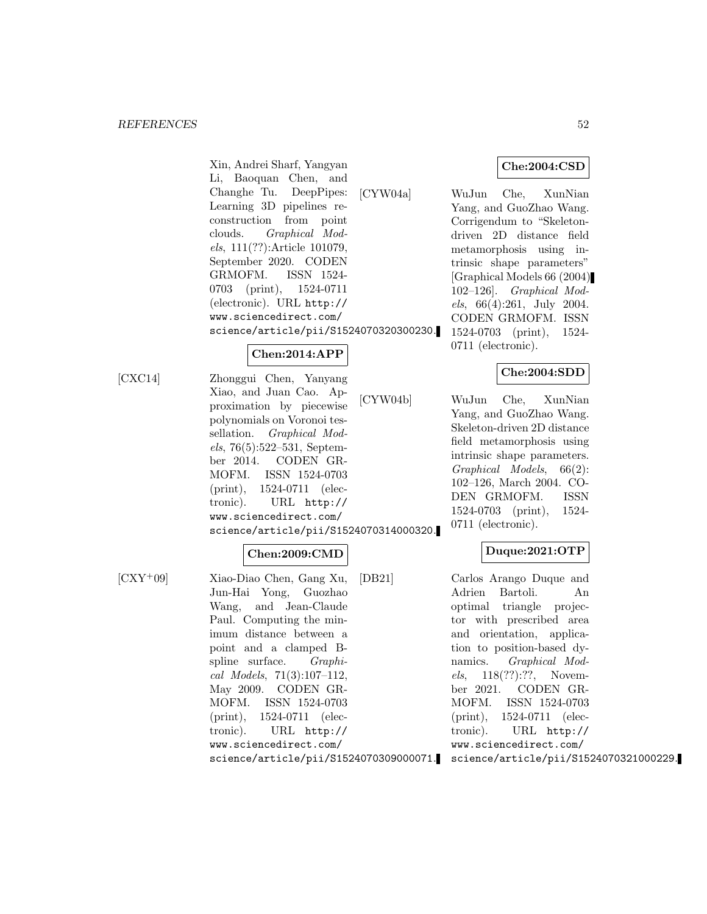**Che:2004:CSD**

Li, Baoquan Chen, and Changhe Tu. DeepPipes: Learning 3D pipelines reconstruction from point clouds. Graphical Models, 111(??):Article 101079, September 2020. CODEN GRMOFM. ISSN 1524- 0703 (print), 1524-0711 (electronic). URL http:// www.sciencedirect.com/ science/article/pii/S1524070320300230.

#### **Chen:2014:APP**

Xin, Andrei Sharf, Yangyan

[CXC14] Zhonggui Chen, Yanyang Xiao, and Juan Cao. Approximation by piecewise polynomials on Voronoi tessellation. Graphical Models, 76(5):522–531, September 2014. CODEN GR-MOFM. ISSN 1524-0703 (print), 1524-0711 (electronic). URL http:// www.sciencedirect.com/ science/article/pii/S1524070314000320.

#### **Chen:2009:CMD**

[CXY<sup>+</sup>09] Xiao-Diao Chen, Gang Xu, Jun-Hai Yong, Guozhao Wang, and Jean-Claude Paul. Computing the minimum distance between a point and a clamped Bspline surface. Graphical Models, 71(3):107–112, May 2009. CODEN GR-MOFM. ISSN 1524-0703 (print), 1524-0711 (electronic). URL http:// www.sciencedirect.com/ science/article/pii/S1524070309000071.

[CYW04a] WuJun Che, XunNian Yang, and GuoZhao Wang. Corrigendum to "Skeletondriven 2D distance field metamorphosis using intrinsic shape parameters" [Graphical Models 66 (2004) 102–126]. Graphical Models, 66(4):261, July 2004. CODEN GRMOFM. ISSN 1524-0703 (print), 1524- 0711 (electronic).

### **Che:2004:SDD**

[CYW04b] WuJun Che, XunNian Yang, and GuoZhao Wang. Skeleton-driven 2D distance field metamorphosis using intrinsic shape parameters. Graphical Models, 66(2): 102–126, March 2004. CO-DEN GRMOFM. ISSN 1524-0703 (print), 1524- 0711 (electronic).

# **Duque:2021:OTP**

[DB21] Carlos Arango Duque and Adrien Bartoli. An optimal triangle projector with prescribed area and orientation, application to position-based dynamics. Graphical Models, 118(??):??, November 2021. CODEN GR-MOFM. ISSN 1524-0703 (print), 1524-0711 (electronic). URL http:// www.sciencedirect.com/ science/article/pii/S1524070321000229.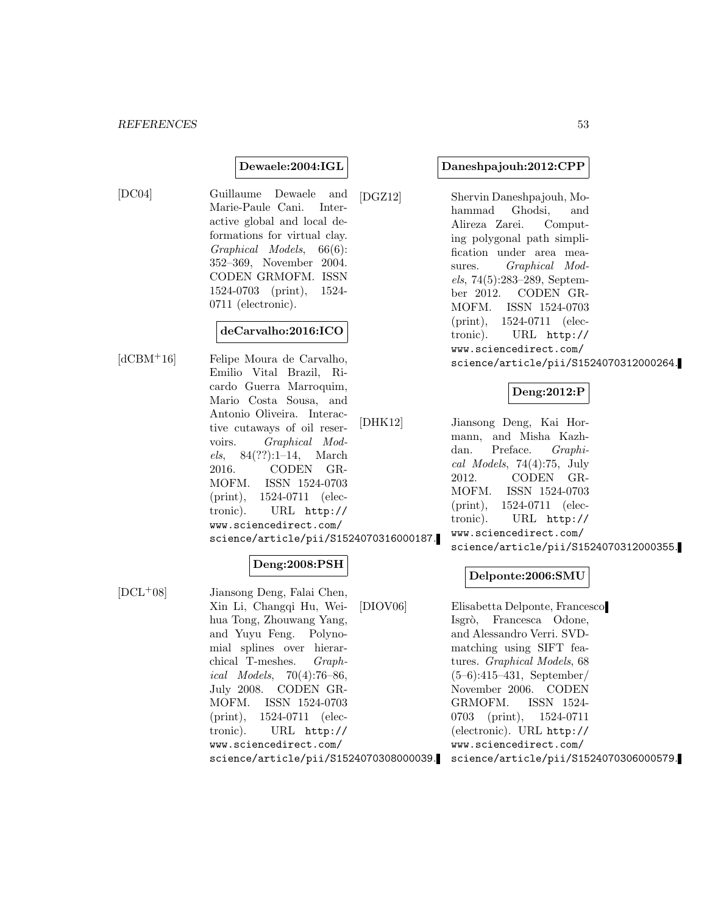#### **Dewaele:2004:IGL**

[DC04] Guillaume Dewaele and Marie-Paule Cani. Interactive global and local deformations for virtual clay. Graphical Models, 66(6): 352–369, November 2004. CODEN GRMOFM. ISSN 1524-0703 (print), 1524- 0711 (electronic).

### **deCarvalho:2016:ICO**

[dCBM<sup>+</sup>16] Felipe Moura de Carvalho, Emilio Vital Brazil, Ricardo Guerra Marroquim, Mario Costa Sousa, and Antonio Oliveira. Interactive cutaways of oil reservoirs. Graphical Models, 84(??):1–14, March 2016. CODEN GR-MOFM. ISSN 1524-0703 (print), 1524-0711 (electronic). URL http:// www.sciencedirect.com/ science/article/pii/S1524070316000187.

# **Deng:2008:PSH**

[DCL<sup>+</sup>08] Jiansong Deng, Falai Chen, Xin Li, Changqi Hu, Weihua Tong, Zhouwang Yang, and Yuyu Feng. Polynomial splines over hierarchical T-meshes. Graphical Models, 70(4):76–86, July 2008. CODEN GR-MOFM. ISSN 1524-0703 (print), 1524-0711 (electronic). URL http:// www.sciencedirect.com/ science/article/pii/S1524070308000039.

#### **Daneshpajouh:2012:CPP**

[DGZ12] Shervin Daneshpajouh, Mohammad Ghodsi, and Alireza Zarei. Computing polygonal path simplification under area measures. Graphical Models, 74(5):283–289, September 2012. CODEN GR-MOFM. ISSN 1524-0703 (print), 1524-0711 (electronic). URL http:// www.sciencedirect.com/ science/article/pii/S1524070312000264.

### **Deng:2012:P**

[DHK12] Jiansong Deng, Kai Hormann, and Misha Kazhdan. Preface. Graphical Models, 74(4):75, July 2012. CODEN GR-MOFM. ISSN 1524-0703 (print), 1524-0711 (electronic). URL http:// www.sciencedirect.com/ science/article/pii/S1524070312000355.

#### **Delponte:2006:SMU**

[DIOV06] Elisabetta Delponte, Francesco Isgrò, Francesca Odone, and Alessandro Verri. SVDmatching using SIFT features. Graphical Models, 68 (5–6):415–431, September/ November 2006. CODEN GRMOFM. ISSN 1524- 0703 (print), 1524-0711 (electronic). URL http:// www.sciencedirect.com/ science/article/pii/S1524070306000579.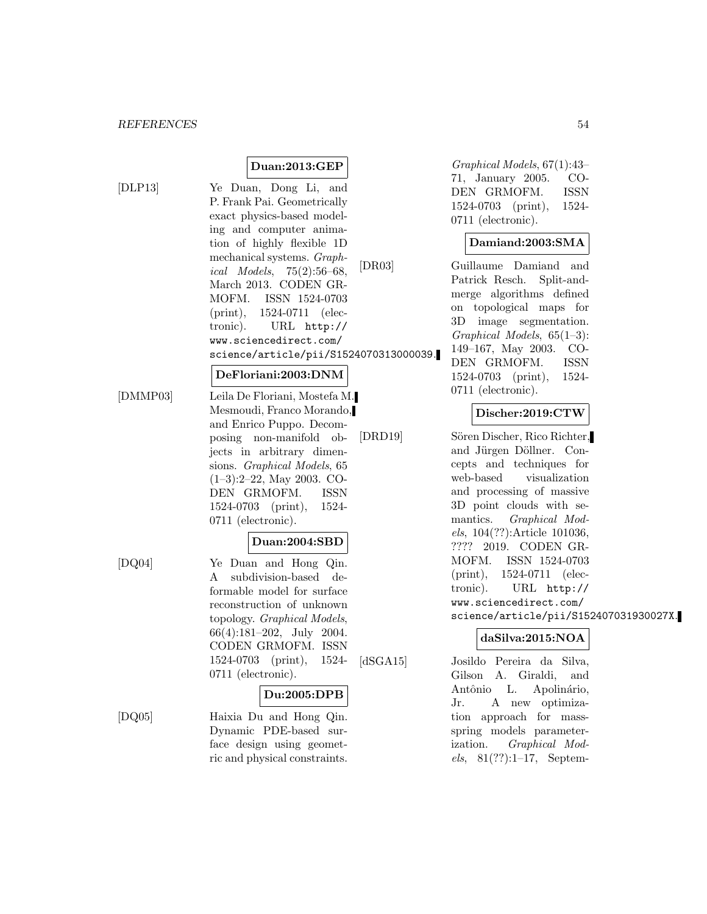# **Duan:2013:GEP**

[DLP13] Ye Duan, Dong Li, and P. Frank Pai. Geometrically exact physics-based modeling and computer animation of highly flexible 1D mechanical systems. Graphical Models, 75(2):56–68, March 2013. CODEN GR-MOFM. ISSN 1524-0703 (print), 1524-0711 (electronic). URL http:// www.sciencedirect.com/ science/article/pii/S1524070313000039.

#### **DeFloriani:2003:DNM**

[DMMP03] Leila De Floriani, Mostefa M. Mesmoudi, Franco Morando, and Enrico Puppo. Decomposing non-manifold objects in arbitrary dimensions. Graphical Models, 65 (1–3):2–22, May 2003. CO-DEN GRMOFM. ISSN 1524-0703 (print), 1524- 0711 (electronic).

#### **Duan:2004:SBD**

[DQ04] Ye Duan and Hong Qin. A subdivision-based deformable model for surface reconstruction of unknown topology. Graphical Models, 66(4):181–202, July 2004. CODEN GRMOFM. ISSN 1524-0703 (print), 1524- 0711 (electronic).

#### **Du:2005:DPB**

[DQ05] Haixia Du and Hong Qin. Dynamic PDE-based surface design using geometric and physical constraints.

Graphical Models, 67(1):43– 71, January 2005. CO-DEN GRMOFM. ISSN 1524-0703 (print), 1524- 0711 (electronic).

#### **Damiand:2003:SMA**

[DR03] Guillaume Damiand and Patrick Resch. Split-andmerge algorithms defined on topological maps for 3D image segmentation. Graphical Models, 65(1–3): 149–167, May 2003. CO-DEN GRMOFM. ISSN 1524-0703 (print), 1524- 0711 (electronic).

#### **Discher:2019:CTW**

[DRD19] Sören Discher, Rico Richter, and Jürgen Döllner. Concepts and techniques for web-based visualization and processing of massive 3D point clouds with semantics. Graphical Models, 104(??):Article 101036, ???? 2019. CODEN GR-MOFM. ISSN 1524-0703 (print), 1524-0711 (electronic). URL http:// www.sciencedirect.com/ science/article/pii/S152407031930027X.

# **daSilva:2015:NOA**

[dSGA15] Josildo Pereira da Silva, Gilson A. Giraldi, and Antônio L. Apolinário, Jr. A new optimization approach for massspring models parameterization. Graphical Models,  $81(??):1-17$ , Septem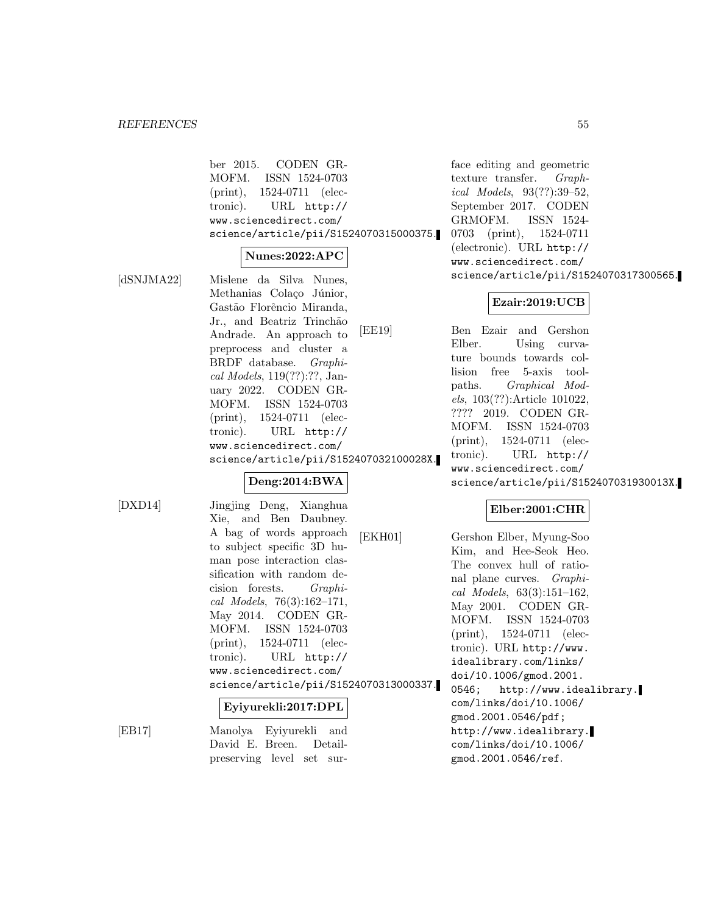ber 2015. CODEN GR-MOFM. ISSN 1524-0703 (print), 1524-0711 (electronic). URL http:// www.sciencedirect.com/ science/article/pii/S1524070315000375.

#### **Nunes:2022:APC**

[dSNJMA22] Mislene da Silva Nunes, Methanias Colaço Júnior, Gastão Florêncio Miranda, Jr., and Beatriz Trinchão Andrade. An approach to preprocess and cluster a BRDF database. Graphical Models, 119(??):??, January 2022. CODEN GR-MOFM. ISSN 1524-0703 (print), 1524-0711 (electronic). URL http:// www.sciencedirect.com/ science/article/pii/S152407032100028X.

# **Deng:2014:BWA**

[DXD14] Jingjing Deng, Xianghua Xie, and Ben Daubney. A bag of words approach to subject specific 3D human pose interaction classification with random decision forests. Graphical Models, 76(3):162–171, May 2014. CODEN GR-MOFM. ISSN 1524-0703 (print), 1524-0711 (electronic). URL http:// www.sciencedirect.com/ science/article/pii/S1524070313000337.

#### **Eyiyurekli:2017:DPL**

[EB17] Manolya Eyiyurekli and David E. Breen. Detailpreserving level set sur-

face editing and geometric texture transfer. Graphical Models, 93(??):39–52, September 2017. CODEN GRMOFM. ISSN 1524- 0703 (print), 1524-0711 (electronic). URL http:// www.sciencedirect.com/ science/article/pii/S1524070317300565.

### **Ezair:2019:UCB**

[EE19] Ben Ezair and Gershon Elber. Using curvature bounds towards collision free 5-axis toolpaths. Graphical Models, 103(??):Article 101022, ???? 2019. CODEN GR-MOFM. ISSN 1524-0703 (print), 1524-0711 (electronic). URL http:// www.sciencedirect.com/ science/article/pii/S152407031930013X.

# **Elber:2001:CHR**

[EKH01] Gershon Elber, Myung-Soo Kim, and Hee-Seok Heo. The convex hull of rational plane curves. Graphical Models, 63(3):151–162, May 2001. CODEN GR-MOFM. ISSN 1524-0703 (print), 1524-0711 (electronic). URL http://www. idealibrary.com/links/ doi/10.1006/gmod.2001. 0546; http://www.idealibrary. com/links/doi/10.1006/ gmod.2001.0546/pdf; http://www.idealibrary. com/links/doi/10.1006/ gmod.2001.0546/ref.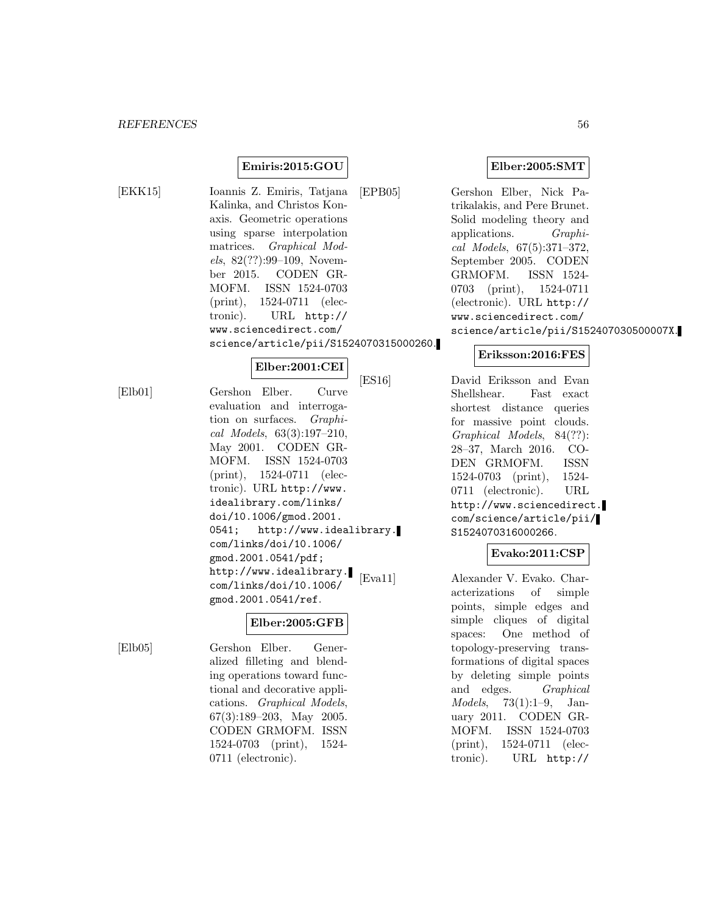# **Emiris:2015:GOU**

[EKK15] Ioannis Z. Emiris, Tatjana Kalinka, and Christos Konaxis. Geometric operations using sparse interpolation matrices. Graphical Models, 82(??):99–109, November 2015. CODEN GR-MOFM. ISSN 1524-0703 (print), 1524-0711 (electronic). URL http:// www.sciencedirect.com/ science/article/pii/S1524070315000260.

### **Elber:2001:CEI**

[Elb01] Gershon Elber. Curve evaluation and interrogation on surfaces. Graphical Models, 63(3):197–210, May 2001. CODEN GR-MOFM. ISSN 1524-0703 (print), 1524-0711 (electronic). URL http://www. idealibrary.com/links/ doi/10.1006/gmod.2001. 0541; http://www.idealibrary. com/links/doi/10.1006/ gmod.2001.0541/pdf; http://www.idealibrary. com/links/doi/10.1006/ gmod.2001.0541/ref.

# **Elber:2005:GFB**

[Elb05] Gershon Elber. Generalized filleting and blending operations toward functional and decorative applications. Graphical Models, 67(3):189–203, May 2005. CODEN GRMOFM. ISSN 1524-0703 (print), 1524- 0711 (electronic).

[EPB05] Gershon Elber, Nick Patrikalakis, and Pere Brunet. Solid modeling theory and applications. Graphical Models, 67(5):371–372, September 2005. CODEN GRMOFM. ISSN 1524- 0703 (print), 1524-0711 (electronic). URL http:// www.sciencedirect.com/ science/article/pii/S152407030500007X.

### **Eriksson:2016:FES**

[ES16] David Eriksson and Evan Shellshear. Fast exact shortest distance queries for massive point clouds. Graphical Models, 84(??): 28–37, March 2016. CO-DEN GRMOFM. ISSN 1524-0703 (print), 1524- 0711 (electronic). URL http://www.sciencedirect. com/science/article/pii/ S1524070316000266.

### **Evako:2011:CSP**

[Eva11] Alexander V. Evako. Characterizations of simple points, simple edges and simple cliques of digital spaces: One method of topology-preserving transformations of digital spaces by deleting simple points and edges. Graphical Models, 73(1):1–9, January 2011. CODEN GR-MOFM. ISSN 1524-0703 (print), 1524-0711 (electronic). URL http://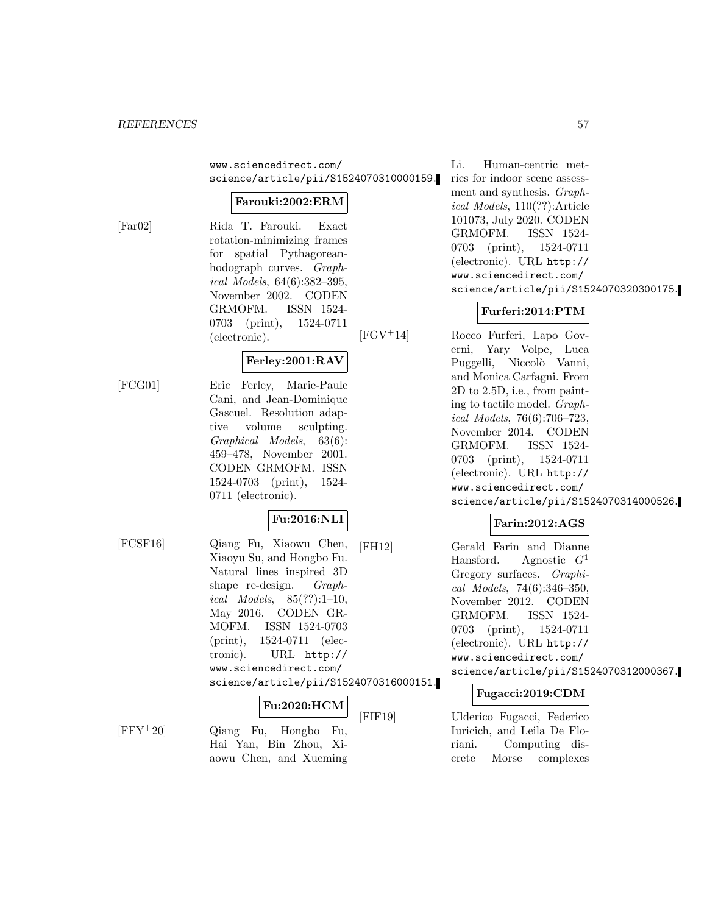www.sciencedirect.com/ science/article/pii/S1524070310000159.

#### **Farouki:2002:ERM**

[Far02] Rida T. Farouki. Exact rotation-minimizing frames for spatial Pythagoreanhodograph curves. Graphical Models, 64(6):382–395, November 2002. CODEN GRMOFM. ISSN 1524- 0703 (print), 1524-0711 (electronic).

# **Ferley:2001:RAV**

[FCG01] Eric Ferley, Marie-Paule Cani, and Jean-Dominique Gascuel. Resolution adaptive volume sculpting. Graphical Models, 63(6): 459–478, November 2001. CODEN GRMOFM. ISSN 1524-0703 (print), 1524- 0711 (electronic).

# **Fu:2016:NLI**

[FCSF16] Qiang Fu, Xiaowu Chen, Xiaoyu Su, and Hongbo Fu. Natural lines inspired 3D shape re-design. Graphical Models,  $85(??):1-10$ , May 2016. CODEN GR-MOFM. ISSN 1524-0703 (print), 1524-0711 (electronic). URL http:// www.sciencedirect.com/ science/article/pii/S1524070316000151.

# **Fu:2020:HCM**

[FFY<sup>+</sup>20] Qiang Fu, Hongbo Fu, Hai Yan, Bin Zhou, Xiaowu Chen, and Xueming

Li. Human-centric metrics for indoor scene assessment and synthesis. Graphical Models, 110(??):Article 101073, July 2020. CODEN GRMOFM. ISSN 1524- 0703 (print), 1524-0711 (electronic). URL http:// www.sciencedirect.com/ science/article/pii/S1524070320300175.

# **Furferi:2014:PTM**

[FGV<sup>+</sup>14] Rocco Furferi, Lapo Governi, Yary Volpe, Luca Puggelli, Niccolò Vanni, and Monica Carfagni. From 2D to 2.5D, i.e., from painting to tactile model. Graphical Models, 76(6):706–723, November 2014. CODEN GRMOFM. ISSN 1524- 0703 (print), 1524-0711 (electronic). URL http:// www.sciencedirect.com/ science/article/pii/S1524070314000526.

# **Farin:2012:AGS**

[FH12] Gerald Farin and Dianne Hansford. Agnostic  $G<sup>1</sup>$ Gregory surfaces. Graphical Models, 74(6):346–350, November 2012. CODEN GRMOFM. ISSN 1524- 0703 (print), 1524-0711 (electronic). URL http:// www.sciencedirect.com/ science/article/pii/S1524070312000367.

# **Fugacci:2019:CDM**

[FIF19] Ulderico Fugacci, Federico Iuricich, and Leila De Floriani. Computing discrete Morse complexes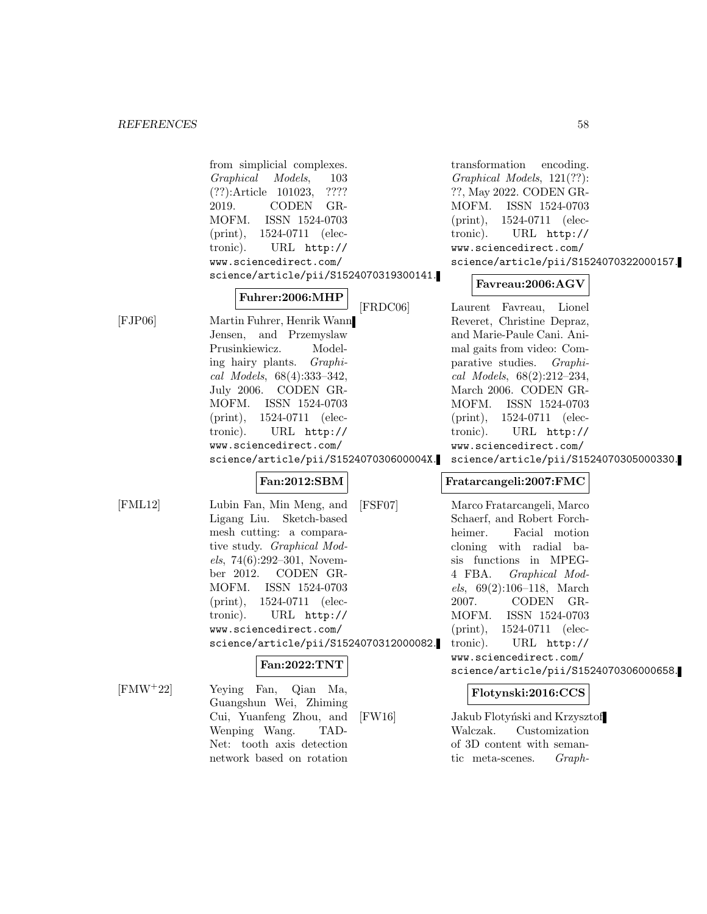|               | from simplicial complexes.<br>Graphical<br>Models,<br>103<br>????<br>$(??)$ : Article 101023,<br>CODEN GR-<br>2019.<br>ISSN 1524-0703<br>MOFM.<br>1524-0711 (elec-<br>$(\text{print}),$<br>tronic).<br>URL http://<br>www.sciencedirect.com/<br>science/article/pii/S1524070319300141.                                                                                                    | transformation<br>encoding.<br>Graphical Models, 121(??):<br>??, May 2022. CODEN GR-<br>MOFM. ISSN 1524-0703<br>$(\text{print}),$<br>1524-0711 (elec-<br>tronic).<br>URL http://<br>www.sciencedirect.com/<br>science/article/pii/S1524070322000157.<br>Favreau:2006:AGV                                                                                                                                                  |
|---------------|-------------------------------------------------------------------------------------------------------------------------------------------------------------------------------------------------------------------------------------------------------------------------------------------------------------------------------------------------------------------------------------------|---------------------------------------------------------------------------------------------------------------------------------------------------------------------------------------------------------------------------------------------------------------------------------------------------------------------------------------------------------------------------------------------------------------------------|
| [FIP06]       | Fuhrer:2006:MHP<br>[FRDC06]<br>Martin Fuhrer, Henrik Wann<br>Jensen, and Przemyslaw<br>Prusinkiewicz.<br>Model-<br>ing hairy plants. Graphi-<br>cal Models, 68(4):333-342,<br>July 2006. CODEN GR-<br>MOFM.<br>ISSN 1524-0703<br>$(\text{print}),$<br>1524-0711 (elec-<br>tronic).<br>URL http://<br>www.sciencedirect.com/<br>science/article/pii/S152407030600004X.                     | Laurent Favreau,<br>Lionel<br>Reveret, Christine Depraz,<br>and Marie-Paule Cani. Ani-<br>mal gaits from video: Com-<br>parative studies.<br>Graphi-<br>cal Models, $68(2):212-234$ ,<br>March 2006. CODEN GR-<br>MOFM.<br>ISSN 1524-0703<br>1524-0711 (elec-<br>$(\text{print}),$<br>URL http://<br>tronic).<br>www.sciencedirect.com/<br>science/article/pii/S1524070305000330.                                         |
| $[$ FML12 $]$ | Fan:2012:SBM<br>Lubin Fan, Min Meng, and<br>$[$ FSF07 $]$<br>Ligang Liu. Sketch-based<br>mesh cutting: a compara-<br>tive study. Graphical Mod-<br>$els, 74(6):292-301, Novem-$<br>ber 2012. CODEN GR-<br>MOFM.<br>ISSN 1524-0703<br>1524-0711 (elec-<br>$(\text{print}),$<br>URL http://<br>tronic).<br>www.sciencedirect.com/<br>science/article/pii/S1524070312000082.<br>Fan:2022:TNT | Fratarcangeli:2007:FMC<br>Marco Fratarcangeli, Marco<br>Schaerf, and Robert Forch-<br>Facial motion<br>heimer.<br>cloning with radial ba-<br>sis functions in MPEG-<br>4 FBA.<br>Graphical Mod-<br>$els, 69(2):106-118, March$<br>CODEN GR-<br>2007.<br>ISSN 1524-0703<br>MOFM.<br>1524-0711 (elec-<br>$(\text{print}),$<br>URL $http://$<br>tronic).<br>www.sciencedirect.com/<br>science/article/pii/S1524070306000658. |
| $[FMW+22]$    | Yeying Fan, Qian Ma,<br>Guangshun Wei, Zhiming<br>Cui, Yuanfeng Zhou, and<br>[FW16]<br>Wenping Wang.<br>TAD-<br>Net: tooth axis detection<br>network based on rotation                                                                                                                                                                                                                    | Flotynski:2016:CCS<br>Jakub Flotyński and Krzysztof<br>Walczak.<br>Customization<br>of 3D content with seman-<br>$Graph-$<br>tic meta-scenes.                                                                                                                                                                                                                                                                             |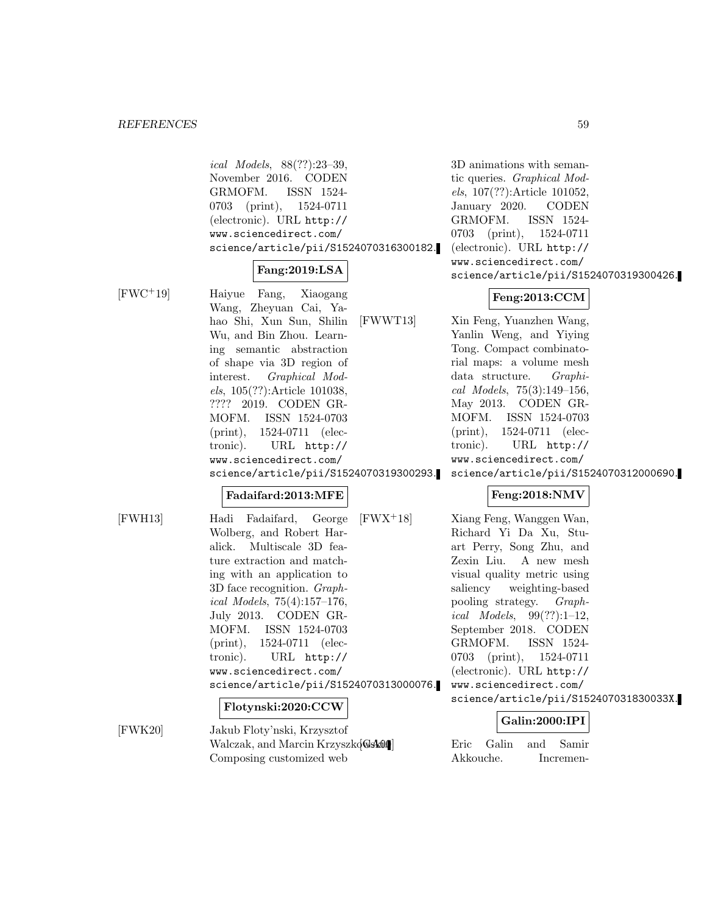ical Models, 88(??):23–39, November 2016. CODEN GRMOFM. ISSN 1524- 0703 (print), 1524-0711 (electronic). URL http:// www.sciencedirect.com/ science/article/pii/S1524070316300182.

# **Fang:2019:LSA**

[FWC<sup>+</sup>19] Haiyue Fang, Xiaogang Wang, Zheyuan Cai, Yahao Shi, Xun Sun, Shilin Wu, and Bin Zhou. Learning semantic abstraction of shape via 3D region of interest. Graphical Models, 105(??):Article 101038, ???? 2019. CODEN GR-MOFM. ISSN 1524-0703 (print), 1524-0711 (electronic). URL http:// www.sciencedirect.com/ science/article/pii/S1524070319300293.

#### **Fadaifard:2013:MFE**

[FWH13] Hadi Fadaifard, George Wolberg, and Robert Haralick. Multiscale 3D feature extraction and matching with an application to 3D face recognition. Graphical Models, 75(4):157–176, July 2013. CODEN GR-MOFM. ISSN 1524-0703 (print), 1524-0711 (electronic). URL http:// www.sciencedirect.com/ science/article/pii/S1524070313000076.

#### **Flotynski:2020:CCW**

[FWK20] Jakub Floty'nski, Krzysztof Walczak, and Marcin Krzyszkowski. Eric Galin and Samir Composing customized web

3D animations with semantic queries. Graphical Models, 107(??):Article 101052, January 2020. CODEN GRMOFM. ISSN 1524- 0703 (print), 1524-0711 (electronic). URL http:// www.sciencedirect.com/ science/article/pii/S1524070319300426.

### **Feng:2013:CCM**

[FWWT13] Xin Feng, Yuanzhen Wang, Yanlin Weng, and Yiying Tong. Compact combinatorial maps: a volume mesh data structure. Graphical Models, 75(3):149–156, May 2013. CODEN GR-MOFM. ISSN 1524-0703 (print), 1524-0711 (electronic). URL http:// www.sciencedirect.com/

science/article/pii/S1524070312000690.

# **Feng:2018:NMV**

[FWX<sup>+</sup>18] Xiang Feng, Wanggen Wan, Richard Yi Da Xu, Stuart Perry, Song Zhu, and Zexin Liu. A new mesh visual quality metric using saliency weighting-based pooling strategy. Graph*ical Models*,  $99(??):1-12$ , September 2018. CODEN GRMOFM. ISSN 1524- 0703 (print), 1524-0711 (electronic). URL http:// www.sciencedirect.com/ science/article/pii/S152407031830033X.

# **Galin:2000:IPI**

Akkouche. Incremen-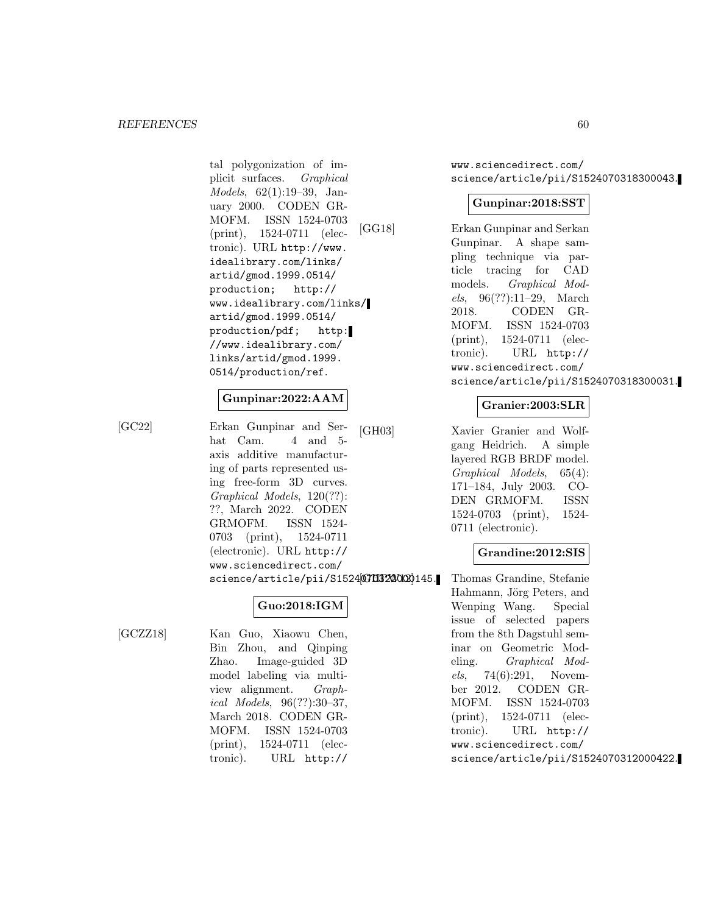tal polygonization of implicit surfaces. Graphical Models, 62(1):19–39, January 2000. CODEN GR-MOFM. ISSN 1524-0703 (print), 1524-0711 (electronic). URL http://www. idealibrary.com/links/ artid/gmod.1999.0514/ production; http:// www.idealibrary.com/links/ artid/gmod.1999.0514/ production/pdf; http: //www.idealibrary.com/ links/artid/gmod.1999. 0514/production/ref.

# **Gunpinar:2022:AAM**

[GC22] Erkan Gunpinar and Serhat Cam. 4 and 5axis additive manufacturing of parts represented using free-form 3D curves. Graphical Models, 120(??): ??, March 2022. CODEN GRMOFM. ISSN 1524- 0703 (print), 1524-0711 (electronic). URL http:// www.sciencedirect.com/ science/article/pii/S15240703220000145.

# **Guo:2018:IGM**

[GCZZ18] Kan Guo, Xiaowu Chen, Bin Zhou, and Qinping Zhao. Image-guided 3D model labeling via multiview alignment. Graphical Models, 96(??):30–37, March 2018. CODEN GR-MOFM. ISSN 1524-0703 (print), 1524-0711 (electronic). URL http://

www.sciencedirect.com/ science/article/pii/S1524070318300043.

### **Gunpinar:2018:SST**

[GG18] Erkan Gunpinar and Serkan Gunpinar. A shape sampling technique via particle tracing for CAD models. Graphical Models, 96(??):11–29, March 2018. CODEN GR-MOFM. ISSN 1524-0703 (print), 1524-0711 (electronic). URL http:// www.sciencedirect.com/ science/article/pii/S1524070318300031.

### **Granier:2003:SLR**

[GH03] Xavier Granier and Wolfgang Heidrich. A simple layered RGB BRDF model. Graphical Models, 65(4): 171–184, July 2003. CO-DEN GRMOFM. ISSN 1524-0703 (print), 1524- 0711 (electronic).

# **Grandine:2012:SIS**

Thomas Grandine, Stefanie Hahmann, Jörg Peters, and Wenping Wang. Special issue of selected papers from the 8th Dagstuhl seminar on Geometric Modeling. Graphical Models, 74(6):291, November 2012. CODEN GR-MOFM. ISSN 1524-0703 (print), 1524-0711 (electronic). URL http:// www.sciencedirect.com/ science/article/pii/S1524070312000422.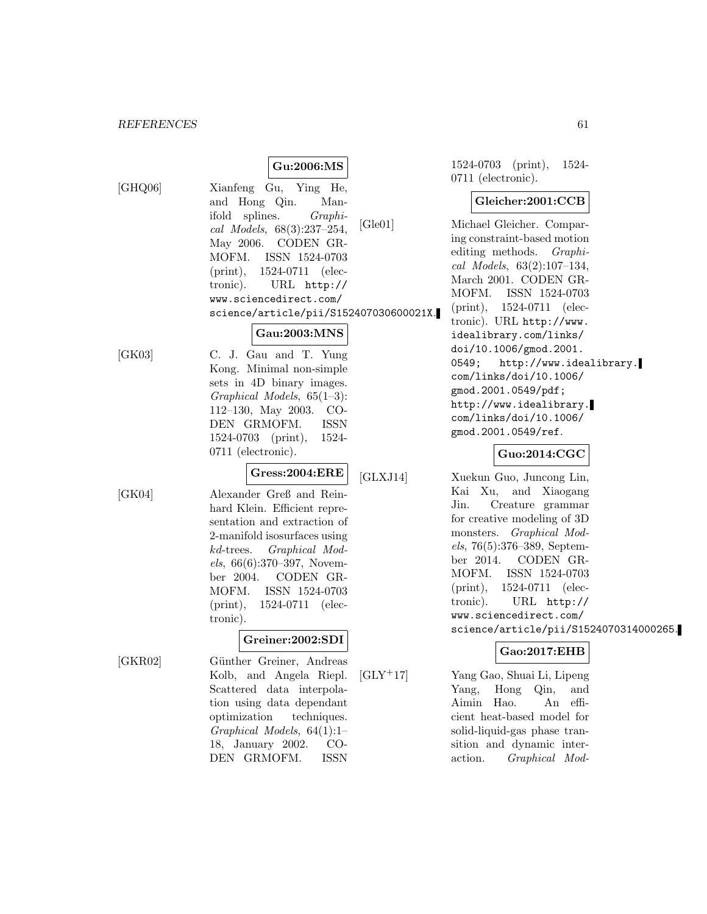# **Gu:2006:MS**

[GHQ06] Xianfeng Gu, Ying He, and Hong Qin. Manifold splines. Graphical Models, 68(3):237–254, May 2006. CODEN GR-MOFM. ISSN 1524-0703 (print), 1524-0711 (electronic). URL http:// www.sciencedirect.com/ science/article/pii/S152407030600021X.

### **Gau:2003:MNS**

[GK03] C. J. Gau and T. Yung Kong. Minimal non-simple sets in 4D binary images. Graphical Models, 65(1–3): 112–130, May 2003. CO-DEN GRMOFM. ISSN 1524-0703 (print), 1524- 0711 (electronic).

**Gress:2004:ERE**

[GK04] Alexander Greß and Reinhard Klein. Efficient representation and extraction of 2-manifold isosurfaces using kd-trees. Graphical Models, 66(6):370–397, November 2004. CODEN GR-MOFM. ISSN 1524-0703 (print), 1524-0711 (electronic).

# **Greiner:2002:SDI**

[GKR02] Günther Greiner, Andreas Kolb, and Angela Riepl. Scattered data interpolation using data dependant optimization techniques. Graphical Models, 64(1):1– 18, January 2002. CO-DEN GRMOFM. ISSN

1524-0703 (print), 1524- 0711 (electronic).

### **Gleicher:2001:CCB**

[Gle01] Michael Gleicher. Comparing constraint-based motion editing methods. Graphical Models, 63(2):107–134, March 2001. CODEN GR-MOFM. ISSN 1524-0703 (print), 1524-0711 (electronic). URL http://www. idealibrary.com/links/ doi/10.1006/gmod.2001. 0549; http://www.idealibrary. com/links/doi/10.1006/ gmod.2001.0549/pdf; http://www.idealibrary. com/links/doi/10.1006/ gmod.2001.0549/ref.

### **Guo:2014:CGC**

[GLXJ14] Xuekun Guo, Juncong Lin, Kai Xu, and Xiaogang Jin. Creature grammar for creative modeling of 3D monsters. Graphical Models, 76(5):376–389, September 2014. CODEN GR-MOFM. ISSN 1524-0703 (print), 1524-0711 (electronic). URL http:// www.sciencedirect.com/ science/article/pii/S1524070314000265.

# **Gao:2017:EHB**

[GLY<sup>+</sup>17] Yang Gao, Shuai Li, Lipeng Yang, Hong Qin, and Aimin Hao. An efficient heat-based model for solid-liquid-gas phase transition and dynamic interaction. Graphical Mod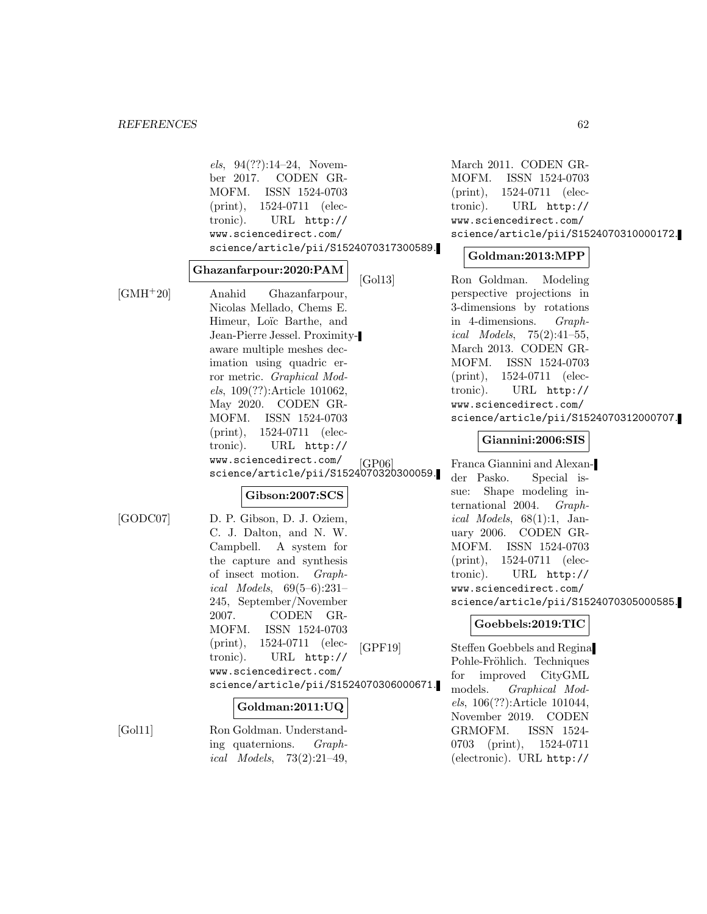els, 94(??):14–24, November 2017. CODEN GR-MOFM. ISSN 1524-0703 (print), 1524-0711 (electronic). URL http:// www.sciencedirect.com/ science/article/pii/S1524070317300589.

#### **Ghazanfarpour:2020:PAM**

[GMH<sup>+</sup>20] Anahid Ghazanfarpour, Nicolas Mellado, Chems E. Himeur, Loïc Barthe, and Jean-Pierre Jessel. Proximityaware multiple meshes decimation using quadric error metric. Graphical Models, 109(??):Article 101062, May 2020. CODEN GR-MOFM. ISSN 1524-0703 (print), 1524-0711 (electronic). URL http:// www.sciencedirect.com/ science/article/pii/S1524070320300059.

#### **Gibson:2007:SCS**

[GODC07] D. P. Gibson, D. J. Oziem, C. J. Dalton, and N. W. Campbell. A system for the capture and synthesis of insect motion. Graphical Models, 69(5–6):231– 245, September/November 2007. CODEN GR-MOFM. ISSN 1524-0703 (print), 1524-0711 (electronic). URL http:// www.sciencedirect.com/ science/article/pii/S1524070306000671.

#### **Goldman:2011:UQ**

[Gol11] Ron Goldman. Understanding quaternions. Graph*ical Models*,  $73(2):21-49$ ,

March 2011. CODEN GR-MOFM. ISSN 1524-0703 (print), 1524-0711 (electronic). URL http:// www.sciencedirect.com/ science/article/pii/S1524070310000172.

#### **Goldman:2013:MPP**

[Gol13] Ron Goldman. Modeling perspective projections in 3-dimensions by rotations in 4-dimensions. Graphical Models, 75(2):41–55, March 2013. CODEN GR-MOFM. ISSN 1524-0703 (print), 1524-0711 (electronic). URL http:// www.sciencedirect.com/ science/article/pii/S1524070312000707.

#### **Giannini:2006:SIS**

[GP06] Franca Giannini and Alexander Pasko. Special issue: Shape modeling international 2004. Graphical Models,  $68(1):1$ , January 2006. CODEN GR-MOFM. ISSN 1524-0703 (print), 1524-0711 (electronic). URL http:// www.sciencedirect.com/ science/article/pii/S1524070305000585.

### **Goebbels:2019:TIC**

[GPF19] Steffen Goebbels and Regina Pohle-Fröhlich. Techniques for improved CityGML models. Graphical Models, 106(??):Article 101044, November 2019. CODEN GRMOFM. ISSN 1524- 0703 (print), 1524-0711 (electronic). URL http://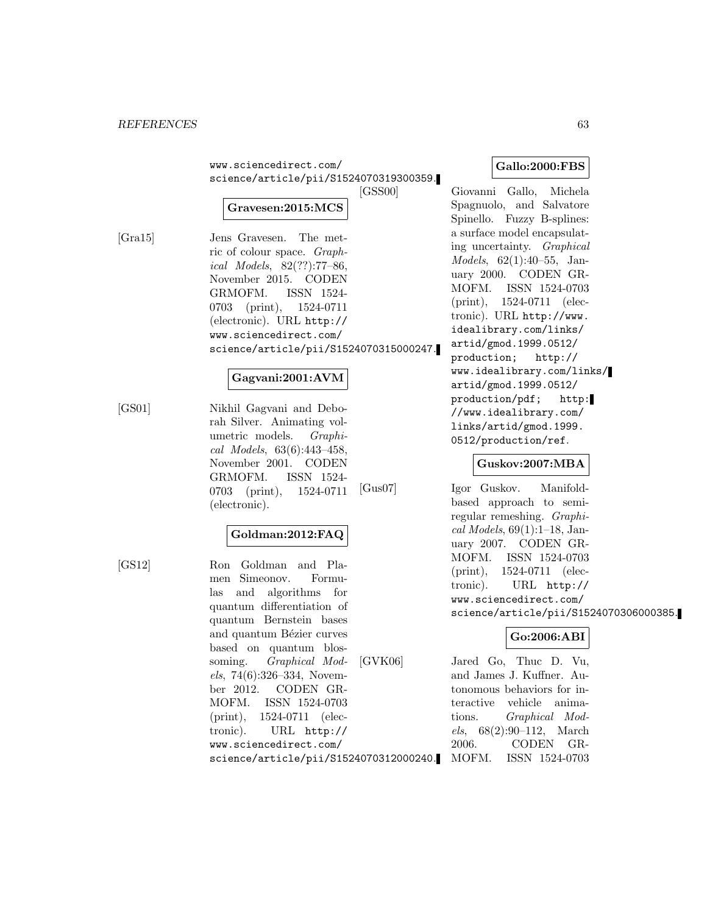| www.sciencedirect.com/                 |  |
|----------------------------------------|--|
| science/article/pii/S1524070319300359. |  |
| <b>ECCCOOL</b>                         |  |

### **Gravesen:2015:MCS**

[Gra15] Jens Gravesen. The metric of colour space. Graphical Models, 82(??):77–86, November 2015. CODEN GRMOFM. ISSN 1524- 0703 (print), 1524-0711 (electronic). URL http:// www.sciencedirect.com/ science/article/pii/S1524070315000247.

### **Gagvani:2001:AVM**

[GS01] Nikhil Gagvani and Deborah Silver. Animating volumetric models. Graphical Models, 63(6):443–458, November 2001. CODEN GRMOFM. ISSN 1524- 0703 (print), 1524-0711 (electronic).

# **Goldman:2012:FAQ**

[GS12] Ron Goldman and Plamen Simeonov. Formulas and algorithms for quantum differentiation of quantum Bernstein bases and quantum Bézier curves based on quantum blossoming. Graphical Models, 74(6):326–334, November 2012. CODEN GR-MOFM. ISSN 1524-0703 (print), 1524-0711 (electronic). URL http:// www.sciencedirect.com/ science/article/pii/S1524070312000240.

### **Gallo:2000:FBS**

[GSS00] Giovanni Gallo, Michela Spagnuolo, and Salvatore Spinello. Fuzzy B-splines: a surface model encapsulating uncertainty. Graphical Models, 62(1):40–55, January 2000. CODEN GR-MOFM. ISSN 1524-0703 (print), 1524-0711 (electronic). URL http://www. idealibrary.com/links/ artid/gmod.1999.0512/ production; http:// www.idealibrary.com/links/ artid/gmod.1999.0512/ production/pdf; http: //www.idealibrary.com/ links/artid/gmod.1999. 0512/production/ref.

# **Guskov:2007:MBA**

[Gus07] Igor Guskov. Manifoldbased approach to semiregular remeshing. Graphi $cal Models, 69(1):1-18, Jan$ uary 2007. CODEN GR-MOFM. ISSN 1524-0703 (print), 1524-0711 (electronic). URL http:// www.sciencedirect.com/ science/article/pii/S1524070306000385.

#### **Go:2006:ABI**

[GVK06] Jared Go, Thuc D. Vu, and James J. Kuffner. Autonomous behaviors for interactive vehicle animations. Graphical Models, 68(2):90–112, March 2006. CODEN GR-MOFM. ISSN 1524-0703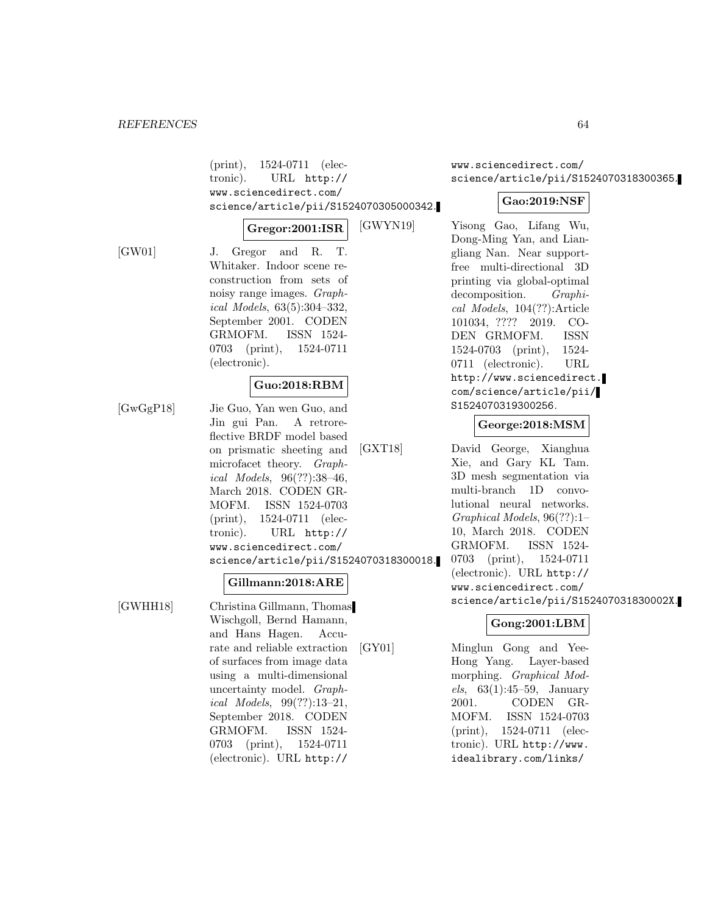(print), 1524-0711 (electronic). URL http:// www.sciencedirect.com/ science/article/pii/S1524070305000342.

#### **Gregor:2001:ISR**

[GW01] J. Gregor and R. T. Whitaker. Indoor scene reconstruction from sets of noisy range images. Graphical Models, 63(5):304–332, September 2001. CODEN GRMOFM. ISSN 1524- 0703 (print), 1524-0711 (electronic).

#### **Guo:2018:RBM**

[GwGgP18] Jie Guo, Yan wen Guo, and Jin gui Pan. A retroreflective BRDF model based on prismatic sheeting and microfacet theory. Graphical Models, 96(??):38–46, March 2018. CODEN GR-MOFM. ISSN 1524-0703 (print), 1524-0711 (electronic). URL http:// www.sciencedirect.com/ science/article/pii/S1524070318300018.

#### **Gillmann:2018:ARE**

[GWHH18] Christina Gillmann, Thomas Wischgoll, Bernd Hamann, and Hans Hagen. Accurate and reliable extraction of surfaces from image data using a multi-dimensional uncertainty model. Graphical Models, 99(??):13–21, September 2018. CODEN GRMOFM. ISSN 1524- 0703 (print), 1524-0711 (electronic). URL http://

www.sciencedirect.com/ science/article/pii/S1524070318300365.

### **Gao:2019:NSF**

[GWYN19] Yisong Gao, Lifang Wu, Dong-Ming Yan, and Liangliang Nan. Near supportfree multi-directional 3D printing via global-optimal decomposition. Graphical Models, 104(??):Article 101034, ???? 2019. CO-DEN GRMOFM. ISSN 1524-0703 (print), 1524- 0711 (electronic). URL http://www.sciencedirect. com/science/article/pii/ S1524070319300256.

# **George:2018:MSM**

[GXT18] David George, Xianghua Xie, and Gary KL Tam. 3D mesh segmentation via multi-branch 1D convolutional neural networks. Graphical Models, 96(??):1– 10, March 2018. CODEN GRMOFM. ISSN 1524- 0703 (print), 1524-0711 (electronic). URL http:// www.sciencedirect.com/ science/article/pii/S152407031830002X.

# **Gong:2001:LBM**

[GY01] Minglun Gong and Yee-Hong Yang. Layer-based morphing. Graphical Models, 63(1):45–59, January 2001. CODEN GR-MOFM. ISSN 1524-0703 (print), 1524-0711 (electronic). URL http://www. idealibrary.com/links/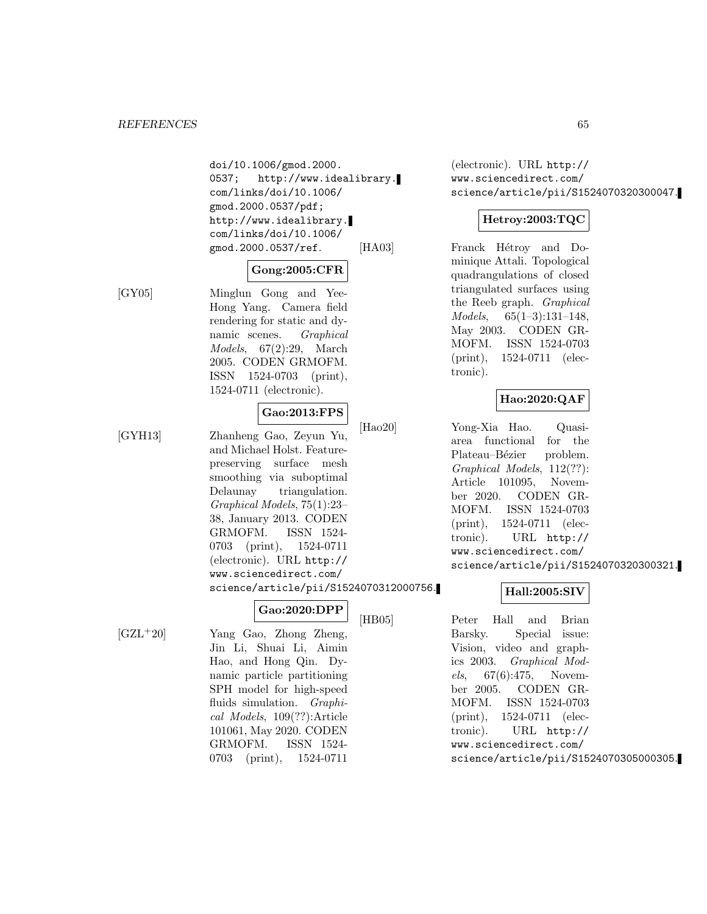doi/10.1006/gmod.2000. 0537; http://www.idealibrary. com/links/doi/10.1006/ gmod.2000.0537/pdf; http://www.idealibrary. com/links/doi/10.1006/ gmod.2000.0537/ref.

### **Gong:2005:CFR**

[GY05] Minglun Gong and Yee-Hong Yang. Camera field rendering for static and dynamic scenes. Graphical Models, 67(2):29, March 2005. CODEN GRMOFM. ISSN 1524-0703 (print), 1524-0711 (electronic).

# **Gao:2013:FPS**

[GYH13] Zhanheng Gao, Zeyun Yu, and Michael Holst. Featurepreserving surface mesh smoothing via suboptimal Delaunay triangulation. Graphical Models, 75(1):23– 38, January 2013. CODEN GRMOFM. ISSN 1524- 0703 (print), 1524-0711 (electronic). URL http:// www.sciencedirect.com/ science/article/pii/S1524070312000756.

(electronic). URL http:// www.sciencedirect.com/ science/article/pii/S1524070320300047.

# **Hetroy:2003:TQC**

[HA03] Franck Hétroy and Dominique Attali. Topological quadrangulations of closed triangulated surfaces using the Reeb graph. Graphical Models, 65(1–3):131–148, May 2003. CODEN GR-MOFM. ISSN 1524-0703 (print), 1524-0711 (electronic).

# **Hao:2020:QAF**

[Hao20] Yong-Xia Hao. Quasiarea functional for the Plateau–Bézier problem. Graphical Models, 112(??): Article 101095, November 2020. CODEN GR-MOFM. ISSN 1524-0703 (print), 1524-0711 (electronic). URL http:// www.sciencedirect.com/ science/article/pii/S1524070320300321.

# **Hall:2005:SIV**

[HB05] Peter Hall and Brian Barsky. Special issue: Vision, video and graphics 2003. Graphical Models, 67(6):475, November 2005. CODEN GR-MOFM. ISSN 1524-0703 (print), 1524-0711 (electronic). URL http:// www.sciencedirect.com/ science/article/pii/S1524070305000305.

[GZL<sup>+</sup>20] Yang Gao, Zhong Zheng, Jin Li, Shuai Li, Aimin Hao, and Hong Qin. Dynamic particle partitioning SPH model for high-speed fluids simulation. *Graphi*cal Models, 109(??):Article 101061, May 2020. CODEN GRMOFM. ISSN 1524- 0703 (print), 1524-0711

**Gao:2020:DPP**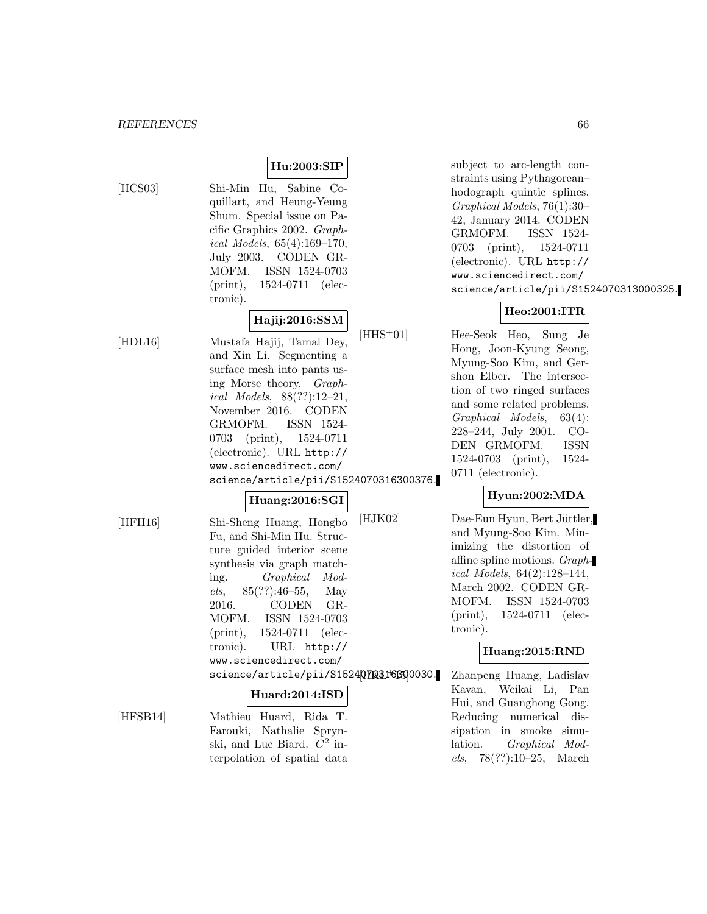### **Hu:2003:SIP**

[HCS03] Shi-Min Hu, Sabine Coquillart, and Heung-Yeung Shum. Special issue on Pacific Graphics 2002. Graphical Models, 65(4):169–170, July 2003. CODEN GR-MOFM. ISSN 1524-0703 (print), 1524-0711 (electronic).

#### **Hajij:2016:SSM**

[HDL16] Mustafa Hajij, Tamal Dey, and Xin Li. Segmenting a surface mesh into pants using Morse theory. Graphical Models, 88(??):12–21, November 2016. CODEN GRMOFM. ISSN 1524- 0703 (print), 1524-0711 (electronic). URL http:// www.sciencedirect.com/ science/article/pii/S1524070316300376.

#### **Huang:2016:SGI**

[HFH16] Shi-Sheng Huang, Hongbo Fu, and Shi-Min Hu. Structure guided interior scene synthesis via graph matching. Graphical Models, 85(??):46–55, May 2016. CODEN GR-MOFM. ISSN 1524-0703 (print), 1524-0711 (electronic). URL http://

science/article/pii/S152407031f6890030.

#### **Huard:2014:ISD**

www.sciencedirect.com/

[HFSB14] Mathieu Huard, Rida T. Farouki, Nathalie Sprynski, and Luc Biard.  $C^2$  interpolation of spatial data

subject to arc-length constraints using Pythagorean– hodograph quintic splines. Graphical Models, 76(1):30– 42, January 2014. CODEN GRMOFM. ISSN 1524- 0703 (print), 1524-0711 (electronic). URL http:// www.sciencedirect.com/ science/article/pii/S1524070313000325.

# **Heo:2001:ITR**

[HHS<sup>+</sup>01] Hee-Seok Heo, Sung Je Hong, Joon-Kyung Seong, Myung-Soo Kim, and Gershon Elber. The intersection of two ringed surfaces and some related problems. Graphical Models, 63(4): 228–244, July 2001. CO-DEN GRMOFM. ISSN 1524-0703 (print), 1524- 0711 (electronic).

### **Hyun:2002:MDA**

[HJK02] Dae-Eun Hyun, Bert Jüttler, and Myung-Soo Kim. Minimizing the distortion of affine spline motions. Graphical Models, 64(2):128–144, March 2002. CODEN GR-MOFM. ISSN 1524-0703 (print), 1524-0711 (electronic).

# **Huang:2015:RND**

Zhanpeng Huang, Ladislav Kavan, Weikai Li, Pan Hui, and Guanghong Gong. Reducing numerical dissipation in smoke simulation. Graphical Models, 78(??):10–25, March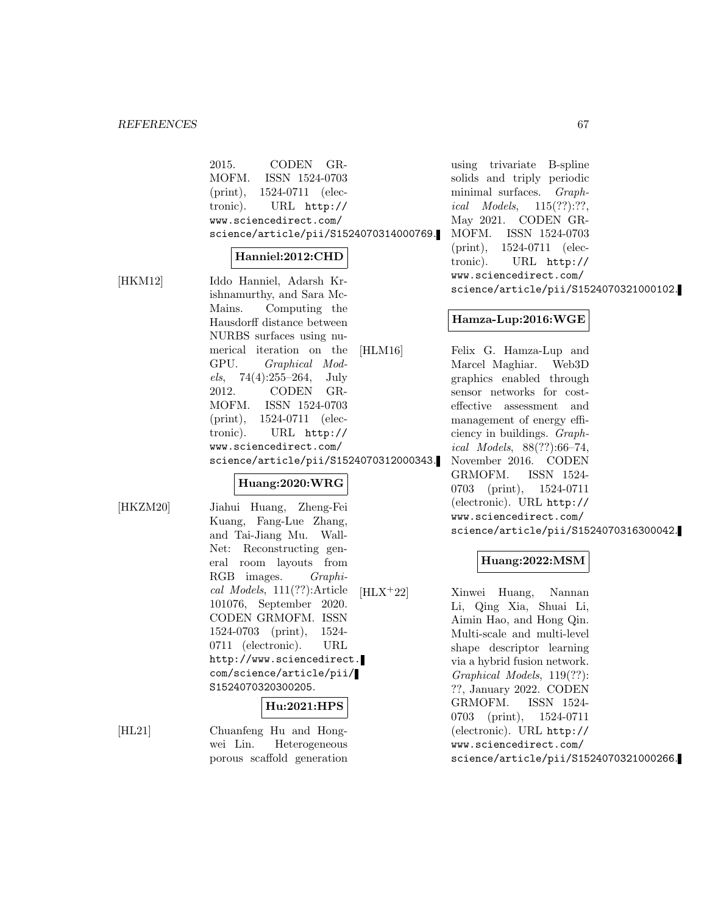#### *REFERENCES* 67

| 2015. CODEN GR-                        |                |  |  |  |
|----------------------------------------|----------------|--|--|--|
| MOFM.                                  | ISSN 1524-0703 |  |  |  |
| $(print), 1524-0711$ (elec-            |                |  |  |  |
| tronic). URL http://                   |                |  |  |  |
| www.sciencedirect.com/                 |                |  |  |  |
| science/article/pii/S1524070314000769. |                |  |  |  |

#### **Hanniel:2012:CHD**

[HKM12] Iddo Hanniel, Adarsh Krishnamurthy, and Sara Mc-Mains. Computing the Hausdorff distance between NURBS surfaces using numerical iteration on the GPU. Graphical Models, 74(4):255–264, July 2012. CODEN GR-MOFM. ISSN 1524-0703 (print), 1524-0711 (electronic). URL http:// www.sciencedirect.com/ science/article/pii/S1524070312000343.

#### **Huang:2020:WRG**

[HKZM20] Jiahui Huang, Zheng-Fei Kuang, Fang-Lue Zhang, and Tai-Jiang Mu. Wall-Net: Reconstructing general room layouts from RGB images. Graphical Models, 111(??):Article 101076, September 2020. CODEN GRMOFM. ISSN 1524-0703 (print), 1524- 0711 (electronic). URL http://www.sciencedirect. com/science/article/pii/ S1524070320300205.

#### **Hu:2021:HPS**

[HL21] Chuanfeng Hu and Hongwei Lin. Heterogeneous porous scaffold generation

using trivariate B-spline solids and triply periodic minimal surfaces. Graphical Models, 115(??):??, May 2021. CODEN GR-MOFM. ISSN 1524-0703 (print), 1524-0711 (electronic). URL http:// www.sciencedirect.com/ science/article/pii/S1524070321000102.

#### **Hamza-Lup:2016:WGE**

[HLM16] Felix G. Hamza-Lup and Marcel Maghiar. Web3D graphics enabled through sensor networks for costeffective assessment and management of energy efficiency in buildings. Graphical Models, 88(??):66–74, November 2016. CODEN GRMOFM. ISSN 1524- 0703 (print), 1524-0711 (electronic). URL http:// www.sciencedirect.com/ science/article/pii/S1524070316300042.

# **Huang:2022:MSM**

[HLX<sup>+</sup>22] Xinwei Huang, Nannan Li, Qing Xia, Shuai Li, Aimin Hao, and Hong Qin. Multi-scale and multi-level shape descriptor learning via a hybrid fusion network. Graphical Models, 119(??): ??, January 2022. CODEN GRMOFM. ISSN 1524- 0703 (print), 1524-0711 (electronic). URL http:// www.sciencedirect.com/ science/article/pii/S1524070321000266.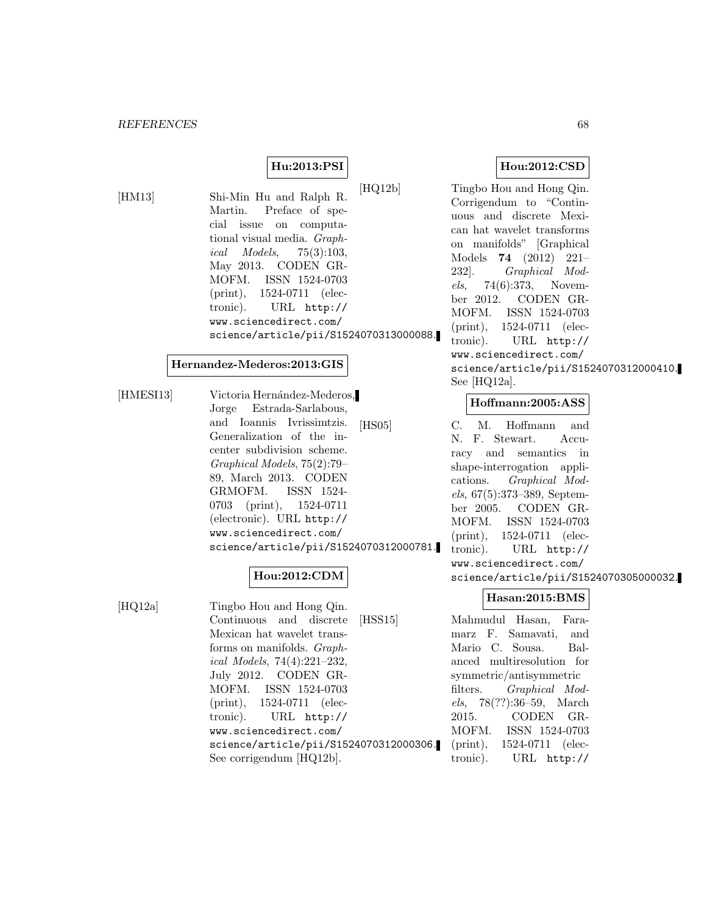# **Hu:2013:PSI**

[HM13] Shi-Min Hu and Ralph R. Martin. Preface of special issue on computational visual media. Graphical Models, 75(3):103, May 2013. CODEN GR-MOFM. ISSN 1524-0703 (print), 1524-0711 (electronic). URL http:// www.sciencedirect.com/ science/article/pii/S1524070313000088.

### **Hernandez-Mederos:2013:GIS**

[HMESI13] Victoria Hernández-Mederos, Jorge Estrada-Sarlabous, and Ioannis Ivrissimtzis. Generalization of the incenter subdivision scheme. Graphical Models, 75(2):79– 89, March 2013. CODEN GRMOFM. ISSN 1524- 0703 (print), 1524-0711 (electronic). URL http:// www.sciencedirect.com/ science/article/pii/S1524070312000781.

# **Hou:2012:CDM**

[HQ12a] Tingbo Hou and Hong Qin. Continuous and discrete Mexican hat wavelet transforms on manifolds. Graphical Models, 74(4):221–232, July 2012. CODEN GR-MOFM. ISSN 1524-0703 (print), 1524-0711 (electronic). URL http:// www.sciencedirect.com/ science/article/pii/S1524070312000306. See corrigendum [HQ12b].

# **Hou:2012:CSD**

[HQ12b] Tingbo Hou and Hong Qin. Corrigendum to "Continuous and discrete Mexican hat wavelet transforms on manifolds" [Graphical Models **74** (2012) 221– 232]. Graphical Models, 74(6):373, November 2012. CODEN GR-MOFM. ISSN 1524-0703 (print), 1524-0711 (electronic). URL http:// www.sciencedirect.com/ science/article/pii/S1524070312000410. See [HQ12a].

#### **Hoffmann:2005:ASS**

[HS05] C. M. Hoffmann and N. F. Stewart. Accuracy and semantics in shape-interrogation applications. Graphical Models, 67(5):373–389, September 2005. CODEN GR-MOFM. ISSN 1524-0703 (print), 1524-0711 (electronic). URL http:// www.sciencedirect.com/ science/article/pii/S1524070305000032.

#### **Hasan:2015:BMS**

[HSS15] Mahmudul Hasan, Faramarz F. Samavati, and Mario C. Sousa. Balanced multiresolution for symmetric/antisymmetric filters. Graphical Models, 78(??):36–59, March 2015. CODEN GR-MOFM. ISSN 1524-0703 (print), 1524-0711 (electronic). URL http://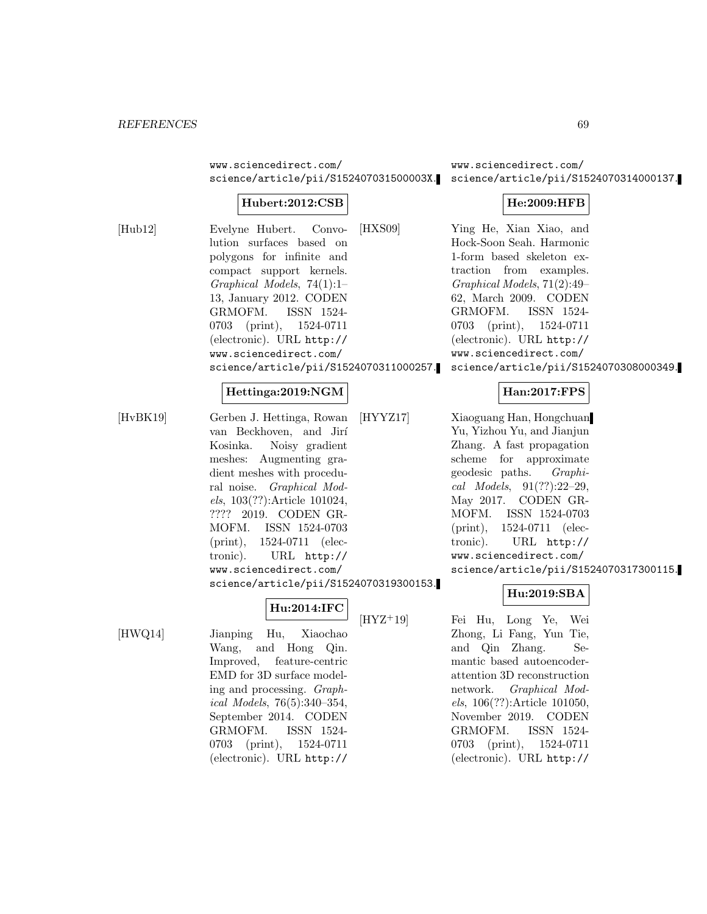www.sciencedirect.com/

# **Hubert:2012:CSB**

[Hub12] Evelyne Hubert. Convolution surfaces based on polygons for infinite and compact support kernels. Graphical Models, 74(1):1– 13, January 2012. CODEN GRMOFM. ISSN 1524- 0703 (print), 1524-0711 (electronic). URL http:// www.sciencedirect.com/ science/article/pii/S1524070311000257.

#### **Hettinga:2019:NGM**

[HvBK19] Gerben J. Hettinga, Rowan van Beckhoven, and Jirí Kosinka. Noisy gradient meshes: Augmenting gradient meshes with procedural noise. Graphical Models, 103(??):Article 101024, ???? 2019. CODEN GR-MOFM. ISSN 1524-0703 (print), 1524-0711 (electronic). URL http:// www.sciencedirect.com/

science/article/pii/S1524070319300153.

**Hu:2014:IFC**

[HWQ14] Jianping Hu, Xiaochao Wang, and Hong Qin. Improved, feature-centric EMD for 3D surface modeling and processing. Graphical Models, 76(5):340–354, September 2014. CODEN GRMOFM. ISSN 1524- 0703 (print), 1524-0711 (electronic). URL http://

science/article/pii/S152407031500003X. science/article/pii/S1524070314000137. www.sciencedirect.com/

# **He:2009:HFB**

[HXS09] Ying He, Xian Xiao, and Hock-Soon Seah. Harmonic 1-form based skeleton extraction from examples. Graphical Models, 71(2):49– 62, March 2009. CODEN GRMOFM. ISSN 1524- 0703 (print), 1524-0711 (electronic). URL http:// www.sciencedirect.com/ science/article/pii/S1524070308000349.

### **Han:2017:FPS**

[HYYZ17] Xiaoguang Han, Hongchuan Yu, Yizhou Yu, and Jianjun Zhang. A fast propagation scheme for approximate geodesic paths. Graphical Models, 91(??):22–29, May 2017. CODEN GR-MOFM. ISSN 1524-0703 (print), 1524-0711 (electronic). URL http:// www.sciencedirect.com/ science/article/pii/S1524070317300115.

# **Hu:2019:SBA**

[HYZ<sup>+</sup>19] Fei Hu, Long Ye, Wei Zhong, Li Fang, Yun Tie, and Qin Zhang. Semantic based autoencoderattention 3D reconstruction network. Graphical Models, 106(??):Article 101050, November 2019. CODEN GRMOFM. ISSN 1524- 0703 (print), 1524-0711 (electronic). URL http://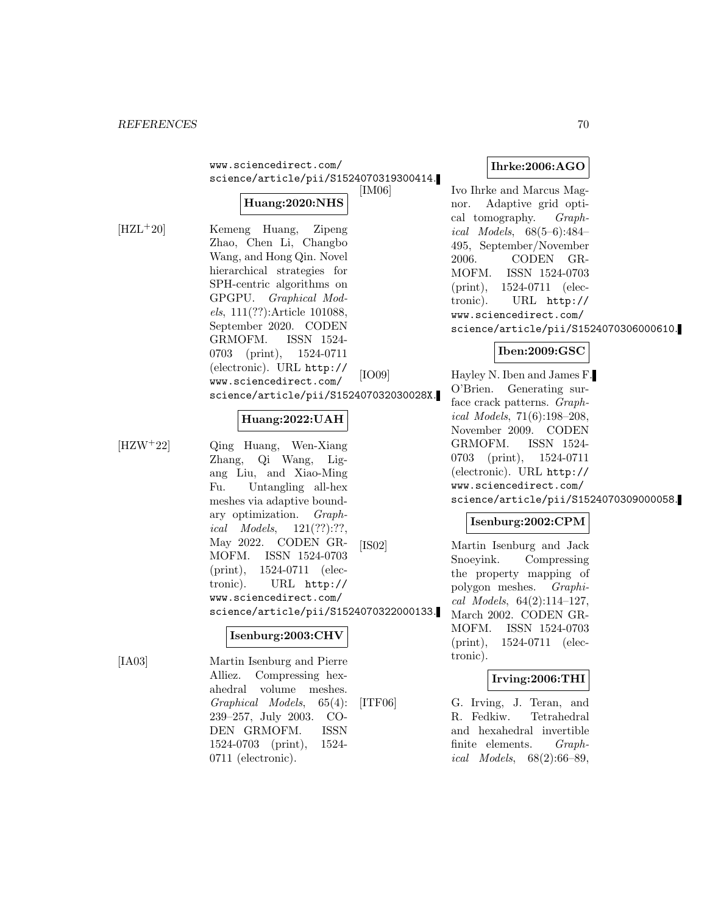www.sciencedirect.com/ science/article/pii/S1524070319300414.

# **Huang:2020:NHS**

[HZL<sup>+</sup>20] Kemeng Huang, Zipeng Zhao, Chen Li, Changbo Wang, and Hong Qin. Novel hierarchical strategies for SPH-centric algorithms on GPGPU. Graphical Models, 111(??):Article 101088, September 2020. CODEN GRMOFM. ISSN 1524- 0703 (print), 1524-0711 (electronic). URL http:// www.sciencedirect.com/ science/article/pii/S152407032030028X.

# **Huang:2022:UAH**

[HZW<sup>+</sup>22] Qing Huang, Wen-Xiang Zhang, Qi Wang, Ligang Liu, and Xiao-Ming Fu. Untangling all-hex meshes via adaptive boundary optimization. Graphical Models, 121(??):??, May 2022. CODEN GR-MOFM. ISSN 1524-0703 (print), 1524-0711 (electronic). URL http:// www.sciencedirect.com/ science/article/pii/S1524070322000133.

# **Isenburg:2003:CHV**

[IA03] Martin Isenburg and Pierre Alliez. Compressing hexahedral volume meshes. Graphical Models, 65(4): 239–257, July 2003. CO-DEN GRMOFM. ISSN 1524-0703 (print), 1524- 0711 (electronic).

**Ihrke:2006:AGO**

Ivo Ihrke and Marcus Magnor. Adaptive grid optical tomography. Graphical Models, 68(5–6):484– 495, September/November 2006. CODEN GR-MOFM. ISSN 1524-0703 (print), 1524-0711 (electronic). URL http:// www.sciencedirect.com/ science/article/pii/S1524070306000610.

# **Iben:2009:GSC**

[IO09] Hayley N. Iben and James F. O'Brien. Generating surface crack patterns. Graphical Models, 71(6):198–208, November 2009. CODEN GRMOFM. ISSN 1524- 0703 (print), 1524-0711 (electronic). URL http:// www.sciencedirect.com/ science/article/pii/S1524070309000058.

# **Isenburg:2002:CPM**

[IS02] Martin Isenburg and Jack Snoeyink. Compressing the property mapping of polygon meshes. Graphical Models, 64(2):114–127, March 2002. CODEN GR-MOFM. ISSN 1524-0703 (print), 1524-0711 (electronic).

# **Irving:2006:THI**

[ITF06] G. Irving, J. Teran, and R. Fedkiw. Tetrahedral and hexahedral invertible finite elements. Graphical Models, 68(2):66–89,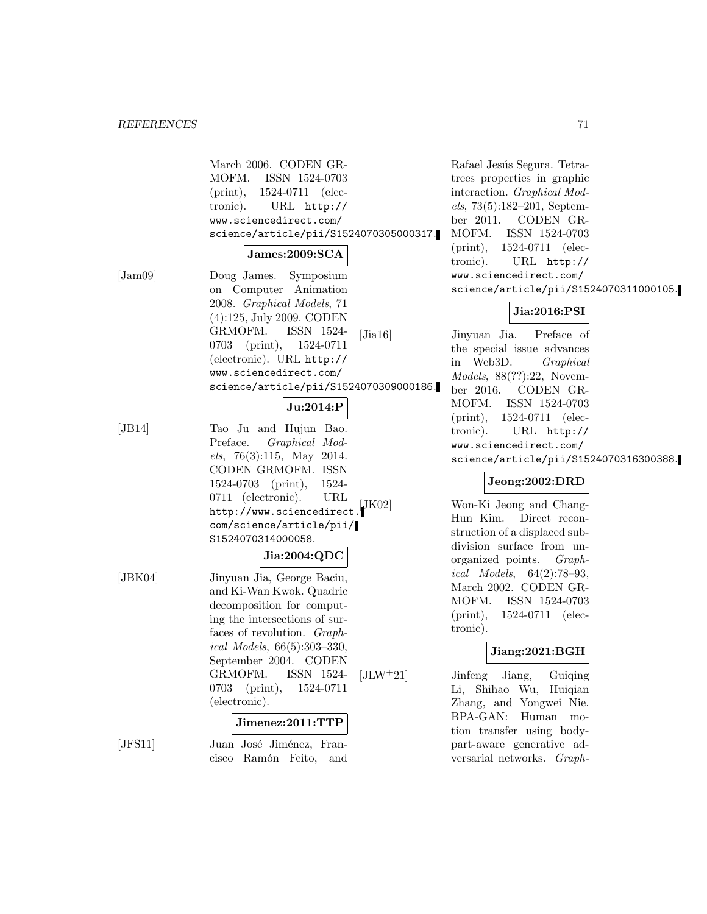|                  | March 2006. CODEN GR-<br>MOFM. ISSN 1524-0703<br>(print), 1524-0711 (elec-<br>tronic).<br>URL http://<br>www.sciencedirect.com/<br>science/article/pii/S1524070305000317.<br>James:2009:SCA                                                                                                                                      |
|------------------|----------------------------------------------------------------------------------------------------------------------------------------------------------------------------------------------------------------------------------------------------------------------------------------------------------------------------------|
| $[\text{Jam09}]$ | Doug James. Symposium<br>on Computer Animation<br>2008. Graphical Models, 71<br>$(4):125$ , July 2009. CODEN<br>GRMOFM.<br>ISSN 1524-<br>$[\text{Jia}16]$<br>$(\text{print}),$<br>0703<br>1524-0711<br>(electronic). URL http://<br>www.sciencedirect.com/<br>science/article/pii/S1524070309000186.                             |
|                  | Ju:2014:P                                                                                                                                                                                                                                                                                                                        |
| [JB14]           | Tao Ju and Hujun Bao.<br>Graphical Mod-<br>Preface.<br>els, 76(3):115, May 2014.<br>CODEN GRMOFM. ISSN<br>$(print), 1524-$<br>1524-0703<br>0711 (electronic).<br>URL<br>$[$ J $K02]$<br>http://www.sciencedirect.<br>com/science/article/pii/<br>S1524070314000058.                                                              |
| $[\text{JBK04}]$ | Jia:2004:QDC<br>Jinyuan Jia, George Baciu,<br>and Ki-Wan Kwok. Quadric<br>decomposition for comput-<br>ing the intersections of sur-<br>faces of revolution. Graph-<br>ical Models, $66(5):303-330$ ,<br>September 2004. CODEN<br>GRMOFM.<br>ISSN 1524-<br>$[JLW+21]$<br>0703<br>1524-0711<br>$(\text{print}),$<br>(electronic). |
|                  | Jimenez:2011:TTP                                                                                                                                                                                                                                                                                                                 |
| [JFS11]          | Juan José Jiménez, Fran-<br>cisco Ramón Feito, and                                                                                                                                                                                                                                                                               |

Rafael Jesús Segura. Tetratrees properties in graphic interaction. Graphical Models, 73(5):182–201, September 2011. CODEN GR-MOFM. ISSN 1524-0703 (print), 1524-0711 (electronic). URL http:// www.sciencedirect.com/ science/article/pii/S1524070311000105.

# **Jia:2016:PSI**

Jinyuan Jia. Preface of the special issue advances in Web3D. Graphical Models, 88(??):22, November 2016. CODEN GR-MOFM. ISSN 1524-0703 (print), 1524-0711 (electronic). URL http:// www.sciencedirect.com/ science/article/pii/S1524070316300388.

# **Jeong:2002:DRD**

Won-Ki Jeong and Chang-Hun Kim. Direct reconstruction of a displaced subdivision surface from unorganized points. Graphical Models, 64(2):78–93, March 2002. CODEN GR-MOFM. ISSN 1524-0703 (print), 1524-0711 (electronic).

# **Jiang:2021:BGH**

Jinfeng Jiang, Guiqing Li, Shihao Wu, Huiqian Zhang, and Yongwei Nie. BPA-GAN: Human motion transfer using bodypart-aware generative adversarial networks. Graph-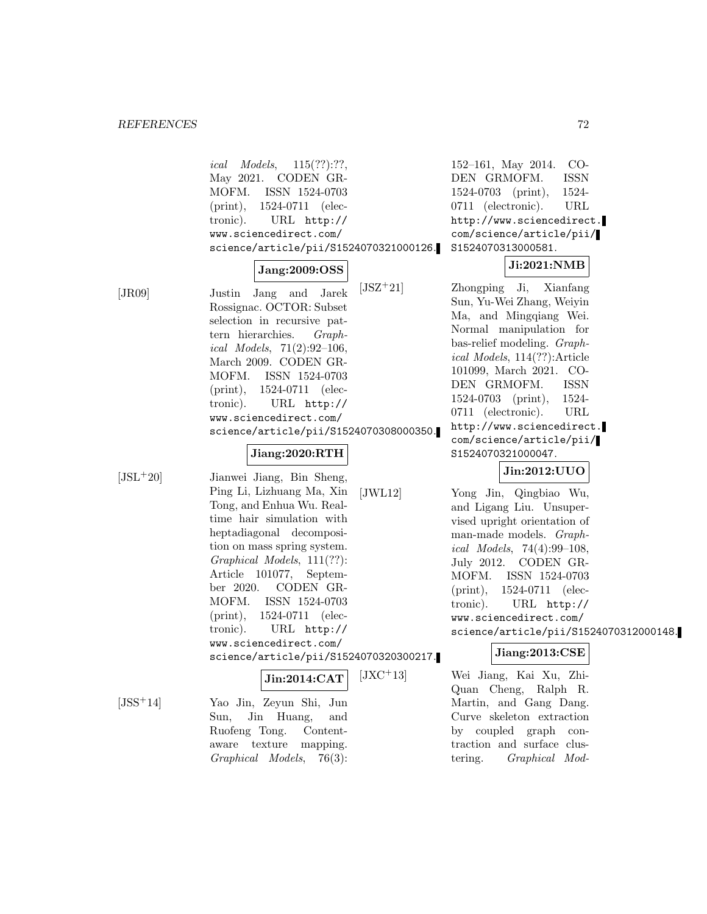ical Models, 115(??):??, May 2021. CODEN GR-MOFM. ISSN 1524-0703 (print), 1524-0711 (electronic). URL http:// www.sciencedirect.com/ science/article/pii/S1524070321000126.

# **Jang:2009:OSS**

[JR09] Justin Jang and Jarek Rossignac. OCTOR: Subset selection in recursive pattern hierarchies. Graphical Models, 71(2):92–106, March 2009. CODEN GR-MOFM. ISSN 1524-0703 (print), 1524-0711 (electronic). URL http:// www.sciencedirect.com/ science/article/pii/S1524070308000350.

# **Jiang:2020:RTH**

[JSL<sup>+</sup>20] Jianwei Jiang, Bin Sheng, Ping Li, Lizhuang Ma, Xin Tong, and Enhua Wu. Realtime hair simulation with heptadiagonal decomposition on mass spring system. Graphical Models, 111(??): Article 101077, September 2020. CODEN GR-MOFM. ISSN 1524-0703 (print), 1524-0711 (electronic). URL http:// www.sciencedirect.com/ science/article/pii/S1524070320300217.

# **Jin:2014:CAT**

[JSS<sup>+</sup>14] Yao Jin, Zeyun Shi, Jun Sun, Jin Huang, and Ruofeng Tong. Contentaware texture mapping. Graphical Models, 76(3):

152–161, May 2014. CO-DEN GRMOFM. ISSN 1524-0703 (print), 1524- 0711 (electronic). URL http://www.sciencedirect. com/science/article/pii/ S1524070313000581.

# **Ji:2021:NMB**

[JSZ<sup>+</sup>21] Zhongping Ji, Xianfang Sun, Yu-Wei Zhang, Weiyin Ma, and Mingqiang Wei. Normal manipulation for bas-relief modeling. Graphical Models, 114(??):Article 101099, March 2021. CO-DEN GRMOFM. ISSN 1524-0703 (print), 1524- 0711 (electronic). URL http://www.sciencedirect. com/science/article/pii/ S1524070321000047.

# **Jin:2012:UUO**

[JWL12] Yong Jin, Qingbiao Wu, and Ligang Liu. Unsupervised upright orientation of man-made models. Graphical Models, 74(4):99–108, July 2012. CODEN GR-MOFM. ISSN 1524-0703 (print), 1524-0711 (electronic). URL http:// www.sciencedirect.com/ science/article/pii/S1524070312000148.

# **Jiang:2013:CSE**

[JXC<sup>+</sup>13] Wei Jiang, Kai Xu, Zhi-Quan Cheng, Ralph R. Martin, and Gang Dang. Curve skeleton extraction by coupled graph contraction and surface clustering. Graphical Mod-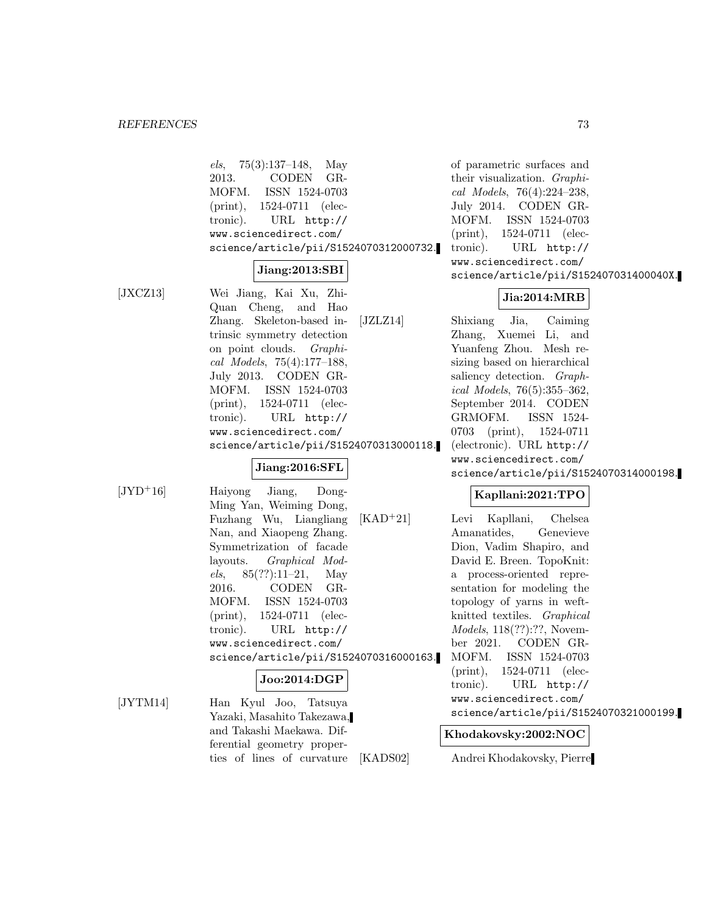els, 75(3):137–148, May 2013. CODEN GR-MOFM. ISSN 1524-0703 (print), 1524-0711 (electronic). URL http:// www.sciencedirect.com/ science/article/pii/S1524070312000732.

### **Jiang:2013:SBI**

[JXCZ13] Wei Jiang, Kai Xu, Zhi-Quan Cheng, and Hao Zhang. Skeleton-based intrinsic symmetry detection on point clouds. Graphical Models, 75(4):177–188, July 2013. CODEN GR-MOFM. ISSN 1524-0703 (print), 1524-0711 (electronic). URL http:// www.sciencedirect.com/ science/article/pii/S1524070313000118.

#### **Jiang:2016:SFL**

[JYD<sup>+</sup>16] Haiyong Jiang, Dong-Ming Yan, Weiming Dong, Fuzhang Wu, Liangliang Nan, and Xiaopeng Zhang. Symmetrization of facade layouts. Graphical Models,  $85(??):11-21$ , May 2016. CODEN GR-MOFM. ISSN 1524-0703 (print), 1524-0711 (electronic). URL http:// www.sciencedirect.com/ science/article/pii/S1524070316000163. **Joo:2014:DGP** [JYTM14] Han Kyul Joo, Tatsuya

Yazaki, Masahito Takezawa, and Takashi Maekawa. Differential geometry properties of lines of curvature

of parametric surfaces and their visualization. Graphical Models, 76(4):224–238, July 2014. CODEN GR-MOFM. ISSN 1524-0703 (print), 1524-0711 (electronic). URL http:// www.sciencedirect.com/ science/article/pii/S152407031400040X.

# **Jia:2014:MRB**

[JZLZ14] Shixiang Jia, Caiming Zhang, Xuemei Li, and Yuanfeng Zhou. Mesh resizing based on hierarchical saliency detection. *Graph*ical Models, 76(5):355–362, September 2014. CODEN GRMOFM. ISSN 1524- 0703 (print), 1524-0711 (electronic). URL http:// www.sciencedirect.com/ science/article/pii/S1524070314000198.

# **Kapllani:2021:TPO**

[KAD<sup>+</sup>21] Levi Kapllani, Chelsea Amanatides, Genevieve Dion, Vadim Shapiro, and David E. Breen. TopoKnit: a process-oriented representation for modeling the topology of yarns in weftknitted textiles. Graphical Models, 118(??):??, November 2021. CODEN GR-MOFM. ISSN 1524-0703 (print), 1524-0711 (electronic). URL http:// www.sciencedirect.com/ science/article/pii/S1524070321000199.

#### **Khodakovsky:2002:NOC**

[KADS02] Andrei Khodakovsky, Pierre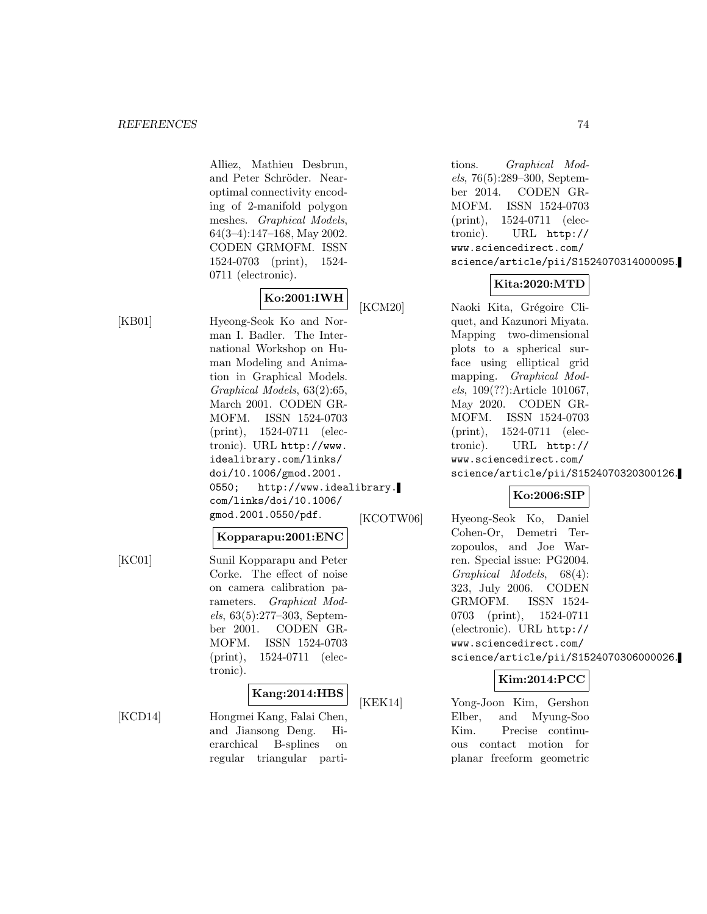Alliez, Mathieu Desbrun, and Peter Schröder. Nearoptimal connectivity encoding of 2-manifold polygon meshes. Graphical Models, 64(3–4):147–168, May 2002. CODEN GRMOFM. ISSN 1524-0703 (print), 1524- 0711 (electronic).

# **Ko:2001:IWH**

[KB01] Hyeong-Seok Ko and Norman I. Badler. The International Workshop on Human Modeling and Animation in Graphical Models. Graphical Models, 63(2):65, March 2001. CODEN GR-MOFM. ISSN 1524-0703 (print), 1524-0711 (electronic). URL http://www. idealibrary.com/links/ doi/10.1006/gmod.2001. 0550; http://www.idealibrary. com/links/doi/10.1006/ gmod.2001.0550/pdf.

# **Kopparapu:2001:ENC**

[KC01] Sunil Kopparapu and Peter Corke. The effect of noise on camera calibration parameters. Graphical Models, 63(5):277–303, September 2001. CODEN GR-MOFM. ISSN 1524-0703 (print), 1524-0711 (electronic).

#### **Kang:2014:HBS**

[KCD14] Hongmei Kang, Falai Chen, and Jiansong Deng. Hierarchical B-splines on regular triangular partitions. Graphical Models, 76(5):289–300, September 2014. CODEN GR-MOFM. ISSN 1524-0703 (print), 1524-0711 (electronic). URL http:// www.sciencedirect.com/ science/article/pii/S1524070314000095.

# **Kita:2020:MTD**

[KCM20] Naoki Kita, Grégoire Cliquet, and Kazunori Miyata. Mapping two-dimensional plots to a spherical surface using elliptical grid mapping. Graphical Models, 109(??):Article 101067, May 2020. CODEN GR-MOFM. ISSN 1524-0703 (print), 1524-0711 (electronic). URL http:// www.sciencedirect.com/ science/article/pii/S1524070320300126.

# **Ko:2006:SIP**

[KCOTW06] Hyeong-Seok Ko, Daniel Cohen-Or, Demetri Terzopoulos, and Joe Warren. Special issue: PG2004. Graphical Models, 68(4): 323, July 2006. CODEN GRMOFM. ISSN 1524- 0703 (print), 1524-0711 (electronic). URL http:// www.sciencedirect.com/ science/article/pii/S1524070306000026.

# **Kim:2014:PCC**

[KEK14] Yong-Joon Kim, Gershon Elber, and Myung-Soo Kim. Precise continuous contact motion for planar freeform geometric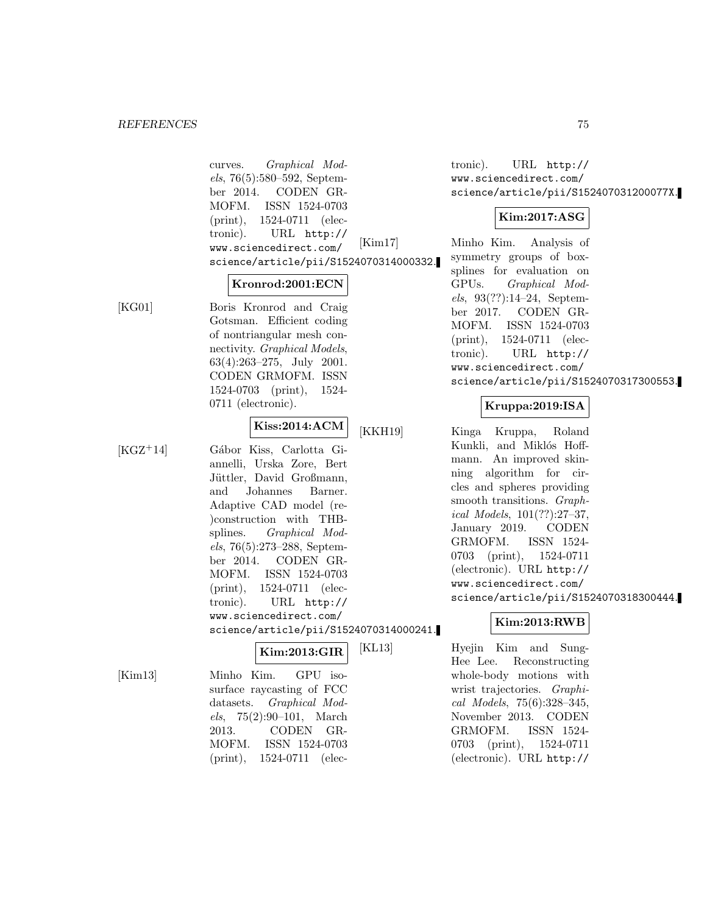curves. Graphical Models, 76(5):580–592, September 2014. CODEN GR-MOFM. ISSN 1524-0703 (print), 1524-0711 (electronic). URL http:// www.sciencedirect.com/ science/article/pii/S1524070314000332.

#### **Kronrod:2001:ECN**

[KG01] Boris Kronrod and Craig Gotsman. Efficient coding of nontriangular mesh connectivity. Graphical Models, 63(4):263–275, July 2001. CODEN GRMOFM. ISSN 1524-0703 (print), 1524- 0711 (electronic).

# **Kiss:2014:ACM**

[KGZ<sup>+</sup>14] Gábor Kiss, Carlotta Giannelli, Urska Zore, Bert Jüttler, David Großmann, and Johannes Barner. Adaptive CAD model (re- )construction with THBsplines. Graphical Models, 76(5):273–288, September 2014. CODEN GR-MOFM. ISSN 1524-0703 (print), 1524-0711 (electronic). URL http:// www.sciencedirect.com/ science/article/pii/S1524070314000241.

# **Kim:2013:GIR**

[Kim13] Minho Kim. GPU isosurface raycasting of FCC datasets. Graphical Models, 75(2):90–101, March 2013. CODEN GR-MOFM. ISSN 1524-0703 (print), 1524-0711 (electronic). URL http:// www.sciencedirect.com/ science/article/pii/S152407031200077X.

# **Kim:2017:ASG**

[Kim17] Minho Kim. Analysis of symmetry groups of boxsplines for evaluation on GPUs. Graphical Models, 93(??):14–24, September 2017. CODEN GR-MOFM. ISSN 1524-0703 (print), 1524-0711 (electronic). URL http:// www.sciencedirect.com/ science/article/pii/S1524070317300553.

# **Kruppa:2019:ISA**

[KKH19] Kinga Kruppa, Roland Kunkli, and Miklós Hoffmann. An improved skinning algorithm for circles and spheres providing smooth transitions. Graphical Models, 101(??):27–37, January 2019. CODEN GRMOFM. ISSN 1524- 0703 (print), 1524-0711 (electronic). URL http:// www.sciencedirect.com/ science/article/pii/S1524070318300444.

# **Kim:2013:RWB**

[KL13] Hyejin Kim and Sung-Hee Lee. Reconstructing whole-body motions with wrist trajectories. Graphical Models, 75(6):328–345, November 2013. CODEN GRMOFM. ISSN 1524- 0703 (print), 1524-0711 (electronic). URL http://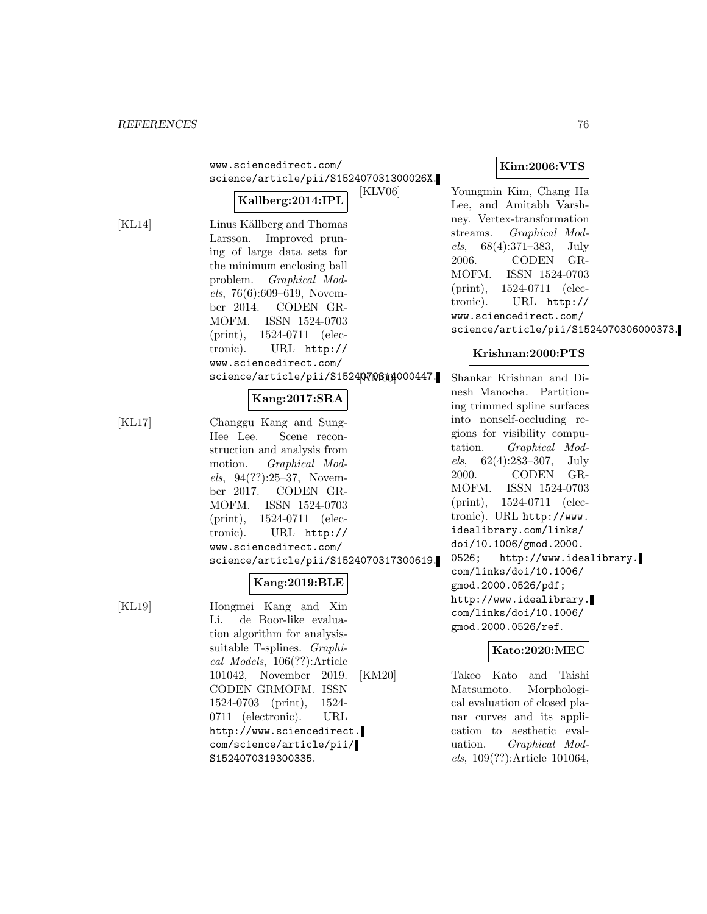| www.sciencedirect.com/                                                                                                                                                                                                                                                        |
|-------------------------------------------------------------------------------------------------------------------------------------------------------------------------------------------------------------------------------------------------------------------------------|
| science/article/pii/S152407031300026X.<br><u>Providence</u> and a students of the students of the students of the students of the students of the students of the studies of the studies of the studies of the studies of the studies of the studies of the studies of the st |

#### **Kallberg:2014:IPL**

[KL14] Linus Källberg and Thomas Larsson. Improved pruning of large data sets for the minimum enclosing ball problem. Graphical Models, 76(6):609–619, November 2014. CODEN GR-MOFM. ISSN 1524-0703 (print), 1524-0711 (electronic). URL http:// www.sciencedirect.com/ science/article/pii/S15240700044000447.

#### **Kang:2017:SRA**

[KL17] Changgu Kang and Sung-Hee Lee. Scene reconstruction and analysis from motion. Graphical Models, 94(??):25–37, November 2017. CODEN GR-MOFM. ISSN 1524-0703 (print), 1524-0711 (electronic). URL http:// www.sciencedirect.com/ science/article/pii/S1524070317300619.

# **Kang:2019:BLE**

[KL19] Hongmei Kang and Xin Li. de Boor-like evaluation algorithm for analysissuitable T-splines. Graphical Models, 106(??):Article 101042, November 2019. CODEN GRMOFM. ISSN 1524-0703 (print), 1524- 0711 (electronic). URL http://www.sciencedirect. com/science/article/pii/ S1524070319300335.

## **Kim:2006:VTS**

[KLV06] Youngmin Kim, Chang Ha Lee, and Amitabh Varshney. Vertex-transformation streams. Graphical Models, 68(4):371–383, July 2006. CODEN GR-MOFM. ISSN 1524-0703 (print), 1524-0711 (electronic). URL http:// www.sciencedirect.com/ science/article/pii/S1524070306000373.

### **Krishnan:2000:PTS**

Shankar Krishnan and Dinesh Manocha. Partitioning trimmed spline surfaces into nonself-occluding regions for visibility computation. Graphical Models, 62(4):283–307, July 2000. CODEN GR-MOFM. ISSN 1524-0703 (print), 1524-0711 (electronic). URL http://www. idealibrary.com/links/ doi/10.1006/gmod.2000. 0526; http://www.idealibrary. com/links/doi/10.1006/ gmod.2000.0526/pdf; http://www.idealibrary. com/links/doi/10.1006/ gmod.2000.0526/ref.

## **Kato:2020:MEC**

[KM20] Takeo Kato and Taishi Matsumoto. Morphological evaluation of closed planar curves and its application to aesthetic evaluation. Graphical Models, 109(??):Article 101064,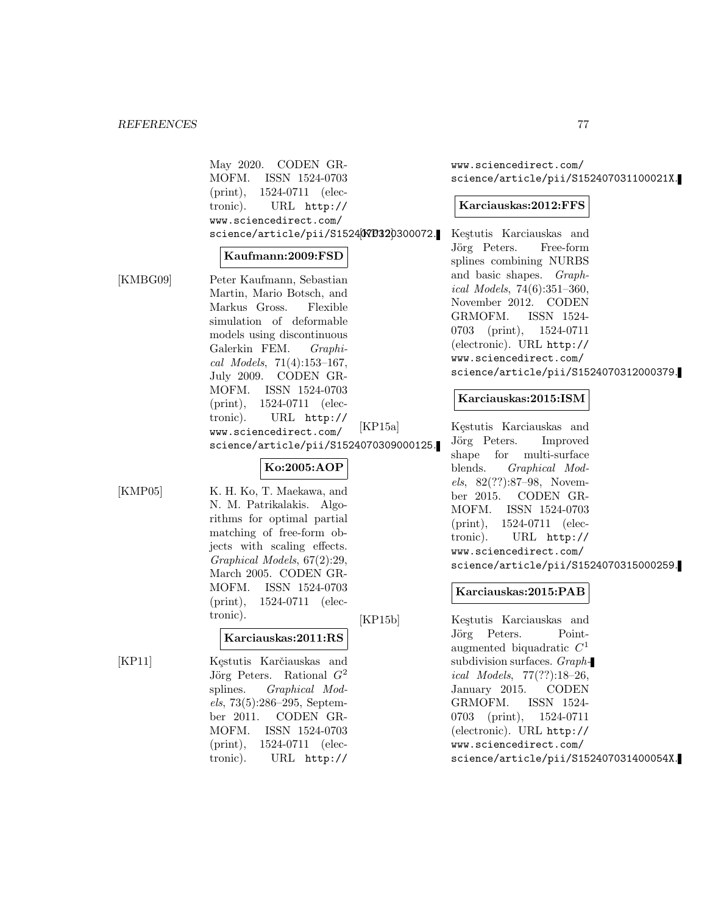May 2020. CODEN GR-MOFM. ISSN 1524-0703 (print), 1524-0711 (electronic). URL http:// www.sciencedirect.com/ science/article/pii/S1524070320300072.

#### **Kaufmann:2009:FSD**

[KMBG09] Peter Kaufmann, Sebastian Martin, Mario Botsch, and Markus Gross. Flexible simulation of deformable models using discontinuous Galerkin FEM. Graphical Models, 71(4):153–167, July 2009. CODEN GR-MOFM. ISSN 1524-0703 (print), 1524-0711 (electronic). URL http:// www.sciencedirect.com/ science/article/pii/S1524070309000125.

# **Ko:2005:AOP**

[KMP05] K. H. Ko, T. Maekawa, and N. M. Patrikalakis. Algorithms for optimal partial matching of free-form objects with scaling effects. Graphical Models, 67(2):29, March 2005. CODEN GR-MOFM. ISSN 1524-0703 (print), 1524-0711 (electronic).

# **Karciauskas:2011:RS**

[KP11] Kęstutis Karčiauskas and Jörg Peters. Rational  $G^2$ splines. Graphical Models, 73(5):286–295, September 2011. CODEN GR-MOFM. ISSN 1524-0703 (print), 1524-0711 (electronic). URL http://

www.sciencedirect.com/ science/article/pii/S152407031100021X.

#### **Karciauskas:2012:FFS**

Keştutis Karciauskas and Jörg Peters. Free-form splines combining NURBS and basic shapes. Graphical Models, 74(6):351–360, November 2012. CODEN GRMOFM. ISSN 1524- 0703 (print), 1524-0711 (electronic). URL http:// www.sciencedirect.com/ science/article/pii/S1524070312000379.

#### **Karciauskas:2015:ISM**

[KP15a] Kęstutis Karciauskas and Jörg Peters. Improved shape for multi-surface blends. Graphical Models, 82(??):87–98, November 2015. CODEN GR-MOFM. ISSN 1524-0703 (print), 1524-0711 (electronic). URL http:// www.sciencedirect.com/ science/article/pii/S1524070315000259.

### **Karciauskas:2015:PAB**

[KP15b] Keştutis Karciauskas and Jörg Peters. Pointaugmented biquadratic  $C<sup>1</sup>$ subdivision surfaces. Graphical Models, 77(??):18–26, January 2015. CODEN GRMOFM. ISSN 1524- 0703 (print), 1524-0711 (electronic). URL http:// www.sciencedirect.com/ science/article/pii/S152407031400054X.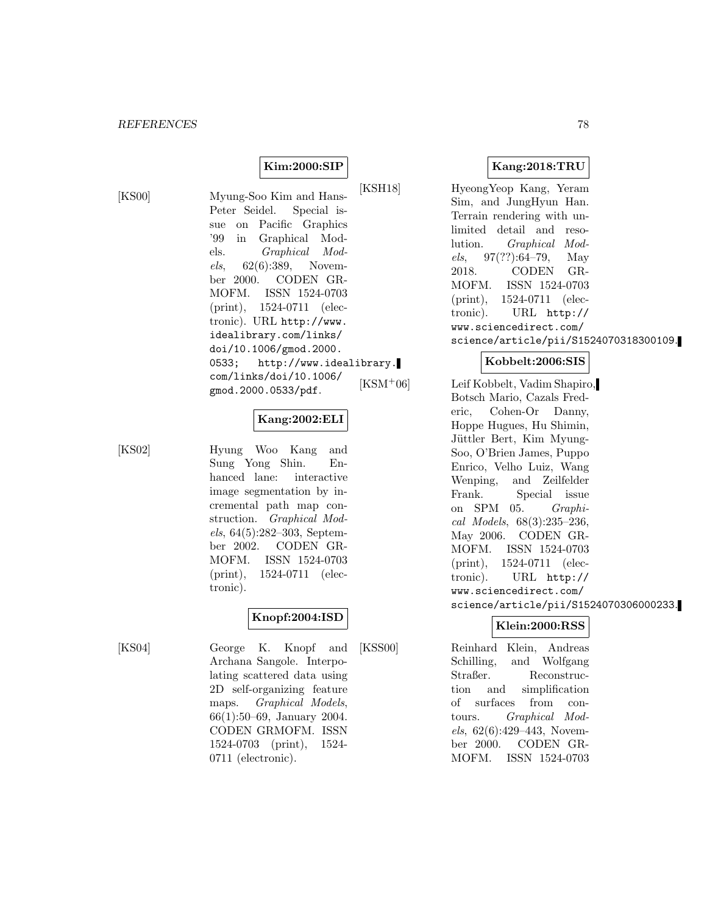## **Kim:2000:SIP**

[KS00] Myung-Soo Kim and Hans-Peter Seidel. Special issue on Pacific Graphics '99 in Graphical Models. Graphical Models, 62(6):389, November 2000. CODEN GR-MOFM. ISSN 1524-0703 (print), 1524-0711 (electronic). URL http://www. idealibrary.com/links/ doi/10.1006/gmod.2000. 0533; http://www.idealibrary. com/links/doi/10.1006/ gmod.2000.0533/pdf.

#### **Kang:2002:ELI**

[KS02] Hyung Woo Kang and Sung Yong Shin. Enhanced lane: interactive image segmentation by incremental path map construction. Graphical Models, 64(5):282–303, September 2002. CODEN GR-MOFM. ISSN 1524-0703 (print), 1524-0711 (electronic).

# **Knopf:2004:ISD**

[KS04] George K. Knopf and Archana Sangole. Interpolating scattered data using 2D self-organizing feature maps. Graphical Models, 66(1):50–69, January 2004. CODEN GRMOFM. ISSN 1524-0703 (print), 1524- 0711 (electronic).

# **Kang:2018:TRU**

[KSH18] HyeongYeop Kang, Yeram Sim, and JungHyun Han. Terrain rendering with unlimited detail and resolution. Graphical Models, 97(??):64–79, May 2018. CODEN GR-MOFM. ISSN 1524-0703 (print), 1524-0711 (electronic). URL http:// www.sciencedirect.com/ science/article/pii/S1524070318300109.

## **Kobbelt:2006:SIS**

[KSM<sup>+</sup>06] Leif Kobbelt, Vadim Shapiro, Botsch Mario, Cazals Frederic, Cohen-Or Danny, Hoppe Hugues, Hu Shimin, Jüttler Bert, Kim Myung-Soo, O'Brien James, Puppo Enrico, Velho Luiz, Wang Wenping, and Zeilfelder Frank. Special issue on SPM 05. Graphical Models, 68(3):235–236, May 2006. CODEN GR-MOFM. ISSN 1524-0703 (print), 1524-0711 (electronic). URL http:// www.sciencedirect.com/ science/article/pii/S1524070306000233.

# **Klein:2000:RSS**

[KSS00] Reinhard Klein, Andreas Schilling, and Wolfgang Straßer. Reconstruction and simplification of surfaces from contours. Graphical Models, 62(6):429–443, November 2000. CODEN GR-MOFM. ISSN 1524-0703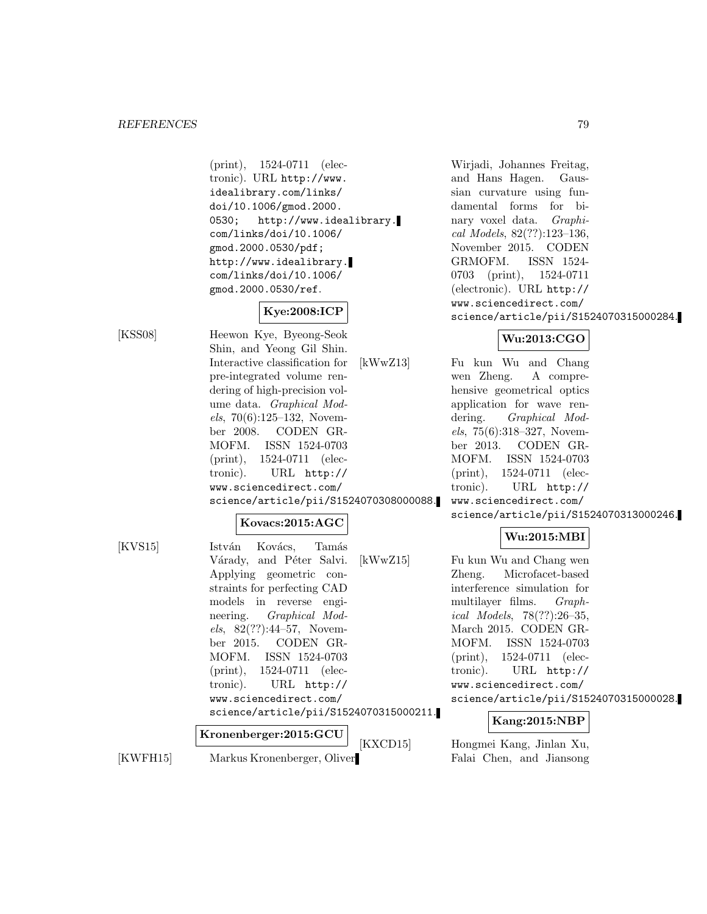(print), 1524-0711 (electronic). URL http://www. idealibrary.com/links/ doi/10.1006/gmod.2000. 0530; http://www.idealibrary. com/links/doi/10.1006/ gmod.2000.0530/pdf; http://www.idealibrary. com/links/doi/10.1006/ gmod.2000.0530/ref.

# **Kye:2008:ICP**

[KSS08] Heewon Kye, Byeong-Seok Shin, and Yeong Gil Shin. Interactive classification for pre-integrated volume rendering of high-precision volume data. Graphical Models, 70(6):125–132, November 2008. CODEN GR-MOFM. ISSN 1524-0703 (print), 1524-0711 (electronic). URL http:// www.sciencedirect.com/ science/article/pii/S1524070308000088.

#### **Kovacs:2015:AGC**

[KVS15] István Kovács, Tamás Várady, and Péter Salvi. Applying geometric constraints for perfecting CAD models in reverse engineering. Graphical Models, 82(??):44–57, November 2015. CODEN GR-MOFM. ISSN 1524-0703 (print), 1524-0711 (electronic). URL http:// www.sciencedirect.com/ science/article/pii/S1524070315000211. **Kronenberger:2015:GCU**

[KWFH15] Markus Kronenberger, Oliver

and Hans Hagen. Gaussian curvature using fundamental forms for binary voxel data. Graphical Models, 82(??):123–136, November 2015. CODEN GRMOFM. ISSN 1524- 0703 (print), 1524-0711 (electronic). URL http:// www.sciencedirect.com/ science/article/pii/S1524070315000284.

Wirjadi, Johannes Freitag,

# **Wu:2013:CGO**

[kWwZ13] Fu kun Wu and Chang wen Zheng. A comprehensive geometrical optics application for wave rendering. Graphical Models, 75(6):318–327, November 2013. CODEN GR-MOFM. ISSN 1524-0703 (print), 1524-0711 (electronic). URL http:// www.sciencedirect.com/ science/article/pii/S1524070313000246.

# **Wu:2015:MBI**

[kWwZ15] Fu kun Wu and Chang wen Zheng. Microfacet-based interference simulation for multilayer films. Graphical Models, 78(??):26–35, March 2015. CODEN GR-MOFM. ISSN 1524-0703 (print), 1524-0711 (electronic). URL http:// www.sciencedirect.com/ science/article/pii/S1524070315000028.

# **Kang:2015:NBP**

[KXCD15] Hongmei Kang, Jinlan Xu, Falai Chen, and Jiansong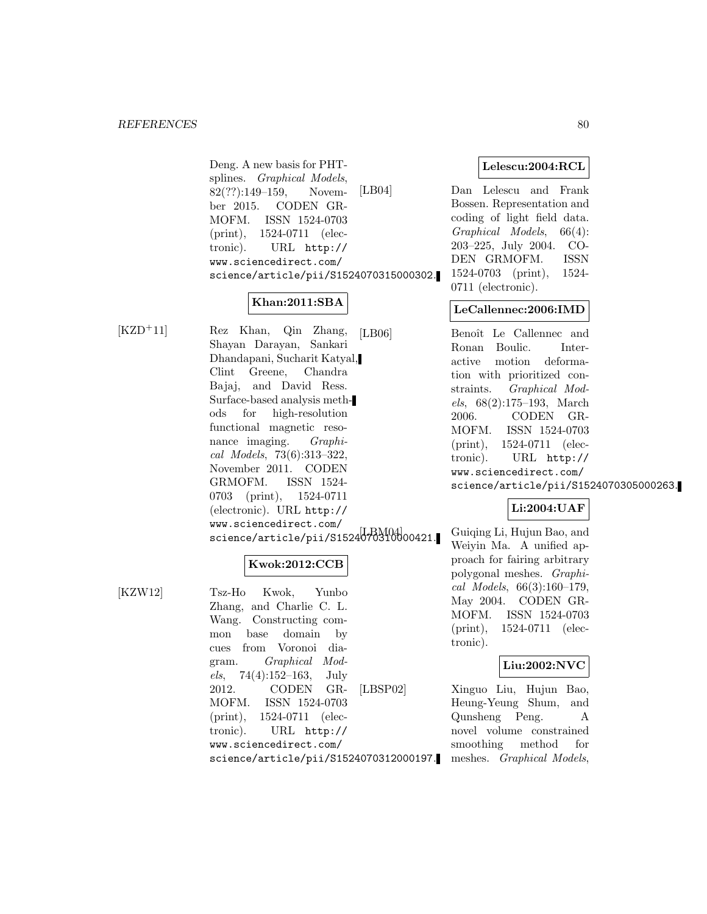Deng. A new basis for PHTsplines. Graphical Models, 82(??):149–159, November 2015. CODEN GR-MOFM. ISSN 1524-0703 (print), 1524-0711 (electronic). URL http:// www.sciencedirect.com/ science/article/pii/S1524070315000302.

# **Khan:2011:SBA**

[KZD<sup>+</sup>11] Rez Khan, Qin Zhang, Shayan Darayan, Sankari Dhandapani, Sucharit Katyal, Clint Greene, Chandra Bajaj, and David Ress. Surface-based analysis methods for high-resolution functional magnetic resonance imaging. *Graphi*cal Models, 73(6):313–322, November 2011. CODEN GRMOFM. ISSN 1524- 0703 (print), 1524-0711 (electronic). URL http:// www.sciencedirect.com/ science/article/pii/S1524070310000421.

# **Kwok:2012:CCB**

[KZW12] Tsz-Ho Kwok, Yunbo Zhang, and Charlie C. L. Wang. Constructing common base domain by cues from Voronoi diagram. Graphical Mod $els, 74(4):152-163, July$ 2012. CODEN GR-MOFM. ISSN 1524-0703 (print), 1524-0711 (electronic). URL http:// www.sciencedirect.com/ science/article/pii/S1524070312000197. **Lelescu:2004:RCL**

[LB04] Dan Lelescu and Frank Bossen. Representation and coding of light field data. Graphical Models, 66(4): 203–225, July 2004. CO-DEN GRMOFM. ISSN 1524-0703 (print), 1524- 0711 (electronic).

# **LeCallennec:2006:IMD**

[LB06] Benoît Le Callennec and Ronan Boulic. Interactive motion deformation with prioritized constraints. Graphical Models, 68(2):175–193, March 2006. CODEN GR-MOFM. ISSN 1524-0703 (print), 1524-0711 (electronic). URL http:// www.sciencedirect.com/ science/article/pii/S1524070305000263.

# **Li:2004:UAF**

Guiqing Li, Hujun Bao, and Weiyin Ma. A unified approach for fairing arbitrary polygonal meshes. Graphical Models, 66(3):160–179, May 2004. CODEN GR-MOFM. ISSN 1524-0703 (print), 1524-0711 (electronic).

# **Liu:2002:NVC**

[LBSP02] Xinguo Liu, Hujun Bao, Heung-Yeung Shum, and Qunsheng Peng. A novel volume constrained smoothing method for meshes. Graphical Models,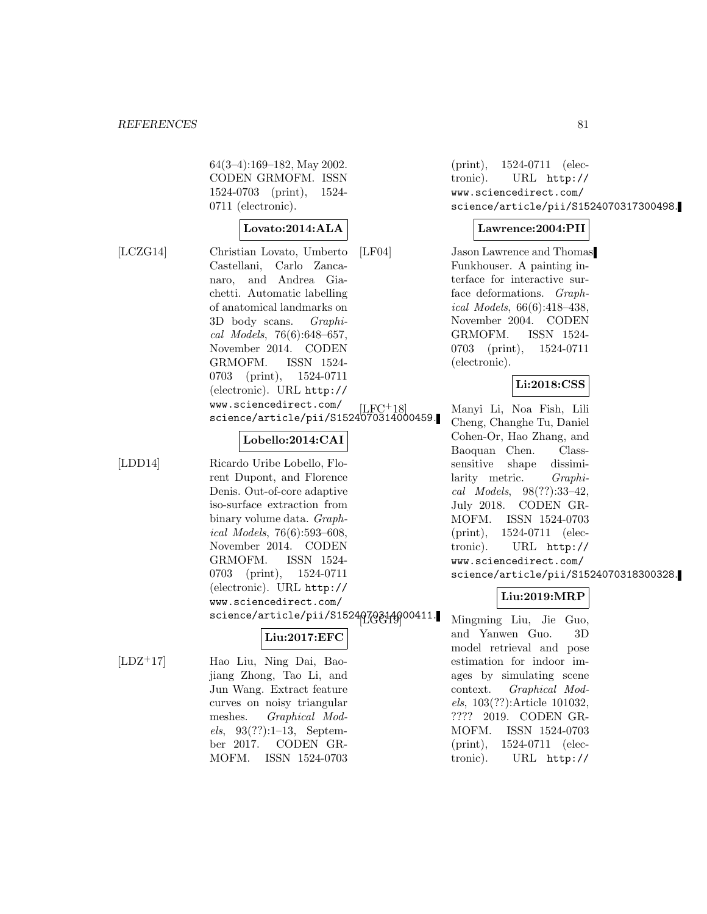64(3–4):169–182, May 2002. CODEN GRMOFM. ISSN 1524-0703 (print), 1524- 0711 (electronic).

#### **Lovato:2014:ALA**

[LCZG14] Christian Lovato, Umberto Castellani, Carlo Zancanaro, and Andrea Giachetti. Automatic labelling of anatomical landmarks on 3D body scans. Graphical Models, 76(6):648–657, November 2014. CODEN GRMOFM. ISSN 1524- 0703 (print), 1524-0711 (electronic). URL http:// www.sciencedirect.com/ science/article/pii/S1524070314000459.

# **Lobello:2014:CAI**

[LDD14] Ricardo Uribe Lobello, Florent Dupont, and Florence Denis. Out-of-core adaptive iso-surface extraction from binary volume data. Graphical Models, 76(6):593–608, November 2014. CODEN GRMOFM. ISSN 1524- 0703 (print), 1524-0711 (electronic). URL http:// www.sciencedirect.com/ science/article/pii/S1524070314000411.

# **Liu:2017:EFC**

[LDZ<sup>+</sup>17] Hao Liu, Ning Dai, Baojiang Zhong, Tao Li, and Jun Wang. Extract feature curves on noisy triangular meshes. Graphical Models, 93(??):1–13, September 2017. CODEN GR-MOFM. ISSN 1524-0703

(print), 1524-0711 (electronic). URL http:// www.sciencedirect.com/ science/article/pii/S1524070317300498.

#### **Lawrence:2004:PII**

[LF04] Jason Lawrence and Thomas Funkhouser. A painting interface for interactive surface deformations. Graphical Models, 66(6):418–438, November 2004. CODEN GRMOFM. ISSN 1524- 0703 (print), 1524-0711 (electronic).

### **Li:2018:CSS**

[LFC<sup>+</sup>18] Manyi Li, Noa Fish, Lili Cheng, Changhe Tu, Daniel Cohen-Or, Hao Zhang, and Baoquan Chen. Classsensitive shape dissimilarity metric. Graphical Models, 98(??):33–42, July 2018. CODEN GR-MOFM. ISSN 1524-0703 (print), 1524-0711 (electronic). URL http:// www.sciencedirect.com/ science/article/pii/S1524070318300328.

# **Liu:2019:MRP**

Mingming Liu, Jie Guo, and Yanwen Guo. 3D model retrieval and pose estimation for indoor images by simulating scene context. Graphical Models, 103(??):Article 101032, ???? 2019. CODEN GR-MOFM. ISSN 1524-0703 (print), 1524-0711 (electronic). URL http://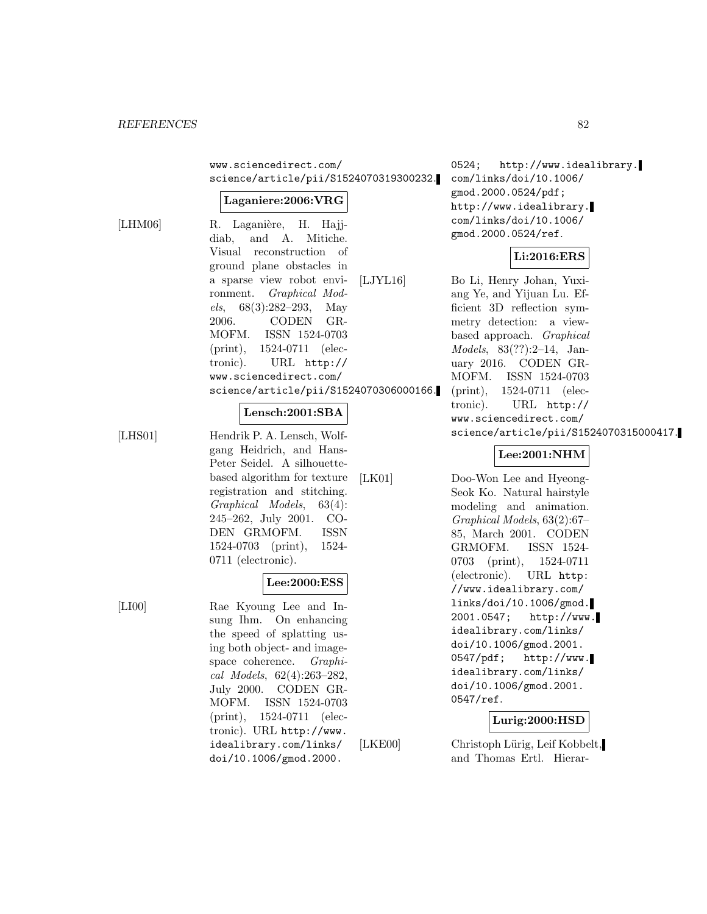www.sciencedirect.com/ science/article/pii/S1524070319300232.

#### **Laganiere:2006:VRG**

 $[LHM06]$ 

| R. Laganière, H. Hajj-                 |
|----------------------------------------|
| diab, and A. Mitiche.                  |
| Visual reconstruction of               |
| ground plane obstacles in              |
| a sparse view robot envi- [LJYL16]     |
| ronment. <i>Graphical Mod-</i>         |
| els, $68(3):282-293$ , May             |
| 2006. CODEN GR-                        |
| MOFM. ISSN 1524-0703                   |
| $(print), 1524-0711$ (elec-            |
| tronic). URL http://                   |
| www.sciencedirect.com/                 |
| science/article/pii/S1524070306000166. |

#### **Lensch:2001:SBA**

[LHS01] Hendrik P. A. Lensch, Wolfgang Heidrich, and Hans-Peter Seidel. A silhouettebased algorithm for texture registration and stitching. Graphical Models, 63(4): 245–262, July 2001. CO-DEN GRMOFM. ISSN 1524-0703 (print), 1524- 0711 (electronic).

# **Lee:2000:ESS**

[LI00] Rae Kyoung Lee and Insung Ihm. On enhancing the speed of splatting using both object- and imagespace coherence. Graphical Models, 62(4):263–282, July 2000. CODEN GR-MOFM. ISSN 1524-0703 (print), 1524-0711 (electronic). URL http://www. idealibrary.com/links/ doi/10.1006/gmod.2000.

0524; http://www.idealibrary. com/links/doi/10.1006/ gmod.2000.0524/pdf; http://www.idealibrary. com/links/doi/10.1006/ gmod.2000.0524/ref.

#### **Li:2016:ERS**

Bo Li, Henry Johan, Yuxiang Ye, and Yijuan Lu. Efficient 3D reflection symmetry detection: a viewbased approach. Graphical Models, 83(??):2–14, January 2016. CODEN GR-MOFM. ISSN 1524-0703 (print), 1524-0711 (electronic). URL http:// www.sciencedirect.com/ science/article/pii/S1524070315000417.

## **Lee:2001:NHM**

[LK01] Doo-Won Lee and Hyeong-Seok Ko. Natural hairstyle modeling and animation. Graphical Models, 63(2):67– 85, March 2001. CODEN GRMOFM. ISSN 1524- 0703 (print), 1524-0711 (electronic). URL http: //www.idealibrary.com/ links/doi/10.1006/gmod. 2001.0547; http://www. idealibrary.com/links/ doi/10.1006/gmod.2001. 0547/pdf; http://www. idealibrary.com/links/ doi/10.1006/gmod.2001. 0547/ref.

#### **Lurig:2000:HSD**

[LKE00] Christoph Lürig, Leif Kobbelt, and Thomas Ertl. Hierar-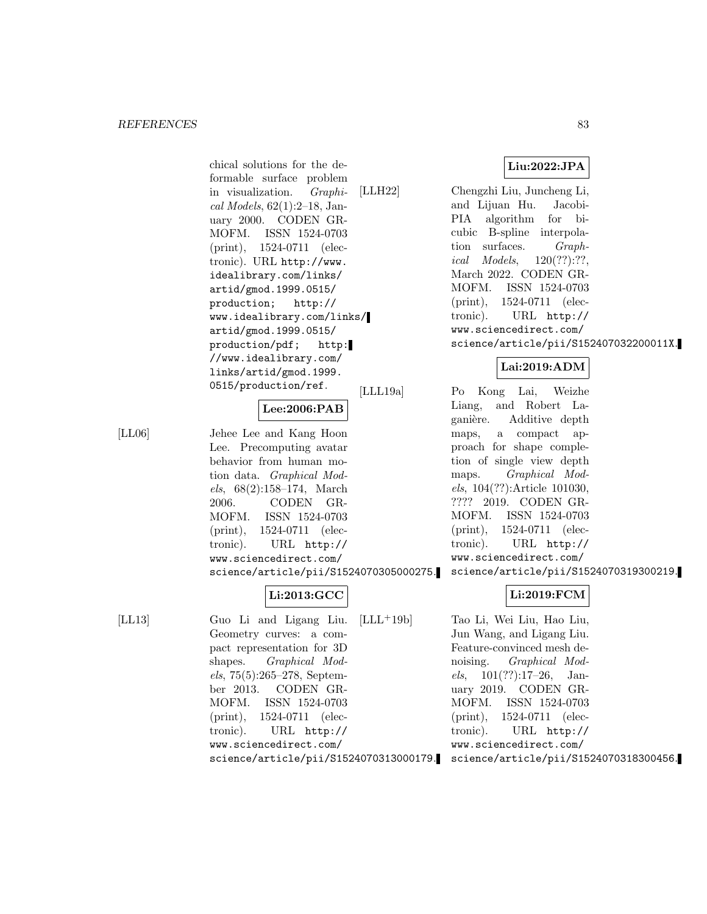chical solutions for the deformable surface problem in visualization. Graphical Models, 62(1):2–18, January 2000. CODEN GR-MOFM. ISSN 1524-0703 (print), 1524-0711 (electronic). URL http://www. idealibrary.com/links/ artid/gmod.1999.0515/ production; http:// www.idealibrary.com/links/ artid/gmod.1999.0515/ production/pdf; http: //www.idealibrary.com/ links/artid/gmod.1999. 0515/production/ref.

# **Lee:2006:PAB**

[LL06] Jehee Lee and Kang Hoon Lee. Precomputing avatar behavior from human motion data. Graphical Models, 68(2):158–174, March 2006. CODEN GR-MOFM. ISSN 1524-0703 (print), 1524-0711 (electronic). URL http:// www.sciencedirect.com/ science/article/pii/S1524070305000275.

# **Li:2013:GCC**

[LL13] Guo Li and Ligang Liu. Geometry curves: a compact representation for 3D shapes. Graphical Models, 75(5):265–278, September 2013. CODEN GR-MOFM. ISSN 1524-0703 (print), 1524-0711 (electronic). URL http:// www.sciencedirect.com/ science/article/pii/S1524070313000179. **Liu:2022:JPA**

[LLH22] Chengzhi Liu, Juncheng Li, and Lijuan Hu. Jacobi-PIA algorithm for bicubic B-spline interpolation surfaces. Graphical Models, 120(??):??, March 2022. CODEN GR-MOFM. ISSN 1524-0703 (print), 1524-0711 (electronic). URL http:// www.sciencedirect.com/ science/article/pii/S152407032200011X.

# **Lai:2019:ADM**

[LLL19a] Po Kong Lai, Weizhe Liang, and Robert Laganière. Additive depth maps, a compact approach for shape completion of single view depth maps. Graphical Models, 104(??):Article 101030, ???? 2019. CODEN GR-MOFM. ISSN 1524-0703 (print), 1524-0711 (electronic). URL http:// www.sciencedirect.com/ science/article/pii/S1524070319300219.

# **Li:2019:FCM**

[LLL<sup>+</sup>19b] Tao Li, Wei Liu, Hao Liu, Jun Wang, and Ligang Liu. Feature-convinced mesh denoising. Graphical Models,  $101(??):17-26$ , January 2019. CODEN GR-MOFM. ISSN 1524-0703 (print), 1524-0711 (electronic). URL http:// www.sciencedirect.com/ science/article/pii/S1524070318300456.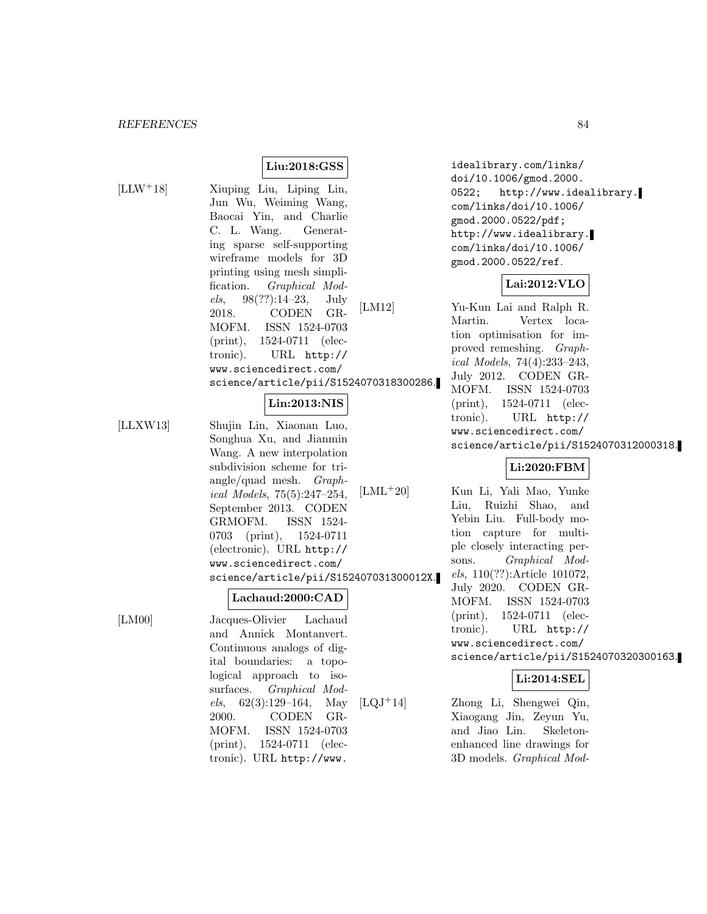**Liu:2018:GSS**

[LLW<sup>+</sup>18] Xiuping Liu, Liping Lin, Jun Wu, Weiming Wang, Baocai Yin, and Charlie C. L. Wang. Generating sparse self-supporting wireframe models for 3D printing using mesh simplification. Graphical Models, 98(??):14–23, July 2018. CODEN GR-MOFM. ISSN 1524-0703 (print), 1524-0711 (electronic). URL http:// www.sciencedirect.com/ science/article/pii/S1524070318300286.

# **Lin:2013:NIS**

[LLXW13] Shujin Lin, Xiaonan Luo, Songhua Xu, and Jianmin Wang. A new interpolation subdivision scheme for triangle/quad mesh. Graphical Models, 75(5):247–254, September 2013. CODEN GRMOFM. ISSN 1524- 0703 (print), 1524-0711 (electronic). URL http:// www.sciencedirect.com/ science/article/pii/S152407031300012X.

#### **Lachaud:2000:CAD**

[LM00] Jacques-Olivier Lachaud and Annick Montanvert. Continuous analogs of digital boundaries: a topological approach to isosurfaces. *Graphical Mod*els, 62(3):129–164, May 2000. CODEN GR-MOFM. ISSN 1524-0703 (print), 1524-0711 (electronic). URL http://www.

idealibrary.com/links/ doi/10.1006/gmod.2000. 0522; http://www.idealibrary. com/links/doi/10.1006/ gmod.2000.0522/pdf; http://www.idealibrary. com/links/doi/10.1006/ gmod.2000.0522/ref.

# **Lai:2012:VLO**

[LM12] Yu-Kun Lai and Ralph R. Martin. Vertex location optimisation for improved remeshing. Graphical Models, 74(4):233–243, July 2012. CODEN GR-MOFM. ISSN 1524-0703 (print), 1524-0711 (electronic). URL http:// www.sciencedirect.com/ science/article/pii/S1524070312000318.

# **Li:2020:FBM**

[LML<sup>+</sup>20] Kun Li, Yali Mao, Yunke Liu, Ruizhi Shao, and Yebin Liu. Full-body motion capture for multiple closely interacting persons. Graphical Models, 110(??):Article 101072, July 2020. CODEN GR-MOFM. ISSN 1524-0703 (print), 1524-0711 (electronic). URL http:// www.sciencedirect.com/ science/article/pii/S1524070320300163.

# **Li:2014:SEL**

[LQJ<sup>+</sup>14] Zhong Li, Shengwei Qin, Xiaogang Jin, Zeyun Yu, and Jiao Lin. Skeletonenhanced line drawings for 3D models. Graphical Mod-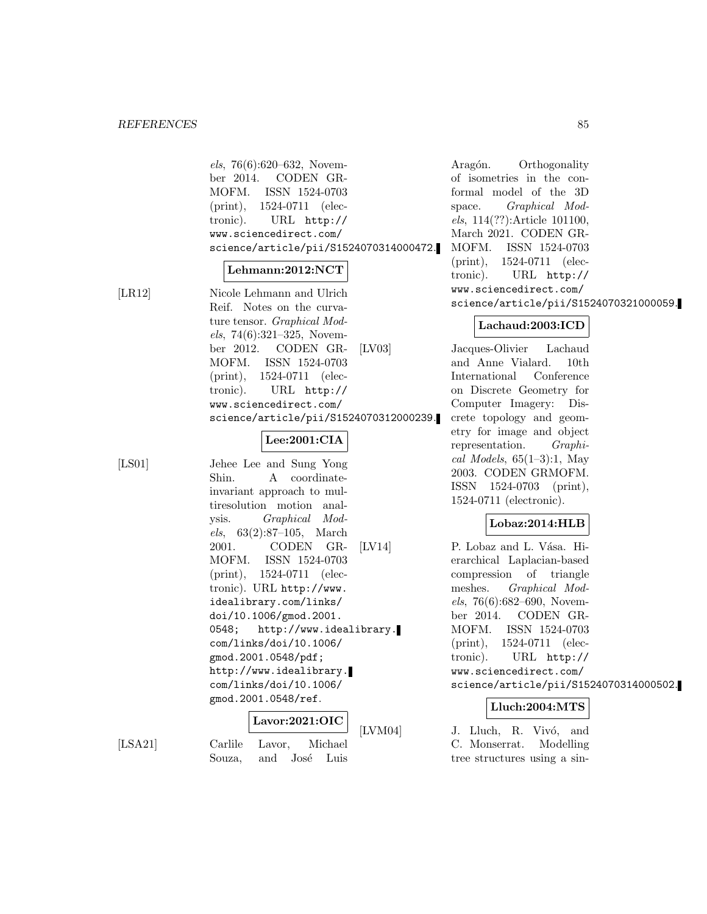els, 76(6):620–632, November 2014. CODEN GR-MOFM. ISSN 1524-0703 (print), 1524-0711 (electronic). URL http:// www.sciencedirect.com/ science/article/pii/S1524070314000472.

#### **Lehmann:2012:NCT**

[LR12] Nicole Lehmann and Ulrich Reif. Notes on the curvature tensor. Graphical Models, 74(6):321–325, November 2012. CODEN GR-MOFM. ISSN 1524-0703 (print), 1524-0711 (electronic). URL http:// www.sciencedirect.com/ science/article/pii/S1524070312000239.

### **Lee:2001:CIA**

[LS01] Jehee Lee and Sung Yong Shin. A coordinateinvariant approach to multiresolution motion analysis. Graphical Models, 63(2):87–105, March 2001. CODEN GR-MOFM. ISSN 1524-0703 (print), 1524-0711 (electronic). URL http://www. idealibrary.com/links/ doi/10.1006/gmod.2001. 0548; http://www.idealibrary. com/links/doi/10.1006/ gmod.2001.0548/pdf; http://www.idealibrary. com/links/doi/10.1006/ gmod.2001.0548/ref.

**Lavor:2021:OIC**

[LSA21] Carlile Lavor, Michael Souza, and José Luis

Aragón. Orthogonality of isometries in the conformal model of the 3D space. Graphical Models, 114(??):Article 101100, March 2021. CODEN GR-MOFM. ISSN 1524-0703 (print), 1524-0711 (electronic). URL http:// www.sciencedirect.com/ science/article/pii/S1524070321000059.

### **Lachaud:2003:ICD**

[LV03] Jacques-Olivier Lachaud and Anne Vialard. 10th International Conference on Discrete Geometry for Computer Imagery: Discrete topology and geometry for image and object representation. Graphical Models,  $65(1-3)$ :1, May 2003. CODEN GRMOFM. ISSN 1524-0703 (print), 1524-0711 (electronic).

#### **Lobaz:2014:HLB**

[LV14] P. Lobaz and L. Vása. Hierarchical Laplacian-based compression of triangle meshes. Graphical Models, 76(6):682–690, November 2014. CODEN GR-MOFM. ISSN 1524-0703 (print), 1524-0711 (electronic). URL http:// www.sciencedirect.com/ science/article/pii/S1524070314000502.

# **Lluch:2004:MTS**

[LVM04] J. Lluch, R. Vivó, and C. Monserrat. Modelling tree structures using a sin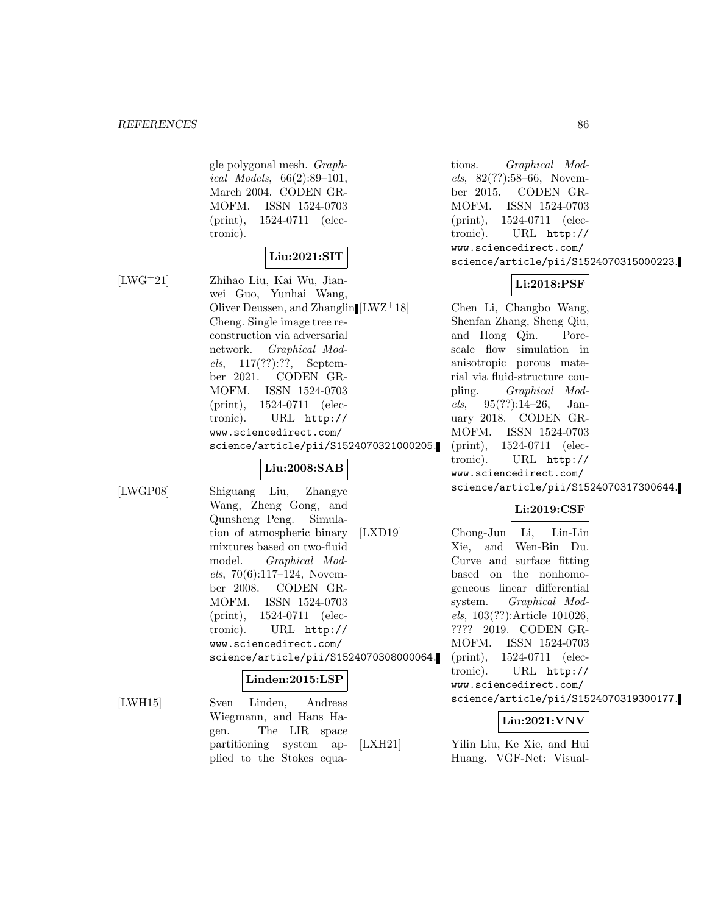gle polygonal mesh. Graphical Models, 66(2):89–101, March 2004. CODEN GR-MOFM. ISSN 1524-0703 (print), 1524-0711 (electronic).

# **Liu:2021:SIT**

[LWG<sup>+</sup>21] Zhihao Liu, Kai Wu, Jianwei Guo, Yunhai Wang, Oliver Deussen, and Zhanglin Cheng. Single image tree reconstruction via adversarial network. Graphical Models, 117(??):??, September 2021. CODEN GR-MOFM. ISSN 1524-0703 (print), 1524-0711 (electronic). URL http:// www.sciencedirect.com/ science/article/pii/S1524070321000205.

# **Liu:2008:SAB**

[LWGP08] Shiguang Liu, Zhangye Wang, Zheng Gong, and Qunsheng Peng. Simulation of atmospheric binary mixtures based on two-fluid model. Graphical Models, 70(6):117–124, November 2008. CODEN GR-MOFM. ISSN 1524-0703 (print), 1524-0711 (electronic). URL http:// www.sciencedirect.com/ science/article/pii/S1524070308000064.

#### **Linden:2015:LSP**

[LWH15] Sven Linden, Andreas Wiegmann, and Hans Hagen. The LIR space partitioning system applied to the Stokes equations. Graphical Models, 82(??):58–66, November 2015. CODEN GR-MOFM. ISSN 1524-0703 (print), 1524-0711 (electronic). URL http:// www.sciencedirect.com/ science/article/pii/S1524070315000223.

# **Li:2018:PSF**

Chen Li, Changbo Wang, Shenfan Zhang, Sheng Qiu, and Hong Qin. Porescale flow simulation in anisotropic porous material via fluid-structure coupling. Graphical Models,  $95(??):14-26$ , January 2018. CODEN GR-MOFM. ISSN 1524-0703 (print), 1524-0711 (electronic). URL http:// www.sciencedirect.com/ science/article/pii/S1524070317300644.

# **Li:2019:CSF**

[LXD19] Chong-Jun Li, Lin-Lin Xie, and Wen-Bin Du. Curve and surface fitting based on the nonhomogeneous linear differential system. Graphical Models, 103(??):Article 101026, ???? 2019. CODEN GR-MOFM. ISSN 1524-0703 (print), 1524-0711 (electronic). URL http:// www.sciencedirect.com/ science/article/pii/S1524070319300177.

#### **Liu:2021:VNV**

[LXH21] Yilin Liu, Ke Xie, and Hui Huang. VGF-Net: Visual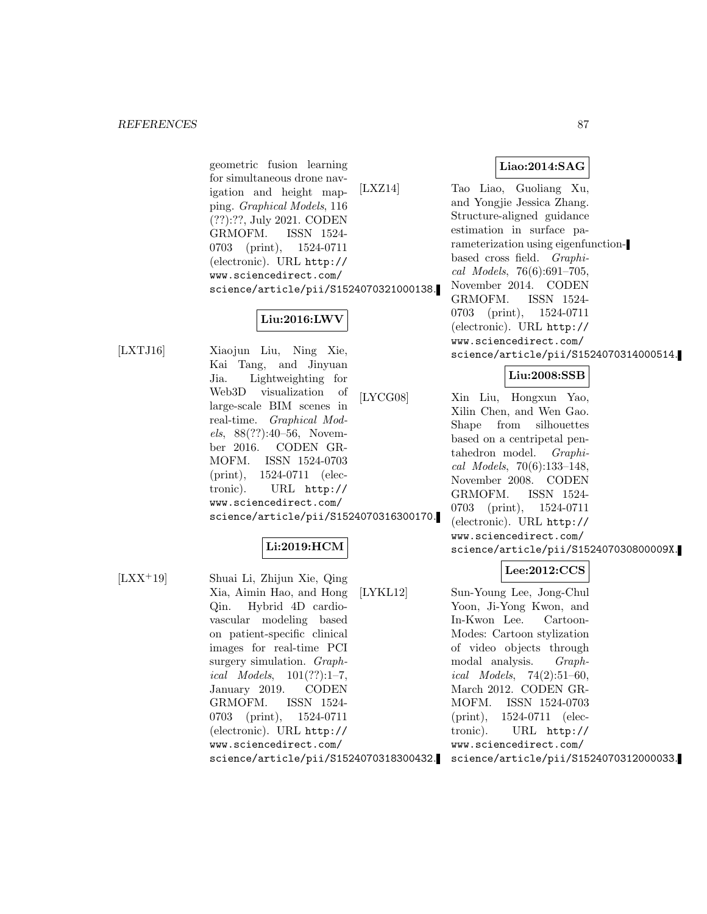geometric fusion learning for simultaneous drone navigation and height mapping. Graphical Models, 116 (??):??, July 2021. CODEN GRMOFM. ISSN 1524- 0703 (print), 1524-0711 (electronic). URL http:// www.sciencedirect.com/ science/article/pii/S1524070321000138.

# **Liu:2016:LWV**

[LXTJ16] Xiaojun Liu, Ning Xie, Kai Tang, and Jinyuan Jia. Lightweighting for Web3D visualization of large-scale BIM scenes in real-time. Graphical Models, 88(??):40–56, November 2016. CODEN GR-MOFM. ISSN 1524-0703 (print), 1524-0711 (electronic). URL http:// www.sciencedirect.com/ science/article/pii/S1524070316300170.

# **Li:2019:HCM**

[LXX<sup>+</sup>19] Shuai Li, Zhijun Xie, Qing Xia, Aimin Hao, and Hong Qin. Hybrid 4D cardiovascular modeling based on patient-specific clinical images for real-time PCI surgery simulation. *Graph*ical Models,  $101(??):1-7$ , January 2019. CODEN GRMOFM. ISSN 1524- 0703 (print), 1524-0711 (electronic). URL http:// www.sciencedirect.com/ science/article/pii/S1524070318300432.

# **Liao:2014:SAG**

[LXZ14] Tao Liao, Guoliang Xu, and Yongjie Jessica Zhang. Structure-aligned guidance estimation in surface parameterization using eigenfunctionbased cross field. Graphical Models, 76(6):691–705, November 2014. CODEN GRMOFM. ISSN 1524- 0703 (print), 1524-0711 (electronic). URL http:// www.sciencedirect.com/ science/article/pii/S1524070314000514.

# **Liu:2008:SSB**

[LYCG08] Xin Liu, Hongxun Yao, Xilin Chen, and Wen Gao. Shape from silhouettes based on a centripetal pentahedron model. Graphical Models, 70(6):133–148, November 2008. CODEN GRMOFM. ISSN 1524- 0703 (print), 1524-0711 (electronic). URL http:// www.sciencedirect.com/ science/article/pii/S152407030800009X.

# **Lee:2012:CCS**

[LYKL12] Sun-Young Lee, Jong-Chul Yoon, Ji-Yong Kwon, and In-Kwon Lee. Cartoon-Modes: Cartoon stylization of video objects through modal analysis. Graphical Models,  $74(2):51-60$ , March 2012. CODEN GR-MOFM. ISSN 1524-0703 (print), 1524-0711 (electronic). URL http:// www.sciencedirect.com/ science/article/pii/S1524070312000033.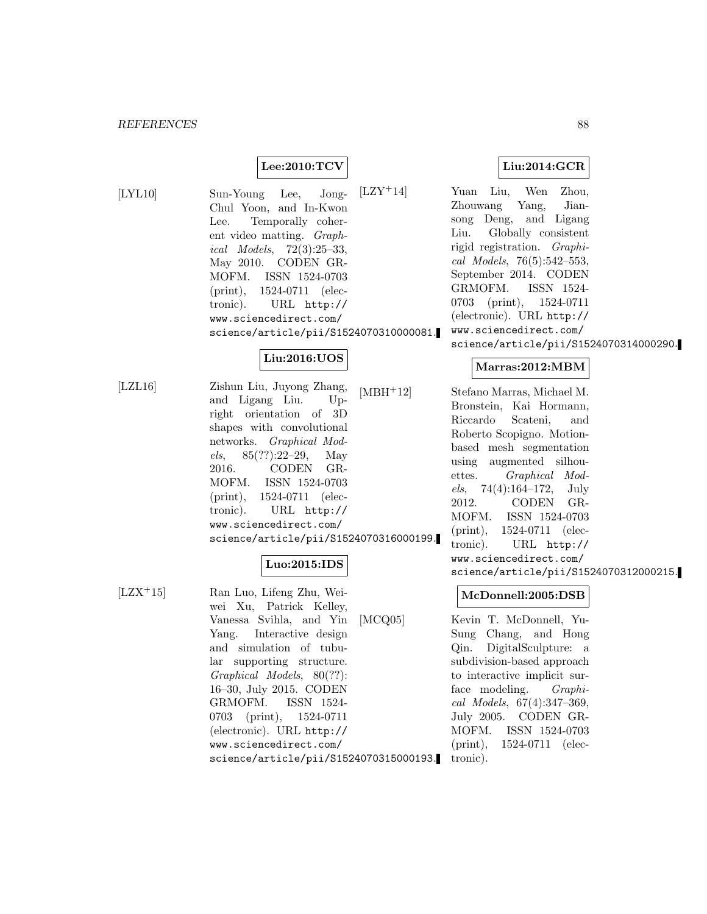# **Lee:2010:TCV**

[LYL10] Sun-Young Lee, Jong-Chul Yoon, and In-Kwon Lee. Temporally coherent video matting. Graphical Models, 72(3):25–33, May 2010. CODEN GR-MOFM. ISSN 1524-0703 (print), 1524-0711 (electronic). URL http:// www.sciencedirect.com/ science/article/pii/S1524070310000081.

# **Liu:2016:UOS**

[LZL16] Zishun Liu, Juyong Zhang, and Ligang Liu. Upright orientation of 3D shapes with convolutional networks. Graphical Models, 85(??):22–29, May 2016. CODEN GR-MOFM. ISSN 1524-0703 (print), 1524-0711 (electronic). URL http:// www.sciencedirect.com/ science/article/pii/S1524070316000199.

# **Luo:2015:IDS**

[LZX<sup>+</sup>15] Ran Luo, Lifeng Zhu, Weiwei Xu, Patrick Kelley, Vanessa Svihla, and Yin Yang. Interactive design and simulation of tubular supporting structure. Graphical Models, 80(??): 16–30, July 2015. CODEN GRMOFM. ISSN 1524- 0703 (print), 1524-0711 (electronic). URL http:// www.sciencedirect.com/ science/article/pii/S1524070315000193. **Liu:2014:GCR**

[LZY<sup>+</sup>14] Yuan Liu, Wen Zhou, Zhouwang Yang, Jiansong Deng, and Ligang Liu. Globally consistent rigid registration. Graphical Models, 76(5):542–553, September 2014. CODEN GRMOFM. ISSN 1524- 0703 (print), 1524-0711 (electronic). URL http:// www.sciencedirect.com/ science/article/pii/S1524070314000290.

### **Marras:2012:MBM**

[MBH<sup>+</sup>12] Stefano Marras, Michael M. Bronstein, Kai Hormann, Riccardo Scateni, and Roberto Scopigno. Motionbased mesh segmentation using augmented silhouettes. Graphical Mod $els, 74(4):164-172, July$ 2012. CODEN GR-MOFM. ISSN 1524-0703 (print), 1524-0711 (electronic). URL http:// www.sciencedirect.com/ science/article/pii/S1524070312000215.

#### **McDonnell:2005:DSB**

[MCQ05] Kevin T. McDonnell, Yu-Sung Chang, and Hong Qin. DigitalSculpture: a subdivision-based approach to interactive implicit surface modeling. *Graphi*cal Models, 67(4):347–369, July 2005. CODEN GR-MOFM. ISSN 1524-0703 (print), 1524-0711 (electronic).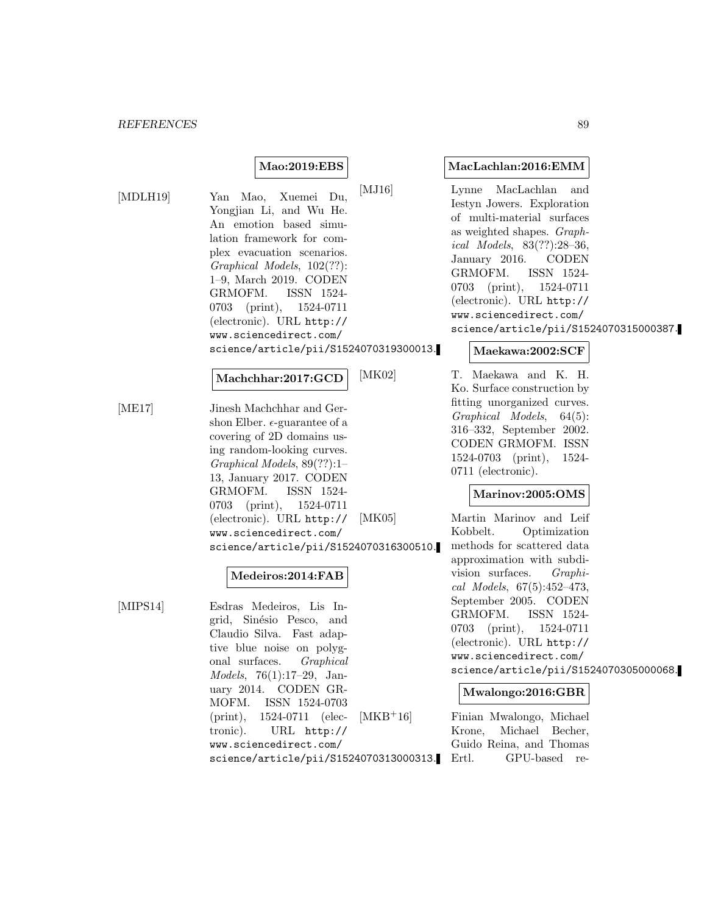### **Mao:2019:EBS**

[MDLH19] Yan Mao, Xuemei Du, Yongjian Li, and Wu He. An emotion based simulation framework for complex evacuation scenarios. Graphical Models, 102(??): 1–9, March 2019. CODEN GRMOFM. ISSN 1524- 0703 (print), 1524-0711 (electronic). URL http:// www.sciencedirect.com/ science/article/pii/S1524070319300013.

# **Machchhar:2017:GCD**

[ME17] Jinesh Machchhar and Gershon Elber.  $\epsilon$ -guarantee of a covering of 2D domains using random-looking curves. Graphical Models, 89(??):1– 13, January 2017. CODEN GRMOFM. ISSN 1524- 0703 (print), 1524-0711 (electronic). URL http:// www.sciencedirect.com/ science/article/pii/S1524070316300510.

#### **Medeiros:2014:FAB**

[MIPS14] Esdras Medeiros, Lis Ingrid, Sinésio Pesco, and Claudio Silva. Fast adaptive blue noise on polygonal surfaces. Graphical Models, 76(1):17–29, January 2014. CODEN GR-MOFM. ISSN 1524-0703 (print), 1524-0711 (electronic). URL http:// www.sciencedirect.com/ science/article/pii/S1524070313000313.

#### **MacLachlan:2016:EMM**

[MJ16] Lynne MacLachlan and Iestyn Jowers. Exploration of multi-material surfaces as weighted shapes. Graphical Models, 83(??):28–36, January 2016. CODEN GRMOFM. ISSN 1524- 0703 (print), 1524-0711 (electronic). URL http:// www.sciencedirect.com/ science/article/pii/S1524070315000387.

#### **Maekawa:2002:SCF**

[MK02] T. Maekawa and K. H. Ko. Surface construction by fitting unorganized curves. Graphical Models, 64(5): 316–332, September 2002. CODEN GRMOFM. ISSN 1524-0703 (print), 1524- 0711 (electronic).

#### **Marinov:2005:OMS**

[MK05] Martin Marinov and Leif Kobbelt. Optimization methods for scattered data approximation with subdivision surfaces. Graphical Models, 67(5):452–473, September 2005. CODEN GRMOFM. ISSN 1524- 0703 (print), 1524-0711 (electronic). URL http:// www.sciencedirect.com/ science/article/pii/S1524070305000068.

#### **Mwalongo:2016:GBR**

[MKB<sup>+</sup>16] Finian Mwalongo, Michael Krone, Michael Becher, Guido Reina, and Thomas Ertl. GPU-based re-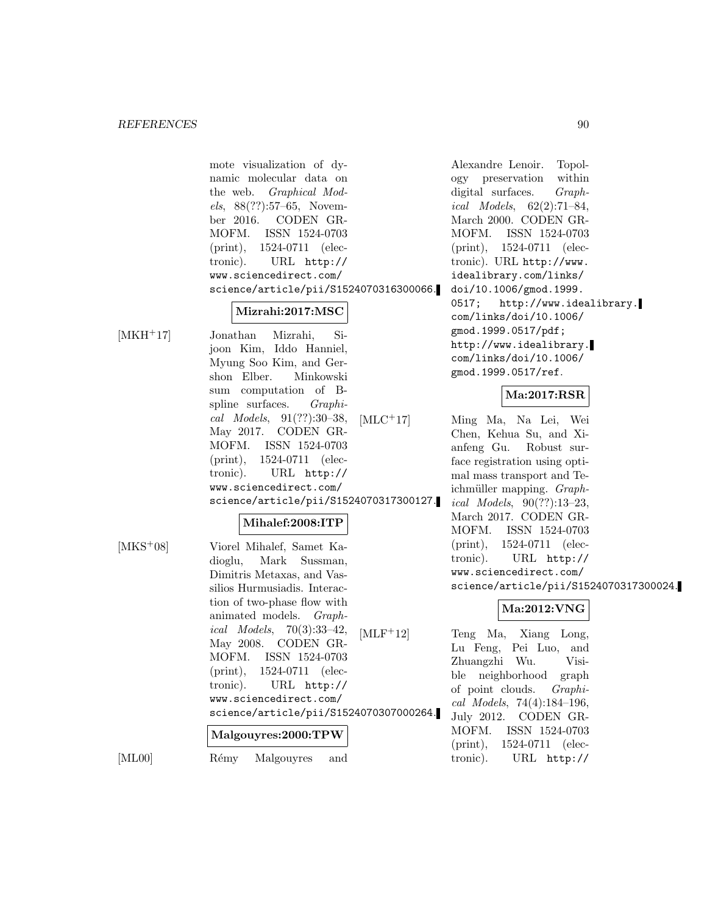mote visualization of dynamic molecular data on the web. Graphical Models, 88(??):57–65, November 2016. CODEN GR-MOFM. ISSN 1524-0703 (print), 1524-0711 (electronic). URL http:// www.sciencedirect.com/ science/article/pii/S1524070316300066.

# **Mizrahi:2017:MSC**

[MKH<sup>+</sup>17] Jonathan Mizrahi, Sijoon Kim, Iddo Hanniel, Myung Soo Kim, and Gershon Elber. Minkowski sum computation of Bspline surfaces. Graphical Models, 91(??):30–38, May 2017. CODEN GR-MOFM. ISSN 1524-0703 (print), 1524-0711 (electronic). URL http:// www.sciencedirect.com/ science/article/pii/S1524070317300127.

#### **Mihalef:2008:ITP**

[MKS<sup>+</sup>08] Viorel Mihalef, Samet Kadioglu, Mark Sussman, Dimitris Metaxas, and Vassilios Hurmusiadis. Interaction of two-phase flow with animated models. Graphical Models, 70(3):33–42, May 2008. CODEN GR-MOFM. ISSN 1524-0703 (print), 1524-0711 (electronic). URL http:// www.sciencedirect.com/ science/article/pii/S1524070307000264. **Malgouyres:2000:TPW**

[ML00] Rémy Malgouyres and

Alexandre Lenoir. Topology preservation within digital surfaces. *Graph*ical Models, 62(2):71–84, March 2000. CODEN GR-MOFM. ISSN 1524-0703 (print), 1524-0711 (electronic). URL http://www. idealibrary.com/links/ doi/10.1006/gmod.1999. 0517; http://www.idealibrary. com/links/doi/10.1006/ gmod.1999.0517/pdf; http://www.idealibrary. com/links/doi/10.1006/ gmod.1999.0517/ref.

#### **Ma:2017:RSR**

[MLC<sup>+</sup>17] Ming Ma, Na Lei, Wei Chen, Kehua Su, and Xianfeng Gu. Robust surface registration using optimal mass transport and Teichmüller mapping. Graphical Models, 90(??):13–23, March 2017. CODEN GR-MOFM. ISSN 1524-0703 (print), 1524-0711 (electronic). URL http:// www.sciencedirect.com/ science/article/pii/S1524070317300024.

# **Ma:2012:VNG**

[MLF<sup>+</sup>12] Teng Ma, Xiang Long, Lu Feng, Pei Luo, and Zhuangzhi Wu. Visible neighborhood graph of point clouds. Graphical Models, 74(4):184–196, July 2012. CODEN GR-MOFM. ISSN 1524-0703 (print), 1524-0711 (electronic). URL http://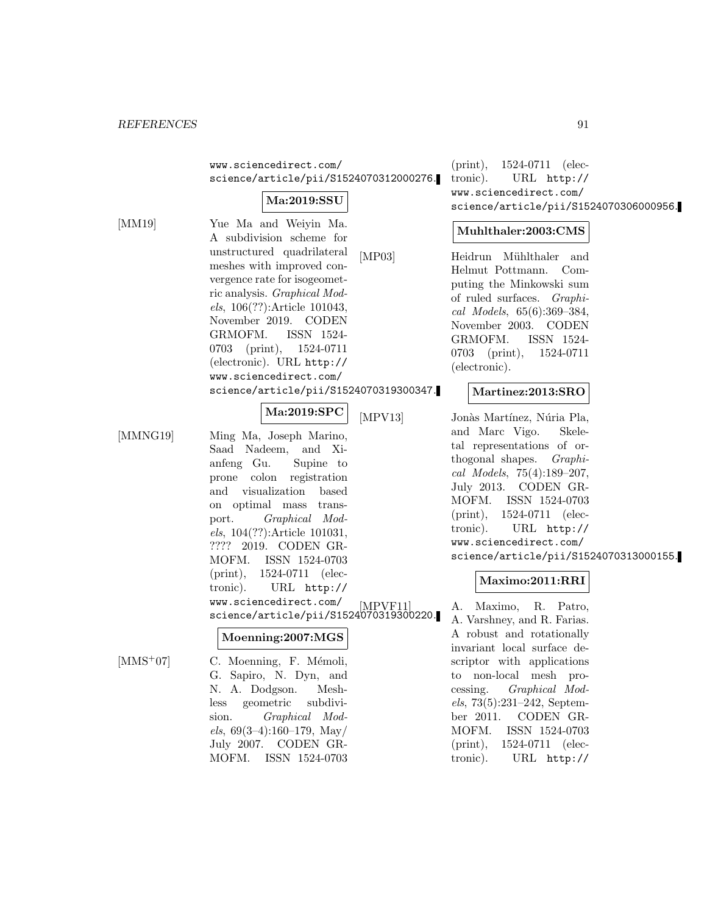www.sciencedirect.com/ science/article/pii/S1524070312000276.

# **Ma:2019:SSU**

[MM19] Yue Ma and Weiyin Ma. A subdivision scheme for unstructured quadrilateral meshes with improved convergence rate for isogeometric analysis. Graphical Models, 106(??):Article 101043, November 2019. CODEN GRMOFM. ISSN 1524- 0703 (print), 1524-0711 (electronic). URL http:// www.sciencedirect.com/ science/article/pii/S1524070319300347.

# **Ma:2019:SPC**

[MMNG19] Ming Ma, Joseph Marino, Saad Nadeem, and Xianfeng Gu. Supine to prone colon registration and visualization based on optimal mass transport. Graphical Models, 104(??):Article 101031, ???? 2019. CODEN GR-MOFM. ISSN 1524-0703 (print), 1524-0711 (electronic). URL http://

> www.sciencedirect.com/ science/article/pii/S1524070319300220.

#### **Moenning:2007:MGS**

MOFM. ISSN 1524-0703

 $[MMS<sup>+</sup>07]$  C. Moenning, F. Mémoli, G. Sapiro, N. Dyn, and N. A. Dodgson. Meshless geometric subdivision. Graphical Models,  $69(3-4):160-179$ , May/ July 2007. CODEN GR-

(print), 1524-0711 (electronic). URL http:// www.sciencedirect.com/ science/article/pii/S1524070306000956.

#### **Muhlthaler:2003:CMS**

[MP03] Heidrun Mühlthaler and Helmut Pottmann. Computing the Minkowski sum of ruled surfaces. Graphical Models, 65(6):369–384, November 2003. CODEN GRMOFM. ISSN 1524- 0703 (print), 1524-0711 (electronic).

#### **Martinez:2013:SRO**

[MPV13] Jonàs Martínez, Núria Pla, and Marc Vigo. Skeletal representations of orthogonal shapes. Graphical Models, 75(4):189–207, July 2013. CODEN GR-MOFM. ISSN 1524-0703 (print), 1524-0711 (electronic). URL http:// www.sciencedirect.com/ science/article/pii/S1524070313000155.

#### **Maximo:2011:RRI**

A. Maximo, R. Patro, A. Varshney, and R. Farias. A robust and rotationally invariant local surface descriptor with applications to non-local mesh processing. Graphical Models, 73(5):231–242, September 2011. CODEN GR-MOFM. ISSN 1524-0703 (print), 1524-0711 (electronic). URL http://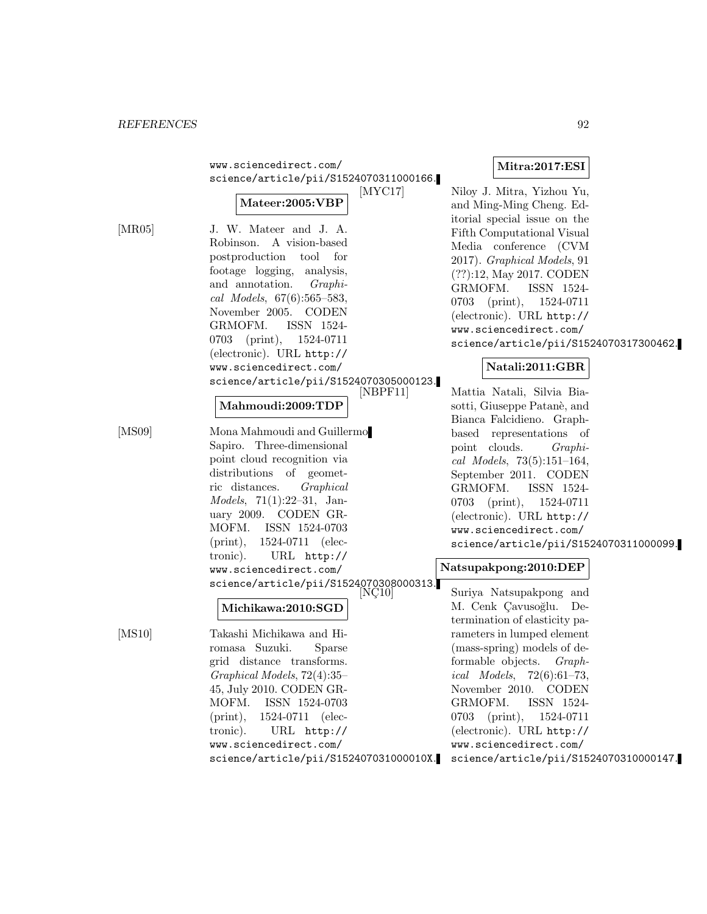|        | www.sciencedirect.com/<br>science/article/pii/S1524070311000166.    | Mitra:2017:ESI                         |
|--------|---------------------------------------------------------------------|----------------------------------------|
|        | $\left[$ MYC17 $\right]$                                            | Niloy J. Mitra, Yizhou Yu,             |
|        | Mateer:2005:VBP                                                     | and Ming-Ming Cheng. Ed-               |
|        |                                                                     | itorial special issue on the           |
| [MR05] | J. W. Mateer and J. A.                                              | Fifth Computational Visual             |
|        | A vision-based<br>Robinson.                                         | Media conference (CVM                  |
|        | postproduction<br>for<br>$\text{tool}$                              | 2017). Graphical Models, 91            |
|        | footage logging,<br>analysis,                                       | $(??):12$ , May 2017. CODEN            |
|        | and annotation.<br>$Graphi-$                                        | GRMOFM.<br>ISSN 1524-                  |
|        | cal Models, $67(6):565-583$ ,                                       | 1524-0711<br>0703<br>(print),          |
|        | November 2005. CODEN                                                | (electronic). URL http://              |
|        | GRMOFM.<br>ISSN 1524-                                               | www.sciencedirect.com/                 |
|        | 0703<br>1524-0711<br>(print),                                       | science/article/pii/S1524070317300462. |
|        | (electronic). URL http://                                           |                                        |
|        | www.sciencedirect.com/                                              | Natali:2011:GBR                        |
|        | science/article/pii/S1524070305000123.                              |                                        |
|        | [NBPF11]                                                            | Mattia Natali, Silvia Bia-             |
|        | Mahmoudi:2009:TDP                                                   | sotti, Giuseppe Patanè, and            |
| [MS09] | Mona Mahmoudi and Guillermo                                         | Bianca Falcidieno. Graph-              |
|        | Sapiro. Three-dimensional                                           | based representations of               |
|        | point cloud recognition via                                         | point clouds.<br>$Graphi-$             |
|        | distributions of geomet-                                            | cal Models, $73(5):151-164$ ,          |
|        | ric distances.<br>Graphical                                         | September 2011. CODEN                  |
|        | <i>Models</i> , $71(1):22-31$ , Jan-                                | GRMOFM.<br>ISSN 1524-                  |
|        | uary 2009. CODEN GR-                                                | 0703<br>1524-0711<br>$(\text{print}),$ |
|        | MOFM.<br>ISSN 1524-0703                                             | (electronic). URL http://              |
|        | $(\text{print}),$<br>1524-0711 (elec-                               | www.sciencedirect.com/                 |
|        | tronic).<br>URL http://                                             | science/article/pii/S1524070311000099. |
|        | www.sciencedirect.com/                                              | Natsupakpong:2010:DEP                  |
|        |                                                                     |                                        |
|        | $\frac{\text{science/article/pii/ S1524070308000313.}}{[N\zeta10]}$ | Suriya Natsupakpong and                |
|        | Michikawa:2010:SGD                                                  | M. Cenk Çavusoğlu.<br>De-              |
|        |                                                                     | termination of elasticity pa-          |
| [MS10] | Takashi Michikawa and Hi-                                           | rameters in lumped element             |
|        | romasa Suzuki.<br>Sparse                                            | (mass-spring) models of de-            |
|        | grid distance transforms.                                           | formable objects. <i>Graph</i> -       |
|        | $Graphical Models, 72(4):35-$                                       | <i>ical Models</i> , $72(6):61-73$ ,   |
|        | 45, July 2010. CODEN GR-                                            | November 2010. CODEN                   |
|        | MOFM. ISSN 1524-0703                                                | GRMOFM.<br>ISSN 1524-                  |
|        | $(\text{print})$ ,<br>1524-0711 (elec-                              | 0703 (print), 1524-0711                |
|        | tronic).<br>URL http://                                             | (electronic). URL http://              |
|        | www.sciencedirect.com/                                              | www.sciencedirect.com/                 |
|        | science/article/pii/S152407031000010X.                              | science/article/pii/S1524070310000147. |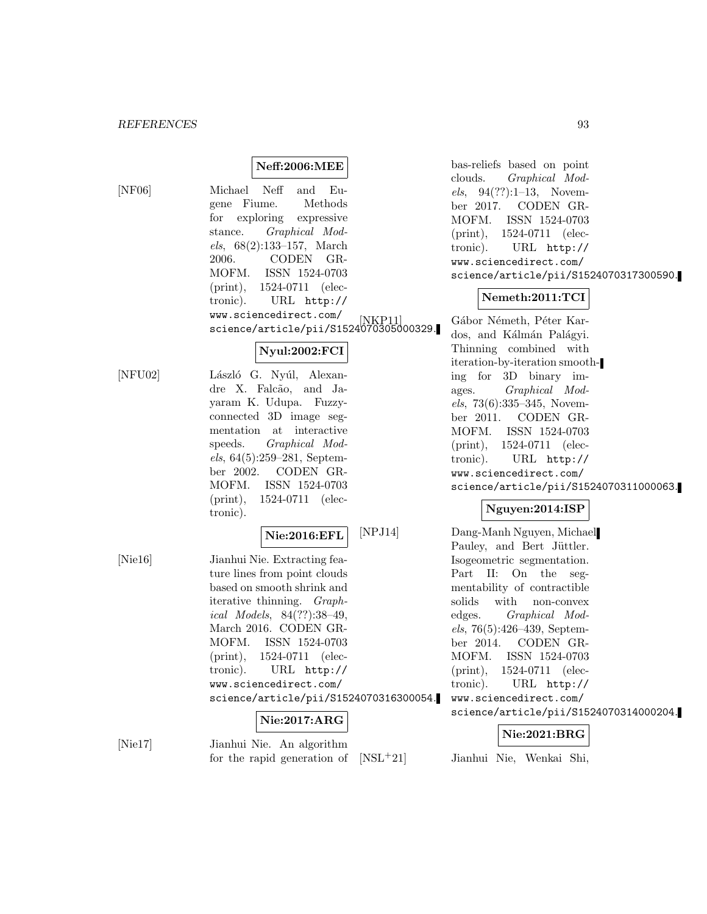# **Neff:2006:MEE**

[NF06] Michael Neff and Eugene Fiume. Methods for exploring expressive stance. Graphical Models, 68(2):133–157, March 2006. CODEN GR-MOFM. ISSN 1524-0703 (print), 1524-0711 (electronic). URL http:// www.sciencedirect.com/ science/article/pii/S1524070305000329.

# **Nyul:2002:FCI**

[NFU02] László G. Nyúl, Alexandre X. Falcão, and Jayaram K. Udupa. Fuzzyconnected 3D image segmentation at interactive speeds. Graphical Models, 64(5):259–281, September 2002. CODEN GR-MOFM. ISSN 1524-0703 (print), 1524-0711 (electronic).

#### **Nie:2016:EFL**

[Nie16] Jianhui Nie. Extracting feature lines from point clouds based on smooth shrink and iterative thinning. Graphical Models, 84(??):38–49, March 2016. CODEN GR-MOFM. ISSN 1524-0703 (print), 1524-0711 (electronic). URL http:// www.sciencedirect.com/ science/article/pii/S1524070316300054.

**Nie:2017:ARG**

[Nie17] Jianhui Nie. An algorithm for the rapid generation of bas-reliefs based on point clouds. Graphical Models, 94(??):1–13, November 2017. CODEN GR-MOFM. ISSN 1524-0703 (print), 1524-0711 (electronic). URL http:// www.sciencedirect.com/ science/article/pii/S1524070317300590.

### **Nemeth:2011:TCI**

Gábor Németh, Péter Kardos, and Kálmán Palágyi. Thinning combined with iteration-by-iteration smoothing for 3D binary images. Graphical Mod $els, 73(6):335-345, November$ ber 2011. CODEN GR-MOFM. ISSN 1524-0703 (print), 1524-0711 (electronic). URL http:// www.sciencedirect.com/ science/article/pii/S1524070311000063.

# **Nguyen:2014:ISP**

[NPJ14] Dang-Manh Nguyen, Michael Pauley, and Bert Jüttler. Isogeometric segmentation. Part II: On the segmentability of contractible solids with non-convex edges. Graphical Models, 76(5):426–439, September 2014. CODEN GR-MOFM. ISSN 1524-0703 (print), 1524-0711 (electronic). URL http:// www.sciencedirect.com/ science/article/pii/S1524070314000204.

# **Nie:2021:BRG**

[NSL<sup>+</sup>21] Jianhui Nie, Wenkai Shi,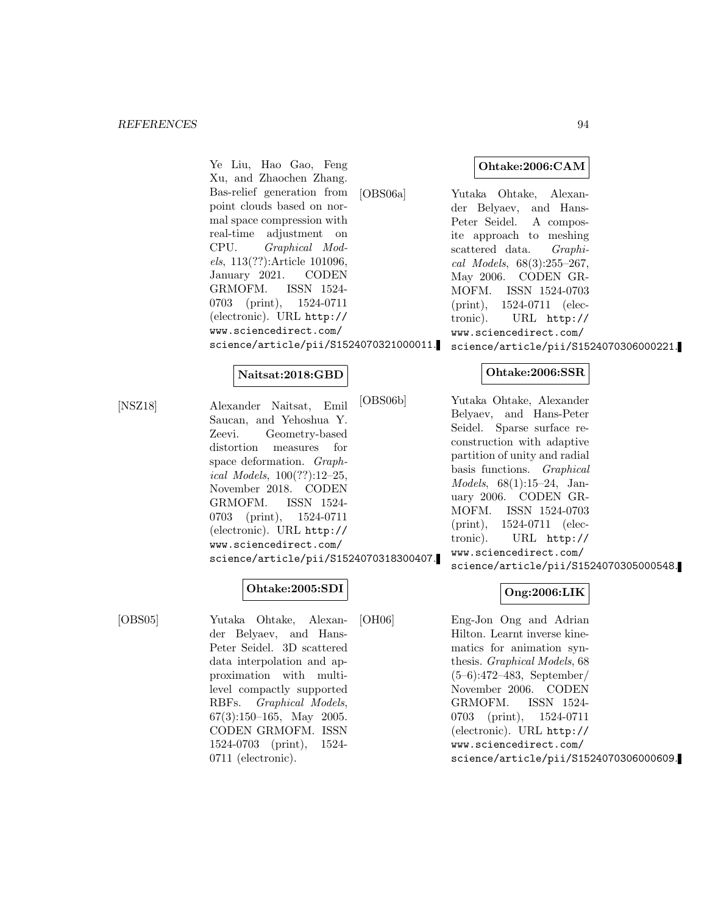Ye Liu, Hao Gao, Feng Xu, and Zhaochen Zhang. Bas-relief generation from point clouds based on normal space compression with real-time adjustment on CPU. Graphical Models, 113(??):Article 101096, January 2021. CODEN GRMOFM. ISSN 1524- 0703 (print), 1524-0711 (electronic). URL http:// www.sciencedirect.com/ science/article/pii/S1524070321000011.

#### **Naitsat:2018:GBD**

[NSZ18] Alexander Naitsat, Emil Saucan, and Yehoshua Y. Zeevi. Geometry-based distortion measures for space deformation. Graphical Models, 100(??):12–25, November 2018. CODEN GRMOFM. ISSN 1524- 0703 (print), 1524-0711 (electronic). URL http:// www.sciencedirect.com/ science/article/pii/S1524070318300407.

#### **Ohtake:2005:SDI**

[OBS05] Yutaka Ohtake, Alexander Belyaev, and Hans-Peter Seidel. 3D scattered data interpolation and approximation with multilevel compactly supported RBFs. Graphical Models, 67(3):150–165, May 2005. CODEN GRMOFM. ISSN 1524-0703 (print), 1524- 0711 (electronic).

[OBS06a] Yutaka Ohtake, Alexander Belyaev, and Hans-Peter Seidel. A composite approach to meshing scattered data. Graphical Models, 68(3):255–267, May 2006. CODEN GR-MOFM. ISSN 1524-0703 (print), 1524-0711 (electronic). URL http:// www.sciencedirect.com/ science/article/pii/S1524070306000221.

#### **Ohtake:2006:SSR**

[OBS06b] Yutaka Ohtake, Alexander Belyaev, and Hans-Peter Seidel. Sparse surface reconstruction with adaptive partition of unity and radial basis functions. Graphical Models, 68(1):15–24, January 2006. CODEN GR-MOFM. ISSN 1524-0703 (print), 1524-0711 (electronic). URL http:// www.sciencedirect.com/ science/article/pii/S1524070305000548.

# **Ong:2006:LIK**

[OH06] Eng-Jon Ong and Adrian Hilton. Learnt inverse kinematics for animation synthesis. Graphical Models, 68 (5–6):472–483, September/ November 2006. CODEN GRMOFM. ISSN 1524- 0703 (print), 1524-0711 (electronic). URL http:// www.sciencedirect.com/ science/article/pii/S1524070306000609.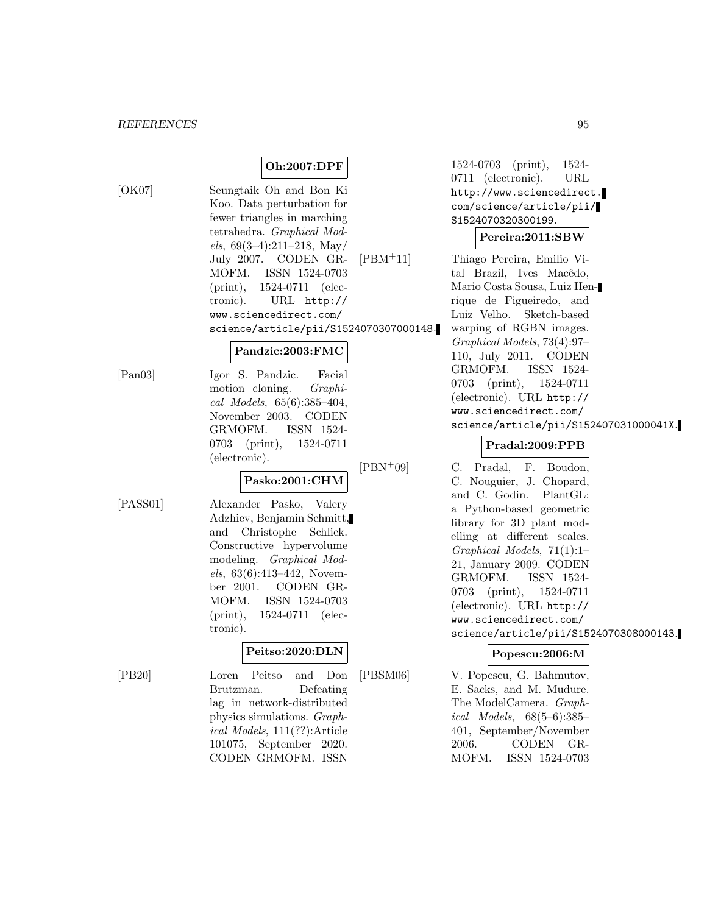# **Oh:2007:DPF**

[OK07] Seungtaik Oh and Bon Ki Koo. Data perturbation for fewer triangles in marching tetrahedra. Graphical Mod $els, 69(3-4):211-218, May/$ July 2007. CODEN GR-MOFM. ISSN 1524-0703 (print), 1524-0711 (electronic). URL http:// www.sciencedirect.com/ science/article/pii/S1524070307000148.

#### **Pandzic:2003:FMC**

[Pan03] Igor S. Pandzic. Facial motion cloning. Graphical Models, 65(6):385–404, November 2003. CODEN GRMOFM. ISSN 1524- 0703 (print), 1524-0711 (electronic).

#### **Pasko:2001:CHM**

[PASS01] Alexander Pasko, Valery Adzhiev, Benjamin Schmitt, and Christophe Schlick. Constructive hypervolume modeling. Graphical Models, 63(6):413–442, November 2001. CODEN GR-MOFM. ISSN 1524-0703 (print), 1524-0711 (electronic).

#### **Peitso:2020:DLN**

[PB20] Loren Peitso and Don Brutzman. Defeating lag in network-distributed physics simulations. Graphical Models, 111(??):Article 101075, September 2020. CODEN GRMOFM. ISSN

1524-0703 (print), 1524- 0711 (electronic). URL http://www.sciencedirect. com/science/article/pii/ S1524070320300199.

#### **Pereira:2011:SBW**

[PBM<sup>+</sup>11] Thiago Pereira, Emilio Vital Brazil, Ives Macêdo, Mario Costa Sousa, Luiz Henrique de Figueiredo, and Luiz Velho. Sketch-based warping of RGBN images. Graphical Models, 73(4):97– 110, July 2011. CODEN GRMOFM. ISSN 1524- 0703 (print), 1524-0711 (electronic). URL http:// www.sciencedirect.com/ science/article/pii/S152407031000041X.

# **Pradal:2009:PPB**

[PBN<sup>+</sup>09] C. Pradal, F. Boudon, C. Nouguier, J. Chopard, and C. Godin. PlantGL: a Python-based geometric library for 3D plant modelling at different scales. Graphical Models, 71(1):1– 21, January 2009. CODEN GRMOFM. ISSN 1524- 0703 (print), 1524-0711 (electronic). URL http:// www.sciencedirect.com/ science/article/pii/S1524070308000143.

# **Popescu:2006:M**

[PBSM06] V. Popescu, G. Bahmutov, E. Sacks, and M. Mudure. The ModelCamera. Graphical Models, 68(5–6):385– 401, September/November 2006. CODEN GR-MOFM. ISSN 1524-0703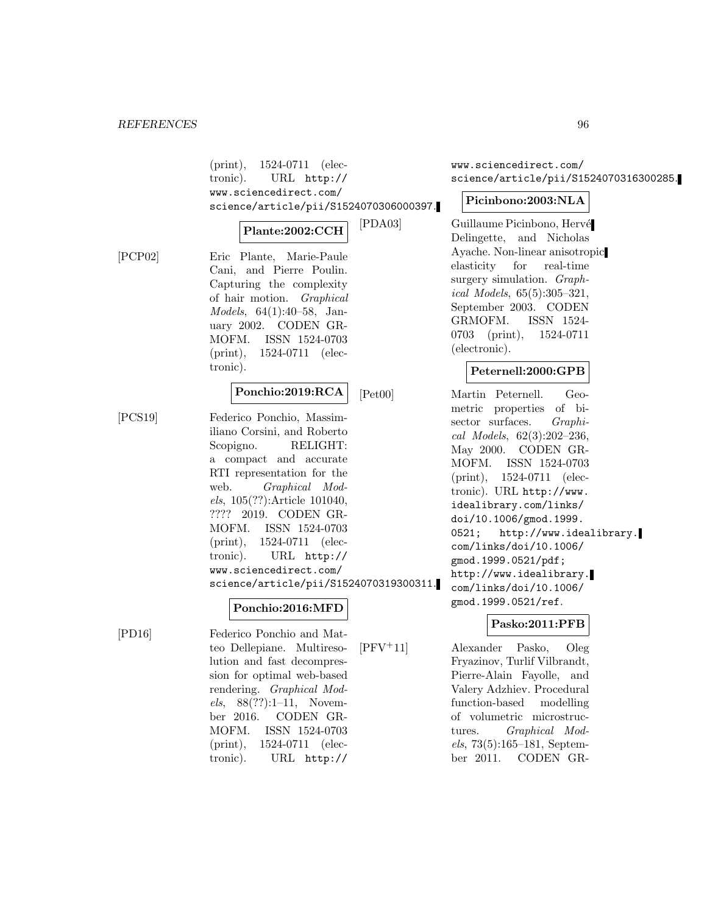(print), 1524-0711 (electronic). URL http:// www.sciencedirect.com/ science/article/pii/S1524070306000397.

# **Plante:2002:CCH**

[PCP02] Eric Plante, Marie-Paule Cani, and Pierre Poulin. Capturing the complexity of hair motion. Graphical Models, 64(1):40–58, January 2002. CODEN GR-MOFM. ISSN 1524-0703 (print), 1524-0711 (electronic).

#### **Ponchio:2019:RCA**

[PCS19] Federico Ponchio, Massimiliano Corsini, and Roberto Scopigno. RELIGHT: a compact and accurate RTI representation for the web. Graphical Models, 105(??):Article 101040, ???? 2019. CODEN GR-MOFM. ISSN 1524-0703 (print), 1524-0711 (electronic). URL http:// www.sciencedirect.com/ science/article/pii/S1524070319300311.

# **Ponchio:2016:MFD**

[PD16] Federico Ponchio and Matteo Dellepiane. Multiresolution and fast decompression for optimal web-based rendering. Graphical Models, 88(??):1–11, November 2016. CODEN GR-MOFM. ISSN 1524-0703 (print), 1524-0711 (electronic). URL http://

www.sciencedirect.com/ science/article/pii/S1524070316300285.

### **Picinbono:2003:NLA**

[PDA03] Guillaume Picinbono, Hervé Delingette, and Nicholas Ayache. Non-linear anisotropic elasticity for real-time surgery simulation. Graphical Models, 65(5):305–321, September 2003. CODEN GRMOFM. ISSN 1524- 0703 (print), 1524-0711 (electronic).

### **Peternell:2000:GPB**

[Pet00] Martin Peternell. Geometric properties of bisector surfaces. *Graphi*cal Models, 62(3):202–236, May 2000. CODEN GR-MOFM. ISSN 1524-0703 (print), 1524-0711 (electronic). URL http://www. idealibrary.com/links/ doi/10.1006/gmod.1999. 0521; http://www.idealibrary. com/links/doi/10.1006/ gmod.1999.0521/pdf; http://www.idealibrary. com/links/doi/10.1006/ gmod.1999.0521/ref.

# **Pasko:2011:PFB**

[PFV<sup>+</sup>11] Alexander Pasko, Oleg Fryazinov, Turlif Vilbrandt, Pierre-Alain Fayolle, and Valery Adzhiev. Procedural function-based modelling of volumetric microstructures. Graphical Models, 73(5):165–181, September 2011. CODEN GR-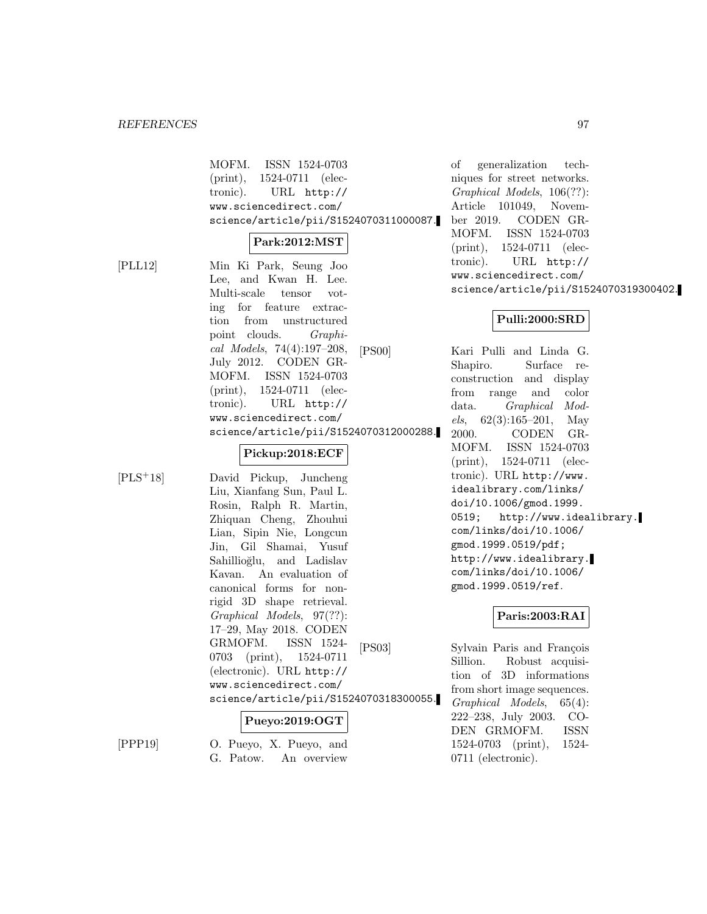MOFM. ISSN 1524-0703 (print), 1524-0711 (electronic). URL http:// www.sciencedirect.com/ science/article/pii/S1524070311000087.

#### **Park:2012:MST**

[PLL12] Min Ki Park, Seung Joo Lee, and Kwan H. Lee. Multi-scale tensor voting for feature extraction from unstructured point clouds. Graphical Models, 74(4):197–208, July 2012. CODEN GR-MOFM. ISSN 1524-0703 (print), 1524-0711 (electronic). URL http:// www.sciencedirect.com/ science/article/pii/S1524070312000288.

# **Pickup:2018:ECF**

[PLS<sup>+</sup>18] David Pickup, Juncheng Liu, Xianfang Sun, Paul L. Rosin, Ralph R. Martin, Zhiquan Cheng, Zhouhui Lian, Sipin Nie, Longcun Jin, Gil Shamai, Yusuf Sahillioğlu, and Ladislav Kavan. An evaluation of canonical forms for nonrigid 3D shape retrieval. Graphical Models, 97(??): 17–29, May 2018. CODEN GRMOFM. ISSN 1524- 0703 (print), 1524-0711 (electronic). URL http:// www.sciencedirect.com/ science/article/pii/S1524070318300055.

# **Pueyo:2019:OGT**

[PPP19] O. Pueyo, X. Pueyo, and G. Patow. An overview

of generalization techniques for street networks. Graphical Models, 106(??): Article 101049, November 2019. CODEN GR-MOFM. ISSN 1524-0703 (print), 1524-0711 (electronic). URL http:// www.sciencedirect.com/ science/article/pii/S1524070319300402.

# **Pulli:2000:SRD**

[PS00] Kari Pulli and Linda G. Shapiro. Surface reconstruction and display from range and color data. Graphical Models,  $62(3):165-201$ , May 2000. CODEN GR-MOFM. ISSN 1524-0703 (print), 1524-0711 (electronic). URL http://www. idealibrary.com/links/ doi/10.1006/gmod.1999. 0519; http://www.idealibrary. com/links/doi/10.1006/ gmod.1999.0519/pdf; http://www.idealibrary. com/links/doi/10.1006/ gmod.1999.0519/ref.

# **Paris:2003:RAI**

[PS03] Sylvain Paris and François Sillion. Robust acquisition of 3D informations from short image sequences. Graphical Models, 65(4): 222–238, July 2003. CO-DEN GRMOFM. ISSN 1524-0703 (print), 1524- 0711 (electronic).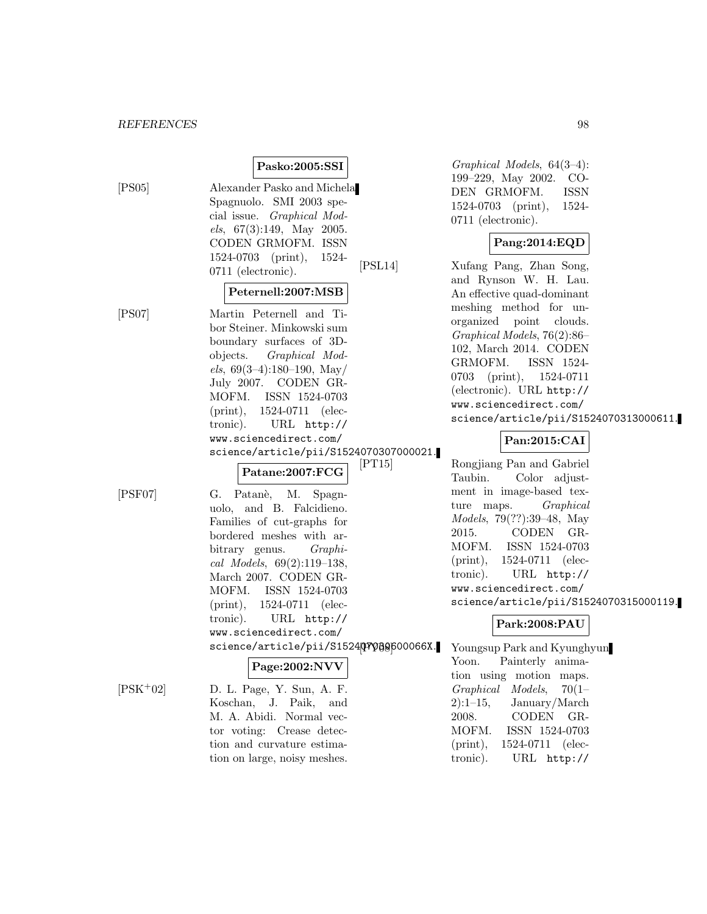# **Pasko:2005:SSI**

[PS05] Alexander Pasko and Michela Spagnuolo. SMI 2003 special issue. Graphical Models, 67(3):149, May 2005. CODEN GRMOFM. ISSN 1524-0703 (print), 1524- 0711 (electronic).

#### **Peternell:2007:MSB**

[PS07] Martin Peternell and Tibor Steiner. Minkowski sum boundary surfaces of 3Dobjects. Graphical Models,  $69(3-4):180-190$ , May/ July 2007. CODEN GR-MOFM. ISSN 1524-0703 (print), 1524-0711 (electronic). URL http:// www.sciencedirect.com/ science/article/pii/S1524070307000021.

| $\vert$ Patane:2007:FCG |  |
|-------------------------|--|
|-------------------------|--|

[PSF07] G. Patan`e, M. Spagnuolo, and B. Falcidieno. Families of cut-graphs for bordered meshes with arbitrary genus. Graphical Models, 69(2):119–138, March 2007. CODEN GR-MOFM. ISSN 1524-0703 (print), 1524-0711 (electronic). URL http:// www.sciencedirect.com/ science/article/pii/S152407008600066X.

# **Page:2002:NVV**

 $[PSK^+02]$  D. L. Page, Y. Sun, A. F. Koschan, J. Paik, and M. A. Abidi. Normal vector voting: Crease detection and curvature estimation on large, noisy meshes.

Graphical Models, 64(3–4): 199–229, May 2002. CO-DEN GRMOFM. ISSN 1524-0703 (print), 1524- 0711 (electronic).

# **Pang:2014:EQD**

[PSL14] Xufang Pang, Zhan Song, and Rynson W. H. Lau. An effective quad-dominant meshing method for unorganized point clouds. Graphical Models, 76(2):86– 102, March 2014. CODEN GRMOFM. ISSN 1524- 0703 (print), 1524-0711 (electronic). URL http:// www.sciencedirect.com/ science/article/pii/S1524070313000611.

# **Pan:2015:CAI**

Rongjiang Pan and Gabriel Taubin. Color adjustment in image-based texture maps. Graphical Models, 79(??):39–48, May 2015. CODEN GR-MOFM. ISSN 1524-0703 (print), 1524-0711 (electronic). URL http:// www.sciencedirect.com/ science/article/pii/S1524070315000119.

# **Park:2008:PAU**

Youngsup Park and Kyunghyun Yoon. Painterly animation using motion maps. Graphical Models, 70(1–  $2$ :1–15, January/March 2008. CODEN GR-MOFM. ISSN 1524-0703 (print), 1524-0711 (electronic). URL http://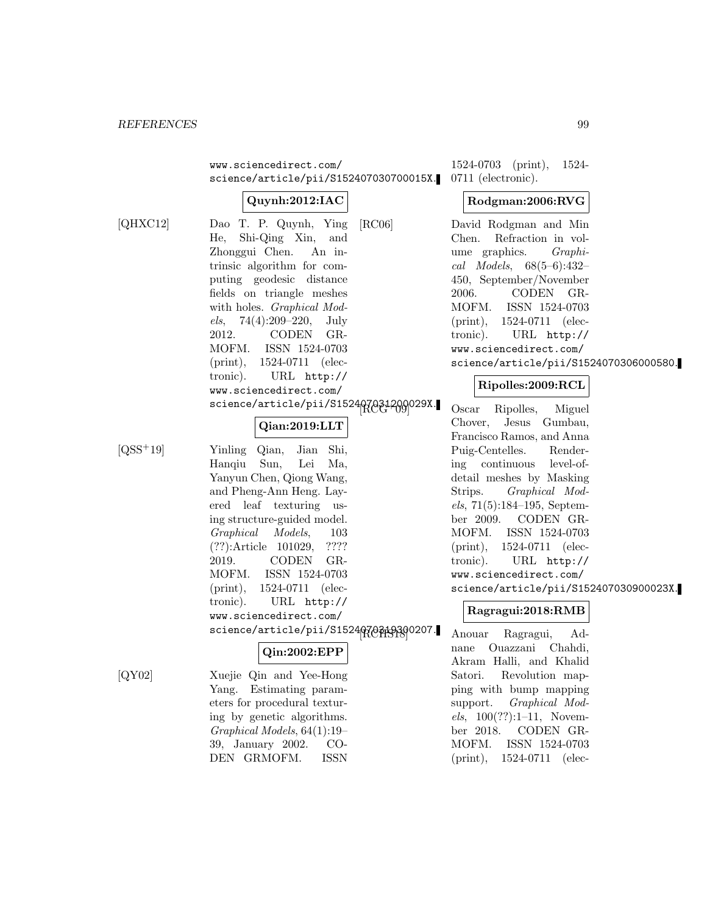www.sciencedirect.com/ science/article/pii/S152407030700015X. 0711 (electronic).

# **Quynh:2012:IAC**

[QHXC12] Dao T. P. Quynh, Ying He, Shi-Qing Xin, and Zhonggui Chen. An intrinsic algorithm for computing geodesic distance fields on triangle meshes with holes. *Graphical Mod*els, 74(4):209–220, July 2012. CODEN GR-MOFM. ISSN 1524-0703 (print), 1524-0711 (electronic). URL http:// www.sciencedirect.com/ science/article/pii/S1524070841209029X.

# **Qian:2019:LLT**

[QSS<sup>+</sup>19] Yinling Qian, Jian Shi, Hanqiu Sun, Lei Ma, Yanyun Chen, Qiong Wang, and Pheng-Ann Heng. Layered leaf texturing using structure-guided model. Graphical Models, 103 (??):Article 101029, ???? 2019. CODEN GR-MOFM. ISSN 1524-0703 (print), 1524-0711 (electronic). URL http:// www.sciencedirect.com/

# **Qin:2002:EPP**

[QY02] Xuejie Qin and Yee-Hong Yang. Estimating parameters for procedural texturing by genetic algorithms. Graphical Models, 64(1):19– 39, January 2002. CO-DEN GRMOFM. ISSN

1524-0703 (print), 1524-

## **Rodgman:2006:RVG**

[RC06] David Rodgman and Min Chen. Refraction in volume graphics. Graphical Models, 68(5–6):432– 450, September/November 2006. CODEN GR-MOFM. ISSN 1524-0703 (print), 1524-0711 (electronic). URL http:// www.sciencedirect.com/ science/article/pii/S1524070306000580.

# **Ripolles:2009:RCL**

Oscar Ripolles, Miguel Chover, Jesus Gumbau, Francisco Ramos, and Anna Puig-Centelles. Rendering continuous level-ofdetail meshes by Masking Strips. Graphical Models, 71(5):184–195, September 2009. CODEN GR-MOFM. ISSN 1524-0703 (print), 1524-0711 (electronic). URL http:// www.sciencedirect.com/ science/article/pii/S152407030900023X.

# **Ragragui:2018:RMB**

science/article/pii/S1524070349300207. Anouar Ragragui, Adnane Ouazzani Chahdi, Akram Halli, and Khalid Satori. Revolution mapping with bump mapping support. Graphical Models,  $100(??):1-11$ , November 2018. CODEN GR-MOFM. ISSN 1524-0703 (print), 1524-0711 (elec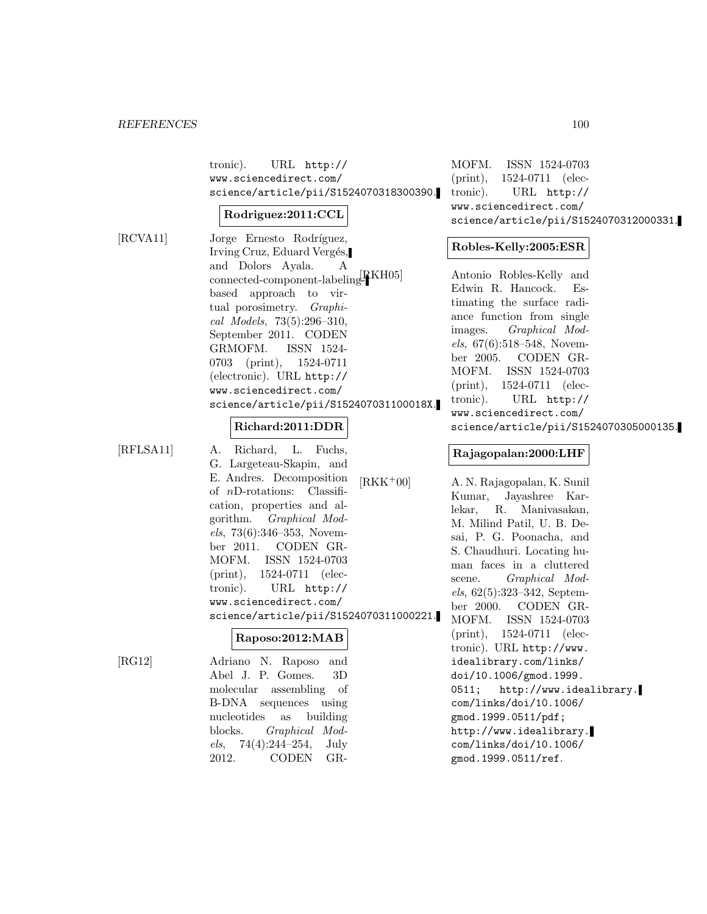tronic). URL http:// www.sciencedirect.com/ science/article/pii/S1524070318300390.

#### **Rodriguez:2011:CCL**

[RCVA11] Jorge Ernesto Rodríguez, Irving Cruz, Eduard Vergés, and Dolors Ayala. A connected-component-labeling-RKH05 based approach to virtual porosimetry. *Graphi*cal Models, 73(5):296–310, September 2011. CODEN GRMOFM. ISSN 1524- 0703 (print), 1524-0711 (electronic). URL http:// www.sciencedirect.com/ science/article/pii/S152407031100018X.

#### **Richard:2011:DDR**

[RFLSA11] A. Richard, L. Fuchs,

G. Largeteau-Skapin, and E. Andres. Decomposition of nD-rotations: Classification, properties and algorithm. Graphical Models, 73(6):346–353, November 2011. CODEN GR-MOFM. ISSN 1524-0703 (print), 1524-0711 (electronic). URL http:// www.sciencedirect.com/ science/article/pii/S1524070311000221.

#### **Raposo:2012:MAB**

[RG12] Adriano N. Raposo and Abel J. P. Gomes. 3D molecular assembling of B-DNA sequences using nucleotides as building blocks. Graphical Models, 74(4):244–254, July 2012. CODEN GR-

MOFM. ISSN 1524-0703 (print), 1524-0711 (electronic). URL http:// www.sciencedirect.com/ science/article/pii/S1524070312000331.

# **Robles-Kelly:2005:ESR**

Antonio Robles-Kelly and Edwin R. Hancock. Estimating the surface radiance function from single images. Graphical Models, 67(6):518–548, November 2005. CODEN GR-MOFM. ISSN 1524-0703 (print), 1524-0711 (electronic). URL http:// www.sciencedirect.com/ science/article/pii/S1524070305000135.

#### **Rajagopalan:2000:LHF**

[RKK<sup>+</sup>00] A. N. Rajagopalan, K. Sunil Kumar, Jayashree Karlekar, R. Manivasakan, M. Milind Patil, U. B. Desai, P. G. Poonacha, and S. Chaudhuri. Locating human faces in a cluttered scene. Graphical Models, 62(5):323–342, September 2000. CODEN GR-MOFM. ISSN 1524-0703 (print), 1524-0711 (electronic). URL http://www. idealibrary.com/links/ doi/10.1006/gmod.1999. 0511; http://www.idealibrary. com/links/doi/10.1006/ gmod.1999.0511/pdf; http://www.idealibrary. com/links/doi/10.1006/ gmod.1999.0511/ref.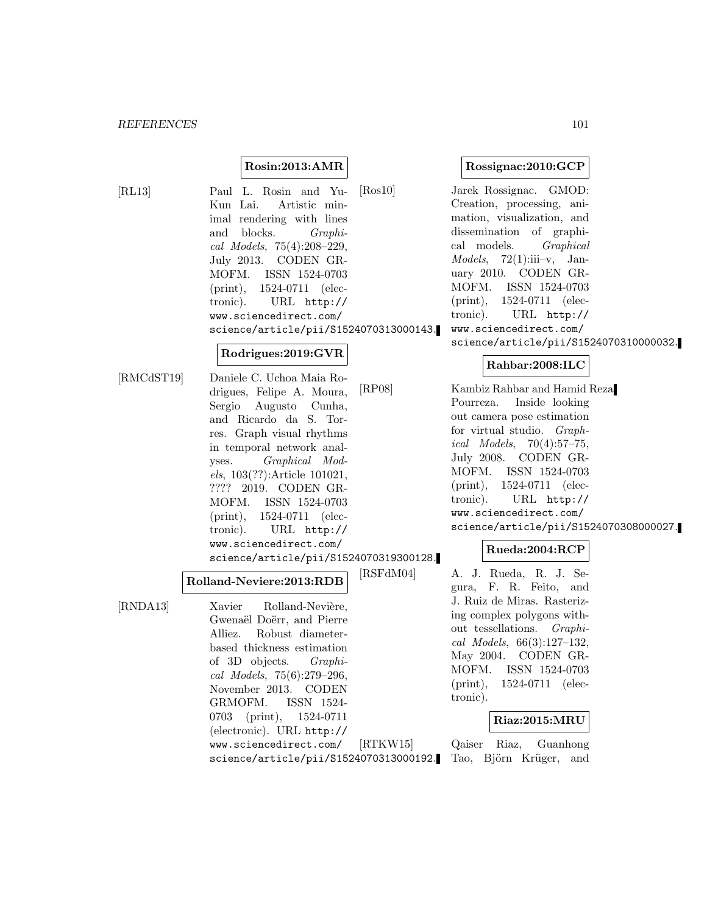### **Rosin:2013:AMR**

[RL13] Paul L. Rosin and Yu-Kun Lai. Artistic minimal rendering with lines and blocks. Graphical Models, 75(4):208–229, July 2013. CODEN GR-MOFM. ISSN 1524-0703 (print), 1524-0711 (electronic). URL http:// www.sciencedirect.com/ science/article/pii/S1524070313000143.

#### **Rodrigues:2019:GVR**

[RMCdST19] Daniele C. Uchoa Maia Rodrigues, Felipe A. Moura, Sergio Augusto Cunha, and Ricardo da S. Torres. Graph visual rhythms in temporal network analyses. Graphical Models, 103(??):Article 101021, ???? 2019. CODEN GR-MOFM. ISSN 1524-0703 (print), 1524-0711 (electronic). URL http:// www.sciencedirect.com/ science/article/pii/S1524070319300128.

#### **Rolland-Neviere:2013:RDB**

[RNDA13] Xavier Rolland-Nevière, Gwenaël Doërr, and Pierre Alliez. Robust diameterbased thickness estimation of 3D objects. Graphical Models, 75(6):279–296, November 2013. CODEN GRMOFM. ISSN 1524- 0703 (print), 1524-0711 (electronic). URL http:// www.sciencedirect.com/ science/article/pii/S1524070313000192.

#### **Rossignac:2010:GCP**

[Ros10] Jarek Rossignac. GMOD: Creation, processing, animation, visualization, and dissemination of graphical models. Graphical  $Models, 72(1):iii-v, Jan$ uary 2010. CODEN GR-MOFM. ISSN 1524-0703 (print), 1524-0711 (electronic). URL http:// www.sciencedirect.com/ science/article/pii/S1524070310000032.

### **Rahbar:2008:ILC**

[RP08] Kambiz Rahbar and Hamid Reza Pourreza. Inside looking out camera pose estimation for virtual studio. Graphical Models, 70(4):57–75, July 2008. CODEN GR-MOFM. ISSN 1524-0703 (print), 1524-0711 (electronic). URL http:// www.sciencedirect.com/ science/article/pii/S1524070308000027.

#### **Rueda:2004:RCP**

[RSFdM04] A. J. Rueda, R. J. Segura, F. R. Feito, and J. Ruiz de Miras. Rasterizing complex polygons without tessellations. Graphical Models, 66(3):127–132, May 2004. CODEN GR-MOFM. ISSN 1524-0703 (print), 1524-0711 (electronic).

#### **Riaz:2015:MRU**

[RTKW15] Qaiser Riaz, Guanhong Tao, Björn Krüger, and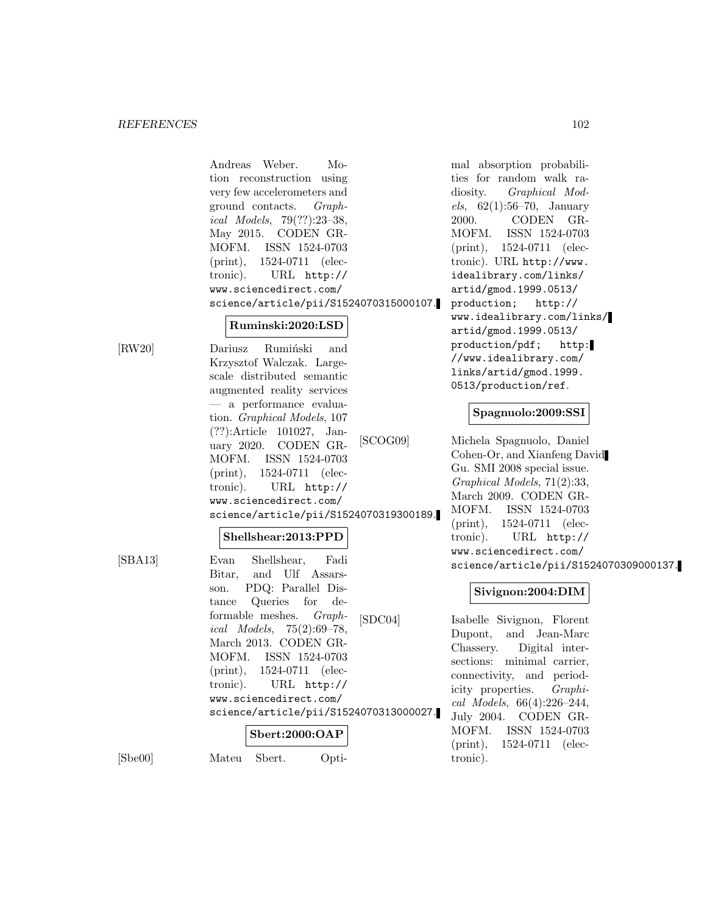# **Ruminski:2020:LSD**

[RW20] Dariusz Rumiński and Krzysztof Walczak. Largescale distributed semantic augmented reality services — a performance evaluation. Graphical Models, 107 (??):Article 101027, January 2020. CODEN GR-MOFM. ISSN 1524-0703 (print), 1524-0711 (electronic). URL http:// www.sciencedirect.com/ science/article/pii/S1524070319300189.

#### **Shellshear:2013:PPD**

| [SBA13] | Evan Shellshear, Fadi                      |  |  |  |
|---------|--------------------------------------------|--|--|--|
|         | Bitar, and Ulf Assars-                     |  |  |  |
|         | son. PDQ: Parallel Dis-                    |  |  |  |
|         | tance Queries for de-                      |  |  |  |
|         | formable meshes. <i>Graph</i> -<br>[SDCO4] |  |  |  |
|         | ical Models, $75(2):69-78$ ,               |  |  |  |
|         | March 2013. CODEN GR-                      |  |  |  |
|         | MOFM. ISSN 1524-0703                       |  |  |  |
|         | $(print), 1524-0711$ (elec-                |  |  |  |
|         | tronic). URL http://                       |  |  |  |
|         | www.sciencedirect.com/                     |  |  |  |
|         | science/article/pii/S1524070313000027.     |  |  |  |
|         | Sbert:2000:OAP                             |  |  |  |

[Sbe00] Mateu Sbert. Opti-

mal absorption probabilities for random walk radiosity. Graphical Models,  $62(1):56-70$ , January 2000. CODEN GR-MOFM. ISSN 1524-0703 (print), 1524-0711 (electronic). URL http://www. idealibrary.com/links/ artid/gmod.1999.0513/ production; http:// www.idealibrary.com/links/ artid/gmod.1999.0513/ production/pdf; http: //www.idealibrary.com/ links/artid/gmod.1999. 0513/production/ref.

# **Spagnuolo:2009:SSI**

[SCOG09] Michela Spagnuolo, Daniel Cohen-Or, and Xianfeng David Gu. SMI 2008 special issue. Graphical Models, 71(2):33, March 2009. CODEN GR-MOFM. ISSN 1524-0703 (print), 1524-0711 (electronic). URL http:// www.sciencedirect.com/ science/article/pii/S1524070309000137.

### **Sivignon:2004:DIM**

Isabelle Sivignon, Florent Dupont, and Jean-Marc Chassery. Digital intersections: minimal carrier, connectivity, and periodicity properties. Graphical Models, 66(4):226–244, July 2004. CODEN GR-MOFM. ISSN 1524-0703 (print), 1524-0711 (electronic).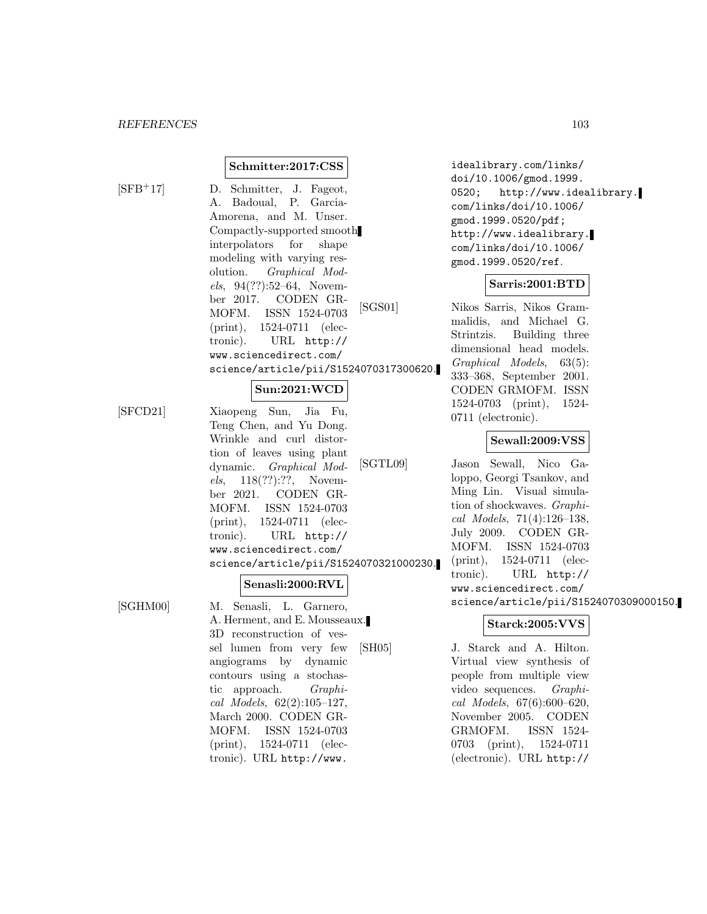#### **Schmitter:2017:CSS**

$$
[\mathrm{SFB^{+}17}]
$$

D. Schmitter, J. Fageot, A. Badoual, P. Garcia-Amorena, and M. Unser. Compactly-supported smooth interpolators for shape modeling with varying resolution. Graphical Models, 94(??):52–64, November 2017. CODEN GR-MOFM. ISSN 1524-0703 (print), 1524-0711 (electronic). URL http:// www.sciencedirect.com/ science/article/pii/S1524070317300620.

#### **Sun:2021:WCD**

[SFCD21] Xiaopeng Sun, Jia Fu, Teng Chen, and Yu Dong. Wrinkle and curl distortion of leaves using plant dynamic. Graphical Models, 118(??):??, November 2021. CODEN GR-MOFM. ISSN 1524-0703 (print), 1524-0711 (electronic). URL http:// www.sciencedirect.com/ science/article/pii/S1524070321000230.

#### **Senasli:2000:RVL**

[SGHM00] M. Senasli, L. Garnero, A. Herment, and E. Mousseaux. 3D reconstruction of vessel lumen from very few angiograms by dynamic contours using a stochastic approach. Graphical Models, 62(2):105–127, March 2000. CODEN GR-MOFM. ISSN 1524-0703 (print), 1524-0711 (electronic). URL http://www.

idealibrary.com/links/ doi/10.1006/gmod.1999. 0520; http://www.idealibrary. com/links/doi/10.1006/ gmod.1999.0520/pdf; http://www.idealibrary. com/links/doi/10.1006/ gmod.1999.0520/ref.

#### **Sarris:2001:BTD**

[SGS01] Nikos Sarris, Nikos Grammalidis, and Michael G. Strintzis. Building three dimensional head models. Graphical Models, 63(5): 333–368, September 2001. CODEN GRMOFM. ISSN 1524-0703 (print), 1524- 0711 (electronic).

#### **Sewall:2009:VSS**

[SGTL09] Jason Sewall, Nico Galoppo, Georgi Tsankov, and Ming Lin. Visual simulation of shockwaves. Graphical Models, 71(4):126–138, July 2009. CODEN GR-MOFM. ISSN 1524-0703 (print), 1524-0711 (electronic). URL http:// www.sciencedirect.com/ science/article/pii/S1524070309000150.

# **Starck:2005:VVS**

[SH05] J. Starck and A. Hilton. Virtual view synthesis of people from multiple view video sequences. Graphical Models, 67(6):600–620, November 2005. CODEN GRMOFM. ISSN 1524- 0703 (print), 1524-0711 (electronic). URL http://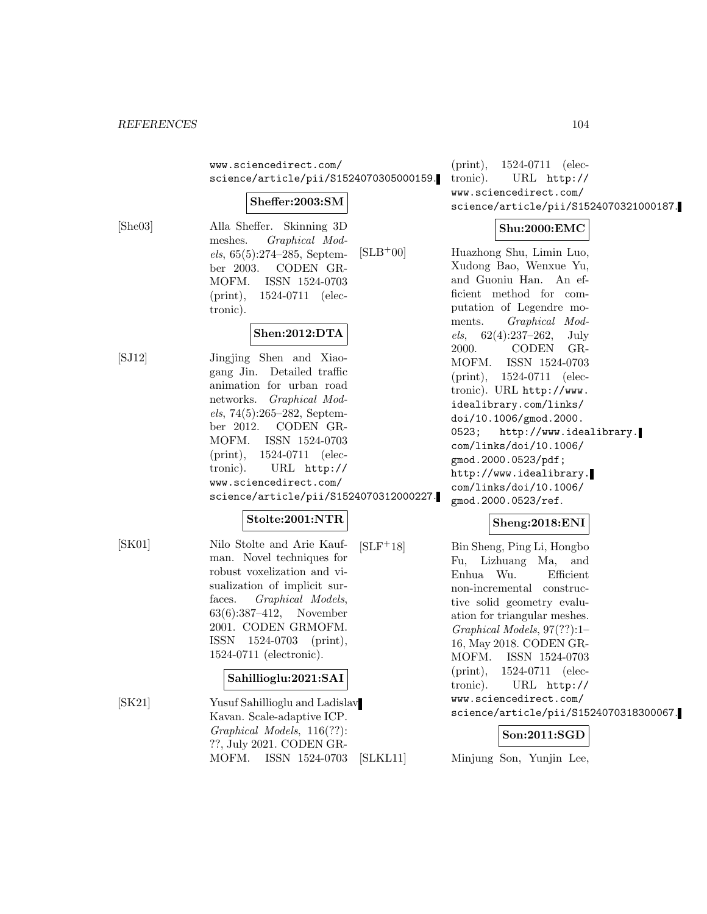www.sciencedirect.com/ science/article/pii/S1524070305000159.

#### **Sheffer:2003:SM**

[She03] Alla Sheffer. Skinning 3D meshes. Graphical Models, 65(5):274–285, September 2003. CODEN GR-MOFM. ISSN 1524-0703 (print), 1524-0711 (electronic).

### **Shen:2012:DTA**

[SJ12] Jingjing Shen and Xiaogang Jin. Detailed traffic animation for urban road networks. Graphical Models, 74(5):265–282, September 2012. CODEN GR-MOFM. ISSN 1524-0703 (print), 1524-0711 (electronic). URL http:// www.sciencedirect.com/ science/article/pii/S1524070312000227.

# **Stolte:2001:NTR**

[SK01] Nilo Stolte and Arie Kaufman. Novel techniques for robust voxelization and visualization of implicit surfaces. Graphical Models, 63(6):387–412, November 2001. CODEN GRMOFM. ISSN 1524-0703 (print), 1524-0711 (electronic).

# **Sahillioglu:2021:SAI**

[SK21] Yusuf Sahillioglu and Ladislav Kavan. Scale-adaptive ICP. Graphical Models, 116(??): ??, July 2021. CODEN GR-MOFM. ISSN 1524-0703

(print), 1524-0711 (electronic). URL http:// www.sciencedirect.com/ science/article/pii/S1524070321000187.

# **Shu:2000:EMC**

[SLB<sup>+</sup>00] Huazhong Shu, Limin Luo, Xudong Bao, Wenxue Yu, and Guoniu Han. An efficient method for computation of Legendre moments. Graphical Mod $els, 62(4):237-262, July$ 2000. CODEN GR-MOFM. ISSN 1524-0703 (print), 1524-0711 (electronic). URL http://www. idealibrary.com/links/ doi/10.1006/gmod.2000. 0523; http://www.idealibrary. com/links/doi/10.1006/ gmod.2000.0523/pdf; http://www.idealibrary. com/links/doi/10.1006/ gmod.2000.0523/ref.

# **Sheng:2018:ENI**

[SLF<sup>+</sup>18] Bin Sheng, Ping Li, Hongbo Fu, Lizhuang Ma, and Enhua Wu. Efficient non-incremental constructive solid geometry evaluation for triangular meshes. Graphical Models, 97(??):1– 16, May 2018. CODEN GR-MOFM. ISSN 1524-0703 (print), 1524-0711 (electronic). URL http:// www.sciencedirect.com/ science/article/pii/S1524070318300067.

# **Son:2011:SGD**

[SLKL11] Minjung Son, Yunjin Lee,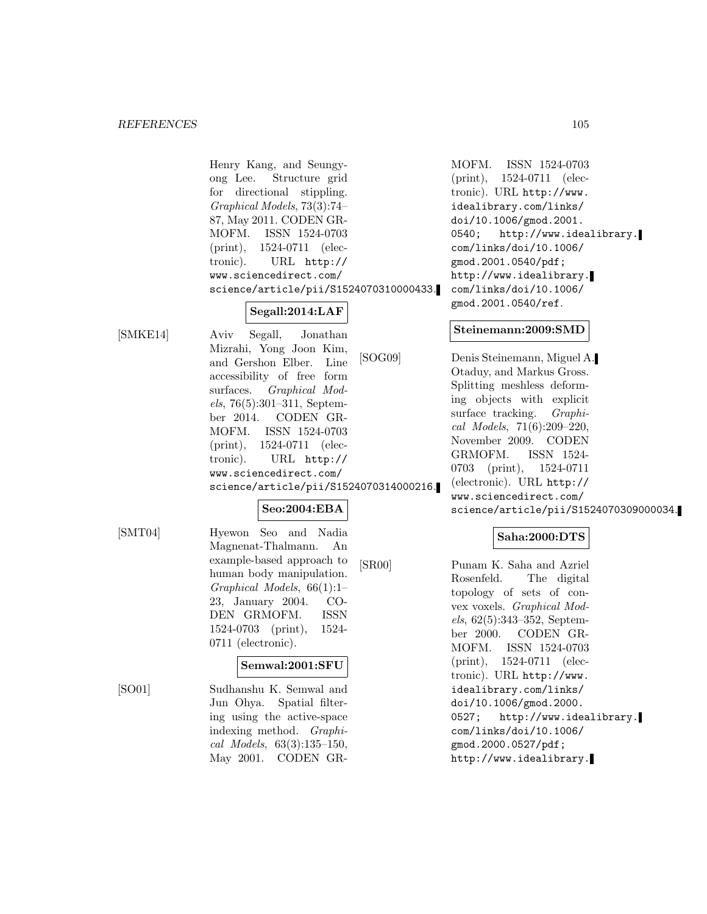Henry Kang, and Seungyong Lee. Structure grid for directional stippling. Graphical Models, 73(3):74– 87, May 2011. CODEN GR-MOFM. ISSN 1524-0703 (print), 1524-0711 (electronic). URL http:// www.sciencedirect.com/ science/article/pii/S1524070310000433.

**Segall:2014:LAF**

[SMKE14] Aviv Segall, Jonathan Mizrahi, Yong Joon Kim, and Gershon Elber. Line accessibility of free form surfaces. Graphical Models, 76(5):301–311, September 2014. CODEN GR-MOFM. ISSN 1524-0703 (print), 1524-0711 (electronic). URL http:// www.sciencedirect.com/ science/article/pii/S1524070314000216.

# **Seo:2004:EBA**

[SMT04] Hyewon Seo and Nadia Magnenat-Thalmann. An example-based approach to human body manipulation. Graphical Models, 66(1):1– 23, January 2004. CO-DEN GRMOFM. ISSN 1524-0703 (print), 1524- 0711 (electronic).

# **Semwal:2001:SFU**

[SO01] Sudhanshu K. Semwal and Jun Ohya. Spatial filtering using the active-space indexing method. Graphical Models, 63(3):135–150, May 2001. CODEN GR-

MOFM. ISSN 1524-0703 (print), 1524-0711 (electronic). URL http://www. idealibrary.com/links/ doi/10.1006/gmod.2001. 0540; http://www.idealibrary. com/links/doi/10.1006/ gmod.2001.0540/pdf; http://www.idealibrary. com/links/doi/10.1006/ gmod.2001.0540/ref.

# **Steinemann:2009:SMD**

[SOG09] Denis Steinemann, Miguel A. Otaduy, and Markus Gross. Splitting meshless deforming objects with explicit surface tracking. *Graphi*cal Models, 71(6):209–220, November 2009. CODEN GRMOFM. ISSN 1524- 0703 (print), 1524-0711 (electronic). URL http:// www.sciencedirect.com/ science/article/pii/S1524070309000034.

# **Saha:2000:DTS**

[SR00] Punam K. Saha and Azriel Rosenfeld. The digital topology of sets of convex voxels. Graphical Models, 62(5):343–352, September 2000. CODEN GR-MOFM. ISSN 1524-0703 (print), 1524-0711 (electronic). URL http://www. idealibrary.com/links/ doi/10.1006/gmod.2000. 0527; http://www.idealibrary. com/links/doi/10.1006/ gmod.2000.0527/pdf; http://www.idealibrary.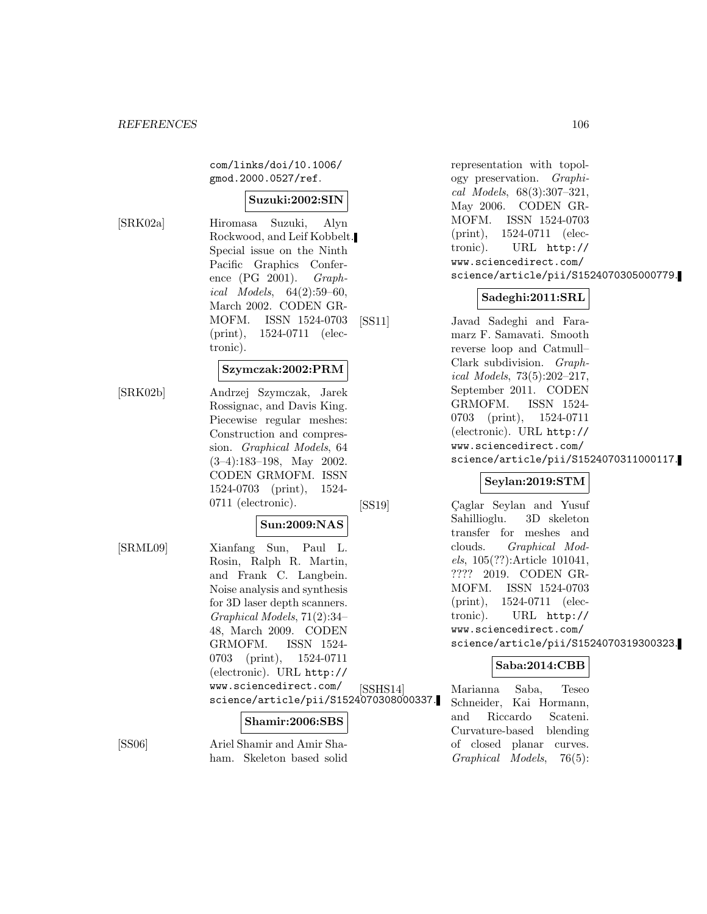com/links/doi/10.1006/ gmod.2000.0527/ref.

## **Suzuki:2002:SIN**

[SRK02a] Hiromasa Suzuki, Alyn Rockwood, and Leif Kobbelt. Special issue on the Ninth Pacific Graphics Conference (PG 2001). Graphical Models, 64(2):59–60, March 2002. CODEN GR-MOFM. ISSN 1524-0703 (print), 1524-0711 (electronic).

#### **Szymczak:2002:PRM**

[SRK02b] Andrzej Szymczak, Jarek Rossignac, and Davis King. Piecewise regular meshes: Construction and compression. Graphical Models, 64 (3–4):183–198, May 2002. CODEN GRMOFM. ISSN 1524-0703 (print), 1524- 0711 (electronic).

#### **Sun:2009:NAS**

[SRML09] Xianfang Sun, Paul L. Rosin, Ralph R. Martin, and Frank C. Langbein. Noise analysis and synthesis for 3D laser depth scanners. Graphical Models, 71(2):34– 48, March 2009. CODEN GRMOFM. ISSN 1524- 0703 (print), 1524-0711 (electronic). URL http:// www.sciencedirect.com/ science/article/pii/S1524070308000337.

#### **Shamir:2006:SBS**

[SS06] Ariel Shamir and Amir Shaham. Skeleton based solid representation with topology preservation. Graphical Models, 68(3):307–321, May 2006. CODEN GR-MOFM. ISSN 1524-0703 (print), 1524-0711 (electronic). URL http:// www.sciencedirect.com/ science/article/pii/S1524070305000779.

#### **Sadeghi:2011:SRL**

[SS11] Javad Sadeghi and Faramarz F. Samavati. Smooth reverse loop and Catmull– Clark subdivision. Graphical Models, 73(5):202–217, September 2011. CODEN GRMOFM. ISSN 1524- 0703 (print), 1524-0711 (electronic). URL http:// www.sciencedirect.com/ science/article/pii/S1524070311000117.

#### **Seylan:2019:STM**

[SS19] Caglar Seylan and Yusuf Sahillioglu. 3D skeleton transfer for meshes and clouds. Graphical Models, 105(??):Article 101041, ???? 2019. CODEN GR-MOFM. ISSN 1524-0703 (print), 1524-0711 (electronic). URL http:// www.sciencedirect.com/ science/article/pii/S1524070319300323.

# **Saba:2014:CBB**

[SSHS14] Marianna Saba, Teseo Schneider, Kai Hormann, and Riccardo Scateni. Curvature-based blending of closed planar curves. Graphical Models, 76(5):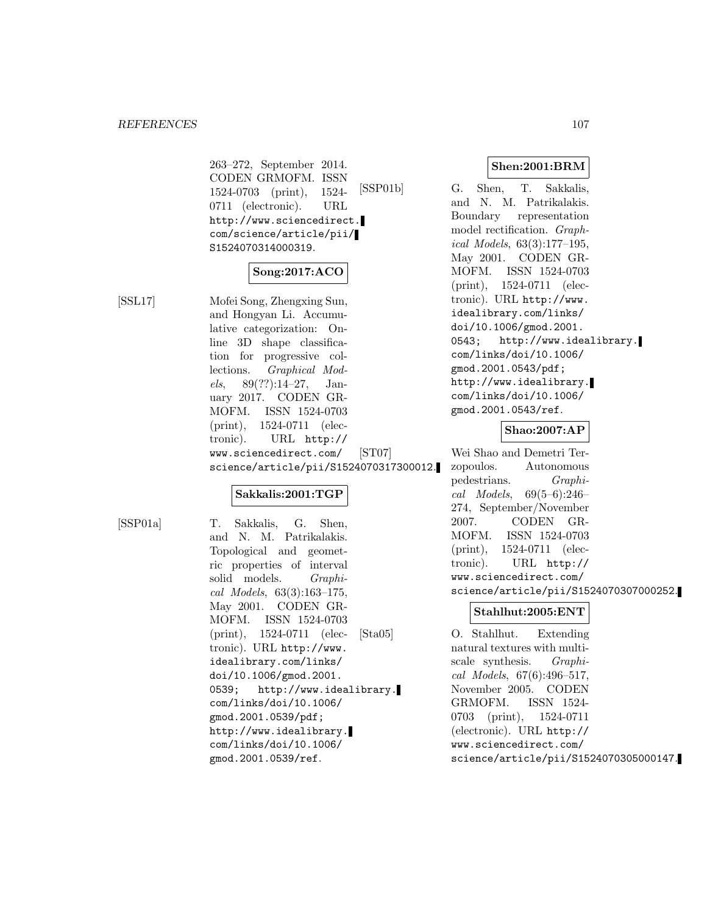263–272, September 2014. CODEN GRMOFM. ISSN 1524-0703 (print), 1524- 0711 (electronic). URL http://www.sciencedirect. com/science/article/pii/ S1524070314000319.

# **Song:2017:ACO**

[SSL17] Mofei Song, Zhengxing Sun, and Hongyan Li. Accumulative categorization: Online 3D shape classification for progressive collections. Graphical Models,  $89(??):14-27$ , January 2017. CODEN GR-MOFM. ISSN 1524-0703 (print), 1524-0711 (electronic). URL http:// www.sciencedirect.com/ science/article/pii/S1524070317300012.

# **Sakkalis:2001:TGP**

[SSP01a] T. Sakkalis, G. Shen, and N. M. Patrikalakis. Topological and geometric properties of interval solid models. Graphical Models, 63(3):163–175, May 2001. CODEN GR-MOFM. ISSN 1524-0703 (print), 1524-0711 (electronic). URL http://www. idealibrary.com/links/ doi/10.1006/gmod.2001. 0539; http://www.idealibrary. com/links/doi/10.1006/ gmod.2001.0539/pdf; http://www.idealibrary. com/links/doi/10.1006/ gmod.2001.0539/ref.

#### **Shen:2001:BRM**

[SSP01b] G. Shen, T. Sakkalis, and N. M. Patrikalakis. Boundary representation model rectification. Graphical Models, 63(3):177–195, May 2001. CODEN GR-MOFM. ISSN 1524-0703 (print), 1524-0711 (electronic). URL http://www. idealibrary.com/links/ doi/10.1006/gmod.2001. 0543; http://www.idealibrary. com/links/doi/10.1006/ gmod.2001.0543/pdf; http://www.idealibrary. com/links/doi/10.1006/ gmod.2001.0543/ref.

#### **Shao:2007:AP**

[ST07] Wei Shao and Demetri Terzopoulos. Autonomous pedestrians. Graphical Models, 69(5–6):246– 274, September/November 2007. CODEN GR-MOFM. ISSN 1524-0703 (print), 1524-0711 (electronic). URL http:// www.sciencedirect.com/ science/article/pii/S1524070307000252.

#### **Stahlhut:2005:ENT**

[Sta05] O. Stahlhut. Extending natural textures with multiscale synthesis. Graphical Models, 67(6):496–517, November 2005. CODEN GRMOFM. ISSN 1524- 0703 (print), 1524-0711 (electronic). URL http:// www.sciencedirect.com/ science/article/pii/S1524070305000147.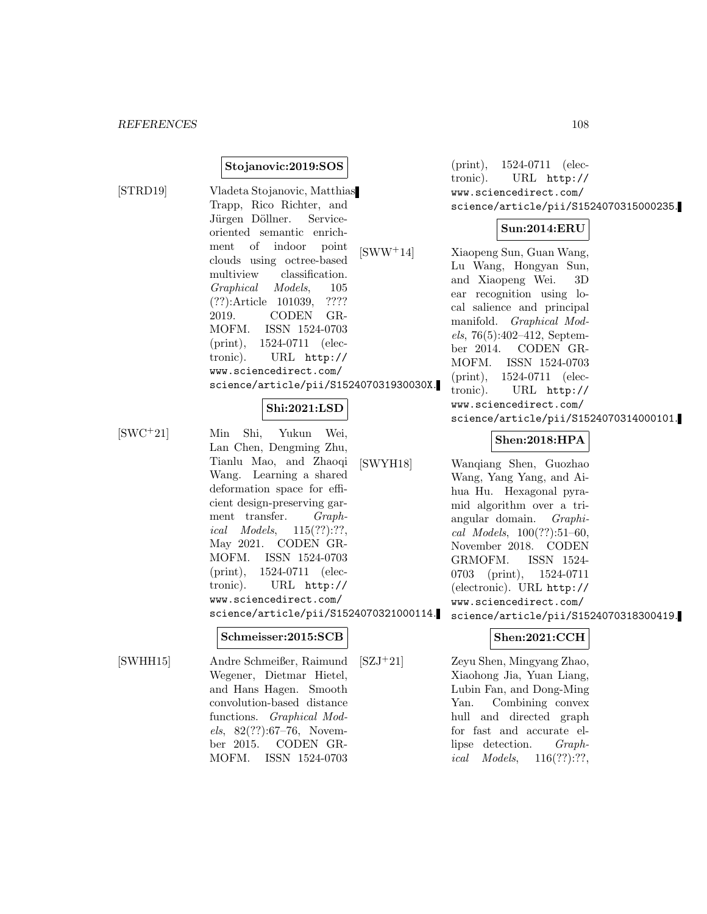#### **Stojanovic:2019:SOS**

[STRD19] Vladeta Stojanovic, Matthias Trapp, Rico Richter, and Jürgen Döllner. Serviceoriented semantic enrichment of indoor point clouds using octree-based multiview classification. Graphical Models, 105 (??):Article 101039, ???? 2019. CODEN GR-MOFM. ISSN 1524-0703 (print), 1524-0711 (electronic). URL http:// www.sciencedirect.com/ science/article/pii/S152407031930030X.

## **Shi:2021:LSD**

[SWC<sup>+</sup>21] Min Shi, Yukun Wei, Lan Chen, Dengming Zhu, Tianlu Mao, and Zhaoqi Wang. Learning a shared deformation space for efficient design-preserving garment transfer. Graphical Models, 115(??):??, May 2021. CODEN GR-MOFM. ISSN 1524-0703 (print), 1524-0711 (electronic). URL http:// www.sciencedirect.com/ science/article/pii/S1524070321000114.

#### **Schmeisser:2015:SCB**

[SWHH15] Andre Schmeißer, Raimund Wegener, Dietmar Hietel, and Hans Hagen. Smooth convolution-based distance functions. Graphical Models, 82(??):67–76, November 2015. CODEN GR-MOFM. ISSN 1524-0703

(print), 1524-0711 (electronic). URL http:// www.sciencedirect.com/ science/article/pii/S1524070315000235.

#### **Sun:2014:ERU**

[SWW<sup>+</sup>14] Xiaopeng Sun, Guan Wang, Lu Wang, Hongyan Sun, and Xiaopeng Wei. 3D ear recognition using local salience and principal manifold. Graphical Models, 76(5):402–412, September 2014. CODEN GR-MOFM. ISSN 1524-0703 (print), 1524-0711 (electronic). URL http:// www.sciencedirect.com/ science/article/pii/S1524070314000101.

# **Shen:2018:HPA**

[SWYH18] Wanqiang Shen, Guozhao Wang, Yang Yang, and Aihua Hu. Hexagonal pyramid algorithm over a triangular domain. Graphical Models, 100(??):51–60, November 2018. CODEN GRMOFM. ISSN 1524- 0703 (print), 1524-0711 (electronic). URL http:// www.sciencedirect.com/ science/article/pii/S1524070318300419.

# **Shen:2021:CCH**

[SZJ<sup>+</sup>21] Zeyu Shen, Mingyang Zhao, Xiaohong Jia, Yuan Liang, Lubin Fan, and Dong-Ming Yan. Combining convex hull and directed graph for fast and accurate ellipse detection. Graphical Models, 116(??):??,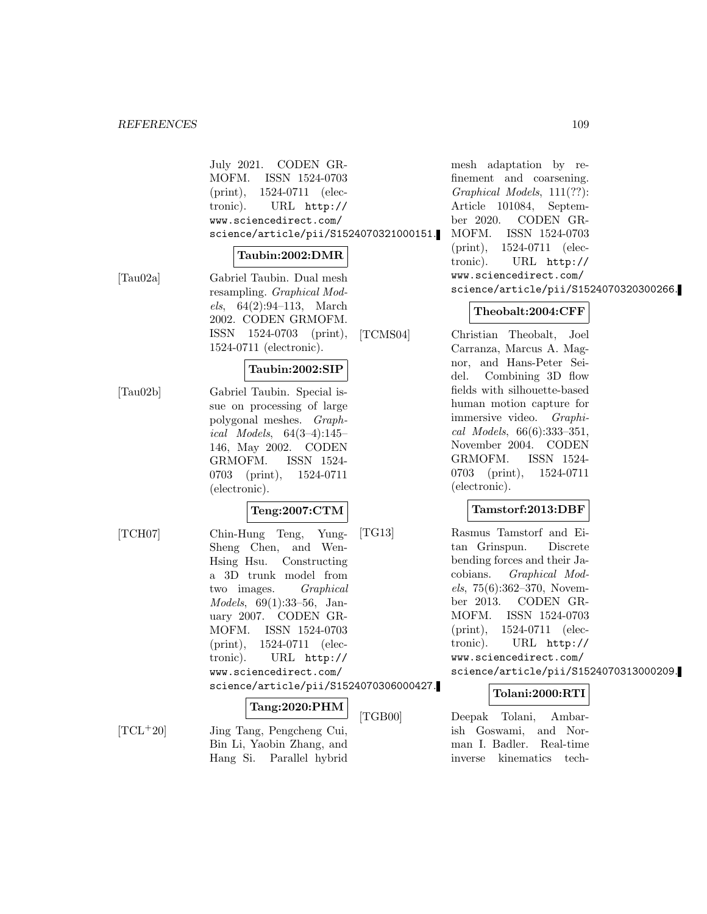#### *REFERENCES* 109

July 2021. CODEN GR-MOFM. ISSN 1524-0703 (print), 1524-0711 (electronic). URL http:// www.sciencedirect.com/ science/article/pii/S1524070321000151.

#### **Taubin:2002:DMR**

[Tau02a] Gabriel Taubin. Dual mesh resampling. Graphical Models, 64(2):94–113, March 2002. CODEN GRMOFM. ISSN 1524-0703 (print), 1524-0711 (electronic).

#### **Taubin:2002:SIP**

[Tau02b] Gabriel Taubin. Special issue on processing of large polygonal meshes. Graphical Models, 64(3–4):145– 146, May 2002. CODEN GRMOFM. ISSN 1524- 0703 (print), 1524-0711 (electronic).

### **Teng:2007:CTM**

[TCH07] Chin-Hung Teng, Yung-Sheng Chen, and Wen-Hsing Hsu. Constructing a 3D trunk model from two images. Graphical Models, 69(1):33–56, January 2007. CODEN GR-MOFM. ISSN 1524-0703 (print), 1524-0711 (electronic). URL http:// www.sciencedirect.com/ science/article/pii/S1524070306000427.

## **Tang:2020:PHM**

[TCL<sup>+</sup>20] Jing Tang, Pengcheng Cui, Bin Li, Yaobin Zhang, and Hang Si. Parallel hybrid

mesh adaptation by refinement and coarsening. Graphical Models, 111(??): Article 101084, September 2020. CODEN GR-MOFM. ISSN 1524-0703 (print), 1524-0711 (electronic). URL http:// www.sciencedirect.com/ science/article/pii/S1524070320300266.

#### **Theobalt:2004:CFF**

[TCMS04] Christian Theobalt, Joel Carranza, Marcus A. Magnor, and Hans-Peter Seidel. Combining 3D flow fields with silhouette-based human motion capture for immersive video. Graphical Models, 66(6):333–351, November 2004. CODEN GRMOFM. ISSN 1524- 0703 (print), 1524-0711 (electronic).

### **Tamstorf:2013:DBF**

[TG13] Rasmus Tamstorf and Eitan Grinspun. Discrete bending forces and their Jacobians. Graphical Models, 75(6):362–370, November 2013. CODEN GR-MOFM. ISSN 1524-0703 (print), 1524-0711 (electronic). URL http:// www.sciencedirect.com/ science/article/pii/S1524070313000209.

#### **Tolani:2000:RTI**

[TGB00] Deepak Tolani, Ambarish Goswami, and Norman I. Badler. Real-time inverse kinematics tech-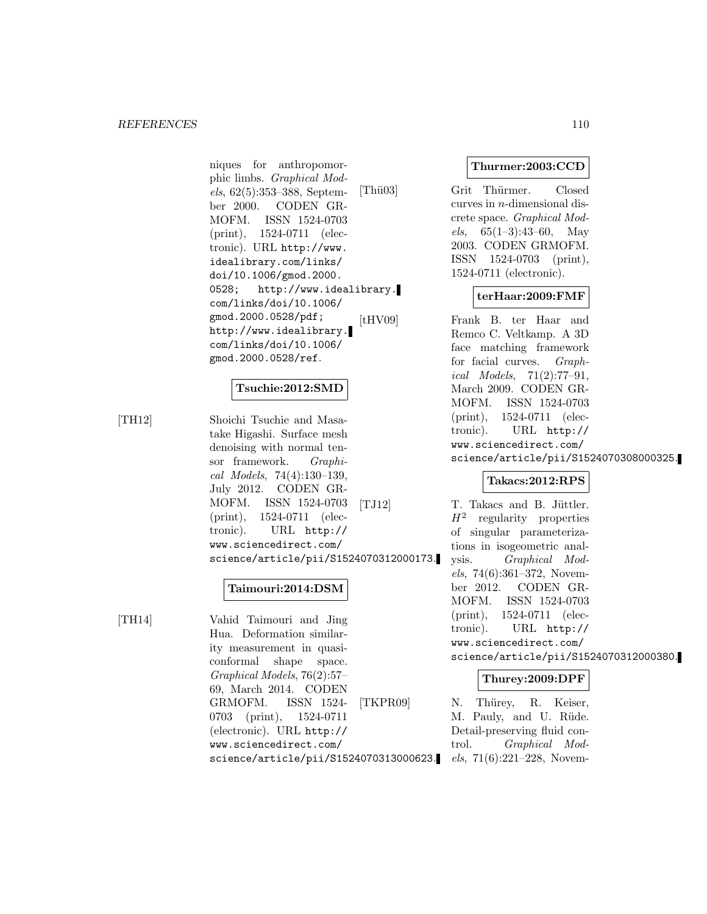niques for anthropomorphic limbs. Graphical Models, 62(5):353–388, September 2000. CODEN GR-MOFM. ISSN 1524-0703 (print), 1524-0711 (electronic). URL http://www. idealibrary.com/links/ doi/10.1006/gmod.2000. 0528; http://www.idealibrary. com/links/doi/10.1006/ gmod.2000.0528/pdf; http://www.idealibrary. com/links/doi/10.1006/ gmod.2000.0528/ref.

## **Tsuchie:2012:SMD**

[TH12] Shoichi Tsuchie and Masatake Higashi. Surface mesh denoising with normal tensor framework. Graphical Models, 74(4):130–139, July 2012. CODEN GR-MOFM. ISSN 1524-0703 (print), 1524-0711 (electronic). URL http:// www.sciencedirect.com/ science/article/pii/S1524070312000173.

## **Taimouri:2014:DSM**

[TH14] Vahid Taimouri and Jing Hua. Deformation similarity measurement in quasiconformal shape space. Graphical Models, 76(2):57– 69, March 2014. CODEN GRMOFM. ISSN 1524- 0703 (print), 1524-0711 (electronic). URL http:// www.sciencedirect.com/ science/article/pii/S1524070313000623.

## **Thurmer:2003:CCD**

[Thü03] Grit Thürmer. Closed curves in n-dimensional discrete space. Graphical Models,  $65(1-3):43-60$ , May 2003. CODEN GRMOFM. ISSN 1524-0703 (print), 1524-0711 (electronic).

## **terHaar:2009:FMF**

[tHV09] Frank B. ter Haar and Remco C. Veltkamp. A 3D face matching framework for facial curves. Graphical Models, 71(2):77–91, March 2009. CODEN GR-MOFM. ISSN 1524-0703 (print), 1524-0711 (electronic). URL http:// www.sciencedirect.com/ science/article/pii/S1524070308000325.

#### **Takacs:2012:RPS**

[TJ12] T. Takacs and B. Jüttler.  $H<sup>2</sup>$  regularity properties of singular parameterizations in isogeometric analysis. Graphical Models, 74(6):361–372, November 2012. CODEN GR-MOFM. ISSN 1524-0703 (print), 1524-0711 (electronic). URL http:// www.sciencedirect.com/ science/article/pii/S1524070312000380.

## **Thurey:2009:DPF**

[TKPR09] N. Thürey, R. Keiser, M. Pauly, and U. Rüde. Detail-preserving fluid control. Graphical Models, 71(6):221–228, Novem-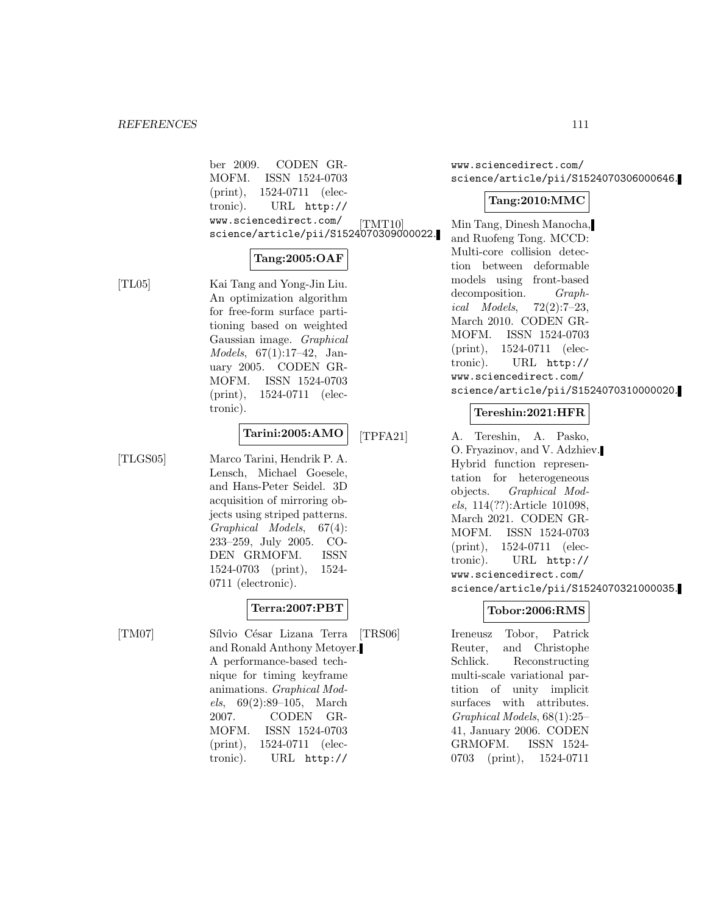ber 2009. CODEN GR-MOFM. ISSN 1524-0703 (print), 1524-0711 (electronic). URL http:// www.sciencedirect.com/ science/article/pii/S1524070309000022.

#### **Tang:2005:OAF**

[TL05] Kai Tang and Yong-Jin Liu. An optimization algorithm for free-form surface partitioning based on weighted Gaussian image. Graphical Models, 67(1):17–42, January 2005. CODEN GR-MOFM. ISSN 1524-0703 (print), 1524-0711 (electronic).

## **Tarini:2005:AMO**

[TLGS05] Marco Tarini, Hendrik P. A. Lensch, Michael Goesele, and Hans-Peter Seidel. 3D acquisition of mirroring objects using striped patterns. Graphical Models, 67(4): 233–259, July 2005. CO-DEN GRMOFM. ISSN 1524-0703 (print), 1524- 0711 (electronic).

## **Terra:2007:PBT**

- 
- [TM07] Sílvio César Lizana Terra and Ronald Anthony Metoyer. A performance-based technique for timing keyframe animations. Graphical Models, 69(2):89–105, March 2007. CODEN GR-MOFM. ISSN 1524-0703 (print), 1524-0711 (electronic). URL http://

www.sciencedirect.com/ science/article/pii/S1524070306000646.

## **Tang:2010:MMC**

[TMT10] Min Tang, Dinesh Manocha, and Ruofeng Tong. MCCD: Multi-core collision detection between deformable models using front-based decomposition. Graphical Models, 72(2):7–23, March 2010. CODEN GR-MOFM. ISSN 1524-0703 (print), 1524-0711 (electronic). URL http:// www.sciencedirect.com/ science/article/pii/S1524070310000020.

## **Tereshin:2021:HFR**

[TPFA21] A. Tereshin, A. Pasko, O. Fryazinov, and V. Adzhiev. Hybrid function representation for heterogeneous objects. Graphical Models, 114(??):Article 101098, March 2021. CODEN GR-MOFM. ISSN 1524-0703 (print), 1524-0711 (electronic). URL http:// www.sciencedirect.com/ science/article/pii/S1524070321000035.

## **Tobor:2006:RMS**

[TRS06] Ireneusz Tobor, Patrick Reuter, and Christophe Schlick. Reconstructing multi-scale variational partition of unity implicit surfaces with attributes. Graphical Models, 68(1):25– 41, January 2006. CODEN GRMOFM. ISSN 1524- 0703 (print), 1524-0711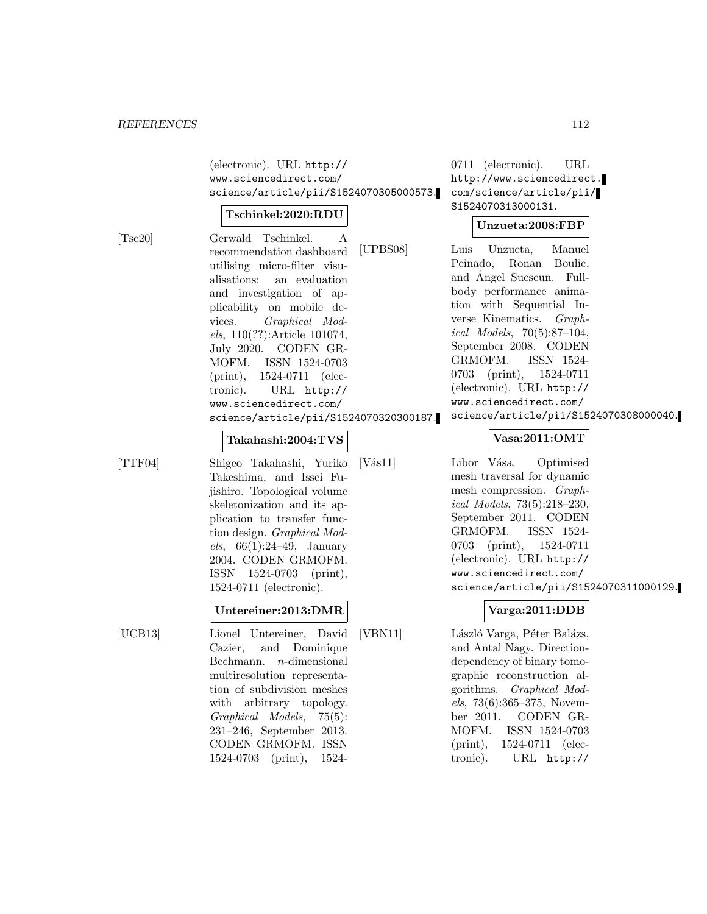(electronic). URL http:// www.sciencedirect.com/ science/article/pii/S1524070305000573.

#### **Tschinkel:2020:RDU**

[Tsc20] Gerwald Tschinkel. A recommendation dashboard utilising micro-filter visualisations: an evaluation and investigation of applicability on mobile devices. Graphical Models, 110(??):Article 101074, July 2020. CODEN GR-MOFM. ISSN 1524-0703 (print), 1524-0711 (electronic). URL http:// www.sciencedirect.com/ science/article/pii/S1524070320300187.

0711 (electronic). URL http://www.sciencedirect. com/science/article/pii/ S1524070313000131.

## **Unzueta:2008:FBP**

[UPBS08] Luis Unzueta, Manuel Peinado, Ronan Boulic, and Angel Suescun. Full- ´ body performance animation with Sequential Inverse Kinematics. Graphical Models, 70(5):87–104, September 2008. CODEN GRMOFM. ISSN 1524- 0703 (print), 1524-0711 (electronic). URL http:// www.sciencedirect.com/ science/article/pii/S1524070308000040.

#### **Takahashi:2004:TVS**

[TTF04] Shigeo Takahashi, Yuriko Takeshima, and Issei Fujishiro. Topological volume skeletonization and its application to transfer function design. Graphical Models,  $66(1):24-49$ , January 2004. CODEN GRMOFM. ISSN 1524-0703 (print), 1524-0711 (electronic).

#### **Untereiner:2013:DMR**

[UCB13] Lionel Untereiner, David Cazier, and Dominique Bechmann. n-dimensional multiresolution representation of subdivision meshes with arbitrary topology. Graphical Models, 75(5): 231–246, September 2013. CODEN GRMOFM. ISSN 1524-0703 (print), 1524**Vasa:2011:OMT**

[Vás11] Libor Vása. Optimised mesh traversal for dynamic mesh compression. Graphical Models, 73(5):218–230, September 2011. CODEN GRMOFM. ISSN 1524- 0703 (print), 1524-0711 (electronic). URL http:// www.sciencedirect.com/ science/article/pii/S1524070311000129.

## **Varga:2011:DDB**

[VBN11] László Varga, Péter Balázs, and Antal Nagy. Directiondependency of binary tomographic reconstruction algorithms. Graphical Models, 73(6):365–375, November 2011. CODEN GR-MOFM. ISSN 1524-0703 (print), 1524-0711 (electronic). URL http://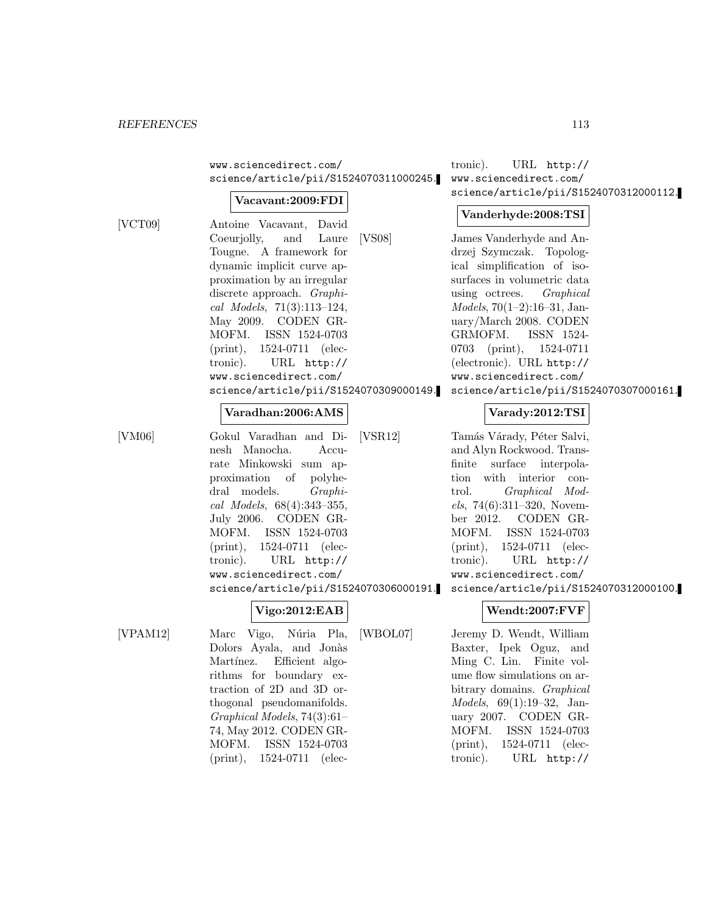www.sciencedirect.com/ science/article/pii/S1524070311000245.

#### **Vacavant:2009:FDI**

 $[VCT09]$ 

| Antoine Vacavant, David                |
|----------------------------------------|
| Coeurjolly, and Laure [VS08]           |
| Tougne. A framework for                |
| dynamic implicit curve ap-             |
| proximation by an irregular            |
| discrete approach. <i>Graphi</i> -     |
| cal Models, 71(3):113-124,             |
| May 2009. CODEN GR-                    |
| MOFM. ISSN 1524-0703                   |
| $(print), 1524-0711$ (elec-            |
| tronic). URL http://                   |
| www.sciencedirect.com/                 |
| science/article/pii/S1524070309000149. |

#### **Varadhan:2006:AMS**

[VM06] Gokul Varadhan and Dinesh Manocha. Accurate Minkowski sum approximation of polyhedral models. Graphical Models, 68(4):343–355, July 2006. CODEN GR-MOFM. ISSN 1524-0703 (print), 1524-0711 (electronic). URL http:// www.sciencedirect.com/ science/article/pii/S1524070306000191.

$$
Vigo:2012:EAB
$$

[VPAM12] Marc Vigo, Núria Pla, Dolors Ayala, and Jonàs Martínez. Efficient algorithms for boundary extraction of 2D and 3D orthogonal pseudomanifolds. Graphical Models, 74(3):61– 74, May 2012. CODEN GR-MOFM. ISSN 1524-0703 (print), 1524-0711 (elec-

tronic). URL http:// www.sciencedirect.com/ science/article/pii/S1524070312000112.

### **Vanderhyde:2008:TSI**

James Vanderhyde and Andrzej Szymczak. Topological simplification of isosurfaces in volumetric data using octrees. Graphical Models, 70(1–2):16–31, January/March 2008. CODEN GRMOFM. ISSN 1524- 0703 (print), 1524-0711 (electronic). URL http:// www.sciencedirect.com/ science/article/pii/S1524070307000161.

## **Varady:2012:TSI**

[VSR12] Tamás Várady, Péter Salvi, and Alyn Rockwood. Transfinite surface interpolation with interior control. Graphical Mod $els, 74(6):311-320, Novem$ ber 2012. CODEN GR-MOFM. ISSN 1524-0703 (print), 1524-0711 (electronic). URL http:// www.sciencedirect.com/ science/article/pii/S1524070312000100.

## **Wendt:2007:FVF**

[WBOL07] Jeremy D. Wendt, William Baxter, Ipek Oguz, and Ming C. Lin. Finite volume flow simulations on arbitrary domains. Graphical Models, 69(1):19–32, January 2007. CODEN GR-MOFM. ISSN 1524-0703 (print), 1524-0711 (electronic). URL http://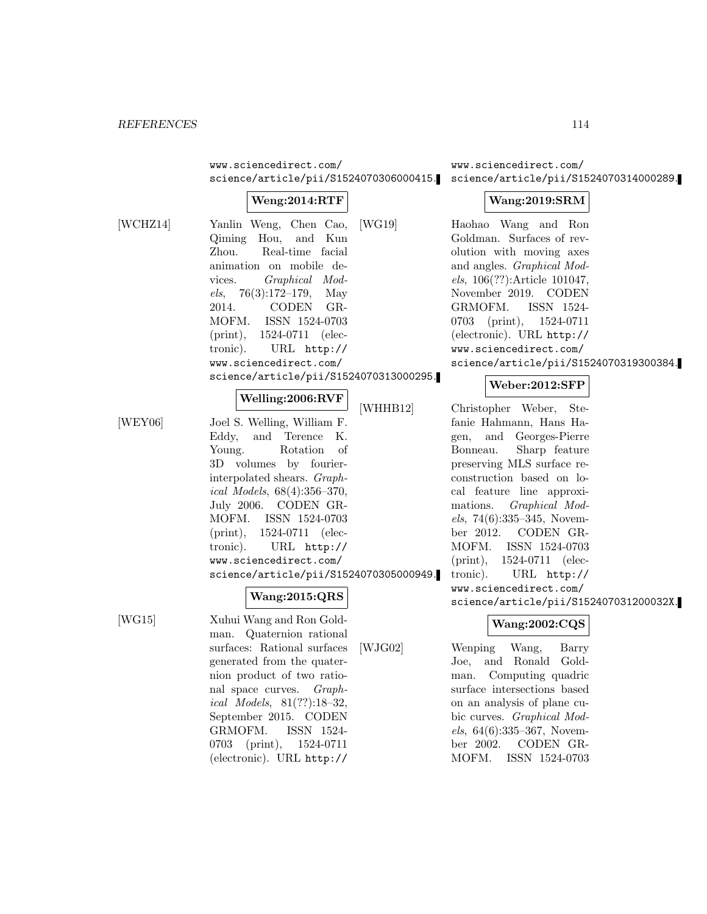www.sciencedirect.com/ science/article/pii/S1524070306000415.

## **Weng:2014:RTF**

[WCHZ14] Yanlin Weng, Chen Cao, Qiming Hou, and Kun Zhou. Real-time facial animation on mobile devices. Graphical Models,  $76(3):172-179$ , May 2014. CODEN GR-MOFM. ISSN 1524-0703 (print), 1524-0711 (electronic). URL http:// www.sciencedirect.com/ science/article/pii/S1524070313000295.

#### **Welling:2006:RVF**

[WEY06] Joel S. Welling, William F. Eddy, and Terence K. Young. Rotation of 3D volumes by fourierinterpolated shears. Graphical Models, 68(4):356–370, July 2006. CODEN GR-MOFM. ISSN 1524-0703 (print), 1524-0711 (electronic). URL http:// www.sciencedirect.com/ science/article/pii/S1524070305000949.

## **Wang:2015:QRS**

[WG15] Xuhui Wang and Ron Goldman. Quaternion rational surfaces: Rational surfaces generated from the quaternion product of two rational space curves. Graphical Models, 81(??):18–32, September 2015. CODEN GRMOFM. ISSN 1524- 0703 (print), 1524-0711 (electronic). URL http://

[WJG02] Wenping Wang, Barry Joe, and Ronald Goldman. Computing quadric surface intersections based on an analysis of plane cubic curves. Graphical Models, 64(6):335–367, November 2002. CODEN GR-MOFM. ISSN 1524-0703

www.sciencedirect.com/ science/article/pii/S1524070314000289.

#### **Wang:2019:SRM**

[WG19] Haohao Wang and Ron Goldman. Surfaces of revolution with moving axes and angles. Graphical Models, 106(??):Article 101047, November 2019. CODEN GRMOFM. ISSN 1524- 0703 (print), 1524-0711 (electronic). URL http:// www.sciencedirect.com/ science/article/pii/S1524070319300384.

#### **Weber:2012:SFP**

[WHHB12] Christopher Weber, Stefanie Hahmann, Hans Hagen, and Georges-Pierre Bonneau. Sharp feature preserving MLS surface reconstruction based on local feature line approximations. Graphical Models, 74(6):335–345, November 2012. CODEN GR-MOFM. ISSN 1524-0703 (print), 1524-0711 (electronic). URL http:// www.sciencedirect.com/ science/article/pii/S152407031200032X.

## **Wang:2002:CQS**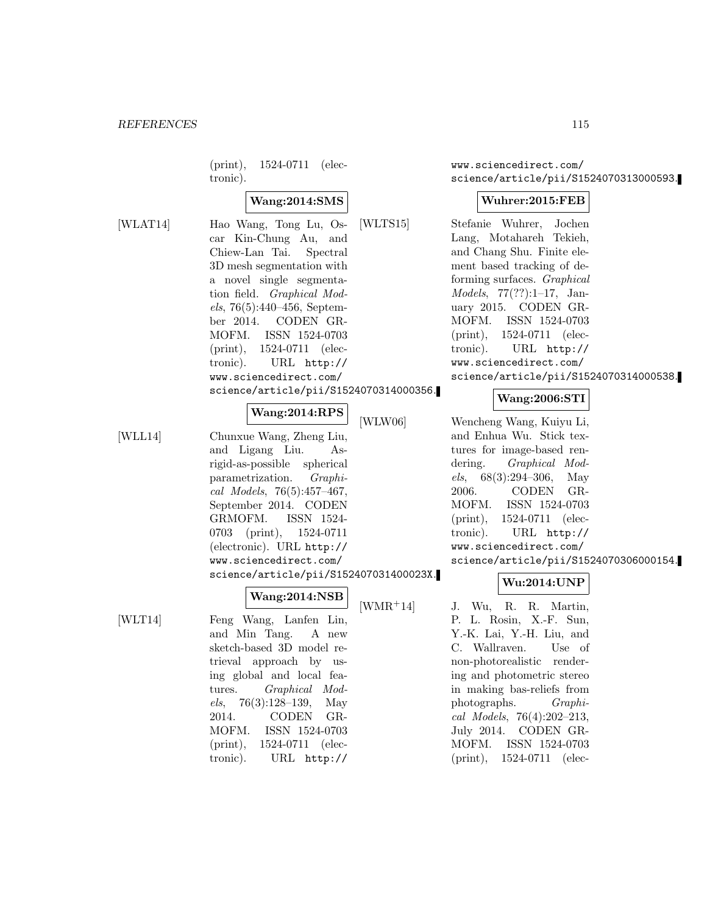(print), 1524-0711 (electronic).

## **Wang:2014:SMS**

[WLAT14] Hao Wang, Tong Lu, Oscar Kin-Chung Au, and Chiew-Lan Tai. Spectral 3D mesh segmentation with a novel single segmentation field. Graphical Models, 76(5):440–456, September 2014. CODEN GR-MOFM. ISSN 1524-0703 (print), 1524-0711 (electronic). URL http:// www.sciencedirect.com/ science/article/pii/S1524070314000356.

## **Wang:2014:RPS**

[WLL14] Chunxue Wang, Zheng Liu, and Ligang Liu. Asrigid-as-possible spherical parametrization. Graphical Models, 76(5):457–467, September 2014. CODEN GRMOFM. ISSN 1524- 0703 (print), 1524-0711 (electronic). URL http:// www.sciencedirect.com/ science/article/pii/S152407031400023X.

# **Wang:2014:NSB**

[WLT14] Feng Wang, Lanfen Lin, and Min Tang. A new sketch-based 3D model retrieval approach by using global and local features. Graphical Models, 76(3):128–139, May 2014. CODEN GR-MOFM. ISSN 1524-0703 (print), 1524-0711 (electronic). URL http://

www.sciencedirect.com/ science/article/pii/S1524070313000593.

## **Wuhrer:2015:FEB**

[WLTS15] Stefanie Wuhrer, Jochen Lang, Motahareh Tekieh, and Chang Shu. Finite element based tracking of deforming surfaces. Graphical Models, 77(??):1–17, January 2015. CODEN GR-MOFM. ISSN 1524-0703 (print), 1524-0711 (electronic). URL http:// www.sciencedirect.com/ science/article/pii/S1524070314000538.

## **Wang:2006:STI**

[WLW06] Wencheng Wang, Kuiyu Li, and Enhua Wu. Stick textures for image-based rendering. Graphical Models, 68(3):294–306, May 2006. CODEN GR-MOFM. ISSN 1524-0703 (print), 1524-0711 (electronic). URL http:// www.sciencedirect.com/ science/article/pii/S1524070306000154.

#### **Wu:2014:UNP**

[WMR<sup>+</sup>14] J. Wu, R. R. Martin, P. L. Rosin, X.-F. Sun, Y.-K. Lai, Y.-H. Liu, and C. Wallraven. Use of non-photorealistic rendering and photometric stereo in making bas-reliefs from photographs. Graphical Models, 76(4):202–213, July 2014. CODEN GR-MOFM. ISSN 1524-0703 (print), 1524-0711 (elec-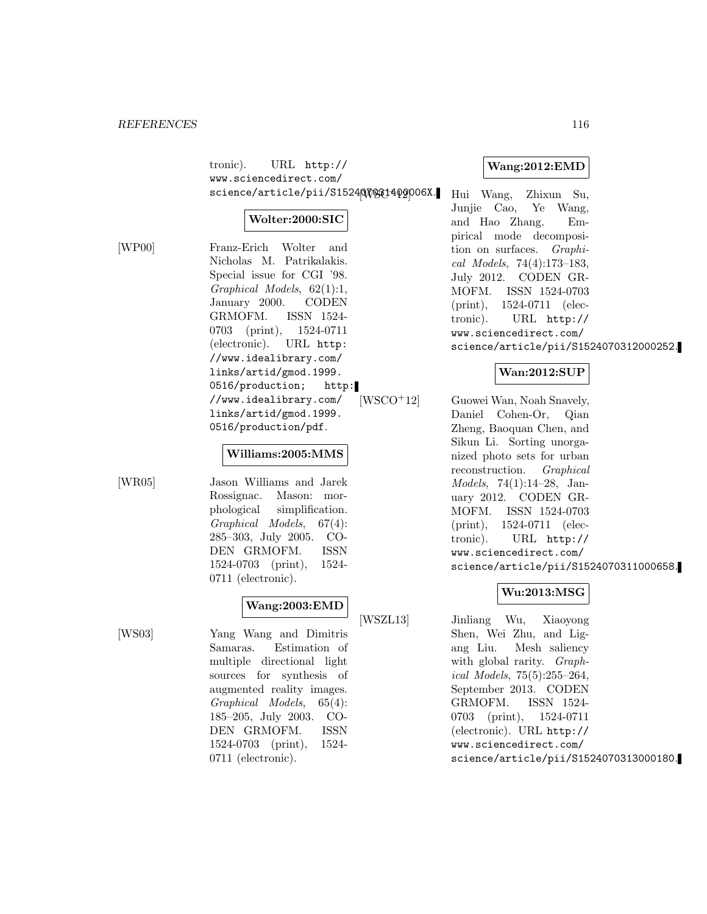tronic). URL http:// www.sciencedirect.com/ science/article/pii/S1524QVOS314009P06X. Hui Wang, Zhixun Su,

### **Wolter:2000:SIC**

[WP00] Franz-Erich Wolter and Nicholas M. Patrikalakis. Special issue for CGI '98. Graphical Models, 62(1):1, January 2000. CODEN GRMOFM. ISSN 1524- 0703 (print), 1524-0711 (electronic). URL http: //www.idealibrary.com/ links/artid/gmod.1999. 0516/production; http: //www.idealibrary.com/ links/artid/gmod.1999. 0516/production/pdf.

#### **Williams:2005:MMS**

[WR05] Jason Williams and Jarek Rossignac. Mason: morphological simplification. Graphical Models, 67(4): 285–303, July 2005. CO-DEN GRMOFM. ISSN 1524-0703 (print), 1524- 0711 (electronic).

## **Wang:2003:EMD**

[WS03] Yang Wang and Dimitris Samaras. Estimation of multiple directional light sources for synthesis of augmented reality images. Graphical Models, 65(4): 185–205, July 2003. CO-DEN GRMOFM. ISSN 1524-0703 (print), 1524- 0711 (electronic).

### **Wang:2012:EMD**

Junjie Cao, Ye Wang, and Hao Zhang. Empirical mode decomposition on surfaces. Graphical Models, 74(4):173–183, July 2012. CODEN GR-MOFM. ISSN 1524-0703 (print), 1524-0711 (electronic). URL http:// www.sciencedirect.com/ science/article/pii/S1524070312000252.

## **Wan:2012:SUP**

[WSCO<sup>+</sup>12] Guowei Wan, Noah Snavely, Daniel Cohen-Or, Qian Zheng, Baoquan Chen, and Sikun Li. Sorting unorganized photo sets for urban reconstruction. Graphical Models, 74(1):14–28, January 2012. CODEN GR-MOFM. ISSN 1524-0703 (print), 1524-0711 (electronic). URL http:// www.sciencedirect.com/ science/article/pii/S1524070311000658.

#### **Wu:2013:MSG**

[WSZL13] Jinliang Wu, Xiaoyong Shen, Wei Zhu, and Ligang Liu. Mesh saliency with global rarity. *Graph*ical Models, 75(5):255–264, September 2013. CODEN GRMOFM. ISSN 1524- 0703 (print), 1524-0711 (electronic). URL http:// www.sciencedirect.com/ science/article/pii/S1524070313000180.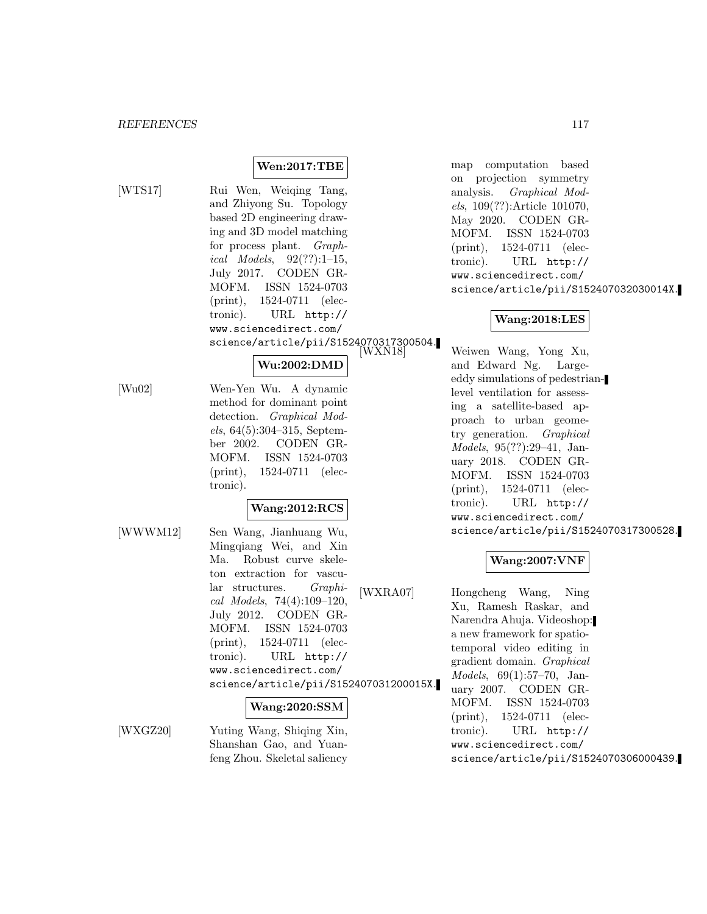## **Wen:2017:TBE**

[WTS17] Rui Wen, Weiqing Tang, and Zhiyong Su. Topology based 2D engineering drawing and 3D model matching for process plant. Graphical Models,  $92(??):1-15$ , July 2017. CODEN GR-MOFM. ISSN 1524-0703 (print), 1524-0711 (electronic). URL http:// www.sciencedirect.com/ science/article/pii/S1524070317300504.

## **Wu:2002:DMD**

[Wu02] Wen-Yen Wu. A dynamic method for dominant point detection. Graphical Models, 64(5):304–315, September 2002. CODEN GR-MOFM. ISSN 1524-0703 (print), 1524-0711 (electronic).

## **Wang:2012:RCS**

[WWWM12] Sen Wang, Jianhuang Wu, Mingqiang Wei, and Xin Ma. Robust curve skeleton extraction for vascular structures. Graphical Models, 74(4):109–120, July 2012. CODEN GR-MOFM. ISSN 1524-0703 (print), 1524-0711 (electronic). URL http:// www.sciencedirect.com/ science/article/pii/S152407031200015X.

#### **Wang:2020:SSM**

[WXGZ20] Yuting Wang, Shiqing Xin,

Shanshan Gao, and Yuanfeng Zhou. Skeletal saliency map computation based on projection symmetry analysis. Graphical Models, 109(??):Article 101070, May 2020. CODEN GR-MOFM. ISSN 1524-0703 (print), 1524-0711 (electronic). URL http:// www.sciencedirect.com/ science/article/pii/S152407032030014X.

## **Wang:2018:LES**

Weiwen Wang, Yong Xu, and Edward Ng. Largeeddy simulations of pedestrianlevel ventilation for assessing a satellite-based approach to urban geometry generation. Graphical Models, 95(??):29–41, January 2018. CODEN GR-MOFM. ISSN 1524-0703 (print), 1524-0711 (electronic). URL http:// www.sciencedirect.com/ science/article/pii/S1524070317300528.

## **Wang:2007:VNF**

[WXRA07] Hongcheng Wang, Ning Xu, Ramesh Raskar, and Narendra Ahuja. Videoshop: a new framework for spatiotemporal video editing in gradient domain. Graphical Models, 69(1):57–70, January 2007. CODEN GR-MOFM. ISSN 1524-0703 (print), 1524-0711 (electronic). URL http:// www.sciencedirect.com/ science/article/pii/S1524070306000439.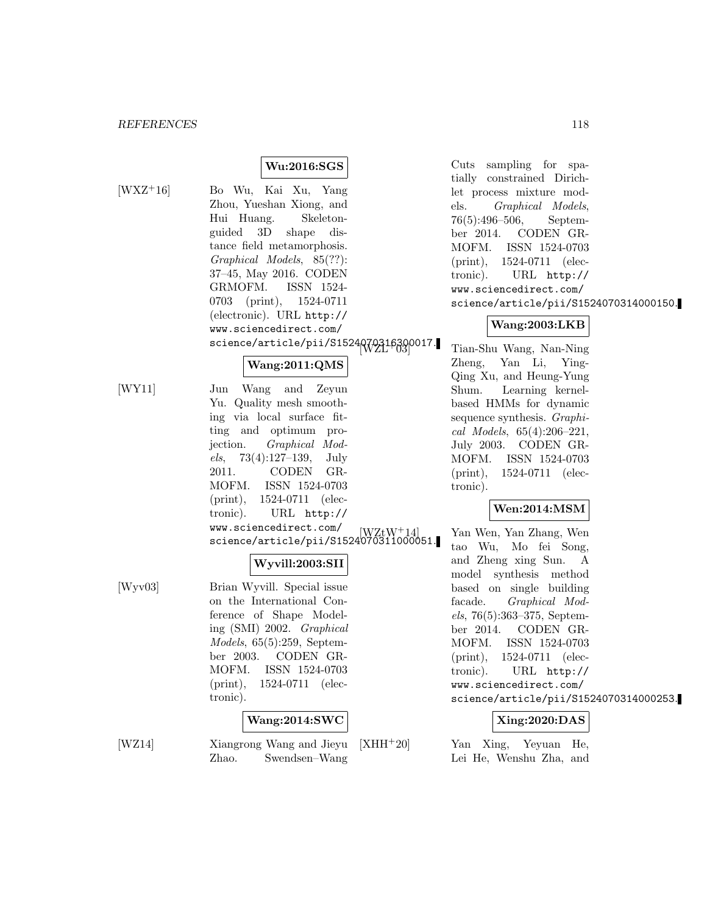## **Wu:2016:SGS**

[WXZ<sup>+</sup>16] Bo Wu, Kai Xu, Yang Zhou, Yueshan Xiong, and Hui Huang. Skeletonguided 3D shape distance field metamorphosis. Graphical Models, 85(??): 37–45, May 2016. CODEN GRMOFM. ISSN 1524- 0703 (print), 1524-0711 (electronic). URL http:// www.sciencedirect.com/ science/article/pii/S1524Q70316390017.

## **Wang:2011:QMS**

[WY11] Jun Wang and Zeyun Yu. Quality mesh smoothing via local surface fitting and optimum projection. Graphical Mod $els, 73(4):127-139, July$ 2011. CODEN GR-MOFM. ISSN 1524-0703 (print), 1524-0711 (electronic). URL http:// www.sciencedirect.com/ science/article/pii/S1524070311000051.

#### **Wyvill:2003:SII**

[Wyv03] Brian Wyvill. Special issue on the International Conference of Shape Modeling (SMI) 2002. Graphical Models, 65(5):259, September 2003. CODEN GR-MOFM. ISSN 1524-0703 (print), 1524-0711 (electronic).

## **Wang:2014:SWC**

[WZ14] Xiangrong Wang and Jieyu Zhao. Swendsen–Wang Cuts sampling for spatially constrained Dirichlet process mixture models. Graphical Models, 76(5):496–506, September 2014. CODEN GR-MOFM. ISSN 1524-0703 (print), 1524-0711 (electronic). URL http:// www.sciencedirect.com/ science/article/pii/S1524070314000150.

## **Wang:2003:LKB**

Tian-Shu Wang, Nan-Ning Zheng, Yan Li, Ying-Qing Xu, and Heung-Yung Shum. Learning kernelbased HMMs for dynamic sequence synthesis. Graphical Models, 65(4):206–221, July 2003. CODEN GR-MOFM. ISSN 1524-0703 (print), 1524-0711 (electronic).

## **Wen:2014:MSM**

Yan Wen, Yan Zhang, Wen tao Wu, Mo fei Song, and Zheng xing Sun. A model synthesis method based on single building facade. Graphical Models, 76(5):363–375, September 2014. CODEN GR-MOFM. ISSN 1524-0703 (print), 1524-0711 (electronic). URL http:// www.sciencedirect.com/ science/article/pii/S1524070314000253.

## **Xing:2020:DAS**

 $[XHH^+20]$  Yan Xing, Yeyuan He, Lei He, Wenshu Zha, and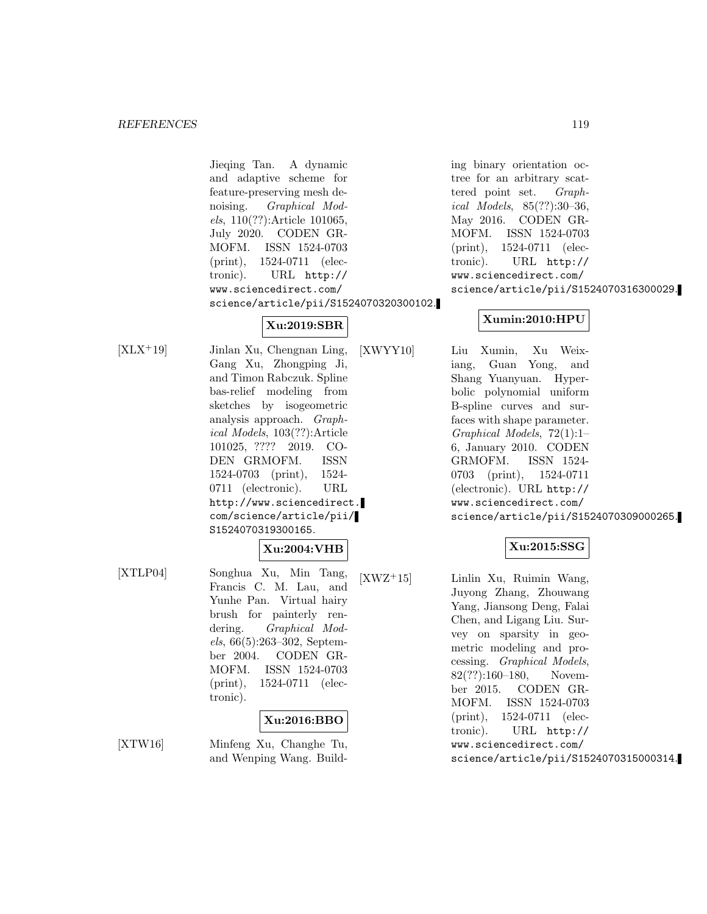Jieqing Tan. A dynamic and adaptive scheme for feature-preserving mesh denoising. Graphical Models, 110(??):Article 101065, July 2020. CODEN GR-MOFM. ISSN 1524-0703 (print), 1524-0711 (electronic). URL http:// www.sciencedirect.com/ science/article/pii/S1524070320300102.

## **Xu:2019:SBR**

[XLX<sup>+</sup>19] Jinlan Xu, Chengnan Ling, Gang Xu, Zhongping Ji, and Timon Rabczuk. Spline bas-relief modeling from sketches by isogeometric analysis approach. Graphical Models, 103(??):Article 101025, ???? 2019. CO-DEN GRMOFM. ISSN 1524-0703 (print), 1524- 0711 (electronic). URL http://www.sciencedirect. com/science/article/pii/ S1524070319300165.

**Xu:2004:VHB** [XTLP04] Songhua Xu, Min Tang, Francis C. M. Lau, and Yunhe Pan. Virtual hairy brush for painterly ren-

dering. Graphical Models, 66(5):263–302, September 2004. CODEN GR-MOFM. ISSN 1524-0703 (print), 1524-0711 (electronic).

## **Xu:2016:BBO**

[XTW16] Minfeng Xu, Changhe Tu, and Wenping Wang. Building binary orientation octree for an arbitrary scattered point set. Graphical Models, 85(??):30–36, May 2016. CODEN GR-MOFM. ISSN 1524-0703 (print), 1524-0711 (electronic). URL http:// www.sciencedirect.com/ science/article/pii/S1524070316300029.

## **Xumin:2010:HPU**

[XWYY10] Liu Xumin, Xu Weixiang, Guan Yong, and Shang Yuanyuan. Hyperbolic polynomial uniform B-spline curves and surfaces with shape parameter. Graphical Models, 72(1):1– 6, January 2010. CODEN GRMOFM. ISSN 1524- 0703 (print), 1524-0711 (electronic). URL http:// www.sciencedirect.com/ science/article/pii/S1524070309000265.

## **Xu:2015:SSG**

[XWZ<sup>+</sup>15] Linlin Xu, Ruimin Wang, Juyong Zhang, Zhouwang Yang, Jiansong Deng, Falai Chen, and Ligang Liu. Survey on sparsity in geometric modeling and processing. Graphical Models, 82(??):160–180, November 2015. CODEN GR-MOFM. ISSN 1524-0703 (print), 1524-0711 (electronic). URL http:// www.sciencedirect.com/ science/article/pii/S1524070315000314.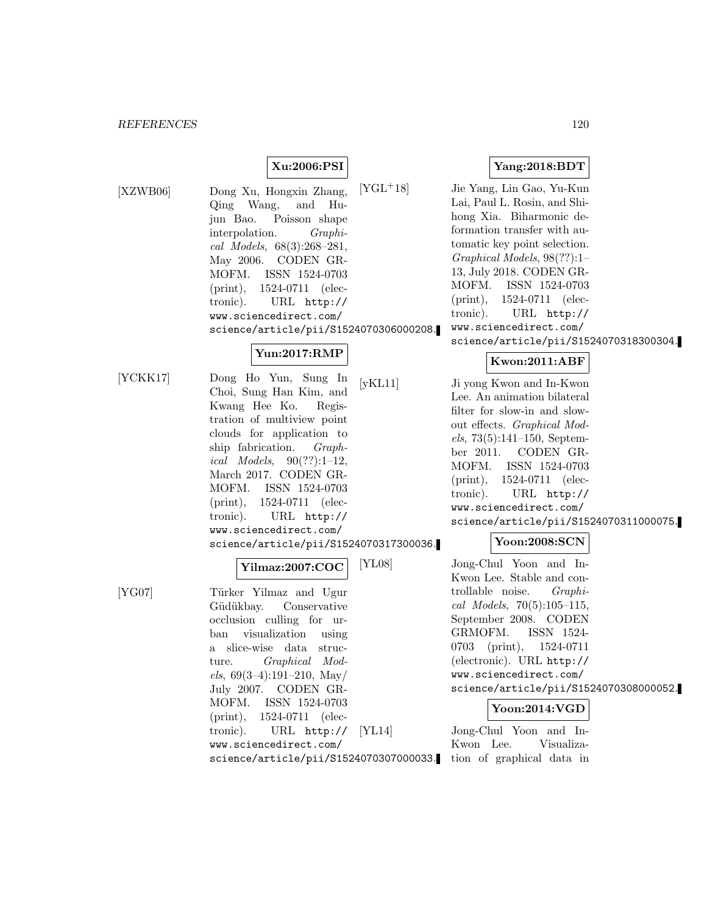## **Xu:2006:PSI**

[XZWB06] Dong Xu, Hongxin Zhang, Qing Wang, and Hujun Bao. Poisson shape interpolation. Graphical Models, 68(3):268–281, May 2006. CODEN GR-MOFM. ISSN 1524-0703 (print), 1524-0711 (electronic). URL http:// www.sciencedirect.com/ science/article/pii/S1524070306000208.

## **Yun:2017:RMP**

[YCKK17] Dong Ho Yun, Sung In Choi, Sung Han Kim, and Kwang Hee Ko. Registration of multiview point clouds for application to ship fabrication. Graphical Models, 90(??):1–12, March 2017. CODEN GR-MOFM. ISSN 1524-0703 (print), 1524-0711 (electronic). URL http:// www.sciencedirect.com/ science/article/pii/S1524070317300036.

#### **Yilmaz:2007:COC**

[YG07] Türker Yilmaz and Ugur Güdükbay. Conservative occlusion culling for urban visualization using a slice-wise data structure. Graphical Models,  $69(3-4):191-210$ , May July 2007. CODEN GR-MOFM. ISSN 1524-0703 (print), 1524-0711 (electronic). URL http:// www.sciencedirect.com/ science/article/pii/S1524070307000033. **Yang:2018:BDT**

[YGL<sup>+</sup>18] Jie Yang, Lin Gao, Yu-Kun Lai, Paul L. Rosin, and Shihong Xia. Biharmonic deformation transfer with automatic key point selection. Graphical Models, 98(??):1– 13, July 2018. CODEN GR-MOFM. ISSN 1524-0703 (print), 1524-0711 (electronic). URL http:// www.sciencedirect.com/ science/article/pii/S1524070318300304.

## **Kwon:2011:ABF**

[yKL11] Ji yong Kwon and In-Kwon Lee. An animation bilateral filter for slow-in and slowout effects. Graphical Models, 73(5):141–150, September 2011. CODEN GR-MOFM. ISSN 1524-0703 (print), 1524-0711 (electronic). URL http:// www.sciencedirect.com/ science/article/pii/S1524070311000075.

## **Yoon:2008:SCN**

[YL08] Jong-Chul Yoon and In-Kwon Lee. Stable and controllable noise. Graphical Models,  $70(5):105-115$ , September 2008. CODEN GRMOFM. ISSN 1524- 0703 (print), 1524-0711 (electronic). URL http:// www.sciencedirect.com/ science/article/pii/S1524070308000052.

## **Yoon:2014:VGD**

[YL14] Jong-Chul Yoon and In-Kwon Lee. Visualization of graphical data in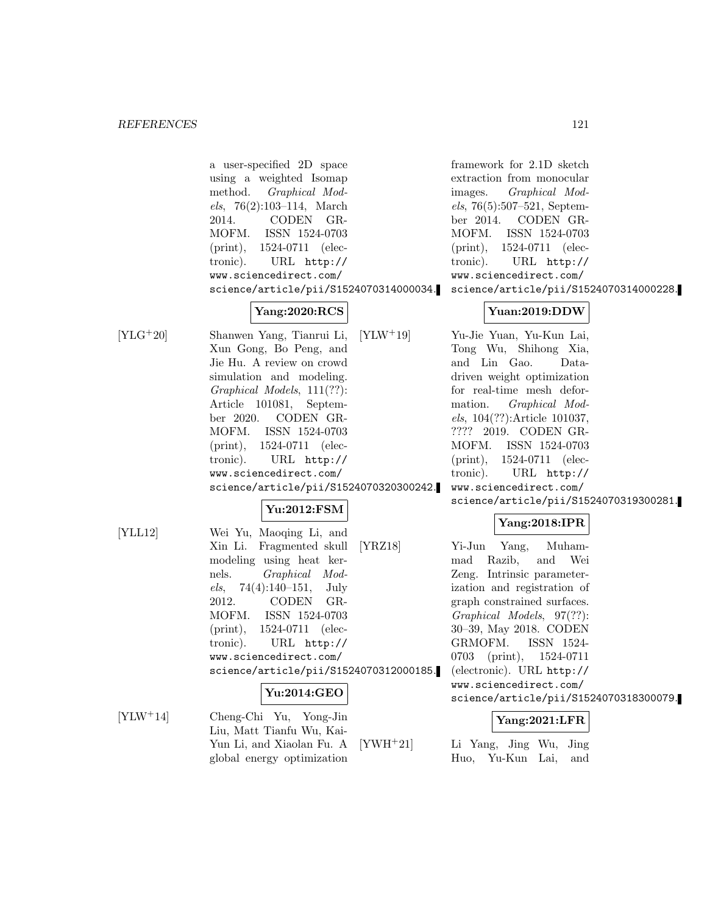a user-specified 2D space using a weighted Isomap method. Graphical Models, 76(2):103–114, March 2014. CODEN GR-MOFM. ISSN 1524-0703 (print), 1524-0711 (electronic). URL http:// www.sciencedirect.com/ science/article/pii/S1524070314000034. **Yang:2020:RCS** [YLG<sup>+</sup>20] Shanwen Yang, Tianrui Li, Xun Gong, Bo Peng, and Jie Hu. A review on crowd simulation and modeling. Graphical Models, 111(??): Article 101081, September 2020. CODEN GR-MOFM. ISSN 1524-0703 (print), 1524-0711 (electronic). URL http:// www.sciencedirect.com/ science/article/pii/S1524070320300242. **Yu:2012:FSM** [YLL12] Wei Yu, Maoqing Li, and Xin Li. Fragmented skull modeling using heat kernels. Graphical Models,  $74(4):140-151$ , July 2012. CODEN GR-MOFM. ISSN 1524-0703 (print), 1524-0711 (electronic). URL http:// www.sciencedirect.com/ science/article/pii/S1524070312000185. **Yu:2014:GEO** [YLW<sup>+</sup>14] Cheng-Chi Yu, Yong-Jin Liu, Matt Tianfu Wu, Kai-Yun Li, and Xiaolan Fu. A framework for 2.1D sketch extraction from monocular images. Graphical Models, 76(5):507–521, September 2014. CODEN GR-MOFM. ISSN 1524-0703 (print), 1524-0711 (electronic). URL http:// www.sciencedirect.com/ science/article/pii/S1524070314000228. **Yuan:2019:DDW** [YLW<sup>+</sup>19] Yu-Jie Yuan, Yu-Kun Lai, Tong Wu, Shihong Xia, and Lin Gao. Datadriven weight optimization for real-time mesh deformation. Graphical Models, 104(??):Article 101037, ???? 2019. CODEN GR-MOFM. ISSN 1524-0703 (print), 1524-0711 (electronic). URL http:// www.sciencedirect.com/ science/article/pii/S1524070319300281. **Yang:2018:IPR** [YRZ18] Yi-Jun Yang, Muhammad Razib, and Wei Zeng. Intrinsic parameterization and registration of graph constrained surfaces. Graphical Models, 97(??): 30–39, May 2018. CODEN GRMOFM. ISSN 1524- 0703 (print), 1524-0711 (electronic). URL http:// www.sciencedirect.com/ science/article/pii/S1524070318300079. **Yang:2021:LFR** [YWH<sup>+</sup>21] Li Yang, Jing Wu, Jing

Huo, Yu-Kun Lai, and

global energy optimization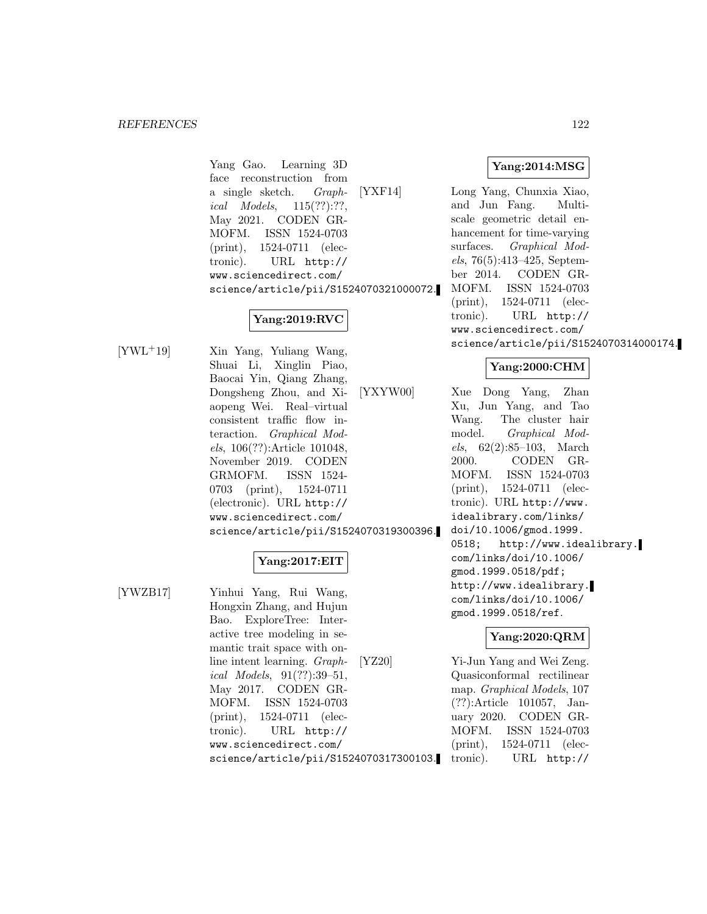Yang Gao. Learning 3D face reconstruction from a single sketch. Graphical Models, 115(??):??, May 2021. CODEN GR-MOFM. ISSN 1524-0703 (print), 1524-0711 (electronic). URL http:// www.sciencedirect.com/ science/article/pii/S1524070321000072.

## **Yang:2019:RVC**

[YWL<sup>+</sup>19] Xin Yang, Yuliang Wang, Shuai Li, Xinglin Piao, Baocai Yin, Qiang Zhang, Dongsheng Zhou, and Xiaopeng Wei. Real–virtual consistent traffic flow interaction. Graphical Models, 106(??):Article 101048, November 2019. CODEN GRMOFM. ISSN 1524- 0703 (print), 1524-0711 (electronic). URL http:// www.sciencedirect.com/ science/article/pii/S1524070319300396.

## **Yang:2017:EIT**

[YWZB17] Yinhui Yang, Rui Wang, Hongxin Zhang, and Hujun Bao. ExploreTree: Interactive tree modeling in semantic trait space with online intent learning. Graphical Models, 91(??):39–51, May 2017. CODEN GR-MOFM. ISSN 1524-0703 (print), 1524-0711 (electronic). URL http:// www.sciencedirect.com/ science/article/pii/S1524070317300103. **Yang:2014:MSG**

[YXF14] Long Yang, Chunxia Xiao, and Jun Fang. Multiscale geometric detail enhancement for time-varying surfaces. Graphical Models, 76(5):413–425, September 2014. CODEN GR-MOFM. ISSN 1524-0703 (print), 1524-0711 (electronic). URL http:// www.sciencedirect.com/ science/article/pii/S1524070314000174.

## **Yang:2000:CHM**

[YXYW00] Xue Dong Yang, Zhan Xu, Jun Yang, and Tao Wang. The cluster hair model. Graphical Models,  $62(2):85-103$ , March 2000. CODEN GR-MOFM. ISSN 1524-0703 (print), 1524-0711 (electronic). URL http://www. idealibrary.com/links/ doi/10.1006/gmod.1999. 0518; http://www.idealibrary. com/links/doi/10.1006/ gmod.1999.0518/pdf; http://www.idealibrary. com/links/doi/10.1006/ gmod.1999.0518/ref.

## **Yang:2020:QRM**

[YZ20] Yi-Jun Yang and Wei Zeng. Quasiconformal rectilinear map. Graphical Models, 107 (??):Article 101057, January 2020. CODEN GR-MOFM. ISSN 1524-0703 (print), 1524-0711 (electronic). URL http://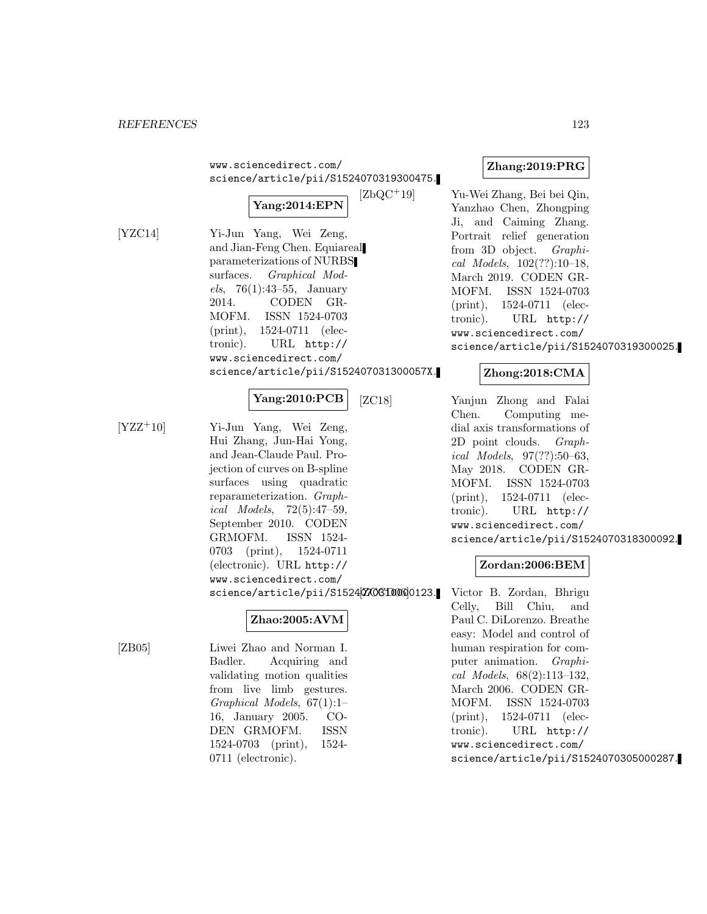www.sciencedirect.com/ science/article/pii/S1524070319300475.



[YZC14] Yi-Jun Yang, Wei Zeng, and Jian-Feng Chen. Equiareal parameterizations of NURBS surfaces. Graphical Models, 76(1):43–55, January 2014. CODEN GR-MOFM. ISSN 1524-0703 (print), 1524-0711 (electronic). URL http:// www.sciencedirect.com/ science/article/pii/S152407031300057X.

**Yang:2010:PCB**

[YZZ<sup>+</sup>10] Yi-Jun Yang, Wei Zeng, Hui Zhang, Jun-Hai Yong, and Jean-Claude Paul. Projection of curves on B-spline surfaces using quadratic reparameterization. Graphical Models, 72(5):47–59, September 2010. CODEN GRMOFM. ISSN 1524- 0703 (print), 1524-0711 (electronic). URL http:// www.sciencedirect.com/ science/article/pii/S15242706100000123.

## **Zhao:2005:AVM**

[ZB05] Liwei Zhao and Norman I. Badler. Acquiring and validating motion qualities from live limb gestures. Graphical Models, 67(1):1– 16, January 2005. CO-DEN GRMOFM. ISSN 1524-0703 (print), 1524- 0711 (electronic).

## **Zhang:2019:PRG**

[ZbQC<sup>+</sup>19] Yu-Wei Zhang, Bei bei Qin, Yanzhao Chen, Zhongping Ji, and Caiming Zhang. Portrait relief generation from 3D object. Graphical Models, 102(??):10–18, March 2019. CODEN GR-MOFM. ISSN 1524-0703 (print), 1524-0711 (electronic). URL http:// www.sciencedirect.com/ science/article/pii/S1524070319300025.

## **Zhong:2018:CMA**

[ZC18] Yanjun Zhong and Falai Chen. Computing medial axis transformations of 2D point clouds. Graphical Models, 97(??):50–63, May 2018. CODEN GR-MOFM. ISSN 1524-0703 (print), 1524-0711 (electronic). URL http:// www.sciencedirect.com/ science/article/pii/S1524070318300092.

## **Zordan:2006:BEM**

Victor B. Zordan, Bhrigu Celly, Bill Chiu, and Paul C. DiLorenzo. Breathe easy: Model and control of human respiration for computer animation. Graphical Models, 68(2):113–132, March 2006. CODEN GR-MOFM. ISSN 1524-0703 (print), 1524-0711 (electronic). URL http:// www.sciencedirect.com/ science/article/pii/S1524070305000287.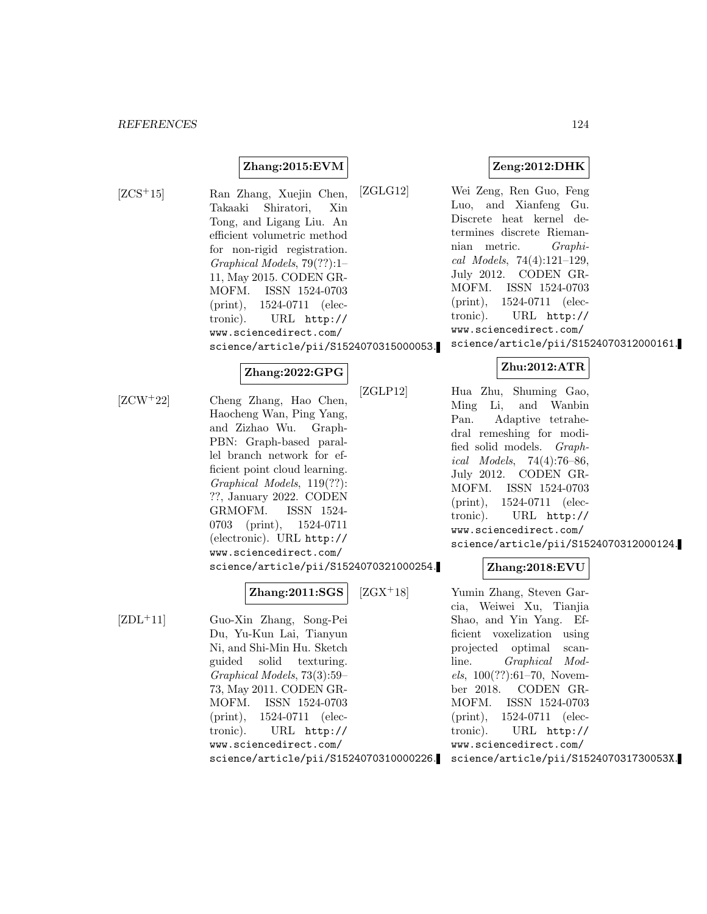## **Zhang:2015:EVM**

[ZCS<sup>+</sup>15] Ran Zhang, Xuejin Chen, Takaaki Shiratori, Xin Tong, and Ligang Liu. An efficient volumetric method for non-rigid registration. Graphical Models, 79(??):1– 11, May 2015. CODEN GR-MOFM. ISSN 1524-0703 (print), 1524-0711 (electronic). URL http:// www.sciencedirect.com/ science/article/pii/S1524070315000053.

#### **Zhang:2022:GPG**

[ZCW<sup>+</sup>22] Cheng Zhang, Hao Chen, Haocheng Wan, Ping Yang, and Zizhao Wu. Graph-PBN: Graph-based parallel branch network for efficient point cloud learning. Graphical Models, 119(??): ??, January 2022. CODEN GRMOFM. ISSN 1524- 0703 (print), 1524-0711 (electronic). URL http:// www.sciencedirect.com/ science/article/pii/S1524070321000254.

## **Zhang:2011:SGS**

[ZDL<sup>+</sup>11] Guo-Xin Zhang, Song-Pei Du, Yu-Kun Lai, Tianyun Ni, and Shi-Min Hu. Sketch guided solid texturing. Graphical Models, 73(3):59– 73, May 2011. CODEN GR-MOFM. ISSN 1524-0703 (print), 1524-0711 (electronic). URL http:// www.sciencedirect.com/ science/article/pii/S1524070310000226. **Zeng:2012:DHK**

[ZGLG12] Wei Zeng, Ren Guo, Feng Luo, and Xianfeng Gu. Discrete heat kernel determines discrete Riemannian metric. Graphical Models, 74(4):121–129, July 2012. CODEN GR-MOFM. ISSN 1524-0703 (print), 1524-0711 (electronic). URL http:// www.sciencedirect.com/ science/article/pii/S1524070312000161.

## **Zhu:2012:ATR**

[ZGLP12] Hua Zhu, Shuming Gao, Ming Li, and Wanbin Pan. Adaptive tetrahedral remeshing for modified solid models. Graphical Models, 74(4):76–86, July 2012. CODEN GR-MOFM. ISSN 1524-0703 (print), 1524-0711 (electronic). URL http:// www.sciencedirect.com/ science/article/pii/S1524070312000124.

#### **Zhang:2018:EVU**

[ZGX<sup>+</sup>18] Yumin Zhang, Steven Garcia, Weiwei Xu, Tianjia Shao, and Yin Yang. Efficient voxelization using projected optimal scanline. Graphical Models, 100(??):61–70, November 2018. CODEN GR-MOFM. ISSN 1524-0703 (print), 1524-0711 (electronic). URL http:// www.sciencedirect.com/ science/article/pii/S152407031730053X.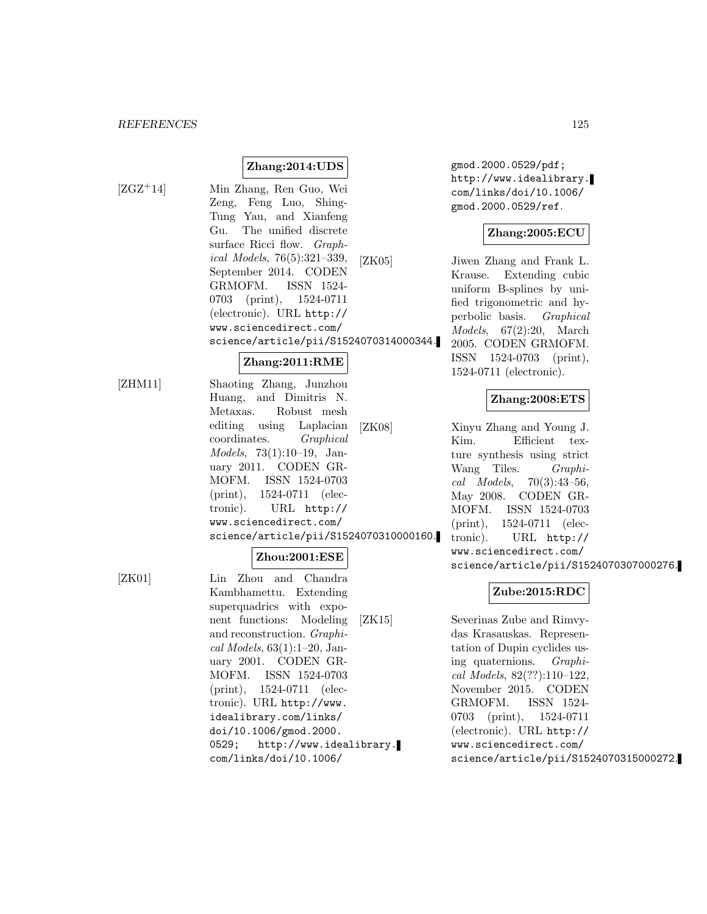[ZGZ<sup>+</sup>14] Min Zhang, Ren Guo, Wei Zeng, Feng Luo, Shing-Tung Yau, and Xianfeng Gu. The unified discrete surface Ricci flow. Graphical Models, 76(5):321–339, September 2014. CODEN GRMOFM. ISSN 1524- 0703 (print), 1524-0711 (electronic). URL http:// www.sciencedirect.com/ science/article/pii/S1524070314000344.

**Zhang:2014:UDS**

## **Zhang:2011:RME**

[ZHM11] Shaoting Zhang, Junzhou Huang, and Dimitris N. Metaxas. Robust mesh editing using Laplacian coordinates. Graphical Models, 73(1):10–19, January 2011. CODEN GR-MOFM. ISSN 1524-0703 (print), 1524-0711 (electronic). URL http:// www.sciencedirect.com/ science/article/pii/S1524070310000160.

## **Zhou:2001:ESE**

[ZK01] Lin Zhou and Chandra Kambhamettu. Extending superquadrics with exponent functions: Modeling and reconstruction. Graphical Models, 63(1):1–20, January 2001. CODEN GR-MOFM. ISSN 1524-0703 (print), 1524-0711 (electronic). URL http://www. idealibrary.com/links/ doi/10.1006/gmod.2000. 0529; http://www.idealibrary. com/links/doi/10.1006/

gmod.2000.0529/pdf; http://www.idealibrary. com/links/doi/10.1006/ gmod.2000.0529/ref.

## **Zhang:2005:ECU**

[ZK05] Jiwen Zhang and Frank L. Krause. Extending cubic uniform B-splines by unified trigonometric and hyperbolic basis. Graphical Models, 67(2):20, March 2005. CODEN GRMOFM. ISSN 1524-0703 (print), 1524-0711 (electronic).

## **Zhang:2008:ETS**

[ZK08] Xinyu Zhang and Young J. Kim. Efficient texture synthesis using strict Wang Tiles. Graphical Models, 70(3):43–56, May 2008. CODEN GR-MOFM. ISSN 1524-0703 (print), 1524-0711 (electronic). URL http:// www.sciencedirect.com/ science/article/pii/S1524070307000276.

## **Zube:2015:RDC**

[ZK15] Severinas Zube and Rimvydas Krasauskas. Representation of Dupin cyclides using quaternions. Graphical Models, 82(??):110–122, November 2015. CODEN GRMOFM. ISSN 1524- 0703 (print), 1524-0711 (electronic). URL http:// www.sciencedirect.com/ science/article/pii/S1524070315000272.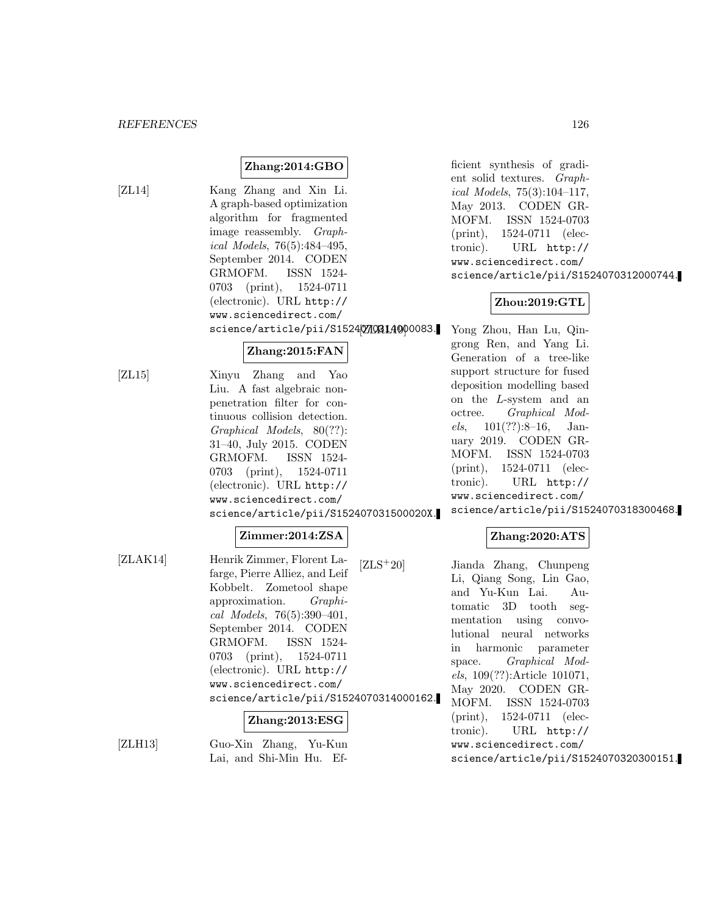## **Zhang:2014:GBO**

[ZL14] Kang Zhang and Xin Li. A graph-based optimization algorithm for fragmented image reassembly. Graphical Models, 76(5):484–495, September 2014. CODEN GRMOFM. ISSN 1524- 0703 (print), 1524-0711 (electronic). URL http:// www.sciencedirect.com/ science/article/pii/S1524070314000083.

## **Zhang:2015:FAN**

[ZL15] Xinyu Zhang and Yao Liu. A fast algebraic nonpenetration filter for continuous collision detection. Graphical Models, 80(??): 31–40, July 2015. CODEN GRMOFM. ISSN 1524- 0703 (print), 1524-0711 (electronic). URL http:// www.sciencedirect.com/ science/article/pii/S152407031500020X.

#### **Zimmer:2014:ZSA**

[ZLAK14] Henrik Zimmer, Florent Lafarge, Pierre Alliez, and Leif Kobbelt. Zometool shape approximation. Graphical Models, 76(5):390–401, September 2014. CODEN GRMOFM. ISSN 1524- 0703 (print), 1524-0711 (electronic). URL http:// www.sciencedirect.com/ science/article/pii/S1524070314000162.

#### **Zhang:2013:ESG**

[ZLH13] Guo-Xin Zhang, Yu-Kun Lai, and Shi-Min Hu. Efficient synthesis of gradient solid textures. Graphical Models, 75(3):104–117, May 2013. CODEN GR-MOFM. ISSN 1524-0703 (print), 1524-0711 (electronic). URL http:// www.sciencedirect.com/ science/article/pii/S1524070312000744.

## **Zhou:2019:GTL**

Yong Zhou, Han Lu, Qingrong Ren, and Yang Li. Generation of a tree-like support structure for fused deposition modelling based on the L-system and an octree. Graphical Models, 101(??):8–16, January 2019. CODEN GR-MOFM. ISSN 1524-0703 (print), 1524-0711 (electronic). URL http:// www.sciencedirect.com/ science/article/pii/S1524070318300468.

## **Zhang:2020:ATS**

[ZLS<sup>+</sup>20] Jianda Zhang, Chunpeng Li, Qiang Song, Lin Gao, and Yu-Kun Lai. Automatic 3D tooth segmentation using convolutional neural networks in harmonic parameter space. Graphical Models, 109(??):Article 101071, May 2020. CODEN GR-MOFM. ISSN 1524-0703 (print), 1524-0711 (electronic). URL http:// www.sciencedirect.com/ science/article/pii/S1524070320300151.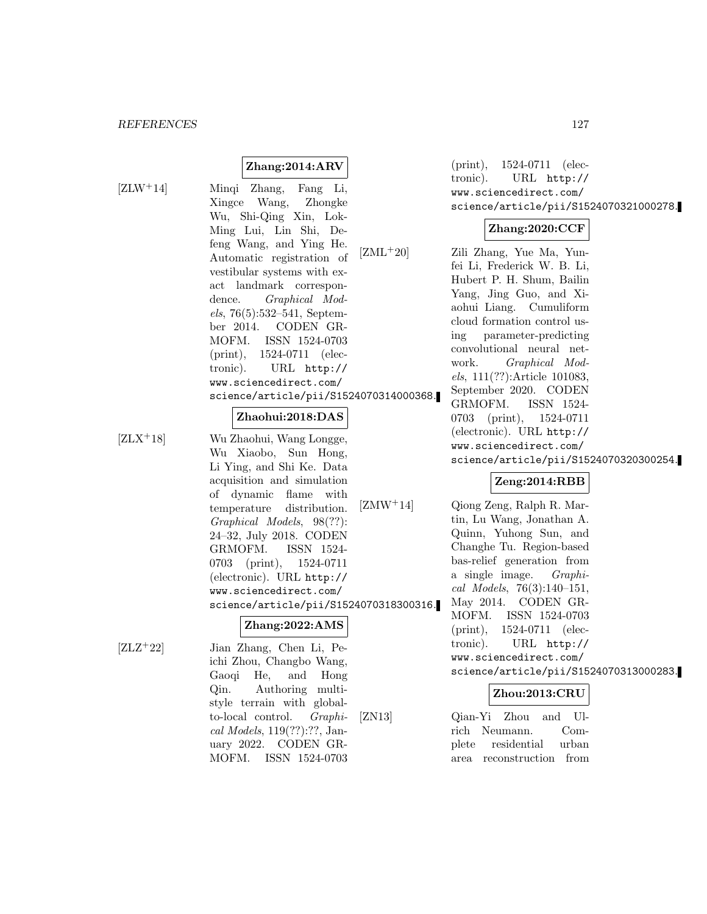## **Zhang:2014:ARV**

 $[ZLW^+14]$ 

| Mingi Zhang, Fang Li,                   |
|-----------------------------------------|
| Xingce Wang, Zhongke                    |
| Wu, Shi-Qing Xin, Lok-                  |
| Ming Lui, Lin Shi, De-                  |
| feng Wang, and Ying He.                 |
| $[ZML+20]$<br>Automatic registration of |
| vestibular systems with ex-             |
| act landmark correspon-                 |
| dence. Graphical Mod-                   |
| $els, 76(5):532-541, September$         |
| ber 2014. CODEN GR-                     |
| MOFM. ISSN 1524-0703                    |
| (print), 1524-0711 (elec-               |
| tronic). URL http://                    |
| www.sciencedirect.com/                  |
| science/article/pii/S1524070314000368.  |
|                                         |

#### **Zhaohui:2018:DAS**

 $[ZLX^+18]$  Wu Zhaohui, Wang Longge, Wu Xiaobo, Sun Hong, Li Ying, and Shi Ke. Data acquisition and simulation of dynamic flame with temperature distribution. Graphical Models, 98(??): 24–32, July 2018. CODEN GRMOFM. ISSN 1524- 0703 (print), 1524-0711 (electronic). URL http:// www.sciencedirect.com/ science/article/pii/S1524070318300316.

[ZLZ<sup>+</sup>22] Jian Zhang, Chen Li, Peichi Zhou, Changbo Wang, Gaoqi He, and Hong Qin. Authoring multistyle terrain with globalto-local control. Graphical Models, 119(??):??, January 2022. CODEN GR-MOFM. ISSN 1524-0703

**Zhang:2022:AMS**

(print), 1524-0711 (electronic). URL http:// www.sciencedirect.com/ science/article/pii/S1524070321000278.

#### **Zhang:2020:CCF**

 $ML^+20$  Zili Zhang, Yue Ma, Yunfei Li, Frederick W. B. Li, Hubert P. H. Shum, Bailin Yang, Jing Guo, and Xiaohui Liang. Cumuliform cloud formation control using parameter-predicting convolutional neural network. Graphical Models, 111(??):Article 101083, September 2020. CODEN GRMOFM. ISSN 1524- 0703 (print), 1524-0711 (electronic). URL http:// www.sciencedirect.com/ science/article/pii/S1524070320300254.

## **Zeng:2014:RBB**

 $[ZMW^+14]$  Qiong Zeng, Ralph R. Martin, Lu Wang, Jonathan A. Quinn, Yuhong Sun, and Changhe Tu. Region-based bas-relief generation from a single image. Graphical Models, 76(3):140–151, May 2014. CODEN GR-MOFM. ISSN 1524-0703 (print), 1524-0711 (electronic). URL http:// www.sciencedirect.com/ science/article/pii/S1524070313000283.

## **Zhou:2013:CRU**

[ZN13] Qian-Yi Zhou and Ulrich Neumann. Complete residential urban area reconstruction from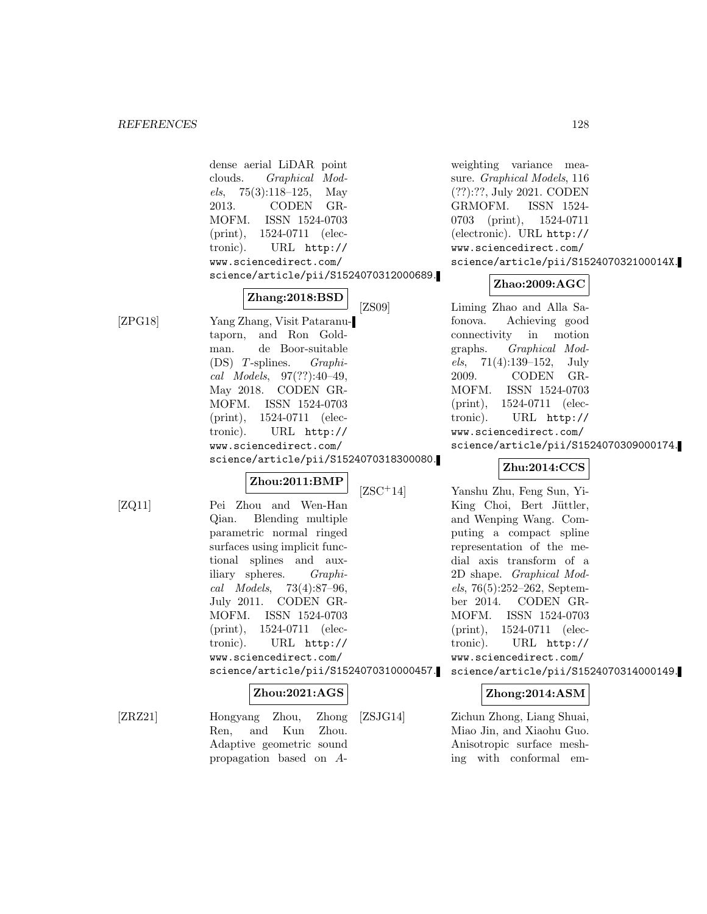dense aerial LiDAR point clouds. Graphical Models, 75(3):118–125, May 2013. CODEN GR-MOFM. ISSN 1524-0703 (print), 1524-0711 (electronic). URL http:// www.sciencedirect.com/ science/article/pii/S1524070312000689. **Zhang:2018:BSD** [ZPG18] Yang Zhang, Visit Pataranutaporn, and Ron Goldman. de Boor-suitable (DS) T-splines. Graphical Models, 97(??):40–49, May 2018. CODEN GR-MOFM. ISSN 1524-0703 (print), 1524-0711 (electronic). URL http:// www.sciencedirect.com/ science/article/pii/S1524070318300080.

## **Zhou:2011:BMP**

- 
- [ZQ11] Pei Zhou and Wen-Han Qian. Blending multiple parametric normal ringed surfaces using implicit functional splines and auxiliary spheres. Graphical Models, 73(4):87–96, July 2011. CODEN GR-MOFM. ISSN 1524-0703 (print), 1524-0711 (electronic). URL http:// www.sciencedirect.com/ science/article/pii/S1524070310000457.

## **Zhou:2021:AGS**

[ZRZ21] Hongyang Zhou, Zhong

Ren, and Kun Zhou. Adaptive geometric sound propagation based on A-

weighting variance measure. Graphical Models, 116 (??):??, July 2021. CODEN GRMOFM. ISSN 1524- 0703 (print), 1524-0711 (electronic). URL http:// www.sciencedirect.com/ science/article/pii/S152407032100014X.

## **Zhao:2009:AGC**

[ZS09] Liming Zhao and Alla Safonova. Achieving good connectivity in motion graphs. Graphical Mod $els, 71(4):139-152, July$ 2009. CODEN GR-MOFM. ISSN 1524-0703 (print), 1524-0711 (electronic). URL http:// www.sciencedirect.com/ science/article/pii/S1524070309000174.

## **Zhu:2014:CCS**

[ZSC<sup>+</sup>14] Yanshu Zhu, Feng Sun, Yi-King Choi, Bert Jüttler, and Wenping Wang. Computing a compact spline representation of the medial axis transform of a 2D shape. Graphical Models, 76(5):252–262, September 2014. CODEN GR-MOFM. ISSN 1524-0703 (print), 1524-0711 (electronic). URL http:// www.sciencedirect.com/ science/article/pii/S1524070314000149.

## **Zhong:2014:ASM**

[ZSJG14] Zichun Zhong, Liang Shuai, Miao Jin, and Xiaohu Guo. Anisotropic surface meshing with conformal em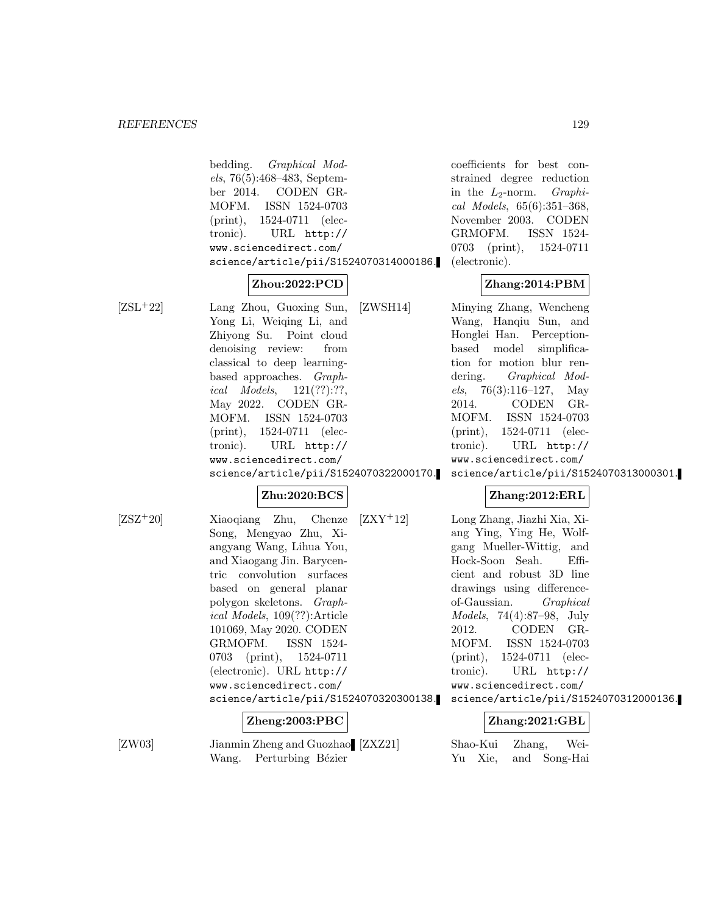bedding. Graphical Models, 76(5):468–483, September 2014. CODEN GR-MOFM. ISSN 1524-0703 (print), 1524-0711 (electronic). URL http:// www.sciencedirect.com/ science/article/pii/S1524070314000186.

## **Zhou:2022:PCD**

[ZSL<sup>+</sup>22] Lang Zhou, Guoxing Sun, Yong Li, Weiqing Li, and Zhiyong Su. Point cloud denoising review: from classical to deep learningbased approaches. Graphical Models, 121(??):??, May 2022. CODEN GR-MOFM. ISSN 1524-0703 (print), 1524-0711 (electronic). URL http:// www.sciencedirect.com/ science/article/pii/S1524070322000170.

## **Zhu:2020:BCS**

[ZSZ<sup>+</sup>20] Xiaoqiang Zhu, Chenze Song, Mengyao Zhu, Xiangyang Wang, Lihua You, and Xiaogang Jin. Barycentric convolution surfaces based on general planar polygon skeletons. Graphical Models, 109(??):Article 101069, May 2020. CODEN GRMOFM. ISSN 1524- 0703 (print), 1524-0711 (electronic). URL http:// www.sciencedirect.com/ science/article/pii/S1524070320300138.

## **Zheng:2003:PBC**

[ZW03] Jianmin Zheng and Guozhao [ZXZ21] Wang. Perturbing Bézier

coefficients for best constrained degree reduction in the  $L_2$ -norm. *Graphi*cal Models, 65(6):351–368, November 2003. CODEN GRMOFM. ISSN 1524- 0703 (print), 1524-0711 (electronic).

## **Zhang:2014:PBM**

[ZWSH14] Minying Zhang, Wencheng Wang, Hanqiu Sun, and Honglei Han. Perceptionbased model simplification for motion blur rendering. Graphical Models,  $76(3):116-127$ , May 2014. CODEN GR-MOFM. ISSN 1524-0703 (print), 1524-0711 (electronic). URL http:// www.sciencedirect.com/

science/article/pii/S1524070313000301.

## **Zhang:2012:ERL**

[ZXY<sup>+</sup>12] Long Zhang, Jiazhi Xia, Xiang Ying, Ying He, Wolfgang Mueller-Wittig, and Hock-Soon Seah. Efficient and robust 3D line drawings using differenceof-Gaussian. Graphical Models, 74(4):87–98, July 2012. CODEN GR-MOFM. ISSN 1524-0703 (print), 1524-0711 (electronic). URL http:// www.sciencedirect.com/ science/article/pii/S1524070312000136.

## **Zhang:2021:GBL**

Shao-Kui Zhang, Wei-Yu Xie, and Song-Hai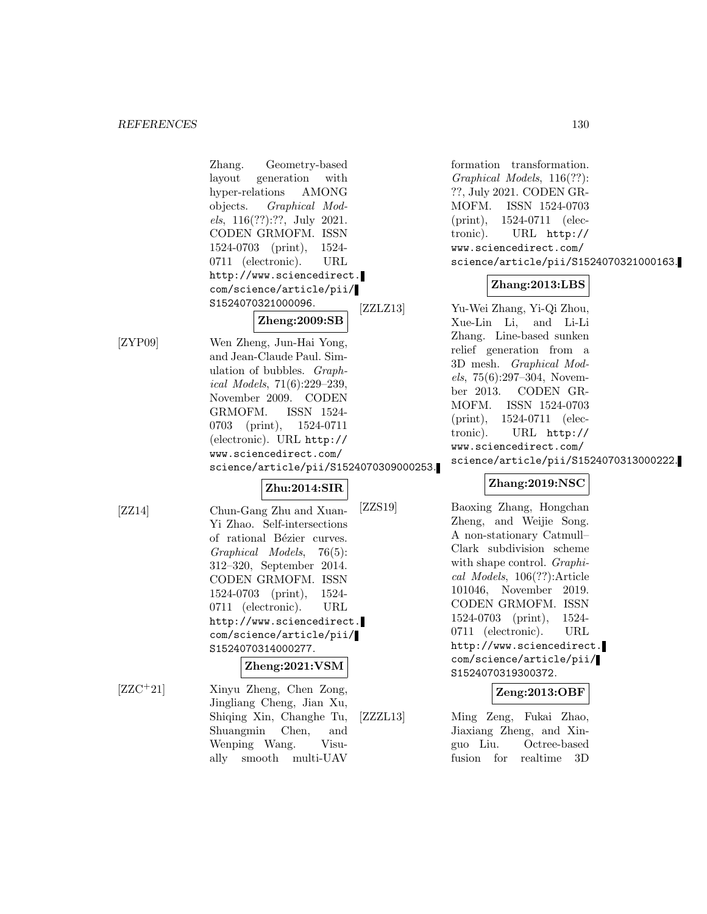|            | Zhang.<br>Geometry-based<br>layout<br>generation<br>with<br>hyper-relations<br>AMONG<br>objects. Graphical Mod-<br>$els, 116(??):??,$ July 2021.<br>CODEN GRMOFM. ISSN<br>$1524-0703$ (print),<br>1524-<br>0711 (electronic).<br>URL<br>http://www.sciencedirect.<br>com/science/article/pii/                                                 | formation trans<br>Graphical Models<br>??, July 2021. CO<br>ISSN<br>MOFM.<br>$(\text{print}),$<br>1524-07<br>tronic).<br>URL<br>www.sciencedire<br>science/article<br>$Z$ hang: $2$                                                                         |
|------------|-----------------------------------------------------------------------------------------------------------------------------------------------------------------------------------------------------------------------------------------------------------------------------------------------------------------------------------------------|-------------------------------------------------------------------------------------------------------------------------------------------------------------------------------------------------------------------------------------------------------------|
|            | S1524070321000096.<br>[ZZLZ13]                                                                                                                                                                                                                                                                                                                | Yu-Wei Zhang, Y                                                                                                                                                                                                                                             |
|            | Zheng:2009:SB                                                                                                                                                                                                                                                                                                                                 | Xue-Lin Li, a                                                                                                                                                                                                                                               |
| [ZYP09]    | Wen Zheng, Jun-Hai Yong,<br>and Jean-Claude Paul. Sim-<br>ulation of bubbles. Graph-<br>ical Models, $71(6):229-239$ ,<br>November 2009. CODEN<br>ISSN 1524-<br>GRMOFM.<br>0703 (print), 1524-0711<br>(electronic). URL http://<br>www.sciencedirect.com/<br>science/article/pii/S1524070309000253.                                           | Zhang. Line-bas<br>relief generation<br>3D mesh. Graph<br>$els, 75(6):297-304$<br>ber 2013. COI<br>ISSN<br>MOFM.<br>$(\text{print}),$<br>1524-07<br>URL<br>tronic).<br>www.sciencedire<br>science/article                                                   |
|            | Zhu:2014:SIR                                                                                                                                                                                                                                                                                                                                  | Zhang:20                                                                                                                                                                                                                                                    |
| [ZZ14]     | [ZZS19]<br>Chun-Gang Zhu and Xuan-<br>Yi Zhao. Self-intersections<br>of rational Bézier curves.<br>Graphical Models,<br>$76(5)$ :<br>312-320, September 2014.<br>CODEN GRMOFM. ISSN<br>1524-0703 (print), 1524-<br>0711 (electronic).<br>URL<br>http://www.sciencedirect.<br>com/science/article/pii/<br>S1524070314000277.<br>Zheng:2021:VSM | Baoxing Zhang,<br>Zheng, and We<br>A non-stationary<br>Clark subdivisio<br>with shape contro<br>cal Models, $106($<br>101046, Noveml<br><b>CODEN GRMOI</b><br>1524-0703 (prin<br>0711 (electronic)<br>http://www.scie<br>com/science/art<br>S15240703193003 |
| $[ZZC+21]$ | Xinyu Zheng, Chen Zong,                                                                                                                                                                                                                                                                                                                       | Zeng:20                                                                                                                                                                                                                                                     |
|            | Jingliang Cheng, Jian Xu,<br>Shiqing Xin, Changhe Tu,<br>[ZZZL13]<br>Shuangmin Chen,<br>and<br>Wenping Wang.<br>Visu-<br>ally smooth multi-UAV                                                                                                                                                                                                | Ming Zeng,<br>Fu.<br>Jiaxiang Zheng,<br>guo Liu.<br>Oc<br>fusion<br>for<br>real                                                                                                                                                                             |

sformation.  $s, 116(??):$ **DEN GR-**1524-0703  $711$  (elechttp:// ect.com/ e/pii/S1524070321000163.

## **Zhang:2013:LBS**

<sup>7</sup>i-Qi Zhou, and Li-Li sed sunken from a hical Mod-4. Novem-DEN GR-1524-0703  $711$  (elechttp:// ect.com/ e/pii/S1524070313000222.

## $019:\!NSC$

Hongchan eijie Song. Catmull– on scheme ol. Graphi-(??):Article ber 2019. FM. ISSN  $\text{at}), \quad 1524$ b). URL encedirect. ticle/pii/ 372.

## **Zeng:2013:OBF**

ikai Zhao, and Xinctree-based ltime 3D